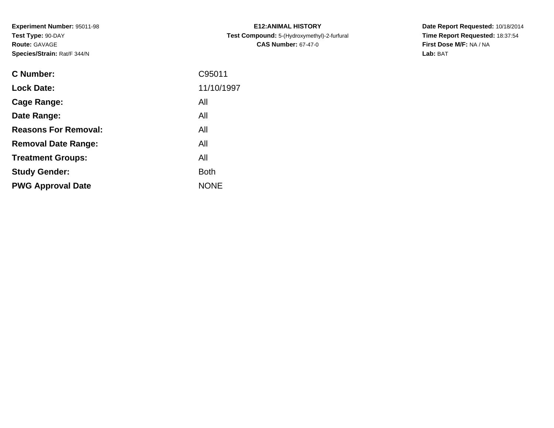**Experiment Number:** 95011-98**Test Type:** 90-DAY**Route:** GAVAGE**Species/Strain:** Rat/F 344/N

| <b>C Number:</b>            | C95011      |
|-----------------------------|-------------|
| <b>Lock Date:</b>           | 11/10/1997  |
| <b>Cage Range:</b>          | All         |
| Date Range:                 | All         |
| <b>Reasons For Removal:</b> | All         |
| <b>Removal Date Range:</b>  | All         |
| <b>Treatment Groups:</b>    | All         |
| <b>Study Gender:</b>        | <b>Both</b> |
| <b>PWG Approval Date</b>    | <b>NONE</b> |
|                             |             |

**E12:ANIMAL HISTORY Test Compound:** 5-(Hydroxymethyl)-2-furfural **CAS Number:** 67-47-0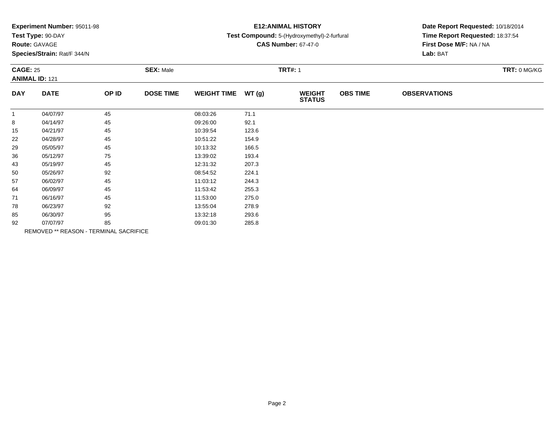| Experiment Number: 95011-98 |  |  |
|-----------------------------|--|--|
|-----------------------------|--|--|

# **Route:** GAVAGE

**Species/Strain:** Rat/F 344/N

# **E12:ANIMAL HISTORY**

### **Test Compound:** 5-(Hydroxymethyl)-2-furfural

**CAS Number:** 67-47-0

| <b>CAGE: 25</b><br><b>ANIMAL ID: 121</b> |             | <b>SEX: Male</b>                       |                  |                    | <b>TRT#: 1</b> |                                |                 |                     |  |
|------------------------------------------|-------------|----------------------------------------|------------------|--------------------|----------------|--------------------------------|-----------------|---------------------|--|
| <b>DAY</b>                               | <b>DATE</b> | OP ID                                  | <b>DOSE TIME</b> | <b>WEIGHT TIME</b> | WT(g)          | <b>WEIGHT</b><br><b>STATUS</b> | <b>OBS TIME</b> | <b>OBSERVATIONS</b> |  |
| -1                                       | 04/07/97    | 45                                     |                  | 08:03:26           | 71.1           |                                |                 |                     |  |
| 8                                        | 04/14/97    | 45                                     |                  | 09:26:00           | 92.1           |                                |                 |                     |  |
| 15                                       | 04/21/97    | 45                                     |                  | 10:39:54           | 123.6          |                                |                 |                     |  |
| 22                                       | 04/28/97    | 45                                     |                  | 10:51:22           | 154.9          |                                |                 |                     |  |
| 29                                       | 05/05/97    | 45                                     |                  | 10:13:32           | 166.5          |                                |                 |                     |  |
| 36                                       | 05/12/97    | 75                                     |                  | 13:39:02           | 193.4          |                                |                 |                     |  |
| 43                                       | 05/19/97    | 45                                     |                  | 12:31:32           | 207.3          |                                |                 |                     |  |
| 50                                       | 05/26/97    | 92                                     |                  | 08:54:52           | 224.1          |                                |                 |                     |  |
| 57                                       | 06/02/97    | 45                                     |                  | 11:03:12           | 244.3          |                                |                 |                     |  |
| 64                                       | 06/09/97    | 45                                     |                  | 11:53:42           | 255.3          |                                |                 |                     |  |
| 71                                       | 06/16/97    | 45                                     |                  | 11:53:00           | 275.0          |                                |                 |                     |  |
| 78                                       | 06/23/97    | 92                                     |                  | 13:55:04           | 278.9          |                                |                 |                     |  |
| 85                                       | 06/30/97    | 95                                     |                  | 13:32:18           | 293.6          |                                |                 |                     |  |
| 92                                       | 07/07/97    | 85                                     |                  | 09:01:30           | 285.8          |                                |                 |                     |  |
|                                          |             | REMOVED ** REASON - TERMINAL SACRIFICE |                  |                    |                |                                |                 |                     |  |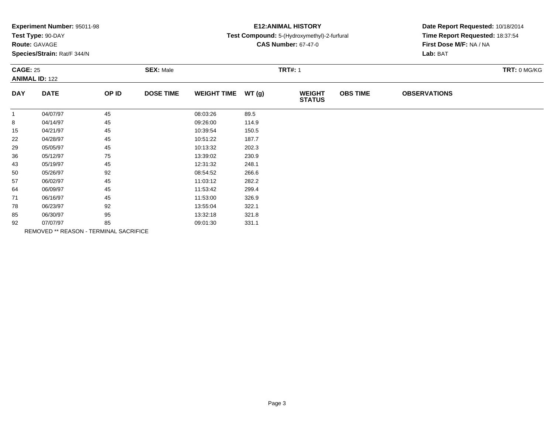| Experiment Number: 95011-98 |  |  |
|-----------------------------|--|--|
|-----------------------------|--|--|

# **Route:** GAVAGE

**Species/Strain:** Rat/F 344/N

# **E12:ANIMAL HISTORY**

### **Test Compound:** 5-(Hydroxymethyl)-2-furfural

**CAS Number:** 67-47-0

| <b>CAGE: 25</b><br><b>ANIMAL ID: 122</b> |             | <b>SEX: Male</b>                       |                  | <b>TRT#: 1</b>     |       |                                | TRT: 0 MG/KG    |                     |  |
|------------------------------------------|-------------|----------------------------------------|------------------|--------------------|-------|--------------------------------|-----------------|---------------------|--|
| <b>DAY</b>                               | <b>DATE</b> | OP ID                                  | <b>DOSE TIME</b> | <b>WEIGHT TIME</b> | WT(g) | <b>WEIGHT</b><br><b>STATUS</b> | <b>OBS TIME</b> | <b>OBSERVATIONS</b> |  |
| $\mathbf{1}$                             | 04/07/97    | 45                                     |                  | 08:03:26           | 89.5  |                                |                 |                     |  |
| 8                                        | 04/14/97    | 45                                     |                  | 09:26:00           | 114.9 |                                |                 |                     |  |
| 15                                       | 04/21/97    | 45                                     |                  | 10:39:54           | 150.5 |                                |                 |                     |  |
| 22                                       | 04/28/97    | 45                                     |                  | 10:51:22           | 187.7 |                                |                 |                     |  |
| 29                                       | 05/05/97    | 45                                     |                  | 10:13:32           | 202.3 |                                |                 |                     |  |
| 36                                       | 05/12/97    | 75                                     |                  | 13:39:02           | 230.9 |                                |                 |                     |  |
| 43                                       | 05/19/97    | 45                                     |                  | 12:31:32           | 248.1 |                                |                 |                     |  |
| 50                                       | 05/26/97    | 92                                     |                  | 08:54:52           | 266.6 |                                |                 |                     |  |
| 57                                       | 06/02/97    | 45                                     |                  | 11:03:12           | 282.2 |                                |                 |                     |  |
| 64                                       | 06/09/97    | 45                                     |                  | 11:53:42           | 299.4 |                                |                 |                     |  |
| 71                                       | 06/16/97    | 45                                     |                  | 11:53:00           | 326.9 |                                |                 |                     |  |
| 78                                       | 06/23/97    | 92                                     |                  | 13:55:04           | 322.1 |                                |                 |                     |  |
| 85                                       | 06/30/97    | 95                                     |                  | 13:32:18           | 321.8 |                                |                 |                     |  |
| 92                                       | 07/07/97    | 85                                     |                  | 09:01:30           | 331.1 |                                |                 |                     |  |
|                                          |             | REMOVED ** REASON - TERMINAL SACRIFICE |                  |                    |       |                                |                 |                     |  |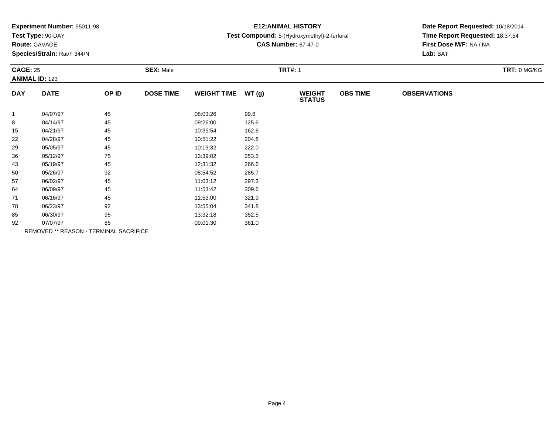| Experiment Number: 95011-98 |  |  |
|-----------------------------|--|--|
|-----------------------------|--|--|

# **Route:** GAVAGE

**Species/Strain:** Rat/F 344/N

# **E12:ANIMAL HISTORY**

### **Test Compound:** 5-(Hydroxymethyl)-2-furfural

**CAS Number:** 67-47-0

| <b>CAGE: 25</b><br><b>ANIMAL ID: 123</b> |             | <b>SEX: Male</b>                       |                  |                    | <b>TRT#: 1</b> |                                |                 |                     |  |
|------------------------------------------|-------------|----------------------------------------|------------------|--------------------|----------------|--------------------------------|-----------------|---------------------|--|
| <b>DAY</b>                               | <b>DATE</b> | OP ID                                  | <b>DOSE TIME</b> | <b>WEIGHT TIME</b> | WT(g)          | <b>WEIGHT</b><br><b>STATUS</b> | <b>OBS TIME</b> | <b>OBSERVATIONS</b> |  |
| $\mathbf{1}$                             | 04/07/97    | 45                                     |                  | 08:03:26           | 99.8           |                                |                 |                     |  |
| 8                                        | 04/14/97    | 45                                     |                  | 09:26:00           | 125.6          |                                |                 |                     |  |
| 15                                       | 04/21/97    | 45                                     |                  | 10:39:54           | 162.6          |                                |                 |                     |  |
| 22                                       | 04/28/97    | 45                                     |                  | 10:51:22           | 204.8          |                                |                 |                     |  |
| 29                                       | 05/05/97    | 45                                     |                  | 10:13:32           | 222.0          |                                |                 |                     |  |
| 36                                       | 05/12/97    | 75                                     |                  | 13:39:02           | 253.5          |                                |                 |                     |  |
| 43                                       | 05/19/97    | 45                                     |                  | 12:31:32           | 266.6          |                                |                 |                     |  |
| 50                                       | 05/26/97    | 92                                     |                  | 08:54:52           | 285.7          |                                |                 |                     |  |
| 57                                       | 06/02/97    | 45                                     |                  | 11:03:12           | 297.3          |                                |                 |                     |  |
| 64                                       | 06/09/97    | 45                                     |                  | 11:53:42           | 309.6          |                                |                 |                     |  |
| 71                                       | 06/16/97    | 45                                     |                  | 11:53:00           | 321.9          |                                |                 |                     |  |
| 78                                       | 06/23/97    | 92                                     |                  | 13:55:04           | 341.8          |                                |                 |                     |  |
| 85                                       | 06/30/97    | 95                                     |                  | 13:32:18           | 352.5          |                                |                 |                     |  |
| 92                                       | 07/07/97    | 85                                     |                  | 09:01:30           | 361.0          |                                |                 |                     |  |
|                                          |             | REMOVED ** REASON - TERMINAL SACRIFICE |                  |                    |                |                                |                 |                     |  |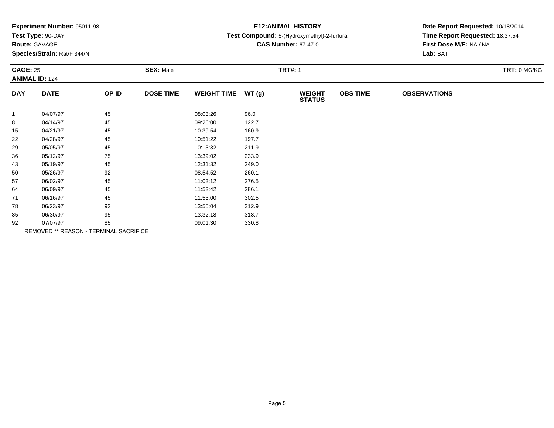| Experiment Number: 95011-98 |  |  |
|-----------------------------|--|--|
|-----------------------------|--|--|

# **Route:** GAVAGE

**Species/Strain:** Rat/F 344/N

## **E12:ANIMAL HISTORY**

## **Test Compound:** 5-(Hydroxymethyl)-2-furfural

**CAS Number:** 67-47-0

| <b>CAGE: 25</b><br><b>ANIMAL ID: 124</b> |             | <b>SEX: Male</b>                       |                  |                    | <b>TRT#: 1</b> |                                |                 |                     |  |
|------------------------------------------|-------------|----------------------------------------|------------------|--------------------|----------------|--------------------------------|-----------------|---------------------|--|
| <b>DAY</b>                               | <b>DATE</b> | OP ID                                  | <b>DOSE TIME</b> | <b>WEIGHT TIME</b> | WT(g)          | <b>WEIGHT</b><br><b>STATUS</b> | <b>OBS TIME</b> | <b>OBSERVATIONS</b> |  |
| -1                                       | 04/07/97    | 45                                     |                  | 08:03:26           | 96.0           |                                |                 |                     |  |
| 8                                        | 04/14/97    | 45                                     |                  | 09:26:00           | 122.7          |                                |                 |                     |  |
| 15                                       | 04/21/97    | 45                                     |                  | 10:39:54           | 160.9          |                                |                 |                     |  |
| 22                                       | 04/28/97    | 45                                     |                  | 10:51:22           | 197.7          |                                |                 |                     |  |
| 29                                       | 05/05/97    | 45                                     |                  | 10:13:32           | 211.9          |                                |                 |                     |  |
| 36                                       | 05/12/97    | 75                                     |                  | 13:39:02           | 233.9          |                                |                 |                     |  |
| 43                                       | 05/19/97    | 45                                     |                  | 12:31:32           | 249.0          |                                |                 |                     |  |
| 50                                       | 05/26/97    | 92                                     |                  | 08:54:52           | 260.1          |                                |                 |                     |  |
| 57                                       | 06/02/97    | 45                                     |                  | 11:03:12           | 276.5          |                                |                 |                     |  |
| 64                                       | 06/09/97    | 45                                     |                  | 11:53:42           | 286.1          |                                |                 |                     |  |
| 71                                       | 06/16/97    | 45                                     |                  | 11:53:00           | 302.5          |                                |                 |                     |  |
| 78                                       | 06/23/97    | 92                                     |                  | 13:55:04           | 312.9          |                                |                 |                     |  |
| 85                                       | 06/30/97    | 95                                     |                  | 13:32:18           | 318.7          |                                |                 |                     |  |
| 92                                       | 07/07/97    | 85                                     |                  | 09:01:30           | 330.8          |                                |                 |                     |  |
|                                          |             | REMOVED ** REASON - TERMINAL SACRIFICE |                  |                    |                |                                |                 |                     |  |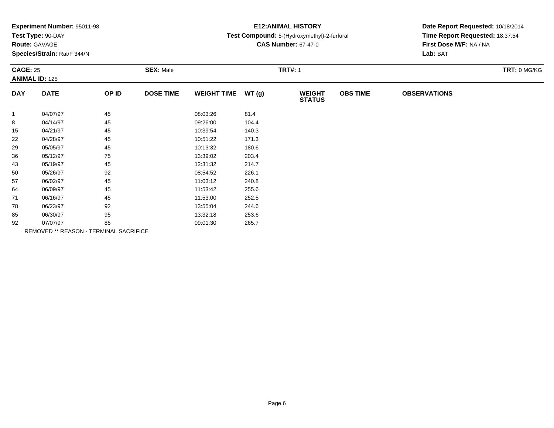| Experiment Number: 95011-98 |  |  |
|-----------------------------|--|--|
|-----------------------------|--|--|

# **Route:** GAVAGE

**Species/Strain:** Rat/F 344/N

# **E12:ANIMAL HISTORY**

### **Test Compound:** 5-(Hydroxymethyl)-2-furfural

**CAS Number:** 67-47-0

| <b>CAGE: 25</b><br><b>ANIMAL ID: 125</b> |             | <b>SEX: Male</b>                       |                  | <b>TRT#: 1</b>     |       |                                |                 | TRT: 0 MG/KG        |  |
|------------------------------------------|-------------|----------------------------------------|------------------|--------------------|-------|--------------------------------|-----------------|---------------------|--|
| <b>DAY</b>                               | <b>DATE</b> | OP ID                                  | <b>DOSE TIME</b> | <b>WEIGHT TIME</b> | WT(g) | <b>WEIGHT</b><br><b>STATUS</b> | <b>OBS TIME</b> | <b>OBSERVATIONS</b> |  |
| -1                                       | 04/07/97    | 45                                     |                  | 08:03:26           | 81.4  |                                |                 |                     |  |
| 8                                        | 04/14/97    | 45                                     |                  | 09:26:00           | 104.4 |                                |                 |                     |  |
| 15                                       | 04/21/97    | 45                                     |                  | 10:39:54           | 140.3 |                                |                 |                     |  |
| 22                                       | 04/28/97    | 45                                     |                  | 10:51:22           | 171.3 |                                |                 |                     |  |
| 29                                       | 05/05/97    | 45                                     |                  | 10:13:32           | 180.6 |                                |                 |                     |  |
| 36                                       | 05/12/97    | 75                                     |                  | 13:39:02           | 203.4 |                                |                 |                     |  |
| 43                                       | 05/19/97    | 45                                     |                  | 12:31:32           | 214.7 |                                |                 |                     |  |
| 50                                       | 05/26/97    | 92                                     |                  | 08:54:52           | 226.1 |                                |                 |                     |  |
| 57                                       | 06/02/97    | 45                                     |                  | 11:03:12           | 240.8 |                                |                 |                     |  |
| 64                                       | 06/09/97    | 45                                     |                  | 11:53:42           | 255.6 |                                |                 |                     |  |
| 71                                       | 06/16/97    | 45                                     |                  | 11:53:00           | 252.5 |                                |                 |                     |  |
| 78                                       | 06/23/97    | 92                                     |                  | 13:55:04           | 244.6 |                                |                 |                     |  |
| 85                                       | 06/30/97    | 95                                     |                  | 13:32:18           | 253.6 |                                |                 |                     |  |
| 92                                       | 07/07/97    | 85                                     |                  | 09:01:30           | 265.7 |                                |                 |                     |  |
|                                          |             | REMOVED ** REASON - TERMINAL SACRIFICE |                  |                    |       |                                |                 |                     |  |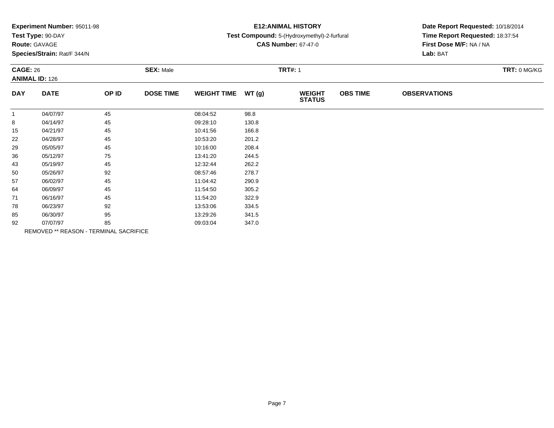| Experiment Number: 95011-98 |  |  |
|-----------------------------|--|--|
|-----------------------------|--|--|

# **Route:** GAVAGE

**Species/Strain:** Rat/F 344/N

## **E12:ANIMAL HISTORY**

## **Test Compound:** 5-(Hydroxymethyl)-2-furfural

**CAS Number:** 67-47-0

| <b>CAGE: 26</b><br><b>ANIMAL ID: 126</b> |             | <b>SEX: Male</b>                       |                  |                    | <b>TRT#: 1</b> |                                |                 | TRT: 0 MG/KG        |  |
|------------------------------------------|-------------|----------------------------------------|------------------|--------------------|----------------|--------------------------------|-----------------|---------------------|--|
| <b>DAY</b>                               | <b>DATE</b> | OP ID                                  | <b>DOSE TIME</b> | <b>WEIGHT TIME</b> | WT(g)          | <b>WEIGHT</b><br><b>STATUS</b> | <b>OBS TIME</b> | <b>OBSERVATIONS</b> |  |
| $\mathbf{1}$                             | 04/07/97    | 45                                     |                  | 08:04:52           | 98.8           |                                |                 |                     |  |
| 8                                        | 04/14/97    | 45                                     |                  | 09:28:10           | 130.8          |                                |                 |                     |  |
| 15                                       | 04/21/97    | 45                                     |                  | 10:41:56           | 166.8          |                                |                 |                     |  |
| 22                                       | 04/28/97    | 45                                     |                  | 10:53:20           | 201.2          |                                |                 |                     |  |
| 29                                       | 05/05/97    | 45                                     |                  | 10:16:00           | 208.4          |                                |                 |                     |  |
| 36                                       | 05/12/97    | 75                                     |                  | 13:41:20           | 244.5          |                                |                 |                     |  |
| 43                                       | 05/19/97    | 45                                     |                  | 12:32:44           | 262.2          |                                |                 |                     |  |
| 50                                       | 05/26/97    | 92                                     |                  | 08:57:46           | 278.7          |                                |                 |                     |  |
| 57                                       | 06/02/97    | 45                                     |                  | 11:04:42           | 290.9          |                                |                 |                     |  |
| 64                                       | 06/09/97    | 45                                     |                  | 11:54:50           | 305.2          |                                |                 |                     |  |
| 71                                       | 06/16/97    | 45                                     |                  | 11:54:20           | 322.9          |                                |                 |                     |  |
| 78                                       | 06/23/97    | 92                                     |                  | 13:53:06           | 334.5          |                                |                 |                     |  |
| 85                                       | 06/30/97    | 95                                     |                  | 13:29:26           | 341.5          |                                |                 |                     |  |
| 92                                       | 07/07/97    | 85                                     |                  | 09:03:04           | 347.0          |                                |                 |                     |  |
|                                          |             | REMOVED ** REASON - TERMINAL SACRIFICE |                  |                    |                |                                |                 |                     |  |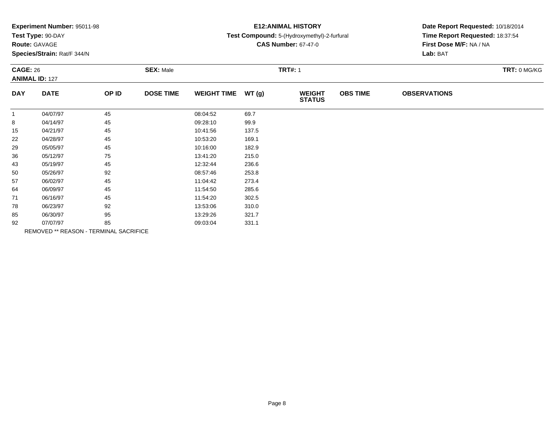| Experiment Number: 95011-98 |  |  |
|-----------------------------|--|--|
|-----------------------------|--|--|

# **Route:** GAVAGE

**Species/Strain:** Rat/F 344/N

# **E12:ANIMAL HISTORY**

### **Test Compound:** 5-(Hydroxymethyl)-2-furfural

**CAS Number:** 67-47-0

| <b>CAGE: 26</b><br><b>ANIMAL ID: 127</b> |             | <b>SEX: Male</b>                       |                  |                    | <b>TRT#: 1</b> |                                | TRT: 0 MG/KG    |                     |  |
|------------------------------------------|-------------|----------------------------------------|------------------|--------------------|----------------|--------------------------------|-----------------|---------------------|--|
| <b>DAY</b>                               | <b>DATE</b> | OP ID                                  | <b>DOSE TIME</b> | <b>WEIGHT TIME</b> | WT(g)          | <b>WEIGHT</b><br><b>STATUS</b> | <b>OBS TIME</b> | <b>OBSERVATIONS</b> |  |
| -1                                       | 04/07/97    | 45                                     |                  | 08:04:52           | 69.7           |                                |                 |                     |  |
| 8                                        | 04/14/97    | 45                                     |                  | 09:28:10           | 99.9           |                                |                 |                     |  |
| 15                                       | 04/21/97    | 45                                     |                  | 10:41:56           | 137.5          |                                |                 |                     |  |
| 22                                       | 04/28/97    | 45                                     |                  | 10:53:20           | 169.1          |                                |                 |                     |  |
| 29                                       | 05/05/97    | 45                                     |                  | 10:16:00           | 182.9          |                                |                 |                     |  |
| 36                                       | 05/12/97    | 75                                     |                  | 13:41:20           | 215.0          |                                |                 |                     |  |
| 43                                       | 05/19/97    | 45                                     |                  | 12:32:44           | 236.6          |                                |                 |                     |  |
| 50                                       | 05/26/97    | 92                                     |                  | 08:57:46           | 253.8          |                                |                 |                     |  |
| 57                                       | 06/02/97    | 45                                     |                  | 11:04:42           | 273.4          |                                |                 |                     |  |
| 64                                       | 06/09/97    | 45                                     |                  | 11:54:50           | 285.6          |                                |                 |                     |  |
| 71                                       | 06/16/97    | 45                                     |                  | 11:54:20           | 302.5          |                                |                 |                     |  |
| 78                                       | 06/23/97    | 92                                     |                  | 13:53:06           | 310.0          |                                |                 |                     |  |
| 85                                       | 06/30/97    | 95                                     |                  | 13:29:26           | 321.7          |                                |                 |                     |  |
| 92                                       | 07/07/97    | 85                                     |                  | 09:03:04           | 331.1          |                                |                 |                     |  |
|                                          |             | REMOVED ** REASON - TERMINAL SACRIFICE |                  |                    |                |                                |                 |                     |  |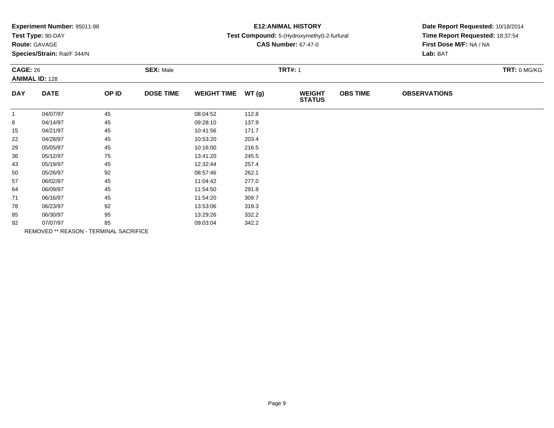| Experiment Number: 95011-98 |  |  |
|-----------------------------|--|--|
|-----------------------------|--|--|

# **Route:** GAVAGE

**Species/Strain:** Rat/F 344/N

# **E12:ANIMAL HISTORY**

### **Test Compound:** 5-(Hydroxymethyl)-2-furfural

**CAS Number:** 67-47-0

| <b>CAGE: 26</b><br><b>ANIMAL ID: 128</b> |             | <b>SEX: Male</b>                       |                  |                    | <b>TRT#: 1</b> |                                |                 |                     |  |  |
|------------------------------------------|-------------|----------------------------------------|------------------|--------------------|----------------|--------------------------------|-----------------|---------------------|--|--|
| <b>DAY</b>                               | <b>DATE</b> | OP ID                                  | <b>DOSE TIME</b> | <b>WEIGHT TIME</b> | WT(g)          | <b>WEIGHT</b><br><b>STATUS</b> | <b>OBS TIME</b> | <b>OBSERVATIONS</b> |  |  |
| $\mathbf{1}$                             | 04/07/97    | 45                                     |                  | 08:04:52           | 112.8          |                                |                 |                     |  |  |
| 8                                        | 04/14/97    | 45                                     |                  | 09:28:10           | 137.9          |                                |                 |                     |  |  |
| 15                                       | 04/21/97    | 45                                     |                  | 10:41:56           | 171.7          |                                |                 |                     |  |  |
| 22                                       | 04/28/97    | 45                                     |                  | 10:53:20           | 203.4          |                                |                 |                     |  |  |
| 29                                       | 05/05/97    | 45                                     |                  | 10:16:00           | 216.5          |                                |                 |                     |  |  |
| 36                                       | 05/12/97    | 75                                     |                  | 13:41:20           | 245.5          |                                |                 |                     |  |  |
| 43                                       | 05/19/97    | 45                                     |                  | 12:32:44           | 257.4          |                                |                 |                     |  |  |
| 50                                       | 05/26/97    | 92                                     |                  | 08:57:46           | 262.1          |                                |                 |                     |  |  |
| 57                                       | 06/02/97    | 45                                     |                  | 11:04:42           | 277.0          |                                |                 |                     |  |  |
| 64                                       | 06/09/97    | 45                                     |                  | 11:54:50           | 291.8          |                                |                 |                     |  |  |
| 71                                       | 06/16/97    | 45                                     |                  | 11:54:20           | 309.7          |                                |                 |                     |  |  |
| 78                                       | 06/23/97    | 92                                     |                  | 13:53:06           | 319.3          |                                |                 |                     |  |  |
| 85                                       | 06/30/97    | 95                                     |                  | 13:29:26           | 332.2          |                                |                 |                     |  |  |
| 92                                       | 07/07/97    | 85                                     |                  | 09:03:04           | 342.2          |                                |                 |                     |  |  |
|                                          |             | REMOVED ** REASON - TERMINAL SACRIFICE |                  |                    |                |                                |                 |                     |  |  |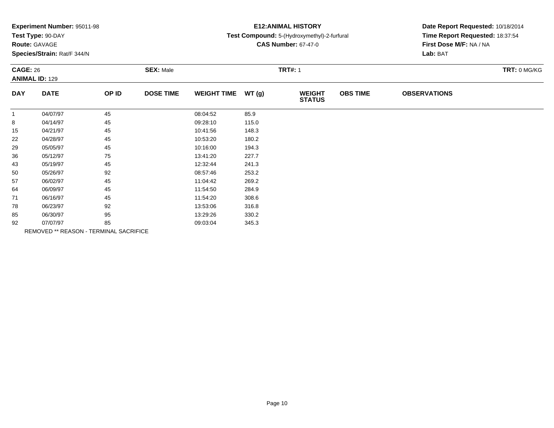| Experiment Number: 95011-98 |  |  |
|-----------------------------|--|--|
|-----------------------------|--|--|

# **Route:** GAVAGE

**Species/Strain:** Rat/F 344/N

# **E12:ANIMAL HISTORY**

### **Test Compound:** 5-(Hydroxymethyl)-2-furfural

**CAS Number:** 67-47-0

| <b>CAGE: 26</b><br><b>ANIMAL ID: 129</b> |             | <b>SEX: Male</b>                       |                  |                    | <b>TRT#: 1</b> |                                |                 |                     |  |  |
|------------------------------------------|-------------|----------------------------------------|------------------|--------------------|----------------|--------------------------------|-----------------|---------------------|--|--|
| <b>DAY</b>                               | <b>DATE</b> | OP ID                                  | <b>DOSE TIME</b> | <b>WEIGHT TIME</b> | WT(g)          | <b>WEIGHT</b><br><b>STATUS</b> | <b>OBS TIME</b> | <b>OBSERVATIONS</b> |  |  |
| $\mathbf{1}$                             | 04/07/97    | 45                                     |                  | 08:04:52           | 85.9           |                                |                 |                     |  |  |
| 8                                        | 04/14/97    | 45                                     |                  | 09:28:10           | 115.0          |                                |                 |                     |  |  |
| 15                                       | 04/21/97    | 45                                     |                  | 10:41:56           | 148.3          |                                |                 |                     |  |  |
| 22                                       | 04/28/97    | 45                                     |                  | 10:53:20           | 180.2          |                                |                 |                     |  |  |
| 29                                       | 05/05/97    | 45                                     |                  | 10:16:00           | 194.3          |                                |                 |                     |  |  |
| 36                                       | 05/12/97    | 75                                     |                  | 13:41:20           | 227.7          |                                |                 |                     |  |  |
| 43                                       | 05/19/97    | 45                                     |                  | 12:32:44           | 241.3          |                                |                 |                     |  |  |
| 50                                       | 05/26/97    | 92                                     |                  | 08:57:46           | 253.2          |                                |                 |                     |  |  |
| 57                                       | 06/02/97    | 45                                     |                  | 11:04:42           | 269.2          |                                |                 |                     |  |  |
| 64                                       | 06/09/97    | 45                                     |                  | 11:54:50           | 284.9          |                                |                 |                     |  |  |
| 71                                       | 06/16/97    | 45                                     |                  | 11:54:20           | 308.6          |                                |                 |                     |  |  |
| 78                                       | 06/23/97    | 92                                     |                  | 13:53:06           | 316.8          |                                |                 |                     |  |  |
| 85                                       | 06/30/97    | 95                                     |                  | 13:29:26           | 330.2          |                                |                 |                     |  |  |
| 92                                       | 07/07/97    | 85                                     |                  | 09:03:04           | 345.3          |                                |                 |                     |  |  |
|                                          |             | REMOVED ** REASON - TERMINAL SACRIFICE |                  |                    |                |                                |                 |                     |  |  |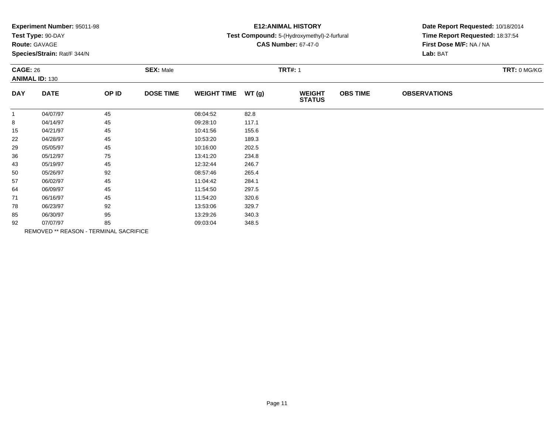| Experiment Number: 95011-98 |  |  |
|-----------------------------|--|--|
|-----------------------------|--|--|

# **Route:** GAVAGE

**Species/Strain:** Rat/F 344/N

# **E12:ANIMAL HISTORY**

### **Test Compound:** 5-(Hydroxymethyl)-2-furfural

**CAS Number:** 67-47-0

| <b>CAGE: 26</b><br><b>ANIMAL ID: 130</b> |             | <b>SEX: Male</b>                       |                  |                    | <b>TRT#: 1</b> | TRT: 0 MG/KG                   |                 |                     |  |
|------------------------------------------|-------------|----------------------------------------|------------------|--------------------|----------------|--------------------------------|-----------------|---------------------|--|
| <b>DAY</b>                               | <b>DATE</b> | OP ID                                  | <b>DOSE TIME</b> | <b>WEIGHT TIME</b> | WT(g)          | <b>WEIGHT</b><br><b>STATUS</b> | <b>OBS TIME</b> | <b>OBSERVATIONS</b> |  |
| $\mathbf{1}$                             | 04/07/97    | 45                                     |                  | 08:04:52           | 82.8           |                                |                 |                     |  |
| 8                                        | 04/14/97    | 45                                     |                  | 09:28:10           | 117.1          |                                |                 |                     |  |
| 15                                       | 04/21/97    | 45                                     |                  | 10:41:56           | 155.6          |                                |                 |                     |  |
| 22                                       | 04/28/97    | 45                                     |                  | 10:53:20           | 189.3          |                                |                 |                     |  |
| 29                                       | 05/05/97    | 45                                     |                  | 10:16:00           | 202.5          |                                |                 |                     |  |
| 36                                       | 05/12/97    | 75                                     |                  | 13:41:20           | 234.8          |                                |                 |                     |  |
| 43                                       | 05/19/97    | 45                                     |                  | 12:32:44           | 246.7          |                                |                 |                     |  |
| 50                                       | 05/26/97    | 92                                     |                  | 08:57:46           | 265.4          |                                |                 |                     |  |
| 57                                       | 06/02/97    | 45                                     |                  | 11:04:42           | 284.1          |                                |                 |                     |  |
| 64                                       | 06/09/97    | 45                                     |                  | 11:54:50           | 297.5          |                                |                 |                     |  |
| 71                                       | 06/16/97    | 45                                     |                  | 11:54:20           | 320.6          |                                |                 |                     |  |
| 78                                       | 06/23/97    | 92                                     |                  | 13:53:06           | 329.7          |                                |                 |                     |  |
| 85                                       | 06/30/97    | 95                                     |                  | 13:29:26           | 340.3          |                                |                 |                     |  |
| 92                                       | 07/07/97    | 85                                     |                  | 09:03:04           | 348.5          |                                |                 |                     |  |
|                                          |             | REMOVED ** REASON - TERMINAL SACRIFICE |                  |                    |                |                                |                 |                     |  |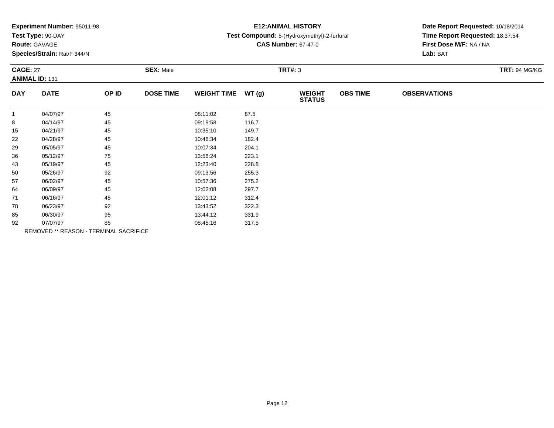| Experiment Number: 95011-98 |  |  |
|-----------------------------|--|--|
|-----------------------------|--|--|

# **Route:** GAVAGE

**Species/Strain:** Rat/F 344/N

# **E12:ANIMAL HISTORY**

## **Test Compound:** 5-(Hydroxymethyl)-2-furfural

**CAS Number:** 67-47-0

| <b>CAGE: 27</b><br><b>ANIMAL ID: 131</b> |             | <b>SEX: Male</b>                       |                  |                    | <b>TRT#: 3</b> |                                |                 | <b>TRT: 94 MG/KG</b> |  |
|------------------------------------------|-------------|----------------------------------------|------------------|--------------------|----------------|--------------------------------|-----------------|----------------------|--|
| <b>DAY</b>                               | <b>DATE</b> | OP ID                                  | <b>DOSE TIME</b> | <b>WEIGHT TIME</b> | WT(g)          | <b>WEIGHT</b><br><b>STATUS</b> | <b>OBS TIME</b> | <b>OBSERVATIONS</b>  |  |
|                                          | 04/07/97    | 45                                     |                  | 08:11:02           | 87.5           |                                |                 |                      |  |
| 8                                        | 04/14/97    | 45                                     |                  | 09:19:58           | 116.7          |                                |                 |                      |  |
| 15                                       | 04/21/97    | 45                                     |                  | 10:35:10           | 149.7          |                                |                 |                      |  |
| 22                                       | 04/28/97    | 45                                     |                  | 10:46:34           | 182.4          |                                |                 |                      |  |
| 29                                       | 05/05/97    | 45                                     |                  | 10:07:34           | 204.1          |                                |                 |                      |  |
| 36                                       | 05/12/97    | 75                                     |                  | 13:56:24           | 223.1          |                                |                 |                      |  |
| 43                                       | 05/19/97    | 45                                     |                  | 12:23:40           | 228.8          |                                |                 |                      |  |
| 50                                       | 05/26/97    | 92                                     |                  | 09:13:56           | 255.3          |                                |                 |                      |  |
| 57                                       | 06/02/97    | 45                                     |                  | 10:57:36           | 275.2          |                                |                 |                      |  |
| 64                                       | 06/09/97    | 45                                     |                  | 12:02:08           | 297.7          |                                |                 |                      |  |
| 71                                       | 06/16/97    | 45                                     |                  | 12:01:12           | 312.4          |                                |                 |                      |  |
| 78                                       | 06/23/97    | 92                                     |                  | 13:43:52           | 322.3          |                                |                 |                      |  |
| 85                                       | 06/30/97    | 95                                     |                  | 13:44:12           | 331.9          |                                |                 |                      |  |
| 92                                       | 07/07/97    | 85                                     |                  | 08:45:16           | 317.5          |                                |                 |                      |  |
|                                          |             | REMOVED ** REASON - TERMINAL SACRIFICE |                  |                    |                |                                |                 |                      |  |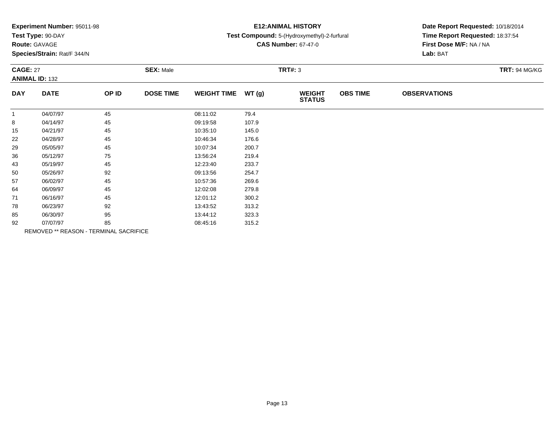|  |  | Experiment Number: 95011-98 |  |
|--|--|-----------------------------|--|
|--|--|-----------------------------|--|

# **Route:** GAVAGE

**Species/Strain:** Rat/F 344/N

## **E12:ANIMAL HISTORY**

## **Test Compound:** 5-(Hydroxymethyl)-2-furfural

**CAS Number:** 67-47-0

| <b>CAGE: 27</b><br><b>ANIMAL ID: 132</b> |             | <b>SEX: Male</b>                       |                  |                    | <b>TRT#: 3</b> |                                |                 |                     |  |
|------------------------------------------|-------------|----------------------------------------|------------------|--------------------|----------------|--------------------------------|-----------------|---------------------|--|
| <b>DAY</b>                               | <b>DATE</b> | OP ID                                  | <b>DOSE TIME</b> | <b>WEIGHT TIME</b> | WT(g)          | <b>WEIGHT</b><br><b>STATUS</b> | <b>OBS TIME</b> | <b>OBSERVATIONS</b> |  |
| $\mathbf{1}$                             | 04/07/97    | 45                                     |                  | 08:11:02           | 79.4           |                                |                 |                     |  |
| 8                                        | 04/14/97    | 45                                     |                  | 09:19:58           | 107.9          |                                |                 |                     |  |
| 15                                       | 04/21/97    | 45                                     |                  | 10:35:10           | 145.0          |                                |                 |                     |  |
| 22                                       | 04/28/97    | 45                                     |                  | 10:46:34           | 176.6          |                                |                 |                     |  |
| 29                                       | 05/05/97    | 45                                     |                  | 10:07:34           | 200.7          |                                |                 |                     |  |
| 36                                       | 05/12/97    | 75                                     |                  | 13:56:24           | 219.4          |                                |                 |                     |  |
| 43                                       | 05/19/97    | 45                                     |                  | 12:23:40           | 233.7          |                                |                 |                     |  |
| 50                                       | 05/26/97    | 92                                     |                  | 09:13:56           | 254.7          |                                |                 |                     |  |
| 57                                       | 06/02/97    | 45                                     |                  | 10:57:36           | 269.6          |                                |                 |                     |  |
| 64                                       | 06/09/97    | 45                                     |                  | 12:02:08           | 279.8          |                                |                 |                     |  |
| 71                                       | 06/16/97    | 45                                     |                  | 12:01:12           | 300.2          |                                |                 |                     |  |
| 78                                       | 06/23/97    | 92                                     |                  | 13:43:52           | 313.2          |                                |                 |                     |  |
| 85                                       | 06/30/97    | 95                                     |                  | 13:44:12           | 323.3          |                                |                 |                     |  |
| 92                                       | 07/07/97    | 85                                     |                  | 08:45:16           | 315.2          |                                |                 |                     |  |
|                                          |             | REMOVED ** REASON - TERMINAL SACRIFICE |                  |                    |                |                                |                 |                     |  |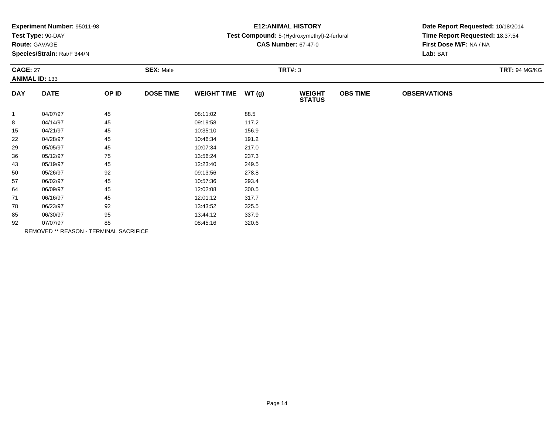| Experiment Number: 95011-98 |  |  |
|-----------------------------|--|--|
|-----------------------------|--|--|

# **Route:** GAVAGE

**Species/Strain:** Rat/F 344/N

# **E12:ANIMAL HISTORY**

### **Test Compound:** 5-(Hydroxymethyl)-2-furfural

**CAS Number:** 67-47-0

| <b>CAGE: 27</b><br><b>ANIMAL ID: 133</b> |                                        | <b>SEX: Male</b> |                  |                    | <b>TRT#: 3</b> |                                |                 |                     |  |
|------------------------------------------|----------------------------------------|------------------|------------------|--------------------|----------------|--------------------------------|-----------------|---------------------|--|
| <b>DAY</b>                               | <b>DATE</b>                            | OP ID            | <b>DOSE TIME</b> | <b>WEIGHT TIME</b> | WT(g)          | <b>WEIGHT</b><br><b>STATUS</b> | <b>OBS TIME</b> | <b>OBSERVATIONS</b> |  |
| $\mathbf{1}$                             | 04/07/97                               | 45               |                  | 08:11:02           | 88.5           |                                |                 |                     |  |
| 8                                        | 04/14/97                               | 45               |                  | 09:19:58           | 117.2          |                                |                 |                     |  |
| 15                                       | 04/21/97                               | 45               |                  | 10:35:10           | 156.9          |                                |                 |                     |  |
| 22                                       | 04/28/97                               | 45               |                  | 10:46:34           | 191.2          |                                |                 |                     |  |
| 29                                       | 05/05/97                               | 45               |                  | 10:07:34           | 217.0          |                                |                 |                     |  |
| 36                                       | 05/12/97                               | 75               |                  | 13:56:24           | 237.3          |                                |                 |                     |  |
| 43                                       | 05/19/97                               | 45               |                  | 12:23:40           | 249.5          |                                |                 |                     |  |
| 50                                       | 05/26/97                               | 92               |                  | 09:13:56           | 278.8          |                                |                 |                     |  |
| 57                                       | 06/02/97                               | 45               |                  | 10:57:36           | 293.4          |                                |                 |                     |  |
| 64                                       | 06/09/97                               | 45               |                  | 12:02:08           | 300.5          |                                |                 |                     |  |
| 71                                       | 06/16/97                               | 45               |                  | 12:01:12           | 317.7          |                                |                 |                     |  |
| 78                                       | 06/23/97                               | 92               |                  | 13:43:52           | 325.5          |                                |                 |                     |  |
| 85                                       | 06/30/97                               | 95               |                  | 13:44:12           | 337.9          |                                |                 |                     |  |
| 92                                       | 07/07/97                               | 85               |                  | 08:45:16           | 320.6          |                                |                 |                     |  |
|                                          | REMOVED ** REASON - TERMINAL SACRIFICE |                  |                  |                    |                |                                |                 |                     |  |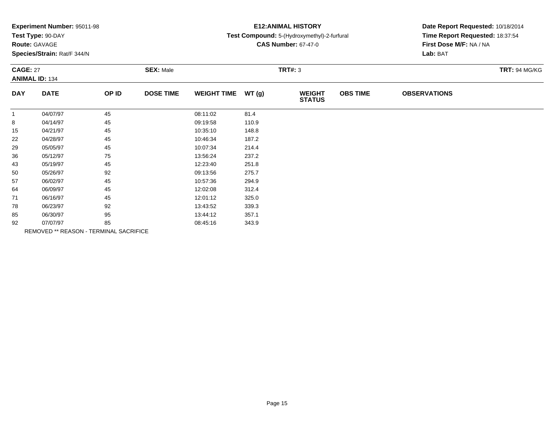|  |  | Experiment Number: 95011-98 |  |
|--|--|-----------------------------|--|
|--|--|-----------------------------|--|

# **Route:** GAVAGE

**Species/Strain:** Rat/F 344/N

## **E12:ANIMAL HISTORY**

## **Test Compound:** 5-(Hydroxymethyl)-2-furfural

**CAS Number:** 67-47-0

| <b>CAGE: 27</b> | <b>ANIMAL ID: 134</b>                  |       | <b>SEX: Male</b> |                    |       | <b>TRT#: 3</b>                 |                 |                     | <b>TRT: 94 MG/KG</b> |
|-----------------|----------------------------------------|-------|------------------|--------------------|-------|--------------------------------|-----------------|---------------------|----------------------|
| <b>DAY</b>      | <b>DATE</b>                            | OP ID | <b>DOSE TIME</b> | <b>WEIGHT TIME</b> | WT(g) | <b>WEIGHT</b><br><b>STATUS</b> | <b>OBS TIME</b> | <b>OBSERVATIONS</b> |                      |
| $\mathbf{1}$    | 04/07/97                               | 45    |                  | 08:11:02           | 81.4  |                                |                 |                     |                      |
| 8               | 04/14/97                               | 45    |                  | 09:19:58           | 110.9 |                                |                 |                     |                      |
| 15              | 04/21/97                               | 45    |                  | 10:35:10           | 148.8 |                                |                 |                     |                      |
| 22              | 04/28/97                               | 45    |                  | 10:46:34           | 187.2 |                                |                 |                     |                      |
| 29              | 05/05/97                               | 45    |                  | 10:07:34           | 214.4 |                                |                 |                     |                      |
| 36              | 05/12/97                               | 75    |                  | 13:56:24           | 237.2 |                                |                 |                     |                      |
| 43              | 05/19/97                               | 45    |                  | 12:23:40           | 251.8 |                                |                 |                     |                      |
| 50              | 05/26/97                               | 92    |                  | 09:13:56           | 275.7 |                                |                 |                     |                      |
| 57              | 06/02/97                               | 45    |                  | 10:57:36           | 294.9 |                                |                 |                     |                      |
| 64              | 06/09/97                               | 45    |                  | 12:02:08           | 312.4 |                                |                 |                     |                      |
| 71              | 06/16/97                               | 45    |                  | 12:01:12           | 325.0 |                                |                 |                     |                      |
| 78              | 06/23/97                               | 92    |                  | 13:43:52           | 339.3 |                                |                 |                     |                      |
| 85              | 06/30/97                               | 95    |                  | 13:44:12           | 357.1 |                                |                 |                     |                      |
| 92              | 07/07/97                               | 85    |                  | 08:45:16           | 343.9 |                                |                 |                     |                      |
|                 | REMOVED ** REASON - TERMINAL SACRIFICE |       |                  |                    |       |                                |                 |                     |                      |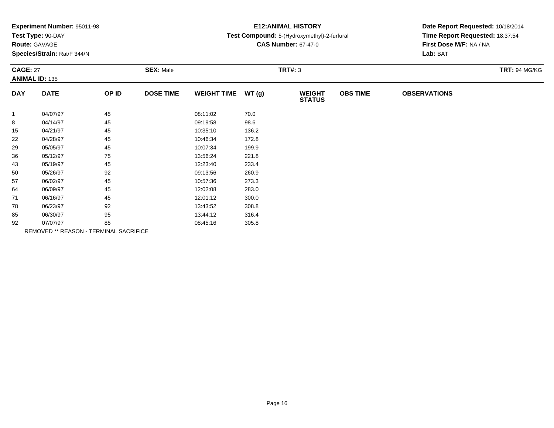| Experiment Number: 95011-98 |  |  |
|-----------------------------|--|--|
|-----------------------------|--|--|

# **Route:** GAVAGE

**Species/Strain:** Rat/F 344/N

## **E12:ANIMAL HISTORY**

## **Test Compound:** 5-(Hydroxymethyl)-2-furfural

**CAS Number:** 67-47-0

| <b>CAGE: 27</b><br><b>ANIMAL ID: 135</b> |             | <b>SEX: Male</b>                       |                  |                    | <b>TRT#: 3</b> |                                |                 |                     |  |
|------------------------------------------|-------------|----------------------------------------|------------------|--------------------|----------------|--------------------------------|-----------------|---------------------|--|
| <b>DAY</b>                               | <b>DATE</b> | OP ID                                  | <b>DOSE TIME</b> | <b>WEIGHT TIME</b> | WT(g)          | <b>WEIGHT</b><br><b>STATUS</b> | <b>OBS TIME</b> | <b>OBSERVATIONS</b> |  |
|                                          | 04/07/97    | 45                                     |                  | 08:11:02           | 70.0           |                                |                 |                     |  |
| 8                                        | 04/14/97    | 45                                     |                  | 09:19:58           | 98.6           |                                |                 |                     |  |
| 15                                       | 04/21/97    | 45                                     |                  | 10:35:10           | 136.2          |                                |                 |                     |  |
| 22                                       | 04/28/97    | 45                                     |                  | 10:46:34           | 172.8          |                                |                 |                     |  |
| 29                                       | 05/05/97    | 45                                     |                  | 10:07:34           | 199.9          |                                |                 |                     |  |
| 36                                       | 05/12/97    | 75                                     |                  | 13:56:24           | 221.8          |                                |                 |                     |  |
| 43                                       | 05/19/97    | 45                                     |                  | 12:23:40           | 233.4          |                                |                 |                     |  |
| 50                                       | 05/26/97    | 92                                     |                  | 09:13:56           | 260.9          |                                |                 |                     |  |
| 57                                       | 06/02/97    | 45                                     |                  | 10:57:36           | 273.3          |                                |                 |                     |  |
| 64                                       | 06/09/97    | 45                                     |                  | 12:02:08           | 283.0          |                                |                 |                     |  |
| 71                                       | 06/16/97    | 45                                     |                  | 12:01:12           | 300.0          |                                |                 |                     |  |
| 78                                       | 06/23/97    | 92                                     |                  | 13:43:52           | 308.8          |                                |                 |                     |  |
| 85                                       | 06/30/97    | 95                                     |                  | 13:44:12           | 316.4          |                                |                 |                     |  |
| 92                                       | 07/07/97    | 85                                     |                  | 08:45:16           | 305.8          |                                |                 |                     |  |
|                                          |             | REMOVED ** REASON - TERMINAL SACRIFICE |                  |                    |                |                                |                 |                     |  |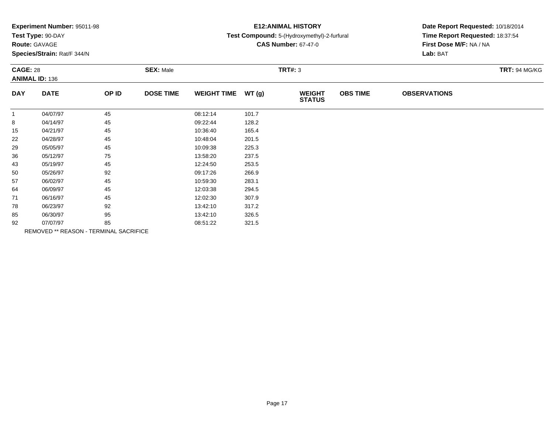|  |  | Experiment Number: 95011-98 |  |
|--|--|-----------------------------|--|
|--|--|-----------------------------|--|

# **Route:** GAVAGE

**Species/Strain:** Rat/F 344/N

# **E12:ANIMAL HISTORY**

### **Test Compound:** 5-(Hydroxymethyl)-2-furfural

**CAS Number:** 67-47-0

| <b>CAGE: 28</b> | <b>ANIMAL ID: 136</b>                         |       | <b>SEX: Male</b> |                    |       | <b>TRT#: 3</b>                 |                 |                     | <b>TRT: 94 MG/KG</b> |
|-----------------|-----------------------------------------------|-------|------------------|--------------------|-------|--------------------------------|-----------------|---------------------|----------------------|
| <b>DAY</b>      | <b>DATE</b>                                   | OP ID | <b>DOSE TIME</b> | WEIGHT TIME WT (g) |       | <b>WEIGHT</b><br><b>STATUS</b> | <b>OBS TIME</b> | <b>OBSERVATIONS</b> |                      |
|                 | 04/07/97                                      | 45    |                  | 08:12:14           | 101.7 |                                |                 |                     |                      |
| 8               | 04/14/97                                      | 45    |                  | 09:22:44           | 128.2 |                                |                 |                     |                      |
| 15              | 04/21/97                                      | 45    |                  | 10:36:40           | 165.4 |                                |                 |                     |                      |
| 22              | 04/28/97                                      | 45    |                  | 10:48:04           | 201.5 |                                |                 |                     |                      |
| 29              | 05/05/97                                      | 45    |                  | 10:09:38           | 225.3 |                                |                 |                     |                      |
| 36              | 05/12/97                                      | 75    |                  | 13:58:20           | 237.5 |                                |                 |                     |                      |
| 43              | 05/19/97                                      | 45    |                  | 12:24:50           | 253.5 |                                |                 |                     |                      |
| 50              | 05/26/97                                      | 92    |                  | 09:17:26           | 266.9 |                                |                 |                     |                      |
| 57              | 06/02/97                                      | 45    |                  | 10:59:30           | 283.1 |                                |                 |                     |                      |
| 64              | 06/09/97                                      | 45    |                  | 12:03:38           | 294.5 |                                |                 |                     |                      |
| 71              | 06/16/97                                      | 45    |                  | 12:02:30           | 307.9 |                                |                 |                     |                      |
| 78              | 06/23/97                                      | 92    |                  | 13:42:10           | 317.2 |                                |                 |                     |                      |
| 85              | 06/30/97                                      | 95    |                  | 13:42:10           | 326.5 |                                |                 |                     |                      |
| 92              | 07/07/97                                      | 85    |                  | 08:51:22           | 321.5 |                                |                 |                     |                      |
|                 | <b>REMOVED ** REASON - TERMINAL SACRIFICE</b> |       |                  |                    |       |                                |                 |                     |                      |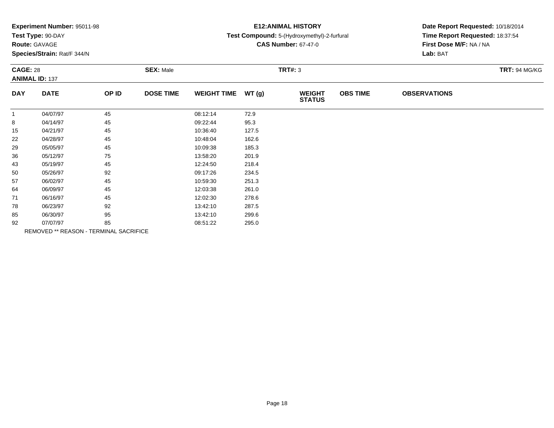|  |  | Experiment Number: 95011-98 |  |
|--|--|-----------------------------|--|
|--|--|-----------------------------|--|

# **Route:** GAVAGE

**Species/Strain:** Rat/F 344/N

# **E12:ANIMAL HISTORY**

### **Test Compound:** 5-(Hydroxymethyl)-2-furfural

**CAS Number:** 67-47-0

| <b>CAGE: 28</b><br><b>ANIMAL ID: 137</b> |             | <b>SEX: Male</b>                       |                  |                    | <b>TRT#: 3</b> | <b>TRT: 94 MG/KG</b>           |                 |                     |  |
|------------------------------------------|-------------|----------------------------------------|------------------|--------------------|----------------|--------------------------------|-----------------|---------------------|--|
| <b>DAY</b>                               | <b>DATE</b> | OP ID                                  | <b>DOSE TIME</b> | <b>WEIGHT TIME</b> | WT(g)          | <b>WEIGHT</b><br><b>STATUS</b> | <b>OBS TIME</b> | <b>OBSERVATIONS</b> |  |
| $\mathbf{1}$                             | 04/07/97    | 45                                     |                  | 08:12:14           | 72.9           |                                |                 |                     |  |
| 8                                        | 04/14/97    | 45                                     |                  | 09:22:44           | 95.3           |                                |                 |                     |  |
| 15                                       | 04/21/97    | 45                                     |                  | 10:36:40           | 127.5          |                                |                 |                     |  |
| 22                                       | 04/28/97    | 45                                     |                  | 10:48:04           | 162.6          |                                |                 |                     |  |
| 29                                       | 05/05/97    | 45                                     |                  | 10:09:38           | 185.3          |                                |                 |                     |  |
| 36                                       | 05/12/97    | 75                                     |                  | 13:58:20           | 201.9          |                                |                 |                     |  |
| 43                                       | 05/19/97    | 45                                     |                  | 12:24:50           | 218.4          |                                |                 |                     |  |
| 50                                       | 05/26/97    | 92                                     |                  | 09:17:26           | 234.5          |                                |                 |                     |  |
| 57                                       | 06/02/97    | 45                                     |                  | 10:59:30           | 251.3          |                                |                 |                     |  |
| 64                                       | 06/09/97    | 45                                     |                  | 12:03:38           | 261.0          |                                |                 |                     |  |
| 71                                       | 06/16/97    | 45                                     |                  | 12:02:30           | 278.6          |                                |                 |                     |  |
| 78                                       | 06/23/97    | 92                                     |                  | 13:42:10           | 287.5          |                                |                 |                     |  |
| 85                                       | 06/30/97    | 95                                     |                  | 13:42:10           | 299.6          |                                |                 |                     |  |
| 92                                       | 07/07/97    | 85                                     |                  | 08:51:22           | 295.0          |                                |                 |                     |  |
|                                          |             | REMOVED ** REASON - TERMINAL SACRIFICE |                  |                    |                |                                |                 |                     |  |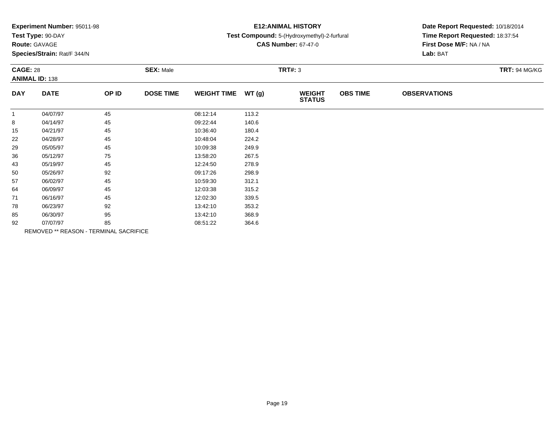|  |  | Experiment Number: 95011-98 |  |
|--|--|-----------------------------|--|
|--|--|-----------------------------|--|

## **Route:** GAVAGE

**Species/Strain:** Rat/F 344/N

# **E12:ANIMAL HISTORY**

### **Test Compound:** 5-(Hydroxymethyl)-2-furfural

**CAS Number:** 67-47-0

| <b>CAGE: 28</b> | <b>ANIMAL ID: 138</b>                  |       | <b>SEX: Male</b> |                    |       | <b>TRT#: 3</b>                 |                 |                     | <b>TRT: 94 MG/KG</b> |
|-----------------|----------------------------------------|-------|------------------|--------------------|-------|--------------------------------|-----------------|---------------------|----------------------|
| <b>DAY</b>      | <b>DATE</b>                            | OP ID | <b>DOSE TIME</b> | <b>WEIGHT TIME</b> | WT(g) | <b>WEIGHT</b><br><b>STATUS</b> | <b>OBS TIME</b> | <b>OBSERVATIONS</b> |                      |
| $\mathbf{1}$    | 04/07/97                               | 45    |                  | 08:12:14           | 113.2 |                                |                 |                     |                      |
| 8               | 04/14/97                               | 45    |                  | 09:22:44           | 140.6 |                                |                 |                     |                      |
| 15              | 04/21/97                               | 45    |                  | 10:36:40           | 180.4 |                                |                 |                     |                      |
| 22              | 04/28/97                               | 45    |                  | 10:48:04           | 224.2 |                                |                 |                     |                      |
| 29              | 05/05/97                               | 45    |                  | 10:09:38           | 249.9 |                                |                 |                     |                      |
| 36              | 05/12/97                               | 75    |                  | 13:58:20           | 267.5 |                                |                 |                     |                      |
| 43              | 05/19/97                               | 45    |                  | 12:24:50           | 278.9 |                                |                 |                     |                      |
| 50              | 05/26/97                               | 92    |                  | 09:17:26           | 298.9 |                                |                 |                     |                      |
| 57              | 06/02/97                               | 45    |                  | 10:59:30           | 312.1 |                                |                 |                     |                      |
| 64              | 06/09/97                               | 45    |                  | 12:03:38           | 315.2 |                                |                 |                     |                      |
| 71              | 06/16/97                               | 45    |                  | 12:02:30           | 339.5 |                                |                 |                     |                      |
| 78              | 06/23/97                               | 92    |                  | 13:42:10           | 353.2 |                                |                 |                     |                      |
| 85              | 06/30/97                               | 95    |                  | 13:42:10           | 368.9 |                                |                 |                     |                      |
| 92              | 07/07/97                               | 85    |                  | 08:51:22           | 364.6 |                                |                 |                     |                      |
|                 | REMOVED ** REASON - TERMINAL SACRIFICE |       |                  |                    |       |                                |                 |                     |                      |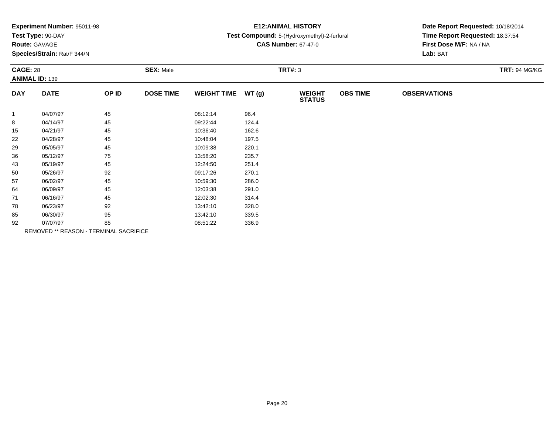|  |  | Experiment Number: 95011-98 |  |
|--|--|-----------------------------|--|
|--|--|-----------------------------|--|

# **Route:** GAVAGE

**Species/Strain:** Rat/F 344/N

# **E12:ANIMAL HISTORY**

### **Test Compound:** 5-(Hydroxymethyl)-2-furfural

**CAS Number:** 67-47-0

| <b>CAGE: 28</b><br><b>ANIMAL ID: 139</b> |                                        | <b>SEX: Male</b><br><b>TRT#: 3</b> |                  |                    |       |                                | <b>TRT: 94 MG/KG</b> |                     |  |
|------------------------------------------|----------------------------------------|------------------------------------|------------------|--------------------|-------|--------------------------------|----------------------|---------------------|--|
| <b>DAY</b>                               | <b>DATE</b>                            | OP ID                              | <b>DOSE TIME</b> | <b>WEIGHT TIME</b> | WT(g) | <b>WEIGHT</b><br><b>STATUS</b> | <b>OBS TIME</b>      | <b>OBSERVATIONS</b> |  |
| $\mathbf{1}$                             | 04/07/97                               | 45                                 |                  | 08:12:14           | 96.4  |                                |                      |                     |  |
| 8                                        | 04/14/97                               | 45                                 |                  | 09:22:44           | 124.4 |                                |                      |                     |  |
| 15                                       | 04/21/97                               | 45                                 |                  | 10:36:40           | 162.6 |                                |                      |                     |  |
| 22                                       | 04/28/97                               | 45                                 |                  | 10:48:04           | 197.5 |                                |                      |                     |  |
| 29                                       | 05/05/97                               | 45                                 |                  | 10:09:38           | 220.1 |                                |                      |                     |  |
| 36                                       | 05/12/97                               | 75                                 |                  | 13:58:20           | 235.7 |                                |                      |                     |  |
| 43                                       | 05/19/97                               | 45                                 |                  | 12:24:50           | 251.4 |                                |                      |                     |  |
| 50                                       | 05/26/97                               | 92                                 |                  | 09:17:26           | 270.1 |                                |                      |                     |  |
| 57                                       | 06/02/97                               | 45                                 |                  | 10:59:30           | 286.0 |                                |                      |                     |  |
| 64                                       | 06/09/97                               | 45                                 |                  | 12:03:38           | 291.0 |                                |                      |                     |  |
| 71                                       | 06/16/97                               | 45                                 |                  | 12:02:30           | 314.4 |                                |                      |                     |  |
| 78                                       | 06/23/97                               | 92                                 |                  | 13:42:10           | 328.0 |                                |                      |                     |  |
| 85                                       | 06/30/97                               | 95                                 |                  | 13:42:10           | 339.5 |                                |                      |                     |  |
| 92                                       | 07/07/97                               | 85                                 |                  | 08:51:22           | 336.9 |                                |                      |                     |  |
|                                          | REMOVED ** REASON - TERMINAL SACRIFICE |                                    |                  |                    |       |                                |                      |                     |  |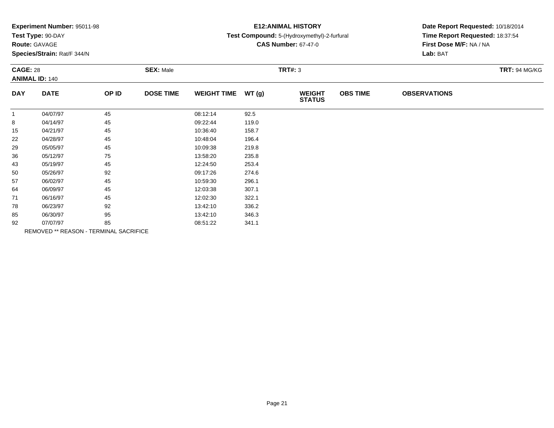| Experiment Number: 95011-98 |  |  |
|-----------------------------|--|--|
|-----------------------------|--|--|

# **Route:** GAVAGE

**Species/Strain:** Rat/F 344/N

# **E12:ANIMAL HISTORY**

### **Test Compound:** 5-(Hydroxymethyl)-2-furfural

**CAS Number:** 67-47-0

| <b>CAGE: 28</b><br><b>ANIMAL ID: 140</b> |                                        | <b>SEX: Male</b> |                  |                    | <b>TRT#: 3</b> | <b>TRT: 94 MG/KG</b>           |                 |                     |  |
|------------------------------------------|----------------------------------------|------------------|------------------|--------------------|----------------|--------------------------------|-----------------|---------------------|--|
| <b>DAY</b>                               | <b>DATE</b>                            | OP ID            | <b>DOSE TIME</b> | <b>WEIGHT TIME</b> | WT(g)          | <b>WEIGHT</b><br><b>STATUS</b> | <b>OBS TIME</b> | <b>OBSERVATIONS</b> |  |
| $\mathbf{1}$                             | 04/07/97                               | 45               |                  | 08:12:14           | 92.5           |                                |                 |                     |  |
| 8                                        | 04/14/97                               | 45               |                  | 09:22:44           | 119.0          |                                |                 |                     |  |
| 15                                       | 04/21/97                               | 45               |                  | 10:36:40           | 158.7          |                                |                 |                     |  |
| 22                                       | 04/28/97                               | 45               |                  | 10:48:04           | 196.4          |                                |                 |                     |  |
| 29                                       | 05/05/97                               | 45               |                  | 10:09:38           | 219.8          |                                |                 |                     |  |
| 36                                       | 05/12/97                               | 75               |                  | 13:58:20           | 235.8          |                                |                 |                     |  |
| 43                                       | 05/19/97                               | 45               |                  | 12:24:50           | 253.4          |                                |                 |                     |  |
| 50                                       | 05/26/97                               | 92               |                  | 09:17:26           | 274.6          |                                |                 |                     |  |
| 57                                       | 06/02/97                               | 45               |                  | 10:59:30           | 296.1          |                                |                 |                     |  |
| 64                                       | 06/09/97                               | 45               |                  | 12:03:38           | 307.1          |                                |                 |                     |  |
| 71                                       | 06/16/97                               | 45               |                  | 12:02:30           | 322.1          |                                |                 |                     |  |
| 78                                       | 06/23/97                               | 92               |                  | 13:42:10           | 336.2          |                                |                 |                     |  |
| 85                                       | 06/30/97                               | 95               |                  | 13:42:10           | 346.3          |                                |                 |                     |  |
| 92                                       | 07/07/97                               | 85               |                  | 08:51:22           | 341.1          |                                |                 |                     |  |
|                                          | REMOVED ** REASON - TERMINAL SACRIFICE |                  |                  |                    |                |                                |                 |                     |  |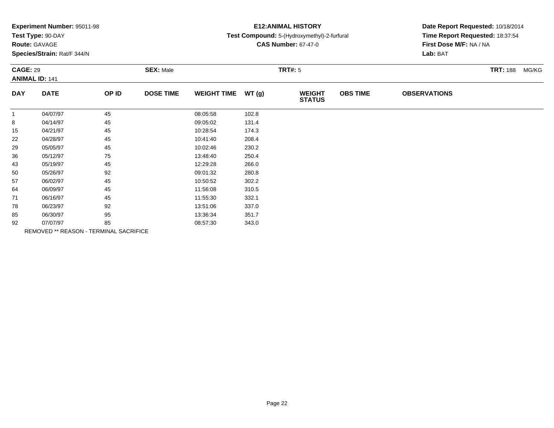| Experiment Number: 95011-98 |  |  |
|-----------------------------|--|--|
|-----------------------------|--|--|

# **Route:** GAVAGE

**Species/Strain:** Rat/F 344/N

# **E12:ANIMAL HISTORY**

### **Test Compound:** 5-(Hydroxymethyl)-2-furfural

**CAS Number:** 67-47-0

| <b>CAGE: 29</b> | <b>ANIMAL ID: 141</b> |                                        | <b>SEX: Male</b> |                    |       | <b>TRT#: 5</b>                 |                 |                     | <b>TRT: 188</b> | MG/KG |
|-----------------|-----------------------|----------------------------------------|------------------|--------------------|-------|--------------------------------|-----------------|---------------------|-----------------|-------|
| <b>DAY</b>      | <b>DATE</b>           | OP ID                                  | <b>DOSE TIME</b> | <b>WEIGHT TIME</b> | WT(g) | <b>WEIGHT</b><br><b>STATUS</b> | <b>OBS TIME</b> | <b>OBSERVATIONS</b> |                 |       |
| $\mathbf{1}$    | 04/07/97              | 45                                     |                  | 08:05:58           | 102.8 |                                |                 |                     |                 |       |
| 8               | 04/14/97              | 45                                     |                  | 09:05:02           | 131.4 |                                |                 |                     |                 |       |
| 15              | 04/21/97              | 45                                     |                  | 10:28:54           | 174.3 |                                |                 |                     |                 |       |
| 22              | 04/28/97              | 45                                     |                  | 10:41:40           | 208.4 |                                |                 |                     |                 |       |
| 29              | 05/05/97              | 45                                     |                  | 10:02:46           | 230.2 |                                |                 |                     |                 |       |
| 36              | 05/12/97              | 75                                     |                  | 13:48:40           | 250.4 |                                |                 |                     |                 |       |
| 43              | 05/19/97              | 45                                     |                  | 12:29:28           | 266.0 |                                |                 |                     |                 |       |
| 50              | 05/26/97              | 92                                     |                  | 09:01:32           | 280.8 |                                |                 |                     |                 |       |
| 57              | 06/02/97              | 45                                     |                  | 10:50:52           | 302.2 |                                |                 |                     |                 |       |
| 64              | 06/09/97              | 45                                     |                  | 11:56:08           | 310.5 |                                |                 |                     |                 |       |
| 71              | 06/16/97              | 45                                     |                  | 11:55:30           | 332.1 |                                |                 |                     |                 |       |
| 78              | 06/23/97              | 92                                     |                  | 13:51:06           | 337.0 |                                |                 |                     |                 |       |
| 85              | 06/30/97              | 95                                     |                  | 13:36:34           | 351.7 |                                |                 |                     |                 |       |
| 92              | 07/07/97              | 85                                     |                  | 08:57:30           | 343.0 |                                |                 |                     |                 |       |
|                 |                       | REMOVED ** REASON - TERMINAL SACRIFICE |                  |                    |       |                                |                 |                     |                 |       |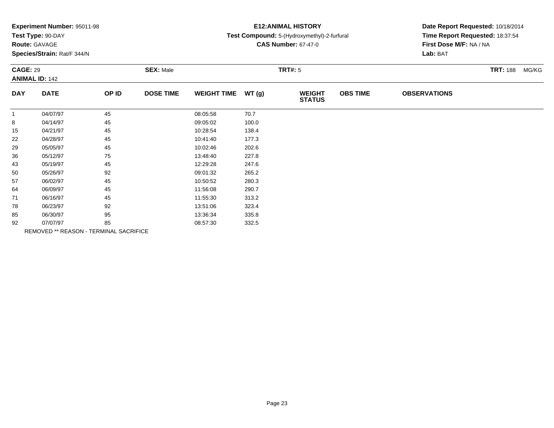| Experiment Number: 95011-98 |  |  |
|-----------------------------|--|--|
|-----------------------------|--|--|

# **Route:** GAVAGE

**Species/Strain:** Rat/F 344/N

# **E12:ANIMAL HISTORY**

### **Test Compound:** 5-(Hydroxymethyl)-2-furfural

**CAS Number:** 67-47-0

| <b>CAGE: 29</b><br><b>ANIMAL ID: 142</b> |             | <b>SEX: Male</b>                       |                  |                    | <b>TRT#: 5</b> | <b>TRT: 188 MG/KG</b>          |                 |                     |  |  |
|------------------------------------------|-------------|----------------------------------------|------------------|--------------------|----------------|--------------------------------|-----------------|---------------------|--|--|
| <b>DAY</b>                               | <b>DATE</b> | OP ID                                  | <b>DOSE TIME</b> | <b>WEIGHT TIME</b> | WT(g)          | <b>WEIGHT</b><br><b>STATUS</b> | <b>OBS TIME</b> | <b>OBSERVATIONS</b> |  |  |
| $\mathbf 1$                              | 04/07/97    | 45                                     |                  | 08:05:58           | 70.7           |                                |                 |                     |  |  |
| 8                                        | 04/14/97    | 45                                     |                  | 09:05:02           | 100.0          |                                |                 |                     |  |  |
| 15                                       | 04/21/97    | 45                                     |                  | 10:28:54           | 138.4          |                                |                 |                     |  |  |
| 22                                       | 04/28/97    | 45                                     |                  | 10:41:40           | 177.3          |                                |                 |                     |  |  |
| 29                                       | 05/05/97    | 45                                     |                  | 10:02:46           | 202.6          |                                |                 |                     |  |  |
| 36                                       | 05/12/97    | 75                                     |                  | 13:48:40           | 227.8          |                                |                 |                     |  |  |
| 43                                       | 05/19/97    | 45                                     |                  | 12:29:28           | 247.6          |                                |                 |                     |  |  |
| 50                                       | 05/26/97    | 92                                     |                  | 09:01:32           | 265.2          |                                |                 |                     |  |  |
| 57                                       | 06/02/97    | 45                                     |                  | 10:50:52           | 280.3          |                                |                 |                     |  |  |
| 64                                       | 06/09/97    | 45                                     |                  | 11:56:08           | 290.7          |                                |                 |                     |  |  |
| 71                                       | 06/16/97    | 45                                     |                  | 11:55:30           | 313.2          |                                |                 |                     |  |  |
| 78                                       | 06/23/97    | 92                                     |                  | 13:51:06           | 323.4          |                                |                 |                     |  |  |
| 85                                       | 06/30/97    | 95                                     |                  | 13:36:34           | 335.8          |                                |                 |                     |  |  |
| 92                                       | 07/07/97    | 85                                     |                  | 08:57:30           | 332.5          |                                |                 |                     |  |  |
|                                          |             | REMOVED ** REASON - TERMINAL SACRIFICE |                  |                    |                |                                |                 |                     |  |  |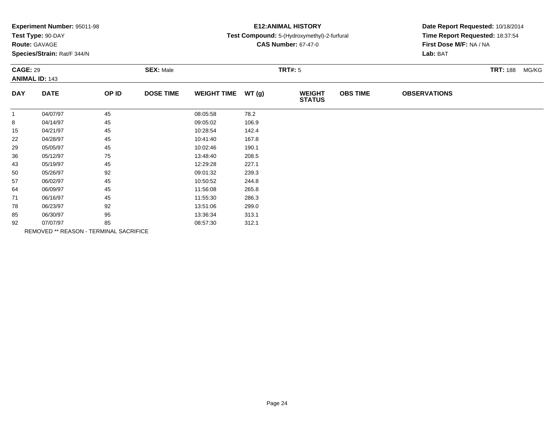|  |  | Experiment Number: 95011-98 |  |
|--|--|-----------------------------|--|
|--|--|-----------------------------|--|

# **Route:** GAVAGE

**Species/Strain:** Rat/F 344/N

# **E12:ANIMAL HISTORY**

### **Test Compound:** 5-(Hydroxymethyl)-2-furfural

**CAS Number:** 67-47-0

| <b>CAGE: 29</b><br><b>ANIMAL ID: 143</b> |             | <b>SEX: Male</b>                       |                  |                    | <b>TRT#: 5</b> | <b>TRT: 188</b>                | MG/KG           |                     |  |  |
|------------------------------------------|-------------|----------------------------------------|------------------|--------------------|----------------|--------------------------------|-----------------|---------------------|--|--|
| <b>DAY</b>                               | <b>DATE</b> | OP ID                                  | <b>DOSE TIME</b> | <b>WEIGHT TIME</b> | WT(g)          | <b>WEIGHT</b><br><b>STATUS</b> | <b>OBS TIME</b> | <b>OBSERVATIONS</b> |  |  |
| -1                                       | 04/07/97    | 45                                     |                  | 08:05:58           | 78.2           |                                |                 |                     |  |  |
| 8                                        | 04/14/97    | 45                                     |                  | 09:05:02           | 106.9          |                                |                 |                     |  |  |
| 15                                       | 04/21/97    | 45                                     |                  | 10:28:54           | 142.4          |                                |                 |                     |  |  |
| 22                                       | 04/28/97    | 45                                     |                  | 10:41:40           | 167.8          |                                |                 |                     |  |  |
| 29                                       | 05/05/97    | 45                                     |                  | 10:02:46           | 190.1          |                                |                 |                     |  |  |
| 36                                       | 05/12/97    | 75                                     |                  | 13:48:40           | 208.5          |                                |                 |                     |  |  |
| 43                                       | 05/19/97    | 45                                     |                  | 12:29:28           | 227.1          |                                |                 |                     |  |  |
| 50                                       | 05/26/97    | 92                                     |                  | 09:01:32           | 239.3          |                                |                 |                     |  |  |
| 57                                       | 06/02/97    | 45                                     |                  | 10:50:52           | 244.8          |                                |                 |                     |  |  |
| 64                                       | 06/09/97    | 45                                     |                  | 11:56:08           | 265.8          |                                |                 |                     |  |  |
| 71                                       | 06/16/97    | 45                                     |                  | 11:55:30           | 286.3          |                                |                 |                     |  |  |
| 78                                       | 06/23/97    | 92                                     |                  | 13:51:06           | 299.0          |                                |                 |                     |  |  |
| 85                                       | 06/30/97    | 95                                     |                  | 13:36:34           | 313.1          |                                |                 |                     |  |  |
| 92                                       | 07/07/97    | 85                                     |                  | 08:57:30           | 312.1          |                                |                 |                     |  |  |
|                                          |             | REMOVED ** REASON - TERMINAL SACRIFICE |                  |                    |                |                                |                 |                     |  |  |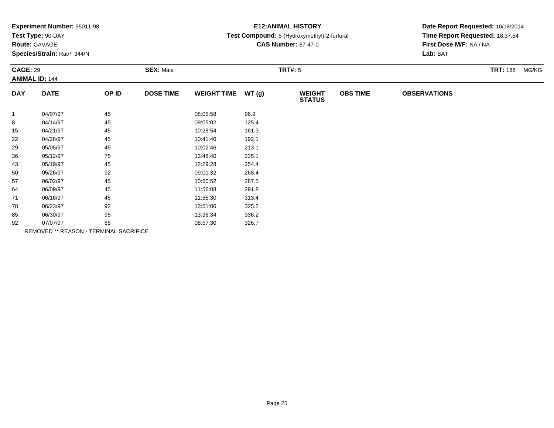| Experiment Number: 95011-98 |  |  |
|-----------------------------|--|--|
|-----------------------------|--|--|

# **Route:** GAVAGE

**Species/Strain:** Rat/F 344/N

# **E12:ANIMAL HISTORY**

### **Test Compound:** 5-(Hydroxymethyl)-2-furfural

**CAS Number:** 67-47-0

| <b>CAGE: 29</b> | <b>ANIMAL ID: 144</b> |                                        | <b>SEX: Male</b> |                    |       | <b>TRT#: 5</b>                 |                 |                     | <b>TRT: 188 MG/KG</b> |
|-----------------|-----------------------|----------------------------------------|------------------|--------------------|-------|--------------------------------|-----------------|---------------------|-----------------------|
| <b>DAY</b>      | <b>DATE</b>           | OP ID                                  | <b>DOSE TIME</b> | <b>WEIGHT TIME</b> | WT(g) | <b>WEIGHT</b><br><b>STATUS</b> | <b>OBS TIME</b> | <b>OBSERVATIONS</b> |                       |
| $\mathbf{1}$    | 04/07/97              | 45                                     |                  | 08:05:58           | 96.9  |                                |                 |                     |                       |
| 8               | 04/14/97              | 45                                     |                  | 09:05:02           | 125.4 |                                |                 |                     |                       |
| 15              | 04/21/97              | 45                                     |                  | 10:28:54           | 161.3 |                                |                 |                     |                       |
| 22              | 04/28/97              | 45                                     |                  | 10:41:40           | 192.1 |                                |                 |                     |                       |
| 29              | 05/05/97              | 45                                     |                  | 10:02:46           | 213.1 |                                |                 |                     |                       |
| 36              | 05/12/97              | 75                                     |                  | 13:48:40           | 235.1 |                                |                 |                     |                       |
| 43              | 05/19/97              | 45                                     |                  | 12:29:28           | 254.4 |                                |                 |                     |                       |
| 50              | 05/26/97              | 92                                     |                  | 09:01:32           | 268.4 |                                |                 |                     |                       |
| 57              | 06/02/97              | 45                                     |                  | 10:50:52           | 287.5 |                                |                 |                     |                       |
| 64              | 06/09/97              | 45                                     |                  | 11:56:08           | 291.8 |                                |                 |                     |                       |
| 71              | 06/16/97              | 45                                     |                  | 11:55:30           | 313.4 |                                |                 |                     |                       |
| 78              | 06/23/97              | 92                                     |                  | 13:51:06           | 325.2 |                                |                 |                     |                       |
| 85              | 06/30/97              | 95                                     |                  | 13:36:34           | 336.2 |                                |                 |                     |                       |
| 92              | 07/07/97              | 85                                     |                  | 08:57:30           | 326.7 |                                |                 |                     |                       |
|                 |                       | REMOVED ** REASON - TERMINAL SACRIFICE |                  |                    |       |                                |                 |                     |                       |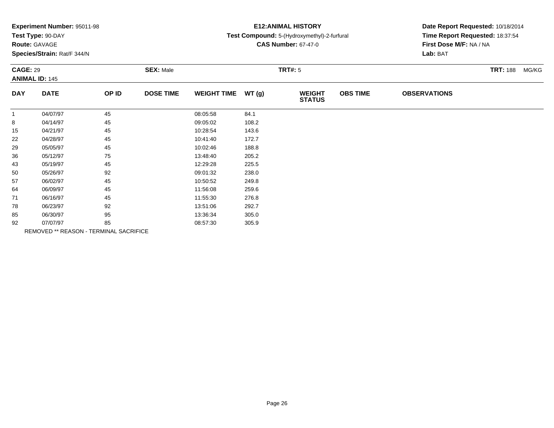| Experiment Number: 95011-98 |  |  |
|-----------------------------|--|--|
|-----------------------------|--|--|

# **Route:** GAVAGE

**Species/Strain:** Rat/F 344/N

# **E12:ANIMAL HISTORY**

### **Test Compound:** 5-(Hydroxymethyl)-2-furfural

**CAS Number:** 67-47-0

| <b>CAGE: 29</b> | <b>ANIMAL ID: 145</b> |                                        | <b>SEX: Male</b> |                    |       | <b>TRT#: 5</b>                 |                 |                     | <b>TRT: 188 MG/KG</b> |
|-----------------|-----------------------|----------------------------------------|------------------|--------------------|-------|--------------------------------|-----------------|---------------------|-----------------------|
| <b>DAY</b>      | <b>DATE</b>           | OP ID                                  | <b>DOSE TIME</b> | <b>WEIGHT TIME</b> | WT(g) | <b>WEIGHT</b><br><b>STATUS</b> | <b>OBS TIME</b> | <b>OBSERVATIONS</b> |                       |
| $\mathbf{1}$    | 04/07/97              | 45                                     |                  | 08:05:58           | 84.1  |                                |                 |                     |                       |
| 8               | 04/14/97              | 45                                     |                  | 09:05:02           | 108.2 |                                |                 |                     |                       |
| 15              | 04/21/97              | 45                                     |                  | 10:28:54           | 143.6 |                                |                 |                     |                       |
| 22              | 04/28/97              | 45                                     |                  | 10:41:40           | 172.7 |                                |                 |                     |                       |
| 29              | 05/05/97              | 45                                     |                  | 10:02:46           | 188.8 |                                |                 |                     |                       |
| 36              | 05/12/97              | 75                                     |                  | 13:48:40           | 205.2 |                                |                 |                     |                       |
| 43              | 05/19/97              | 45                                     |                  | 12:29:28           | 225.5 |                                |                 |                     |                       |
| 50              | 05/26/97              | 92                                     |                  | 09:01:32           | 238.0 |                                |                 |                     |                       |
| 57              | 06/02/97              | 45                                     |                  | 10:50:52           | 249.8 |                                |                 |                     |                       |
| 64              | 06/09/97              | 45                                     |                  | 11:56:08           | 259.6 |                                |                 |                     |                       |
| 71              | 06/16/97              | 45                                     |                  | 11:55:30           | 276.8 |                                |                 |                     |                       |
| 78              | 06/23/97              | 92                                     |                  | 13:51:06           | 292.7 |                                |                 |                     |                       |
| 85              | 06/30/97              | 95                                     |                  | 13:36:34           | 305.0 |                                |                 |                     |                       |
| 92              | 07/07/97              | 85                                     |                  | 08:57:30           | 305.9 |                                |                 |                     |                       |
|                 |                       | REMOVED ** REASON - TERMINAL SACRIFICE |                  |                    |       |                                |                 |                     |                       |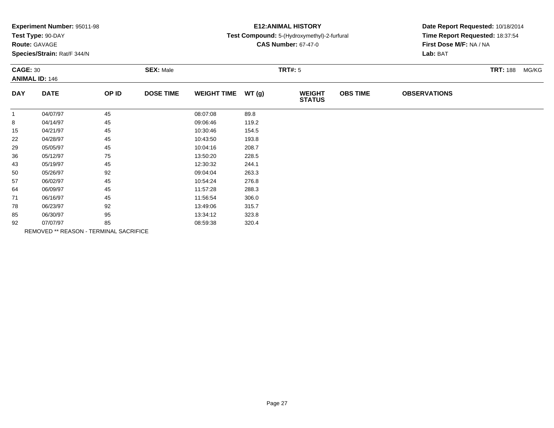|  |  | Experiment Number: 95011-98 |  |
|--|--|-----------------------------|--|
|--|--|-----------------------------|--|

**Route:** GAVAGE

**Species/Strain:** Rat/F 344/N

# **E12:ANIMAL HISTORY**

### **Test Compound:** 5-(Hydroxymethyl)-2-furfural

**CAS Number:** 67-47-0

| <b>CAGE: 30</b> | <b>ANIMAL ID: 146</b> |                                        | <b>SEX: Male</b> |                    |       | <b>TRT#: 5</b>                 |                 |                     | <b>TRT: 188</b> | MG/KG |
|-----------------|-----------------------|----------------------------------------|------------------|--------------------|-------|--------------------------------|-----------------|---------------------|-----------------|-------|
| <b>DAY</b>      | <b>DATE</b>           | OP ID                                  | <b>DOSE TIME</b> | <b>WEIGHT TIME</b> | WT(g) | <b>WEIGHT</b><br><b>STATUS</b> | <b>OBS TIME</b> | <b>OBSERVATIONS</b> |                 |       |
| $\mathbf{1}$    | 04/07/97              | 45                                     |                  | 08:07:08           | 89.8  |                                |                 |                     |                 |       |
| 8               | 04/14/97              | 45                                     |                  | 09:06:46           | 119.2 |                                |                 |                     |                 |       |
| 15              | 04/21/97              | 45                                     |                  | 10:30:46           | 154.5 |                                |                 |                     |                 |       |
| 22              | 04/28/97              | 45                                     |                  | 10:43:50           | 193.8 |                                |                 |                     |                 |       |
| 29              | 05/05/97              | 45                                     |                  | 10:04:16           | 208.7 |                                |                 |                     |                 |       |
| 36              | 05/12/97              | 75                                     |                  | 13:50:20           | 228.5 |                                |                 |                     |                 |       |
| 43              | 05/19/97              | 45                                     |                  | 12:30:32           | 244.1 |                                |                 |                     |                 |       |
| 50              | 05/26/97              | 92                                     |                  | 09:04:04           | 263.3 |                                |                 |                     |                 |       |
| 57              | 06/02/97              | 45                                     |                  | 10:54:24           | 276.8 |                                |                 |                     |                 |       |
| 64              | 06/09/97              | 45                                     |                  | 11:57:28           | 288.3 |                                |                 |                     |                 |       |
| 71              | 06/16/97              | 45                                     |                  | 11:56:54           | 306.0 |                                |                 |                     |                 |       |
| 78              | 06/23/97              | 92                                     |                  | 13:49:06           | 315.7 |                                |                 |                     |                 |       |
| 85              | 06/30/97              | 95                                     |                  | 13:34:12           | 323.8 |                                |                 |                     |                 |       |
| 92              | 07/07/97              | 85                                     |                  | 08:59:38           | 320.4 |                                |                 |                     |                 |       |
|                 |                       | REMOVED ** REASON - TERMINAL SACRIFICE |                  |                    |       |                                |                 |                     |                 |       |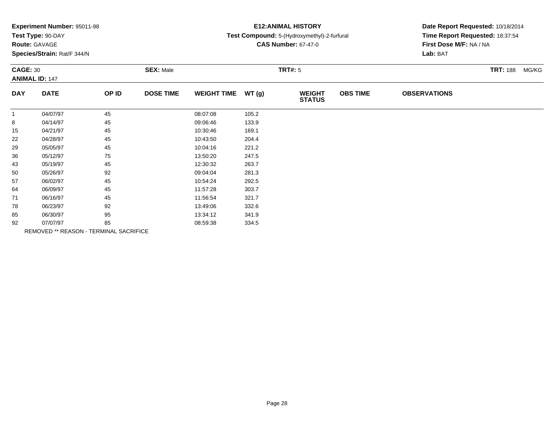| Experiment Number: 95011-98 |  |  |
|-----------------------------|--|--|
|-----------------------------|--|--|

# **Route:** GAVAGE

**Species/Strain:** Rat/F 344/N

# **E12:ANIMAL HISTORY**

### **Test Compound:** 5-(Hydroxymethyl)-2-furfural

**CAS Number:** 67-47-0

| <b>CAGE: 30</b> | <b>ANIMAL ID: 147</b> |                                        | <b>SEX: Male</b> |                    |       | <b>TRT#: 5</b>                 |                 |                     | <b>TRT: 188 MG/KG</b> |
|-----------------|-----------------------|----------------------------------------|------------------|--------------------|-------|--------------------------------|-----------------|---------------------|-----------------------|
| <b>DAY</b>      | <b>DATE</b>           | OP ID                                  | <b>DOSE TIME</b> | <b>WEIGHT TIME</b> | WT(g) | <b>WEIGHT</b><br><b>STATUS</b> | <b>OBS TIME</b> | <b>OBSERVATIONS</b> |                       |
| $\mathbf{1}$    | 04/07/97              | 45                                     |                  | 08:07:08           | 105.2 |                                |                 |                     |                       |
| 8               | 04/14/97              | 45                                     |                  | 09:06:46           | 133.9 |                                |                 |                     |                       |
| 15              | 04/21/97              | 45                                     |                  | 10:30:46           | 169.1 |                                |                 |                     |                       |
| 22              | 04/28/97              | 45                                     |                  | 10:43:50           | 204.4 |                                |                 |                     |                       |
| 29              | 05/05/97              | 45                                     |                  | 10:04:16           | 221.2 |                                |                 |                     |                       |
| 36              | 05/12/97              | 75                                     |                  | 13:50:20           | 247.5 |                                |                 |                     |                       |
| 43              | 05/19/97              | 45                                     |                  | 12:30:32           | 263.7 |                                |                 |                     |                       |
| 50              | 05/26/97              | 92                                     |                  | 09:04:04           | 281.3 |                                |                 |                     |                       |
| 57              | 06/02/97              | 45                                     |                  | 10:54:24           | 292.5 |                                |                 |                     |                       |
| 64              | 06/09/97              | 45                                     |                  | 11:57:28           | 303.7 |                                |                 |                     |                       |
| 71              | 06/16/97              | 45                                     |                  | 11:56:54           | 321.7 |                                |                 |                     |                       |
| 78              | 06/23/97              | 92                                     |                  | 13:49:06           | 332.6 |                                |                 |                     |                       |
| 85              | 06/30/97              | 95                                     |                  | 13:34:12           | 341.9 |                                |                 |                     |                       |
| 92              | 07/07/97              | 85                                     |                  | 08:59:38           | 334.5 |                                |                 |                     |                       |
|                 |                       | REMOVED ** REASON - TERMINAL SACRIFICE |                  |                    |       |                                |                 |                     |                       |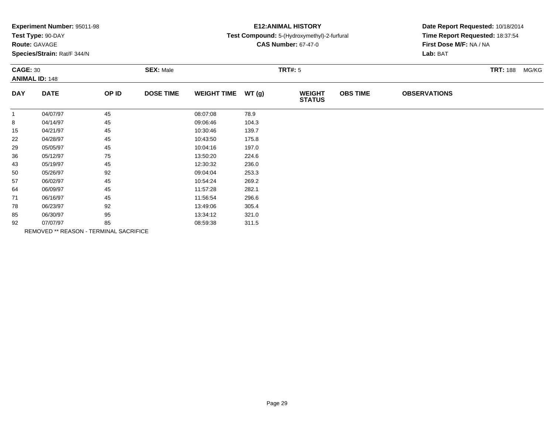|  |  | Experiment Number: 95011-98 |  |
|--|--|-----------------------------|--|
|--|--|-----------------------------|--|

# **Route:** GAVAGE

**Species/Strain:** Rat/F 344/N

## **E12:ANIMAL HISTORY**

#### **Test Compound:** 5-(Hydroxymethyl)-2-furfural

**CAS Number:** 67-47-0

| <b>CAGE: 30</b> | <b>ANIMAL ID: 148</b> |                                        | <b>SEX: Male</b> |                    |       | <b>TRT#: 5</b>                 |                 |                     | <b>TRT: 188 MG/KG</b> |
|-----------------|-----------------------|----------------------------------------|------------------|--------------------|-------|--------------------------------|-----------------|---------------------|-----------------------|
| <b>DAY</b>      | <b>DATE</b>           | OP ID                                  | <b>DOSE TIME</b> | <b>WEIGHT TIME</b> | WT(g) | <b>WEIGHT</b><br><b>STATUS</b> | <b>OBS TIME</b> | <b>OBSERVATIONS</b> |                       |
| -1              | 04/07/97              | 45                                     |                  | 08:07:08           | 78.9  |                                |                 |                     |                       |
| 8               | 04/14/97              | 45                                     |                  | 09:06:46           | 104.3 |                                |                 |                     |                       |
| 15              | 04/21/97              | 45                                     |                  | 10:30:46           | 139.7 |                                |                 |                     |                       |
| 22              | 04/28/97              | 45                                     |                  | 10:43:50           | 175.8 |                                |                 |                     |                       |
| 29              | 05/05/97              | 45                                     |                  | 10:04:16           | 197.0 |                                |                 |                     |                       |
| 36              | 05/12/97              | 75                                     |                  | 13:50:20           | 224.6 |                                |                 |                     |                       |
| 43              | 05/19/97              | 45                                     |                  | 12:30:32           | 236.0 |                                |                 |                     |                       |
| 50              | 05/26/97              | 92                                     |                  | 09:04:04           | 253.3 |                                |                 |                     |                       |
| 57              | 06/02/97              | 45                                     |                  | 10:54:24           | 269.2 |                                |                 |                     |                       |
| 64              | 06/09/97              | 45                                     |                  | 11:57:28           | 282.1 |                                |                 |                     |                       |
| 71              | 06/16/97              | 45                                     |                  | 11:56:54           | 296.6 |                                |                 |                     |                       |
| 78              | 06/23/97              | 92                                     |                  | 13:49:06           | 305.4 |                                |                 |                     |                       |
| 85              | 06/30/97              | 95                                     |                  | 13:34:12           | 321.0 |                                |                 |                     |                       |
| 92              | 07/07/97              | 85                                     |                  | 08:59:38           | 311.5 |                                |                 |                     |                       |
|                 |                       | REMOVED ** REASON - TERMINAL SACRIFICE |                  |                    |       |                                |                 |                     |                       |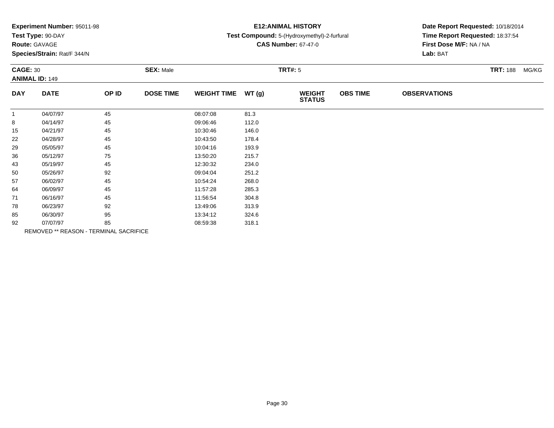|  |  | Experiment Number: 95011-98 |  |
|--|--|-----------------------------|--|
|--|--|-----------------------------|--|

# **Route:** GAVAGE

**Species/Strain:** Rat/F 344/N

# **E12:ANIMAL HISTORY**

### **Test Compound:** 5-(Hydroxymethyl)-2-furfural

**CAS Number:** 67-47-0

| <b>CAGE: 30</b> | <b>ANIMAL ID: 149</b> |                                        | <b>SEX: Male</b> |                    |       | <b>TRT#: 5</b>                 |                 |                     | <b>TRT: 188</b><br>MG/KG |
|-----------------|-----------------------|----------------------------------------|------------------|--------------------|-------|--------------------------------|-----------------|---------------------|--------------------------|
| <b>DAY</b>      | <b>DATE</b>           | OP ID                                  | <b>DOSE TIME</b> | <b>WEIGHT TIME</b> | WT(g) | <b>WEIGHT</b><br><b>STATUS</b> | <b>OBS TIME</b> | <b>OBSERVATIONS</b> |                          |
| $\mathbf{1}$    | 04/07/97              | 45                                     |                  | 08:07:08           | 81.3  |                                |                 |                     |                          |
| 8               | 04/14/97              | 45                                     |                  | 09:06:46           | 112.0 |                                |                 |                     |                          |
| 15              | 04/21/97              | 45                                     |                  | 10:30:46           | 146.0 |                                |                 |                     |                          |
| 22              | 04/28/97              | 45                                     |                  | 10:43:50           | 178.4 |                                |                 |                     |                          |
| 29              | 05/05/97              | 45                                     |                  | 10:04:16           | 193.9 |                                |                 |                     |                          |
| 36              | 05/12/97              | 75                                     |                  | 13:50:20           | 215.7 |                                |                 |                     |                          |
| 43              | 05/19/97              | 45                                     |                  | 12:30:32           | 234.0 |                                |                 |                     |                          |
| 50              | 05/26/97              | 92                                     |                  | 09:04:04           | 251.2 |                                |                 |                     |                          |
| 57              | 06/02/97              | 45                                     |                  | 10:54:24           | 268.0 |                                |                 |                     |                          |
| 64              | 06/09/97              | 45                                     |                  | 11:57:28           | 285.3 |                                |                 |                     |                          |
| 71              | 06/16/97              | 45                                     |                  | 11:56:54           | 304.8 |                                |                 |                     |                          |
| 78              | 06/23/97              | 92                                     |                  | 13:49:06           | 313.9 |                                |                 |                     |                          |
| 85              | 06/30/97              | 95                                     |                  | 13:34:12           | 324.6 |                                |                 |                     |                          |
| 92              | 07/07/97              | 85                                     |                  | 08:59:38           | 318.1 |                                |                 |                     |                          |
|                 |                       | REMOVED ** REASON - TERMINAL SACRIFICE |                  |                    |       |                                |                 |                     |                          |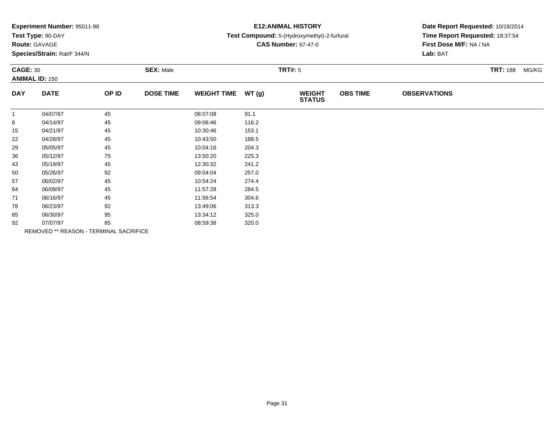| Experiment Number: 95011-98 |  |  |
|-----------------------------|--|--|
|-----------------------------|--|--|

# **Route:** GAVAGE

**Species/Strain:** Rat/F 344/N

# **E12:ANIMAL HISTORY**

### **Test Compound:** 5-(Hydroxymethyl)-2-furfural

**CAS Number:** 67-47-0

| <b>CAGE: 30</b><br><b>ANIMAL ID: 150</b> |             | <b>SEX: Male</b>                       |                  |                    | <b>TRT#: 5</b> |                                |                 | <b>TRT: 188</b>     | MG/KG |  |
|------------------------------------------|-------------|----------------------------------------|------------------|--------------------|----------------|--------------------------------|-----------------|---------------------|-------|--|
| <b>DAY</b>                               | <b>DATE</b> | OP ID                                  | <b>DOSE TIME</b> | <b>WEIGHT TIME</b> | WT(g)          | <b>WEIGHT</b><br><b>STATUS</b> | <b>OBS TIME</b> | <b>OBSERVATIONS</b> |       |  |
| $\mathbf{1}$                             | 04/07/97    | 45                                     |                  | 08:07:08           | 91.1           |                                |                 |                     |       |  |
| 8                                        | 04/14/97    | 45                                     |                  | 09:06:46           | 116.2          |                                |                 |                     |       |  |
| 15                                       | 04/21/97    | 45                                     |                  | 10:30:46           | 153.1          |                                |                 |                     |       |  |
| 22                                       | 04/28/97    | 45                                     |                  | 10:43:50           | 188.5          |                                |                 |                     |       |  |
| 29                                       | 05/05/97    | 45                                     |                  | 10:04:16           | 204.3          |                                |                 |                     |       |  |
| 36                                       | 05/12/97    | 75                                     |                  | 13:50:20           | 225.3          |                                |                 |                     |       |  |
| 43                                       | 05/19/97    | 45                                     |                  | 12:30:32           | 241.2          |                                |                 |                     |       |  |
| 50                                       | 05/26/97    | 92                                     |                  | 09:04:04           | 257.0          |                                |                 |                     |       |  |
| 57                                       | 06/02/97    | 45                                     |                  | 10:54:24           | 274.4          |                                |                 |                     |       |  |
| 64                                       | 06/09/97    | 45                                     |                  | 11:57:28           | 284.5          |                                |                 |                     |       |  |
| 71                                       | 06/16/97    | 45                                     |                  | 11:56:54           | 304.6          |                                |                 |                     |       |  |
| 78                                       | 06/23/97    | 92                                     |                  | 13:49:06           | 313.3          |                                |                 |                     |       |  |
| 85                                       | 06/30/97    | 95                                     |                  | 13:34:12           | 325.0          |                                |                 |                     |       |  |
| 92                                       | 07/07/97    | 85                                     |                  | 08:59:38           | 320.0          |                                |                 |                     |       |  |
|                                          |             | REMOVED ** REASON - TERMINAL SACRIFICE |                  |                    |                |                                |                 |                     |       |  |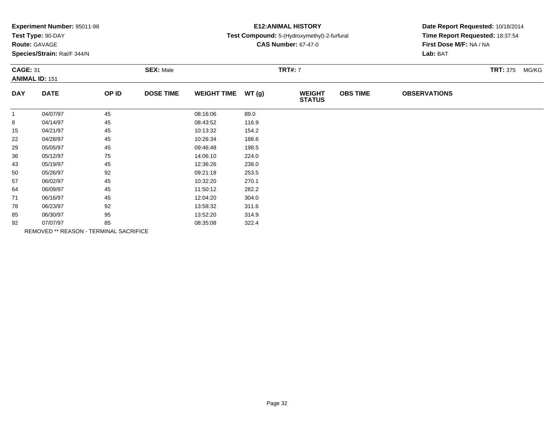|  |  | Experiment Number: 95011-98 |  |
|--|--|-----------------------------|--|
|--|--|-----------------------------|--|

# **Route:** GAVAGE

**Species/Strain:** Rat/F 344/N

## **E12:ANIMAL HISTORY**

## **Test Compound:** 5-(Hydroxymethyl)-2-furfural

**CAS Number:** 67-47-0

| <b>CAGE: 31</b><br><b>ANIMAL ID: 151</b> |             | <b>SEX: Male</b>                       |                  |                    | <b>TRT#: 7</b> |                                |                 | <b>TRT: 375 MG/KG</b> |  |  |
|------------------------------------------|-------------|----------------------------------------|------------------|--------------------|----------------|--------------------------------|-----------------|-----------------------|--|--|
| <b>DAY</b>                               | <b>DATE</b> | OP ID                                  | <b>DOSE TIME</b> | <b>WEIGHT TIME</b> | WT(g)          | <b>WEIGHT</b><br><b>STATUS</b> | <b>OBS TIME</b> | <b>OBSERVATIONS</b>   |  |  |
| -1                                       | 04/07/97    | 45                                     |                  | 08:16:06           | 89.0           |                                |                 |                       |  |  |
| 8                                        | 04/14/97    | 45                                     |                  | 08:43:52           | 116.9          |                                |                 |                       |  |  |
| 15                                       | 04/21/97    | 45                                     |                  | 10:13:32           | 154.2          |                                |                 |                       |  |  |
| 22                                       | 04/28/97    | 45                                     |                  | 10:26:34           | 188.6          |                                |                 |                       |  |  |
| 29                                       | 05/05/97    | 45                                     |                  | 09:46:48           | 198.5          |                                |                 |                       |  |  |
| 36                                       | 05/12/97    | 75                                     |                  | 14:06:10           | 224.0          |                                |                 |                       |  |  |
| 43                                       | 05/19/97    | 45                                     |                  | 12:36:26           | 238.0          |                                |                 |                       |  |  |
| 50                                       | 05/26/97    | 92                                     |                  | 09:21:18           | 253.5          |                                |                 |                       |  |  |
| 57                                       | 06/02/97    | 45                                     |                  | 10:32:20           | 270.1          |                                |                 |                       |  |  |
| 64                                       | 06/09/97    | 45                                     |                  | 11:50:12           | 282.2          |                                |                 |                       |  |  |
| 71                                       | 06/16/97    | 45                                     |                  | 12:04:20           | 304.0          |                                |                 |                       |  |  |
| 78                                       | 06/23/97    | 92                                     |                  | 13:58:32           | 311.6          |                                |                 |                       |  |  |
| 85                                       | 06/30/97    | 95                                     |                  | 13:52:20           | 314.9          |                                |                 |                       |  |  |
| 92                                       | 07/07/97    | 85                                     |                  | 08:35:08           | 322.4          |                                |                 |                       |  |  |
|                                          |             | REMOVED ** REASON - TERMINAL SACRIFICE |                  |                    |                |                                |                 |                       |  |  |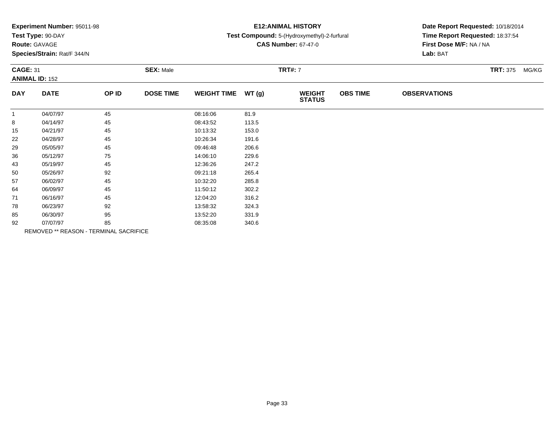|  |  | Experiment Number: 95011-98 |  |
|--|--|-----------------------------|--|
|--|--|-----------------------------|--|

# **Route:** GAVAGE

**Species/Strain:** Rat/F 344/N

## **E12:ANIMAL HISTORY**

### **Test Compound:** 5-(Hydroxymethyl)-2-furfural

**CAS Number:** 67-47-0

| <b>CAGE: 31</b><br><b>ANIMAL ID: 152</b> |             | <b>SEX: Male</b>                       |                  |                    | <b>TRT#: 7</b> |                                |                 | <b>TRT: 375 MG/KG</b> |  |  |
|------------------------------------------|-------------|----------------------------------------|------------------|--------------------|----------------|--------------------------------|-----------------|-----------------------|--|--|
| <b>DAY</b>                               | <b>DATE</b> | OP ID                                  | <b>DOSE TIME</b> | <b>WEIGHT TIME</b> | WT(g)          | <b>WEIGHT</b><br><b>STATUS</b> | <b>OBS TIME</b> | <b>OBSERVATIONS</b>   |  |  |
| $\mathbf{1}$                             | 04/07/97    | 45                                     |                  | 08:16:06           | 81.9           |                                |                 |                       |  |  |
| 8                                        | 04/14/97    | 45                                     |                  | 08:43:52           | 113.5          |                                |                 |                       |  |  |
| 15                                       | 04/21/97    | 45                                     |                  | 10:13:32           | 153.0          |                                |                 |                       |  |  |
| 22                                       | 04/28/97    | 45                                     |                  | 10:26:34           | 191.6          |                                |                 |                       |  |  |
| 29                                       | 05/05/97    | 45                                     |                  | 09:46:48           | 206.6          |                                |                 |                       |  |  |
| 36                                       | 05/12/97    | 75                                     |                  | 14:06:10           | 229.6          |                                |                 |                       |  |  |
| 43                                       | 05/19/97    | 45                                     |                  | 12:36:26           | 247.2          |                                |                 |                       |  |  |
| 50                                       | 05/26/97    | 92                                     |                  | 09:21:18           | 265.4          |                                |                 |                       |  |  |
| 57                                       | 06/02/97    | 45                                     |                  | 10:32:20           | 285.8          |                                |                 |                       |  |  |
| 64                                       | 06/09/97    | 45                                     |                  | 11:50:12           | 302.2          |                                |                 |                       |  |  |
| 71                                       | 06/16/97    | 45                                     |                  | 12:04:20           | 316.2          |                                |                 |                       |  |  |
| 78                                       | 06/23/97    | 92                                     |                  | 13:58:32           | 324.3          |                                |                 |                       |  |  |
| 85                                       | 06/30/97    | 95                                     |                  | 13:52:20           | 331.9          |                                |                 |                       |  |  |
| 92                                       | 07/07/97    | 85                                     |                  | 08:35:08           | 340.6          |                                |                 |                       |  |  |
|                                          |             | REMOVED ** REASON - TERMINAL SACRIFICE |                  |                    |                |                                |                 |                       |  |  |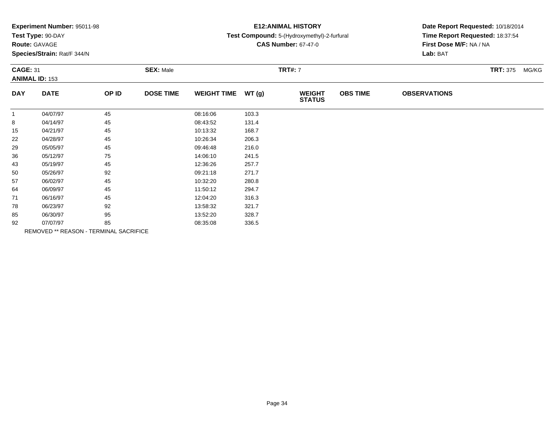|  |  | Experiment Number: 95011-98 |  |
|--|--|-----------------------------|--|
|--|--|-----------------------------|--|

# **Route:** GAVAGE

**Species/Strain:** Rat/F 344/N

## **E12:ANIMAL HISTORY**

### **Test Compound:** 5-(Hydroxymethyl)-2-furfural

**CAS Number:** 67-47-0

| <b>CAGE: 31</b><br><b>ANIMAL ID: 153</b> |                                        | <b>SEX: Male</b> |                  |                    | <b>TRT#: 7</b> |                                |                 | <b>TRT: 375 MG/KG</b> |  |  |
|------------------------------------------|----------------------------------------|------------------|------------------|--------------------|----------------|--------------------------------|-----------------|-----------------------|--|--|
| <b>DAY</b>                               | <b>DATE</b>                            | OP ID            | <b>DOSE TIME</b> | <b>WEIGHT TIME</b> | WT(g)          | <b>WEIGHT</b><br><b>STATUS</b> | <b>OBS TIME</b> | <b>OBSERVATIONS</b>   |  |  |
| -1                                       | 04/07/97                               | 45               |                  | 08:16:06           | 103.3          |                                |                 |                       |  |  |
| 8                                        | 04/14/97                               | 45               |                  | 08:43:52           | 131.4          |                                |                 |                       |  |  |
| 15                                       | 04/21/97                               | 45               |                  | 10:13:32           | 168.7          |                                |                 |                       |  |  |
| 22                                       | 04/28/97                               | 45               |                  | 10:26:34           | 206.3          |                                |                 |                       |  |  |
| 29                                       | 05/05/97                               | 45               |                  | 09:46:48           | 216.0          |                                |                 |                       |  |  |
| 36                                       | 05/12/97                               | 75               |                  | 14:06:10           | 241.5          |                                |                 |                       |  |  |
| 43                                       | 05/19/97                               | 45               |                  | 12:36:26           | 257.7          |                                |                 |                       |  |  |
| 50                                       | 05/26/97                               | 92               |                  | 09:21:18           | 271.7          |                                |                 |                       |  |  |
| 57                                       | 06/02/97                               | 45               |                  | 10:32:20           | 280.8          |                                |                 |                       |  |  |
| 64                                       | 06/09/97                               | 45               |                  | 11:50:12           | 294.7          |                                |                 |                       |  |  |
| 71                                       | 06/16/97                               | 45               |                  | 12:04:20           | 316.3          |                                |                 |                       |  |  |
| 78                                       | 06/23/97                               | 92               |                  | 13:58:32           | 321.7          |                                |                 |                       |  |  |
| 85                                       | 06/30/97                               | 95               |                  | 13:52:20           | 328.7          |                                |                 |                       |  |  |
| 92                                       | 07/07/97                               | 85               |                  | 08:35:08           | 336.5          |                                |                 |                       |  |  |
|                                          | REMOVED ** REASON - TERMINAL SACRIFICE |                  |                  |                    |                |                                |                 |                       |  |  |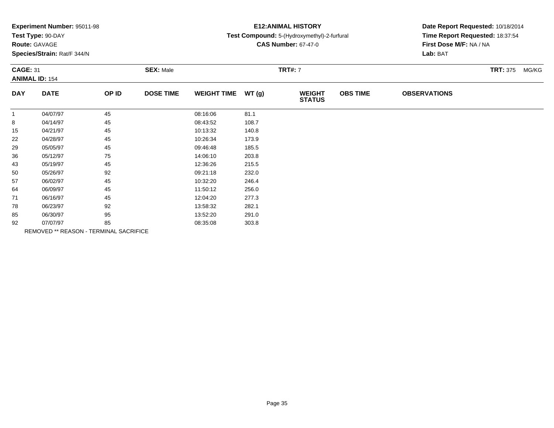| Experiment Number: 95011-98 |  |  |
|-----------------------------|--|--|
|-----------------------------|--|--|

# **Route:** GAVAGE

**Species/Strain:** Rat/F 344/N

## **E12:ANIMAL HISTORY**

## **Test Compound:** 5-(Hydroxymethyl)-2-furfural

**CAS Number:** 67-47-0

|              | <b>CAGE: 31</b><br><b>ANIMAL ID: 154</b> |                                        | <b>SEX: Male</b> |                    |       | <b>TRT#: 7</b>                 |                 |                     | <b>TRT: 375 MG/KG</b> |  |
|--------------|------------------------------------------|----------------------------------------|------------------|--------------------|-------|--------------------------------|-----------------|---------------------|-----------------------|--|
| <b>DAY</b>   | <b>DATE</b>                              | OP ID                                  | <b>DOSE TIME</b> | <b>WEIGHT TIME</b> | WT(g) | <b>WEIGHT</b><br><b>STATUS</b> | <b>OBS TIME</b> | <b>OBSERVATIONS</b> |                       |  |
| $\mathbf{1}$ | 04/07/97                                 | 45                                     |                  | 08:16:06           | 81.1  |                                |                 |                     |                       |  |
| 8            | 04/14/97                                 | 45                                     |                  | 08:43:52           | 108.7 |                                |                 |                     |                       |  |
| 15           | 04/21/97                                 | 45                                     |                  | 10:13:32           | 140.8 |                                |                 |                     |                       |  |
| 22           | 04/28/97                                 | 45                                     |                  | 10:26:34           | 173.9 |                                |                 |                     |                       |  |
| 29           | 05/05/97                                 | 45                                     |                  | 09:46:48           | 185.5 |                                |                 |                     |                       |  |
| 36           | 05/12/97                                 | 75                                     |                  | 14:06:10           | 203.8 |                                |                 |                     |                       |  |
| 43           | 05/19/97                                 | 45                                     |                  | 12:36:26           | 215.5 |                                |                 |                     |                       |  |
| 50           | 05/26/97                                 | 92                                     |                  | 09:21:18           | 232.0 |                                |                 |                     |                       |  |
| 57           | 06/02/97                                 | 45                                     |                  | 10:32:20           | 246.4 |                                |                 |                     |                       |  |
| 64           | 06/09/97                                 | 45                                     |                  | 11:50:12           | 256.0 |                                |                 |                     |                       |  |
| 71           | 06/16/97                                 | 45                                     |                  | 12:04:20           | 277.3 |                                |                 |                     |                       |  |
| 78           | 06/23/97                                 | 92                                     |                  | 13:58:32           | 282.1 |                                |                 |                     |                       |  |
| 85           | 06/30/97                                 | 95                                     |                  | 13:52:20           | 291.0 |                                |                 |                     |                       |  |
| 92           | 07/07/97                                 | 85                                     |                  | 08:35:08           | 303.8 |                                |                 |                     |                       |  |
|              |                                          | REMOVED ** REASON - TERMINAL SACRIFICE |                  |                    |       |                                |                 |                     |                       |  |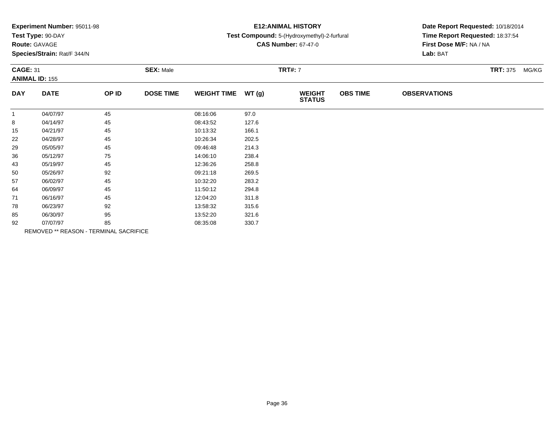| Experiment Number: 95011-98 |  |  |
|-----------------------------|--|--|
|-----------------------------|--|--|

# **Route:** GAVAGE

**Species/Strain:** Rat/F 344/N

## **E12:ANIMAL HISTORY**

## **Test Compound:** 5-(Hydroxymethyl)-2-furfural

**CAS Number:** 67-47-0

|              | <b>CAGE: 31</b><br><b>ANIMAL ID: 155</b> |                                        | <b>SEX: Male</b> |                    |       | <b>TRT#: 7</b>                 |                 |                     | <b>TRT: 375 MG/KG</b> |  |
|--------------|------------------------------------------|----------------------------------------|------------------|--------------------|-------|--------------------------------|-----------------|---------------------|-----------------------|--|
| <b>DAY</b>   | <b>DATE</b>                              | OP ID                                  | <b>DOSE TIME</b> | <b>WEIGHT TIME</b> | WT(g) | <b>WEIGHT</b><br><b>STATUS</b> | <b>OBS TIME</b> | <b>OBSERVATIONS</b> |                       |  |
| $\mathbf{1}$ | 04/07/97                                 | 45                                     |                  | 08:16:06           | 97.0  |                                |                 |                     |                       |  |
| 8            | 04/14/97                                 | 45                                     |                  | 08:43:52           | 127.6 |                                |                 |                     |                       |  |
| 15           | 04/21/97                                 | 45                                     |                  | 10:13:32           | 166.1 |                                |                 |                     |                       |  |
| 22           | 04/28/97                                 | 45                                     |                  | 10:26:34           | 202.5 |                                |                 |                     |                       |  |
| 29           | 05/05/97                                 | 45                                     |                  | 09:46:48           | 214.3 |                                |                 |                     |                       |  |
| 36           | 05/12/97                                 | 75                                     |                  | 14:06:10           | 238.4 |                                |                 |                     |                       |  |
| 43           | 05/19/97                                 | 45                                     |                  | 12:36:26           | 258.8 |                                |                 |                     |                       |  |
| 50           | 05/26/97                                 | 92                                     |                  | 09:21:18           | 269.5 |                                |                 |                     |                       |  |
| 57           | 06/02/97                                 | 45                                     |                  | 10:32:20           | 283.2 |                                |                 |                     |                       |  |
| 64           | 06/09/97                                 | 45                                     |                  | 11:50:12           | 294.8 |                                |                 |                     |                       |  |
| 71           | 06/16/97                                 | 45                                     |                  | 12:04:20           | 311.8 |                                |                 |                     |                       |  |
| 78           | 06/23/97                                 | 92                                     |                  | 13:58:32           | 315.6 |                                |                 |                     |                       |  |
| 85           | 06/30/97                                 | 95                                     |                  | 13:52:20           | 321.6 |                                |                 |                     |                       |  |
| 92           | 07/07/97                                 | 85                                     |                  | 08:35:08           | 330.7 |                                |                 |                     |                       |  |
|              |                                          | REMOVED ** REASON - TERMINAL SACRIFICE |                  |                    |       |                                |                 |                     |                       |  |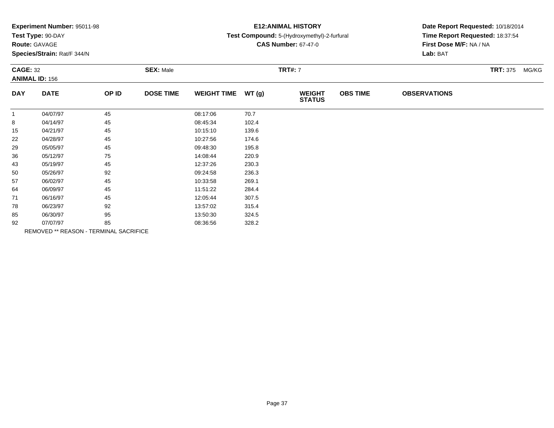| Experiment Number: 95011-98 |  |  |
|-----------------------------|--|--|
|-----------------------------|--|--|

# **Route:** GAVAGE

**Species/Strain:** Rat/F 344/N

## **E12:ANIMAL HISTORY**

### **Test Compound:** 5-(Hydroxymethyl)-2-furfural

**CAS Number:** 67-47-0

| <b>CAGE: 32</b><br><b>ANIMAL ID: 156</b> |             | <b>SEX: Male</b>                       |                  |                    | <b>TRT#: 7</b> |                                | <b>TRT: 375 MG/KG</b> |                     |  |  |
|------------------------------------------|-------------|----------------------------------------|------------------|--------------------|----------------|--------------------------------|-----------------------|---------------------|--|--|
| <b>DAY</b>                               | <b>DATE</b> | OP ID                                  | <b>DOSE TIME</b> | <b>WEIGHT TIME</b> | WT(g)          | <b>WEIGHT</b><br><b>STATUS</b> | <b>OBS TIME</b>       | <b>OBSERVATIONS</b> |  |  |
| $\mathbf{1}$                             | 04/07/97    | 45                                     |                  | 08:17:06           | 70.7           |                                |                       |                     |  |  |
| 8                                        | 04/14/97    | 45                                     |                  | 08:45:34           | 102.4          |                                |                       |                     |  |  |
| 15                                       | 04/21/97    | 45                                     |                  | 10:15:10           | 139.6          |                                |                       |                     |  |  |
| 22                                       | 04/28/97    | 45                                     |                  | 10:27:56           | 174.6          |                                |                       |                     |  |  |
| 29                                       | 05/05/97    | 45                                     |                  | 09:48:30           | 195.8          |                                |                       |                     |  |  |
| 36                                       | 05/12/97    | 75                                     |                  | 14:08:44           | 220.9          |                                |                       |                     |  |  |
| 43                                       | 05/19/97    | 45                                     |                  | 12:37:26           | 230.3          |                                |                       |                     |  |  |
| 50                                       | 05/26/97    | 92                                     |                  | 09:24:58           | 236.3          |                                |                       |                     |  |  |
| 57                                       | 06/02/97    | 45                                     |                  | 10:33:58           | 269.1          |                                |                       |                     |  |  |
| 64                                       | 06/09/97    | 45                                     |                  | 11:51:22           | 284.4          |                                |                       |                     |  |  |
| 71                                       | 06/16/97    | 45                                     |                  | 12:05:44           | 307.5          |                                |                       |                     |  |  |
| 78                                       | 06/23/97    | 92                                     |                  | 13:57:02           | 315.4          |                                |                       |                     |  |  |
| 85                                       | 06/30/97    | 95                                     |                  | 13:50:30           | 324.5          |                                |                       |                     |  |  |
| 92                                       | 07/07/97    | 85                                     |                  | 08:36:56           | 328.2          |                                |                       |                     |  |  |
|                                          |             | REMOVED ** REASON - TERMINAL SACRIFICE |                  |                    |                |                                |                       |                     |  |  |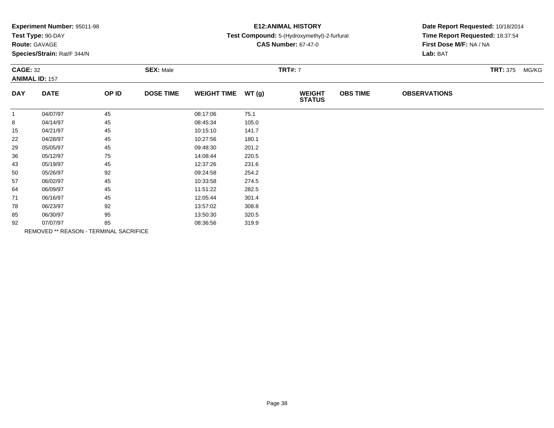| Experiment Number: 95011-98 |  |  |
|-----------------------------|--|--|
|-----------------------------|--|--|

# **Route:** GAVAGE

**Species/Strain:** Rat/F 344/N

## **E12:ANIMAL HISTORY**

### **Test Compound:** 5-(Hydroxymethyl)-2-furfural

**CAS Number:** 67-47-0

|              | <b>CAGE: 32</b><br><b>ANIMAL ID: 157</b> |                                        | <b>SEX: Male</b> |                    |       |                                | <b>TRT#: 7</b>  |                     |  |  |  |
|--------------|------------------------------------------|----------------------------------------|------------------|--------------------|-------|--------------------------------|-----------------|---------------------|--|--|--|
| <b>DAY</b>   | <b>DATE</b>                              | OP ID                                  | <b>DOSE TIME</b> | <b>WEIGHT TIME</b> | WT(g) | <b>WEIGHT</b><br><b>STATUS</b> | <b>OBS TIME</b> | <b>OBSERVATIONS</b> |  |  |  |
| $\mathbf{1}$ | 04/07/97                                 | 45                                     |                  | 08:17:06           | 75.1  |                                |                 |                     |  |  |  |
| 8            | 04/14/97                                 | 45                                     |                  | 08:45:34           | 105.0 |                                |                 |                     |  |  |  |
| 15           | 04/21/97                                 | 45                                     |                  | 10:15:10           | 141.7 |                                |                 |                     |  |  |  |
| 22           | 04/28/97                                 | 45                                     |                  | 10:27:56           | 180.1 |                                |                 |                     |  |  |  |
| 29           | 05/05/97                                 | 45                                     |                  | 09:48:30           | 201.2 |                                |                 |                     |  |  |  |
| 36           | 05/12/97                                 | 75                                     |                  | 14:08:44           | 220.5 |                                |                 |                     |  |  |  |
| 43           | 05/19/97                                 | 45                                     |                  | 12:37:26           | 231.6 |                                |                 |                     |  |  |  |
| 50           | 05/26/97                                 | 92                                     |                  | 09:24:58           | 254.2 |                                |                 |                     |  |  |  |
| 57           | 06/02/97                                 | 45                                     |                  | 10:33:58           | 274.5 |                                |                 |                     |  |  |  |
| 64           | 06/09/97                                 | 45                                     |                  | 11:51:22           | 282.5 |                                |                 |                     |  |  |  |
| 71           | 06/16/97                                 | 45                                     |                  | 12:05:44           | 301.4 |                                |                 |                     |  |  |  |
| 78           | 06/23/97                                 | 92                                     |                  | 13:57:02           | 308.8 |                                |                 |                     |  |  |  |
| 85           | 06/30/97                                 | 95                                     |                  | 13:50:30           | 320.5 |                                |                 |                     |  |  |  |
| 92           | 07/07/97                                 | 85                                     |                  | 08:36:56           | 319.9 |                                |                 |                     |  |  |  |
|              |                                          | REMOVED ** REASON - TERMINAL SACRIFICE |                  |                    |       |                                |                 |                     |  |  |  |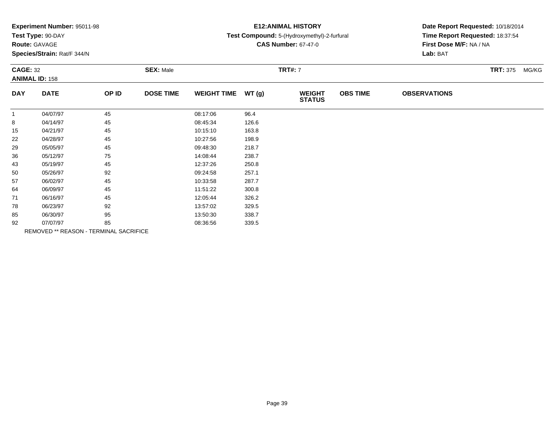|  |  | Experiment Number: 95011-98 |  |
|--|--|-----------------------------|--|
|--|--|-----------------------------|--|

# **Route:** GAVAGE

**Species/Strain:** Rat/F 344/N

## **E12:ANIMAL HISTORY**

### **Test Compound:** 5-(Hydroxymethyl)-2-furfural

**CAS Number:** 67-47-0

| <b>CAGE: 32</b><br><b>ANIMAL ID: 158</b> |                                        | <b>SEX: Male</b> |                  |                    | <b>TRT#: 7</b> |                                | <b>TRT: 375 MG/KG</b> |                     |  |
|------------------------------------------|----------------------------------------|------------------|------------------|--------------------|----------------|--------------------------------|-----------------------|---------------------|--|
| <b>DAY</b>                               | <b>DATE</b>                            | OP ID            | <b>DOSE TIME</b> | <b>WEIGHT TIME</b> | WT(g)          | <b>WEIGHT</b><br><b>STATUS</b> | <b>OBS TIME</b>       | <b>OBSERVATIONS</b> |  |
| $\mathbf{1}$                             | 04/07/97                               | 45               |                  | 08:17:06           | 96.4           |                                |                       |                     |  |
| 8                                        | 04/14/97                               | 45               |                  | 08:45:34           | 126.6          |                                |                       |                     |  |
| 15                                       | 04/21/97                               | 45               |                  | 10:15:10           | 163.8          |                                |                       |                     |  |
| 22                                       | 04/28/97                               | 45               |                  | 10:27:56           | 198.9          |                                |                       |                     |  |
| 29                                       | 05/05/97                               | 45               |                  | 09:48:30           | 218.7          |                                |                       |                     |  |
| 36                                       | 05/12/97                               | 75               |                  | 14:08:44           | 238.7          |                                |                       |                     |  |
| 43                                       | 05/19/97                               | 45               |                  | 12:37:26           | 250.8          |                                |                       |                     |  |
| 50                                       | 05/26/97                               | 92               |                  | 09:24:58           | 257.1          |                                |                       |                     |  |
| 57                                       | 06/02/97                               | 45               |                  | 10:33:58           | 287.7          |                                |                       |                     |  |
| 64                                       | 06/09/97                               | 45               |                  | 11:51:22           | 300.8          |                                |                       |                     |  |
| 71                                       | 06/16/97                               | 45               |                  | 12:05:44           | 326.2          |                                |                       |                     |  |
| 78                                       | 06/23/97                               | 92               |                  | 13:57:02           | 329.5          |                                |                       |                     |  |
| 85                                       | 06/30/97                               | 95               |                  | 13:50:30           | 338.7          |                                |                       |                     |  |
| 92                                       | 07/07/97                               | 85               |                  | 08:36:56           | 339.5          |                                |                       |                     |  |
|                                          | REMOVED ** REASON - TERMINAL SACRIFICE |                  |                  |                    |                |                                |                       |                     |  |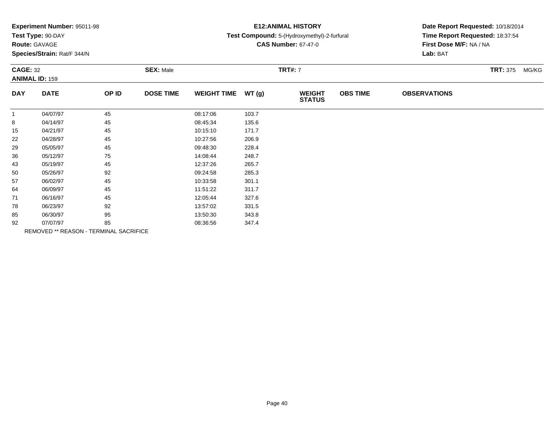|  |  | Experiment Number: 95011-98 |  |
|--|--|-----------------------------|--|
|--|--|-----------------------------|--|

# **Route:** GAVAGE

**Species/Strain:** Rat/F 344/N

## **E12:ANIMAL HISTORY**

### **Test Compound:** 5-(Hydroxymethyl)-2-furfural

**CAS Number:** 67-47-0

| <b>CAGE: 32</b><br><b>ANIMAL ID: 159</b> |                                        | <b>SEX: Male</b> |                  |                    | <b>TRT#: 7</b> |                                | <b>TRT: 375 MG/KG</b> |                     |  |  |
|------------------------------------------|----------------------------------------|------------------|------------------|--------------------|----------------|--------------------------------|-----------------------|---------------------|--|--|
| <b>DAY</b>                               | <b>DATE</b>                            | OP ID            | <b>DOSE TIME</b> | <b>WEIGHT TIME</b> | WT(g)          | <b>WEIGHT</b><br><b>STATUS</b> | <b>OBS TIME</b>       | <b>OBSERVATIONS</b> |  |  |
| $\mathbf{1}$                             | 04/07/97                               | 45               |                  | 08:17:06           | 103.7          |                                |                       |                     |  |  |
| 8                                        | 04/14/97                               | 45               |                  | 08:45:34           | 135.6          |                                |                       |                     |  |  |
| 15                                       | 04/21/97                               | 45               |                  | 10:15:10           | 171.7          |                                |                       |                     |  |  |
| 22                                       | 04/28/97                               | 45               |                  | 10:27:56           | 206.9          |                                |                       |                     |  |  |
| 29                                       | 05/05/97                               | 45               |                  | 09:48:30           | 228.4          |                                |                       |                     |  |  |
| 36                                       | 05/12/97                               | 75               |                  | 14:08:44           | 248.7          |                                |                       |                     |  |  |
| 43                                       | 05/19/97                               | 45               |                  | 12:37:26           | 265.7          |                                |                       |                     |  |  |
| 50                                       | 05/26/97                               | 92               |                  | 09:24:58           | 285.3          |                                |                       |                     |  |  |
| 57                                       | 06/02/97                               | 45               |                  | 10:33:58           | 301.1          |                                |                       |                     |  |  |
| 64                                       | 06/09/97                               | 45               |                  | 11:51:22           | 311.7          |                                |                       |                     |  |  |
| 71                                       | 06/16/97                               | 45               |                  | 12:05:44           | 327.6          |                                |                       |                     |  |  |
| 78                                       | 06/23/97                               | 92               |                  | 13:57:02           | 331.5          |                                |                       |                     |  |  |
| 85                                       | 06/30/97                               | 95               |                  | 13:50:30           | 343.8          |                                |                       |                     |  |  |
| 92                                       | 07/07/97                               | 85               |                  | 08:36:56           | 347.4          |                                |                       |                     |  |  |
|                                          | REMOVED ** REASON - TERMINAL SACRIFICE |                  |                  |                    |                |                                |                       |                     |  |  |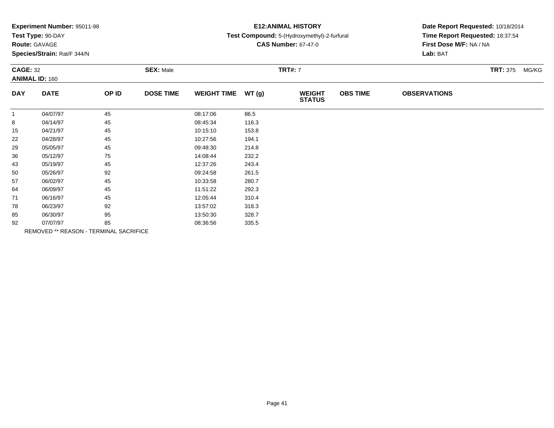| Experiment Number: 95011-98 |  |  |
|-----------------------------|--|--|
|-----------------------------|--|--|

# **Route:** GAVAGE

**Species/Strain:** Rat/F 344/N

## **E12:ANIMAL HISTORY**

### **Test Compound:** 5-(Hydroxymethyl)-2-furfural

**CAS Number:** 67-47-0

| <b>CAGE: 32</b><br><b>ANIMAL ID: 160</b> |             | <b>SEX: Male</b>                       |                  |                    | <b>TRT#:</b> 7 |                                | <b>TRT: 375</b> | MG/KG               |  |  |
|------------------------------------------|-------------|----------------------------------------|------------------|--------------------|----------------|--------------------------------|-----------------|---------------------|--|--|
| <b>DAY</b>                               | <b>DATE</b> | OP ID                                  | <b>DOSE TIME</b> | <b>WEIGHT TIME</b> | WT(g)          | <b>WEIGHT</b><br><b>STATUS</b> | <b>OBS TIME</b> | <b>OBSERVATIONS</b> |  |  |
| $\mathbf{1}$                             | 04/07/97    | 45                                     |                  | 08:17:06           | 86.5           |                                |                 |                     |  |  |
| 8                                        | 04/14/97    | 45                                     |                  | 08:45:34           | 116.3          |                                |                 |                     |  |  |
| 15                                       | 04/21/97    | 45                                     |                  | 10:15:10           | 153.8          |                                |                 |                     |  |  |
| 22                                       | 04/28/97    | 45                                     |                  | 10:27:56           | 194.1          |                                |                 |                     |  |  |
| 29                                       | 05/05/97    | 45                                     |                  | 09:48:30           | 214.8          |                                |                 |                     |  |  |
| 36                                       | 05/12/97    | 75                                     |                  | 14:08:44           | 232.2          |                                |                 |                     |  |  |
| 43                                       | 05/19/97    | 45                                     |                  | 12:37:26           | 243.4          |                                |                 |                     |  |  |
| 50                                       | 05/26/97    | 92                                     |                  | 09:24:58           | 261.5          |                                |                 |                     |  |  |
| 57                                       | 06/02/97    | 45                                     |                  | 10:33:58           | 280.7          |                                |                 |                     |  |  |
| 64                                       | 06/09/97    | 45                                     |                  | 11:51:22           | 292.3          |                                |                 |                     |  |  |
| 71                                       | 06/16/97    | 45                                     |                  | 12:05:44           | 310.4          |                                |                 |                     |  |  |
| 78                                       | 06/23/97    | 92                                     |                  | 13:57:02           | 318.3          |                                |                 |                     |  |  |
| 85                                       | 06/30/97    | 95                                     |                  | 13:50:30           | 328.7          |                                |                 |                     |  |  |
| 92                                       | 07/07/97    | 85                                     |                  | 08:36:56           | 335.5          |                                |                 |                     |  |  |
|                                          |             | REMOVED ** REASON - TERMINAL SACRIFICE |                  |                    |                |                                |                 |                     |  |  |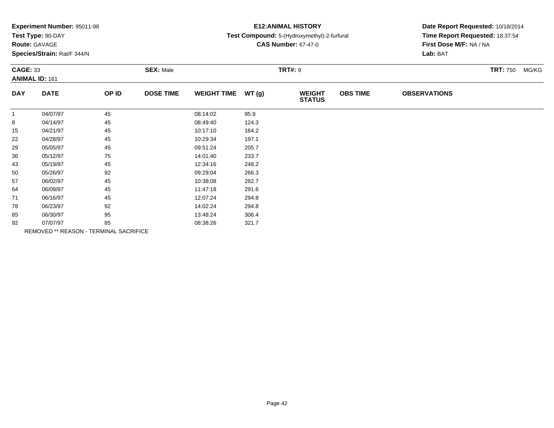| Experiment Number: 95011-98 |  |  |
|-----------------------------|--|--|
|-----------------------------|--|--|

## **Route:** GAVAGE

**Species/Strain:** Rat/F 344/N

# **E12:ANIMAL HISTORY**

#### **Test Compound:** 5-(Hydroxymethyl)-2-furfural

**CAS Number:** 67-47-0

| <b>CAGE: 33</b><br><b>ANIMAL ID: 161</b> |             | <b>SEX: Male</b>                       |                  |                    | <b>TRT#: 9</b> |                                | <b>TRT: 750</b> | MG/KG               |  |  |
|------------------------------------------|-------------|----------------------------------------|------------------|--------------------|----------------|--------------------------------|-----------------|---------------------|--|--|
| <b>DAY</b>                               | <b>DATE</b> | OP ID                                  | <b>DOSE TIME</b> | <b>WEIGHT TIME</b> | WT(g)          | <b>WEIGHT</b><br><b>STATUS</b> | <b>OBS TIME</b> | <b>OBSERVATIONS</b> |  |  |
| $\mathbf{1}$                             | 04/07/97    | 45                                     |                  | 08:14:02           | 95.9           |                                |                 |                     |  |  |
| 8                                        | 04/14/97    | 45                                     |                  | 08:49:40           | 124.3          |                                |                 |                     |  |  |
| 15                                       | 04/21/97    | 45                                     |                  | 10:17:10           | 164.2          |                                |                 |                     |  |  |
| 22                                       | 04/28/97    | 45                                     |                  | 10:29:34           | 197.1          |                                |                 |                     |  |  |
| 29                                       | 05/05/97    | 45                                     |                  | 09:51:24           | 205.7          |                                |                 |                     |  |  |
| 36                                       | 05/12/97    | 75                                     |                  | 14:01:40           | 233.7          |                                |                 |                     |  |  |
| 43                                       | 05/19/97    | 45                                     |                  | 12:34:16           | 248.2          |                                |                 |                     |  |  |
| 50                                       | 05/26/97    | 92                                     |                  | 09:29:04           | 266.3          |                                |                 |                     |  |  |
| 57                                       | 06/02/97    | 45                                     |                  | 10:38:08           | 282.7          |                                |                 |                     |  |  |
| 64                                       | 06/09/97    | 45                                     |                  | 11:47:18           | 291.6          |                                |                 |                     |  |  |
| 71                                       | 06/16/97    | 45                                     |                  | 12:07:24           | 294.8          |                                |                 |                     |  |  |
| 78                                       | 06/23/97    | 92                                     |                  | 14:02:24           | 294.8          |                                |                 |                     |  |  |
| 85                                       | 06/30/97    | 95                                     |                  | 13:48:24           | 306.4          |                                |                 |                     |  |  |
| 92                                       | 07/07/97    | 85                                     |                  | 08:38:26           | 321.7          |                                |                 |                     |  |  |
|                                          |             | REMOVED ** REASON - TERMINAL SACRIFICE |                  |                    |                |                                |                 |                     |  |  |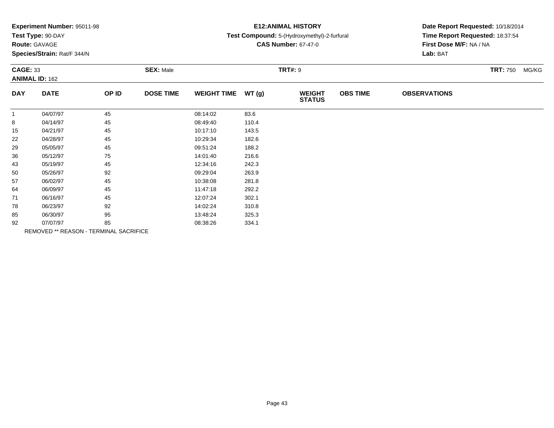| Experiment Number: 95011-98 |  |  |
|-----------------------------|--|--|
|-----------------------------|--|--|

## **Route:** GAVAGE

**Species/Strain:** Rat/F 344/N

## **E12:ANIMAL HISTORY**

#### **Test Compound:** 5-(Hydroxymethyl)-2-furfural

**CAS Number:** 67-47-0

| <b>CAGE: 33</b> | <b>ANIMAL ID: 162</b> |                                        | <b>SEX: Male</b> |                    |       | <b>TRT#: 9</b>                 |                 |                     | <b>TRT: 750</b> | MG/KG |
|-----------------|-----------------------|----------------------------------------|------------------|--------------------|-------|--------------------------------|-----------------|---------------------|-----------------|-------|
| <b>DAY</b>      | <b>DATE</b>           | OP ID                                  | <b>DOSE TIME</b> | <b>WEIGHT TIME</b> | WT(g) | <b>WEIGHT</b><br><b>STATUS</b> | <b>OBS TIME</b> | <b>OBSERVATIONS</b> |                 |       |
| $\mathbf{1}$    | 04/07/97              | 45                                     |                  | 08:14:02           | 83.6  |                                |                 |                     |                 |       |
| 8               | 04/14/97              | 45                                     |                  | 08:49:40           | 110.4 |                                |                 |                     |                 |       |
| 15              | 04/21/97              | 45                                     |                  | 10:17:10           | 143.5 |                                |                 |                     |                 |       |
| 22              | 04/28/97              | 45                                     |                  | 10:29:34           | 182.6 |                                |                 |                     |                 |       |
| 29              | 05/05/97              | 45                                     |                  | 09:51:24           | 188.2 |                                |                 |                     |                 |       |
| 36              | 05/12/97              | 75                                     |                  | 14:01:40           | 216.6 |                                |                 |                     |                 |       |
| 43              | 05/19/97              | 45                                     |                  | 12:34:16           | 242.3 |                                |                 |                     |                 |       |
| 50              | 05/26/97              | 92                                     |                  | 09:29:04           | 263.9 |                                |                 |                     |                 |       |
| 57              | 06/02/97              | 45                                     |                  | 10:38:08           | 281.8 |                                |                 |                     |                 |       |
| 64              | 06/09/97              | 45                                     |                  | 11:47:18           | 292.2 |                                |                 |                     |                 |       |
| 71              | 06/16/97              | 45                                     |                  | 12:07:24           | 302.1 |                                |                 |                     |                 |       |
| 78              | 06/23/97              | 92                                     |                  | 14:02:24           | 310.8 |                                |                 |                     |                 |       |
| 85              | 06/30/97              | 95                                     |                  | 13:48:24           | 325.3 |                                |                 |                     |                 |       |
| 92              | 07/07/97              | 85                                     |                  | 08:38:26           | 334.1 |                                |                 |                     |                 |       |
|                 |                       | REMOVED ** REASON - TERMINAL SACRIFICE |                  |                    |       |                                |                 |                     |                 |       |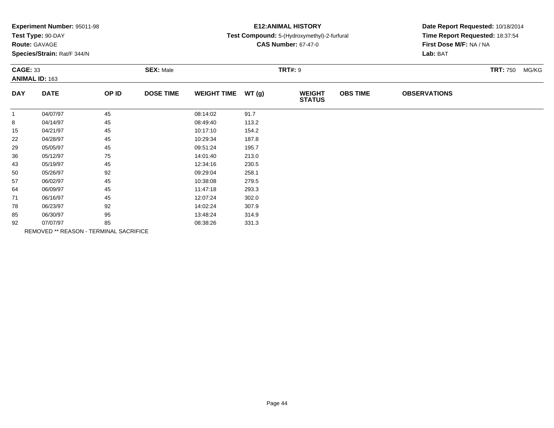| Experiment Number: 95011-98 |  |  |
|-----------------------------|--|--|
|-----------------------------|--|--|

## **Route:** GAVAGE

**Species/Strain:** Rat/F 344/N

# **E12:ANIMAL HISTORY**

#### **Test Compound:** 5-(Hydroxymethyl)-2-furfural

**CAS Number:** 67-47-0

| <b>CAGE: 33</b> | <b>ANIMAL ID: 163</b> |                                        | <b>SEX: Male</b> |                    |       | <b>TRT#: 9</b>                 |                 |                     | <b>TRT: 750</b><br>MG/KG |
|-----------------|-----------------------|----------------------------------------|------------------|--------------------|-------|--------------------------------|-----------------|---------------------|--------------------------|
| <b>DAY</b>      | <b>DATE</b>           | OP ID                                  | <b>DOSE TIME</b> | <b>WEIGHT TIME</b> | WT(g) | <b>WEIGHT</b><br><b>STATUS</b> | <b>OBS TIME</b> | <b>OBSERVATIONS</b> |                          |
| $\mathbf{1}$    | 04/07/97              | 45                                     |                  | 08:14:02           | 91.7  |                                |                 |                     |                          |
| 8               | 04/14/97              | 45                                     |                  | 08:49:40           | 113.2 |                                |                 |                     |                          |
| 15              | 04/21/97              | 45                                     |                  | 10:17:10           | 154.2 |                                |                 |                     |                          |
| 22              | 04/28/97              | 45                                     |                  | 10:29:34           | 187.8 |                                |                 |                     |                          |
| 29              | 05/05/97              | 45                                     |                  | 09:51:24           | 195.7 |                                |                 |                     |                          |
| 36              | 05/12/97              | 75                                     |                  | 14:01:40           | 213.0 |                                |                 |                     |                          |
| 43              | 05/19/97              | 45                                     |                  | 12:34:16           | 230.5 |                                |                 |                     |                          |
| 50              | 05/26/97              | 92                                     |                  | 09:29:04           | 258.1 |                                |                 |                     |                          |
| 57              | 06/02/97              | 45                                     |                  | 10:38:08           | 279.5 |                                |                 |                     |                          |
| 64              | 06/09/97              | 45                                     |                  | 11:47:18           | 293.3 |                                |                 |                     |                          |
| 71              | 06/16/97              | 45                                     |                  | 12:07:24           | 302.0 |                                |                 |                     |                          |
| 78              | 06/23/97              | 92                                     |                  | 14:02:24           | 307.9 |                                |                 |                     |                          |
| 85              | 06/30/97              | 95                                     |                  | 13:48:24           | 314.9 |                                |                 |                     |                          |
| 92              | 07/07/97              | 85                                     |                  | 08:38:26           | 331.3 |                                |                 |                     |                          |
|                 |                       | REMOVED ** REASON - TERMINAL SACRIFICE |                  |                    |       |                                |                 |                     |                          |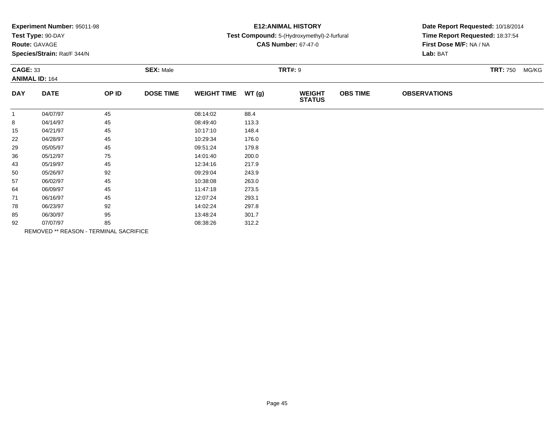| Experiment Number: 95011-98 |  |  |
|-----------------------------|--|--|
|-----------------------------|--|--|

## **Route:** GAVAGE

**Species/Strain:** Rat/F 344/N

## **E12:ANIMAL HISTORY**

#### **Test Compound:** 5-(Hydroxymethyl)-2-furfural

**CAS Number:** 67-47-0

| <b>CAGE: 33</b> | <b>ANIMAL ID: 164</b> |                                        | <b>SEX: Male</b> |                    |       | <b>TRT#: 9</b>                 |                 |                     | <b>TRT: 750</b> | MG/KG |
|-----------------|-----------------------|----------------------------------------|------------------|--------------------|-------|--------------------------------|-----------------|---------------------|-----------------|-------|
| <b>DAY</b>      | <b>DATE</b>           | OP ID                                  | <b>DOSE TIME</b> | <b>WEIGHT TIME</b> | WT(g) | <b>WEIGHT</b><br><b>STATUS</b> | <b>OBS TIME</b> | <b>OBSERVATIONS</b> |                 |       |
| $\mathbf{1}$    | 04/07/97              | 45                                     |                  | 08:14:02           | 88.4  |                                |                 |                     |                 |       |
| 8               | 04/14/97              | 45                                     |                  | 08:49:40           | 113.3 |                                |                 |                     |                 |       |
| 15              | 04/21/97              | 45                                     |                  | 10:17:10           | 148.4 |                                |                 |                     |                 |       |
| 22              | 04/28/97              | 45                                     |                  | 10:29:34           | 176.0 |                                |                 |                     |                 |       |
| 29              | 05/05/97              | 45                                     |                  | 09:51:24           | 179.8 |                                |                 |                     |                 |       |
| 36              | 05/12/97              | 75                                     |                  | 14:01:40           | 200.0 |                                |                 |                     |                 |       |
| 43              | 05/19/97              | 45                                     |                  | 12:34:16           | 217.9 |                                |                 |                     |                 |       |
| 50              | 05/26/97              | 92                                     |                  | 09:29:04           | 243.9 |                                |                 |                     |                 |       |
| 57              | 06/02/97              | 45                                     |                  | 10:38:08           | 263.0 |                                |                 |                     |                 |       |
| 64              | 06/09/97              | 45                                     |                  | 11:47:18           | 273.5 |                                |                 |                     |                 |       |
| 71              | 06/16/97              | 45                                     |                  | 12:07:24           | 293.1 |                                |                 |                     |                 |       |
| 78              | 06/23/97              | 92                                     |                  | 14:02:24           | 297.8 |                                |                 |                     |                 |       |
| 85              | 06/30/97              | 95                                     |                  | 13:48:24           | 301.7 |                                |                 |                     |                 |       |
| 92              | 07/07/97              | 85                                     |                  | 08:38:26           | 312.2 |                                |                 |                     |                 |       |
|                 |                       | REMOVED ** REASON - TERMINAL SACRIFICE |                  |                    |       |                                |                 |                     |                 |       |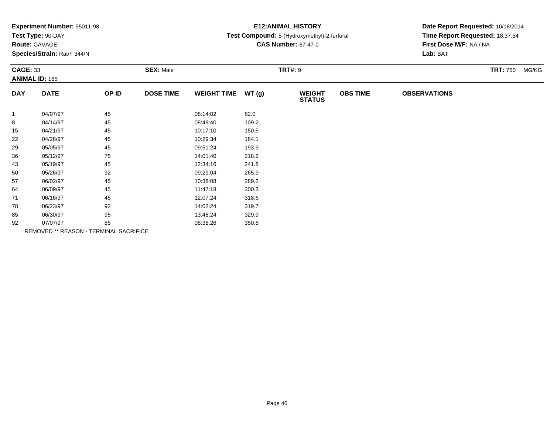| Experiment Number: 95011-98 |  |  |
|-----------------------------|--|--|
|-----------------------------|--|--|

# **Route:** GAVAGE

**Species/Strain:** Rat/F 344/N

## **E12:ANIMAL HISTORY**

#### **Test Compound:** 5-(Hydroxymethyl)-2-furfural

**CAS Number:** 67-47-0

| <b>CAGE: 33</b> | <b>ANIMAL ID: 165</b> |                                        | <b>SEX: Male</b> |                    |       | <b>TRT#: 9</b>                 |                 |                     | <b>TRT: 750</b> | MG/KG |
|-----------------|-----------------------|----------------------------------------|------------------|--------------------|-------|--------------------------------|-----------------|---------------------|-----------------|-------|
| <b>DAY</b>      | <b>DATE</b>           | OP ID                                  | <b>DOSE TIME</b> | <b>WEIGHT TIME</b> | WT(g) | <b>WEIGHT</b><br><b>STATUS</b> | <b>OBS TIME</b> | <b>OBSERVATIONS</b> |                 |       |
| $\mathbf{1}$    | 04/07/97              | 45                                     |                  | 08:14:02           | 82.0  |                                |                 |                     |                 |       |
| 8               | 04/14/97              | 45                                     |                  | 08:49:40           | 109.2 |                                |                 |                     |                 |       |
| 15              | 04/21/97              | 45                                     |                  | 10:17:10           | 150.5 |                                |                 |                     |                 |       |
| 22              | 04/28/97              | 45                                     |                  | 10:29:34           | 184.1 |                                |                 |                     |                 |       |
| 29              | 05/05/97              | 45                                     |                  | 09:51:24           | 193.9 |                                |                 |                     |                 |       |
| 36              | 05/12/97              | 75                                     |                  | 14:01:40           | 218.2 |                                |                 |                     |                 |       |
| 43              | 05/19/97              | 45                                     |                  | 12:34:16           | 241.8 |                                |                 |                     |                 |       |
| 50              | 05/26/97              | 92                                     |                  | 09:29:04           | 265.9 |                                |                 |                     |                 |       |
| 57              | 06/02/97              | 45                                     |                  | 10:38:08           | 289.2 |                                |                 |                     |                 |       |
| 64              | 06/09/97              | 45                                     |                  | 11:47:18           | 300.3 |                                |                 |                     |                 |       |
| 71              | 06/16/97              | 45                                     |                  | 12:07:24           | 318.6 |                                |                 |                     |                 |       |
| 78              | 06/23/97              | 92                                     |                  | 14:02:24           | 319.7 |                                |                 |                     |                 |       |
| 85              | 06/30/97              | 95                                     |                  | 13:48:24           | 329.9 |                                |                 |                     |                 |       |
| 92              | 07/07/97              | 85                                     |                  | 08:38:26           | 350.8 |                                |                 |                     |                 |       |
|                 |                       | REMOVED ** REASON - TERMINAL SACRIFICE |                  |                    |       |                                |                 |                     |                 |       |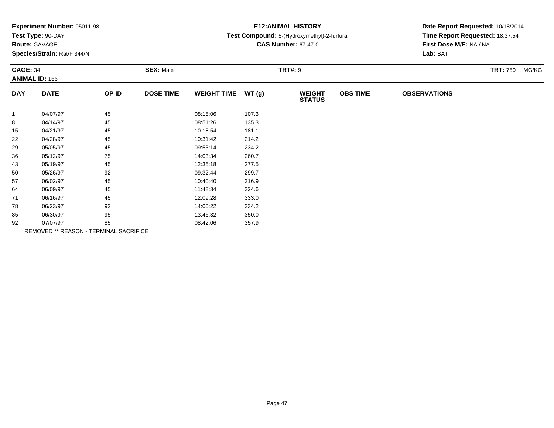| Experiment Number: 95011-98 |  |  |
|-----------------------------|--|--|
|-----------------------------|--|--|

# **Route:** GAVAGE

**Species/Strain:** Rat/F 344/N

# **E12:ANIMAL HISTORY**

### **Test Compound:** 5-(Hydroxymethyl)-2-furfural

**CAS Number:** 67-47-0

| <b>CAGE: 34</b> | <b>ANIMAL ID: 166</b>                  |       | <b>SEX: Male</b> |                    |       | <b>TRT#: 9</b>                 |                 |                     | <b>TRT: 750</b><br>MG/KG |
|-----------------|----------------------------------------|-------|------------------|--------------------|-------|--------------------------------|-----------------|---------------------|--------------------------|
| <b>DAY</b>      | <b>DATE</b>                            | OP ID | <b>DOSE TIME</b> | <b>WEIGHT TIME</b> | WT(g) | <b>WEIGHT</b><br><b>STATUS</b> | <b>OBS TIME</b> | <b>OBSERVATIONS</b> |                          |
| $\mathbf{1}$    | 04/07/97                               | 45    |                  | 08:15:06           | 107.3 |                                |                 |                     |                          |
| 8               | 04/14/97                               | 45    |                  | 08:51:26           | 135.3 |                                |                 |                     |                          |
| 15              | 04/21/97                               | 45    |                  | 10:18:54           | 181.1 |                                |                 |                     |                          |
| 22              | 04/28/97                               | 45    |                  | 10:31:42           | 214.2 |                                |                 |                     |                          |
| 29              | 05/05/97                               | 45    |                  | 09:53:14           | 234.2 |                                |                 |                     |                          |
| 36              | 05/12/97                               | 75    |                  | 14:03:34           | 260.7 |                                |                 |                     |                          |
| 43              | 05/19/97                               | 45    |                  | 12:35:18           | 277.5 |                                |                 |                     |                          |
| 50              | 05/26/97                               | 92    |                  | 09:32:44           | 299.7 |                                |                 |                     |                          |
| 57              | 06/02/97                               | 45    |                  | 10:40:40           | 316.9 |                                |                 |                     |                          |
| 64              | 06/09/97                               | 45    |                  | 11:48:34           | 324.6 |                                |                 |                     |                          |
| 71              | 06/16/97                               | 45    |                  | 12:09:28           | 333.0 |                                |                 |                     |                          |
| 78              | 06/23/97                               | 92    |                  | 14:00:22           | 334.2 |                                |                 |                     |                          |
| 85              | 06/30/97                               | 95    |                  | 13:46:32           | 350.0 |                                |                 |                     |                          |
| 92              | 07/07/97                               | 85    |                  | 08:42:06           | 357.9 |                                |                 |                     |                          |
|                 | REMOVED ** REASON - TERMINAL SACRIFICE |       |                  |                    |       |                                |                 |                     |                          |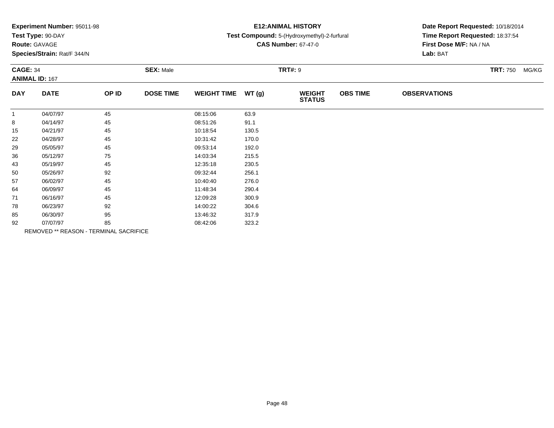| Experiment Number: 95011-98 |  |  |
|-----------------------------|--|--|
|-----------------------------|--|--|

## **Route:** GAVAGE

**Species/Strain:** Rat/F 344/N

# **E12:ANIMAL HISTORY**

#### **Test Compound:** 5-(Hydroxymethyl)-2-furfural

**CAS Number:** 67-47-0

| <b>CAGE: 34</b> | <b>ANIMAL ID: 167</b> |                                        | <b>SEX: Male</b> |                    |       | <b>TRT#: 9</b>                 |                 |                     | <b>TRT: 750</b><br>MG/KG |
|-----------------|-----------------------|----------------------------------------|------------------|--------------------|-------|--------------------------------|-----------------|---------------------|--------------------------|
| <b>DAY</b>      | <b>DATE</b>           | OP ID                                  | <b>DOSE TIME</b> | <b>WEIGHT TIME</b> | WT(g) | <b>WEIGHT</b><br><b>STATUS</b> | <b>OBS TIME</b> | <b>OBSERVATIONS</b> |                          |
| $\mathbf{1}$    | 04/07/97              | 45                                     |                  | 08:15:06           | 63.9  |                                |                 |                     |                          |
| 8               | 04/14/97              | 45                                     |                  | 08:51:26           | 91.1  |                                |                 |                     |                          |
| 15              | 04/21/97              | 45                                     |                  | 10:18:54           | 130.5 |                                |                 |                     |                          |
| 22              | 04/28/97              | 45                                     |                  | 10:31:42           | 170.0 |                                |                 |                     |                          |
| 29              | 05/05/97              | 45                                     |                  | 09:53:14           | 192.0 |                                |                 |                     |                          |
| 36              | 05/12/97              | 75                                     |                  | 14:03:34           | 215.5 |                                |                 |                     |                          |
| 43              | 05/19/97              | 45                                     |                  | 12:35:18           | 230.5 |                                |                 |                     |                          |
| 50              | 05/26/97              | 92                                     |                  | 09:32:44           | 256.1 |                                |                 |                     |                          |
| 57              | 06/02/97              | 45                                     |                  | 10:40:40           | 276.0 |                                |                 |                     |                          |
| 64              | 06/09/97              | 45                                     |                  | 11:48:34           | 290.4 |                                |                 |                     |                          |
| 71              | 06/16/97              | 45                                     |                  | 12:09:28           | 300.9 |                                |                 |                     |                          |
| 78              | 06/23/97              | 92                                     |                  | 14:00:22           | 304.6 |                                |                 |                     |                          |
| 85              | 06/30/97              | 95                                     |                  | 13:46:32           | 317.9 |                                |                 |                     |                          |
| 92              | 07/07/97              | 85                                     |                  | 08:42:06           | 323.2 |                                |                 |                     |                          |
|                 |                       | REMOVED ** REASON - TERMINAL SACRIFICE |                  |                    |       |                                |                 |                     |                          |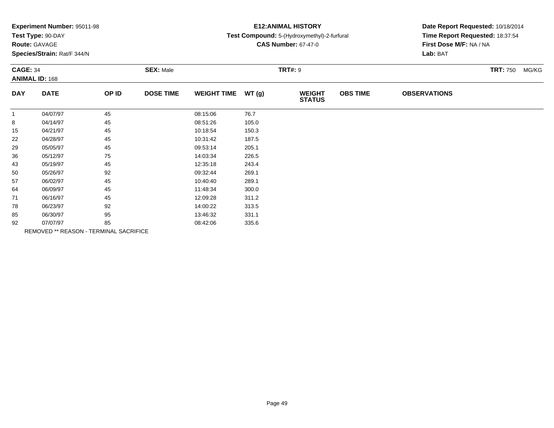| Experiment Number: 95011-98 |  |  |
|-----------------------------|--|--|
|-----------------------------|--|--|

# **Route:** GAVAGE

**Species/Strain:** Rat/F 344/N

## **E12:ANIMAL HISTORY**

#### **Test Compound:** 5-(Hydroxymethyl)-2-furfural

**CAS Number:** 67-47-0

| <b>CAGE: 34</b> | <b>ANIMAL ID: 168</b> |                                        | <b>SEX: Male</b> |                    |       | <b>TRT#: 9</b>                 |                 |                     | <b>TRT: 750</b> | MG/KG |
|-----------------|-----------------------|----------------------------------------|------------------|--------------------|-------|--------------------------------|-----------------|---------------------|-----------------|-------|
| <b>DAY</b>      | <b>DATE</b>           | OP ID                                  | <b>DOSE TIME</b> | <b>WEIGHT TIME</b> | WT(g) | <b>WEIGHT</b><br><b>STATUS</b> | <b>OBS TIME</b> | <b>OBSERVATIONS</b> |                 |       |
| $\mathbf{1}$    | 04/07/97              | 45                                     |                  | 08:15:06           | 76.7  |                                |                 |                     |                 |       |
| 8               | 04/14/97              | 45                                     |                  | 08:51:26           | 105.0 |                                |                 |                     |                 |       |
| 15              | 04/21/97              | 45                                     |                  | 10:18:54           | 150.3 |                                |                 |                     |                 |       |
| 22              | 04/28/97              | 45                                     |                  | 10:31:42           | 187.5 |                                |                 |                     |                 |       |
| 29              | 05/05/97              | 45                                     |                  | 09:53:14           | 205.1 |                                |                 |                     |                 |       |
| 36              | 05/12/97              | 75                                     |                  | 14:03:34           | 226.5 |                                |                 |                     |                 |       |
| 43              | 05/19/97              | 45                                     |                  | 12:35:18           | 243.4 |                                |                 |                     |                 |       |
| 50              | 05/26/97              | 92                                     |                  | 09:32:44           | 269.1 |                                |                 |                     |                 |       |
| 57              | 06/02/97              | 45                                     |                  | 10:40:40           | 289.1 |                                |                 |                     |                 |       |
| 64              | 06/09/97              | 45                                     |                  | 11:48:34           | 300.0 |                                |                 |                     |                 |       |
| 71              | 06/16/97              | 45                                     |                  | 12:09:28           | 311.2 |                                |                 |                     |                 |       |
| 78              | 06/23/97              | 92                                     |                  | 14:00:22           | 313.5 |                                |                 |                     |                 |       |
| 85              | 06/30/97              | 95                                     |                  | 13:46:32           | 331.1 |                                |                 |                     |                 |       |
| 92              | 07/07/97              | 85                                     |                  | 08:42:06           | 335.6 |                                |                 |                     |                 |       |
|                 |                       | REMOVED ** REASON - TERMINAL SACRIFICE |                  |                    |       |                                |                 |                     |                 |       |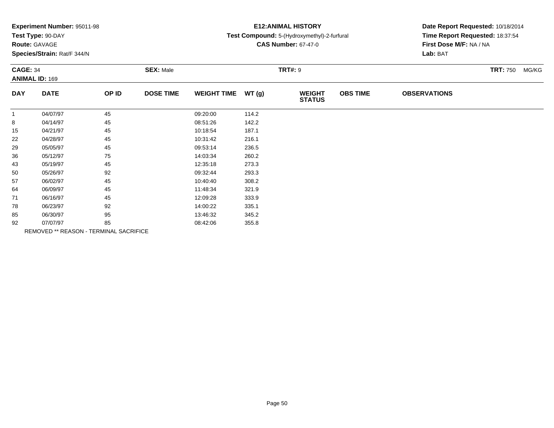| Experiment Number: 95011-98 |  |  |
|-----------------------------|--|--|
|-----------------------------|--|--|

# **Route:** GAVAGE

**Species/Strain:** Rat/F 344/N

# **E12:ANIMAL HISTORY**

### **Test Compound:** 5-(Hydroxymethyl)-2-furfural

**CAS Number:** 67-47-0

| <b>CAGE: 34</b><br><b>ANIMAL ID: 169</b> |             | <b>SEX: Male</b>                       |                  |                    |       | <b>TRT#: 9</b>                 |                 | <b>TRT: 750</b><br>MG/KG |  |
|------------------------------------------|-------------|----------------------------------------|------------------|--------------------|-------|--------------------------------|-----------------|--------------------------|--|
| <b>DAY</b>                               | <b>DATE</b> | OP ID                                  | <b>DOSE TIME</b> | <b>WEIGHT TIME</b> | WT(g) | <b>WEIGHT</b><br><b>STATUS</b> | <b>OBS TIME</b> | <b>OBSERVATIONS</b>      |  |
| $\mathbf{1}$                             | 04/07/97    | 45                                     |                  | 09:20:00           | 114.2 |                                |                 |                          |  |
| 8                                        | 04/14/97    | 45                                     |                  | 08:51:26           | 142.2 |                                |                 |                          |  |
| 15                                       | 04/21/97    | 45                                     |                  | 10:18:54           | 187.1 |                                |                 |                          |  |
| 22                                       | 04/28/97    | 45                                     |                  | 10:31:42           | 216.1 |                                |                 |                          |  |
| 29                                       | 05/05/97    | 45                                     |                  | 09:53:14           | 236.5 |                                |                 |                          |  |
| 36                                       | 05/12/97    | 75                                     |                  | 14:03:34           | 260.2 |                                |                 |                          |  |
| 43                                       | 05/19/97    | 45                                     |                  | 12:35:18           | 273.3 |                                |                 |                          |  |
| 50                                       | 05/26/97    | 92                                     |                  | 09:32:44           | 293.3 |                                |                 |                          |  |
| 57                                       | 06/02/97    | 45                                     |                  | 10:40:40           | 308.2 |                                |                 |                          |  |
| 64                                       | 06/09/97    | 45                                     |                  | 11:48:34           | 321.9 |                                |                 |                          |  |
| 71                                       | 06/16/97    | 45                                     |                  | 12:09:28           | 333.9 |                                |                 |                          |  |
| 78                                       | 06/23/97    | 92                                     |                  | 14:00:22           | 335.1 |                                |                 |                          |  |
| 85                                       | 06/30/97    | 95                                     |                  | 13:46:32           | 345.2 |                                |                 |                          |  |
| 92                                       | 07/07/97    | 85                                     |                  | 08:42:06           | 355.8 |                                |                 |                          |  |
|                                          |             | REMOVED ** REASON - TERMINAL SACRIFICE |                  |                    |       |                                |                 |                          |  |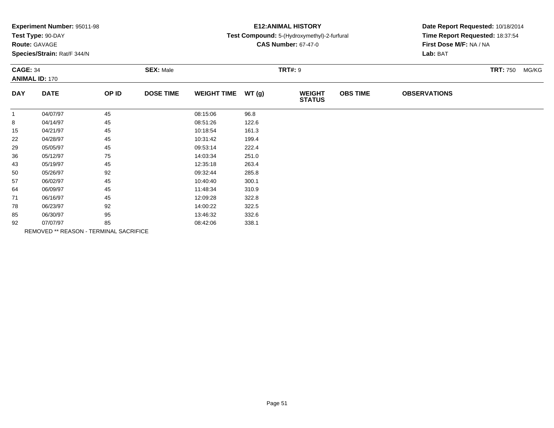| Experiment Number: 95011-98 |  |  |
|-----------------------------|--|--|
|-----------------------------|--|--|

# **Route:** GAVAGE

**Species/Strain:** Rat/F 344/N

## **E12:ANIMAL HISTORY**

#### **Test Compound:** 5-(Hydroxymethyl)-2-furfural

**CAS Number:** 67-47-0

| <b>CAGE: 34</b><br><b>ANIMAL ID: 170</b> |             |                                        | <b>SEX: Male</b> |                    | <b>TRT#: 9</b> |                                |                 |                     |  |  |
|------------------------------------------|-------------|----------------------------------------|------------------|--------------------|----------------|--------------------------------|-----------------|---------------------|--|--|
| <b>DAY</b>                               | <b>DATE</b> | OP ID                                  | <b>DOSE TIME</b> | <b>WEIGHT TIME</b> | WT(g)          | <b>WEIGHT</b><br><b>STATUS</b> | <b>OBS TIME</b> | <b>OBSERVATIONS</b> |  |  |
| $\mathbf{1}$                             | 04/07/97    | 45                                     |                  | 08:15:06           | 96.8           |                                |                 |                     |  |  |
| 8                                        | 04/14/97    | 45                                     |                  | 08:51:26           | 122.6          |                                |                 |                     |  |  |
| 15                                       | 04/21/97    | 45                                     |                  | 10:18:54           | 161.3          |                                |                 |                     |  |  |
| 22                                       | 04/28/97    | 45                                     |                  | 10:31:42           | 199.4          |                                |                 |                     |  |  |
| 29                                       | 05/05/97    | 45                                     |                  | 09:53:14           | 222.4          |                                |                 |                     |  |  |
| 36                                       | 05/12/97    | 75                                     |                  | 14:03:34           | 251.0          |                                |                 |                     |  |  |
| 43                                       | 05/19/97    | 45                                     |                  | 12:35:18           | 263.4          |                                |                 |                     |  |  |
| 50                                       | 05/26/97    | 92                                     |                  | 09:32:44           | 285.8          |                                |                 |                     |  |  |
| 57                                       | 06/02/97    | 45                                     |                  | 10:40:40           | 300.1          |                                |                 |                     |  |  |
| 64                                       | 06/09/97    | 45                                     |                  | 11:48:34           | 310.9          |                                |                 |                     |  |  |
| 71                                       | 06/16/97    | 45                                     |                  | 12:09:28           | 322.8          |                                |                 |                     |  |  |
| 78                                       | 06/23/97    | 92                                     |                  | 14:00:22           | 322.5          |                                |                 |                     |  |  |
| 85                                       | 06/30/97    | 95                                     |                  | 13:46:32           | 332.6          |                                |                 |                     |  |  |
| 92                                       | 07/07/97    | 85                                     |                  | 08:42:06           | 338.1          |                                |                 |                     |  |  |
|                                          |             | REMOVED ** REASON - TERMINAL SACRIFICE |                  |                    |                |                                |                 |                     |  |  |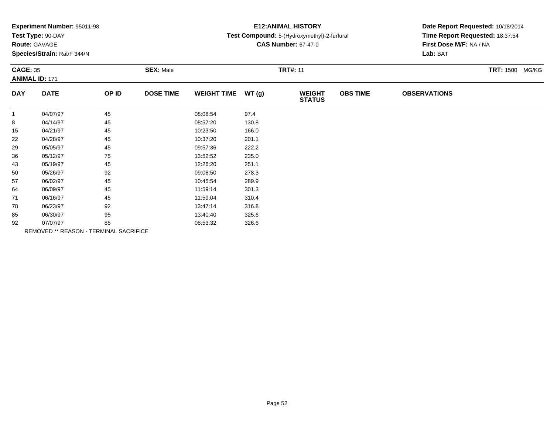| Experiment Number: 95011-98 |  |  |
|-----------------------------|--|--|
|-----------------------------|--|--|

# **Route:** GAVAGE

**Species/Strain:** Rat/F 344/N

## **E12:ANIMAL HISTORY**

#### **Test Compound:** 5-(Hydroxymethyl)-2-furfural

**CAS Number:** 67-47-0

| <b>CAGE: 35</b><br><b>ANIMAL ID: 171</b> |             |                                               | <b>SEX: Male</b> |                    |       | <b>TRT#: 11</b>                | <b>TRT: 1500 MG/KG</b> |                     |  |
|------------------------------------------|-------------|-----------------------------------------------|------------------|--------------------|-------|--------------------------------|------------------------|---------------------|--|
| <b>DAY</b>                               | <b>DATE</b> | OP ID                                         | <b>DOSE TIME</b> | <b>WEIGHT TIME</b> | WT(g) | <b>WEIGHT</b><br><b>STATUS</b> | <b>OBS TIME</b>        | <b>OBSERVATIONS</b> |  |
| $\mathbf{1}$                             | 04/07/97    | 45                                            |                  | 08:08:54           | 97.4  |                                |                        |                     |  |
| 8                                        | 04/14/97    | 45                                            |                  | 08:57:20           | 130.8 |                                |                        |                     |  |
| 15                                       | 04/21/97    | 45                                            |                  | 10:23:50           | 166.0 |                                |                        |                     |  |
| 22                                       | 04/28/97    | 45                                            |                  | 10:37:20           | 201.1 |                                |                        |                     |  |
| 29                                       | 05/05/97    | 45                                            |                  | 09:57:36           | 222.2 |                                |                        |                     |  |
| 36                                       | 05/12/97    | 75                                            |                  | 13:52:52           | 235.0 |                                |                        |                     |  |
| 43                                       | 05/19/97    | 45                                            |                  | 12:26:20           | 251.1 |                                |                        |                     |  |
| 50                                       | 05/26/97    | 92                                            |                  | 09:08:50           | 278.3 |                                |                        |                     |  |
| 57                                       | 06/02/97    | 45                                            |                  | 10:45:54           | 289.9 |                                |                        |                     |  |
| 64                                       | 06/09/97    | 45                                            |                  | 11:59:14           | 301.3 |                                |                        |                     |  |
| 71                                       | 06/16/97    | 45                                            |                  | 11:59:04           | 310.4 |                                |                        |                     |  |
| 78                                       | 06/23/97    | 92                                            |                  | 13:47:14           | 316.8 |                                |                        |                     |  |
| 85                                       | 06/30/97    | 95                                            |                  | 13:40:40           | 325.6 |                                |                        |                     |  |
| 92                                       | 07/07/97    | 85                                            |                  | 08:53:32           | 326.6 |                                |                        |                     |  |
|                                          |             | <b>REMOVED ** REASON - TERMINAL SACRIFICE</b> |                  |                    |       |                                |                        |                     |  |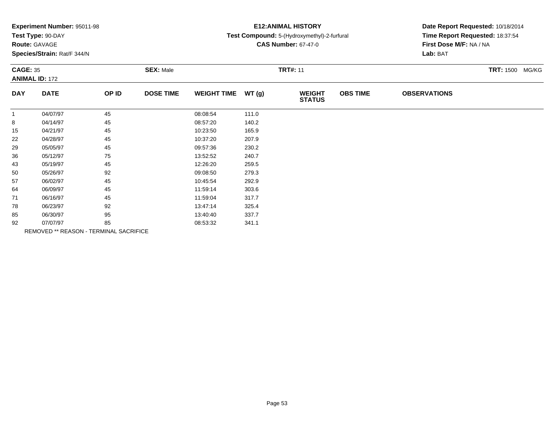|  | Experiment Number: 95011-98 |  |
|--|-----------------------------|--|
|--|-----------------------------|--|

## **Route:** GAVAGE

**Species/Strain:** Rat/F 344/N

# **E12:ANIMAL HISTORY**

#### **Test Compound:** 5-(Hydroxymethyl)-2-furfural

**CAS Number:** 67-47-0

| <b>CAGE: 35</b><br><b>ANIMAL ID: 172</b> |             |                                               | <b>SEX: Male</b> |                    |       | <b>TRT#: 11</b>                | <b>TRT: 1500 MG/KG</b> |                     |  |
|------------------------------------------|-------------|-----------------------------------------------|------------------|--------------------|-------|--------------------------------|------------------------|---------------------|--|
| <b>DAY</b>                               | <b>DATE</b> | OP ID                                         | <b>DOSE TIME</b> | <b>WEIGHT TIME</b> | WT(g) | <b>WEIGHT</b><br><b>STATUS</b> | <b>OBS TIME</b>        | <b>OBSERVATIONS</b> |  |
| $\mathbf{1}$                             | 04/07/97    | 45                                            |                  | 08:08:54           | 111.0 |                                |                        |                     |  |
| 8                                        | 04/14/97    | 45                                            |                  | 08:57:20           | 140.2 |                                |                        |                     |  |
| 15                                       | 04/21/97    | 45                                            |                  | 10:23:50           | 165.9 |                                |                        |                     |  |
| 22                                       | 04/28/97    | 45                                            |                  | 10:37:20           | 207.9 |                                |                        |                     |  |
| 29                                       | 05/05/97    | 45                                            |                  | 09:57:36           | 230.2 |                                |                        |                     |  |
| 36                                       | 05/12/97    | 75                                            |                  | 13:52:52           | 240.7 |                                |                        |                     |  |
| 43                                       | 05/19/97    | 45                                            |                  | 12:26:20           | 259.5 |                                |                        |                     |  |
| 50                                       | 05/26/97    | 92                                            |                  | 09:08:50           | 279.3 |                                |                        |                     |  |
| 57                                       | 06/02/97    | 45                                            |                  | 10:45:54           | 292.9 |                                |                        |                     |  |
| 64                                       | 06/09/97    | 45                                            |                  | 11:59:14           | 303.6 |                                |                        |                     |  |
| 71                                       | 06/16/97    | 45                                            |                  | 11:59:04           | 317.7 |                                |                        |                     |  |
| 78                                       | 06/23/97    | 92                                            |                  | 13:47:14           | 325.4 |                                |                        |                     |  |
| 85                                       | 06/30/97    | 95                                            |                  | 13:40:40           | 337.7 |                                |                        |                     |  |
| 92                                       | 07/07/97    | 85                                            |                  | 08:53:32           | 341.1 |                                |                        |                     |  |
|                                          |             | <b>REMOVED ** REASON - TERMINAL SACRIFICE</b> |                  |                    |       |                                |                        |                     |  |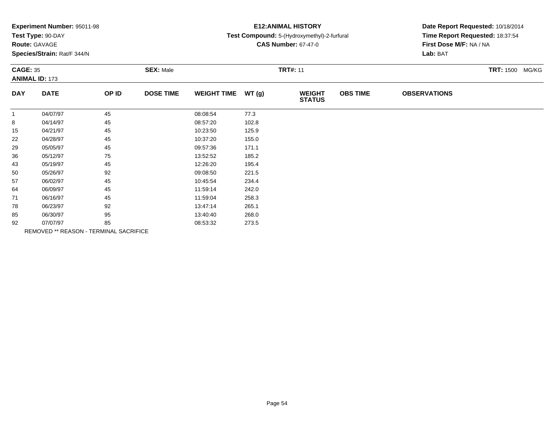| Experiment Number: 95011-98 |  |  |  |
|-----------------------------|--|--|--|
|-----------------------------|--|--|--|

## **Route:** GAVAGE

**Species/Strain:** Rat/F 344/N

# **E12:ANIMAL HISTORY**

#### **Test Compound:** 5-(Hydroxymethyl)-2-furfural

**CAS Number:** 67-47-0

**Date Report Requested:** 10/18/2014**Time Report Requested:** 18:37:54**First Dose M/F:** NA / NA**Lab:** BAT

| <b>CAGE: 35</b><br><b>ANIMAL ID: 173</b> |             |       | <b>SEX: Male</b> |                    |       | <b>TRT#: 11</b>                |                 |                     |  | <b>TRT: 1500 MG/KG</b> |
|------------------------------------------|-------------|-------|------------------|--------------------|-------|--------------------------------|-----------------|---------------------|--|------------------------|
| <b>DAY</b>                               | <b>DATE</b> | OP ID | <b>DOSE TIME</b> | <b>WEIGHT TIME</b> | WT(g) | <b>WEIGHT</b><br><b>STATUS</b> | <b>OBS TIME</b> | <b>OBSERVATIONS</b> |  |                        |
| 1                                        | 04/07/97    | 45    |                  | 08:08:54           | 77.3  |                                |                 |                     |  |                        |
| 8                                        | 04/14/97    | 45    |                  | 08:57:20           | 102.8 |                                |                 |                     |  |                        |
| 15                                       | 04/21/97    | 45    |                  | 10:23:50           | 125.9 |                                |                 |                     |  |                        |
| 22                                       | 04/28/97    | 45    |                  | 10:37:20           | 155.0 |                                |                 |                     |  |                        |
| 29                                       | 05/05/97    | 45    |                  | 09:57:36           | 171.1 |                                |                 |                     |  |                        |
| 36                                       | 05/12/97    | 75    |                  | 13:52:52           | 185.2 |                                |                 |                     |  |                        |
| 43                                       | 05/19/97    | 45    |                  | 12:26:20           | 195.4 |                                |                 |                     |  |                        |
| 50                                       | 05/26/97    | 92    |                  | 09:08:50           | 221.5 |                                |                 |                     |  |                        |
| 57                                       | 06/02/97    | 45    |                  | 10:45:54           | 234.4 |                                |                 |                     |  |                        |
| 64                                       | 06/09/97    | 45    |                  | 11:59:14           | 242.0 |                                |                 |                     |  |                        |
| 71                                       | 06/16/97    | 45    |                  | 11:59:04           | 258.3 |                                |                 |                     |  |                        |
| 78                                       | 06/23/97    | 92    |                  | 13:47:14           | 265.1 |                                |                 |                     |  |                        |
| 85                                       | 06/30/97    | 95    |                  | 13:40:40           | 268.0 |                                |                 |                     |  |                        |
| 92                                       | 07/07/97    | 85    |                  | 08:53:32           | 273.5 |                                |                 |                     |  |                        |

REMOVED \*\* REASON - TERMINAL SACRIFICE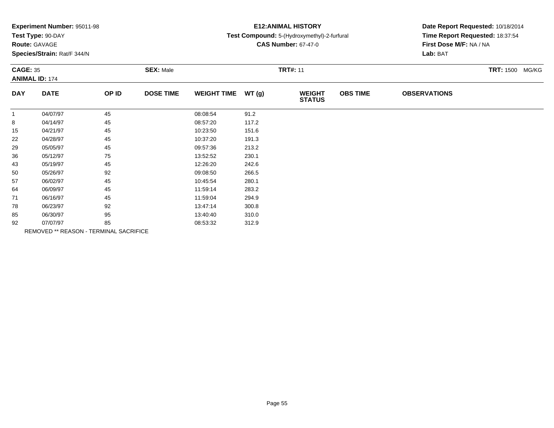| Experiment Number: 95011-98 |  |
|-----------------------------|--|
|-----------------------------|--|

## **Route:** GAVAGE

**Species/Strain:** Rat/F 344/N

# **E12:ANIMAL HISTORY**

#### **Test Compound:** 5-(Hydroxymethyl)-2-furfural

**CAS Number:** 67-47-0

| <b>CAGE: 35</b> | <b>ANIMAL ID: 174</b> |                                        | <b>SEX: Male</b> |                    |       | <b>TRT#: 11</b>                |                 |                     | <b>TRT: 1500 MG/KG</b> |  |
|-----------------|-----------------------|----------------------------------------|------------------|--------------------|-------|--------------------------------|-----------------|---------------------|------------------------|--|
| <b>DAY</b>      | <b>DATE</b>           | OP ID                                  | <b>DOSE TIME</b> | <b>WEIGHT TIME</b> | WT(g) | <b>WEIGHT</b><br><b>STATUS</b> | <b>OBS TIME</b> | <b>OBSERVATIONS</b> |                        |  |
| $\mathbf{1}$    | 04/07/97              | 45                                     |                  | 08:08:54           | 91.2  |                                |                 |                     |                        |  |
| 8               | 04/14/97              | 45                                     |                  | 08:57:20           | 117.2 |                                |                 |                     |                        |  |
| 15              | 04/21/97              | 45                                     |                  | 10:23:50           | 151.6 |                                |                 |                     |                        |  |
| 22              | 04/28/97              | 45                                     |                  | 10:37:20           | 191.3 |                                |                 |                     |                        |  |
| 29              | 05/05/97              | 45                                     |                  | 09:57:36           | 213.2 |                                |                 |                     |                        |  |
| 36              | 05/12/97              | 75                                     |                  | 13:52:52           | 230.1 |                                |                 |                     |                        |  |
| 43              | 05/19/97              | 45                                     |                  | 12:26:20           | 242.6 |                                |                 |                     |                        |  |
| 50              | 05/26/97              | 92                                     |                  | 09:08:50           | 266.5 |                                |                 |                     |                        |  |
| 57              | 06/02/97              | 45                                     |                  | 10:45:54           | 280.1 |                                |                 |                     |                        |  |
| 64              | 06/09/97              | 45                                     |                  | 11:59:14           | 283.2 |                                |                 |                     |                        |  |
| 71              | 06/16/97              | 45                                     |                  | 11:59:04           | 294.9 |                                |                 |                     |                        |  |
| 78              | 06/23/97              | 92                                     |                  | 13:47:14           | 300.8 |                                |                 |                     |                        |  |
| 85              | 06/30/97              | 95                                     |                  | 13:40:40           | 310.0 |                                |                 |                     |                        |  |
| 92              | 07/07/97              | 85                                     |                  | 08:53:32           | 312.9 |                                |                 |                     |                        |  |
|                 |                       | REMOVED ** REASON - TERMINAL SACRIFICE |                  |                    |       |                                |                 |                     |                        |  |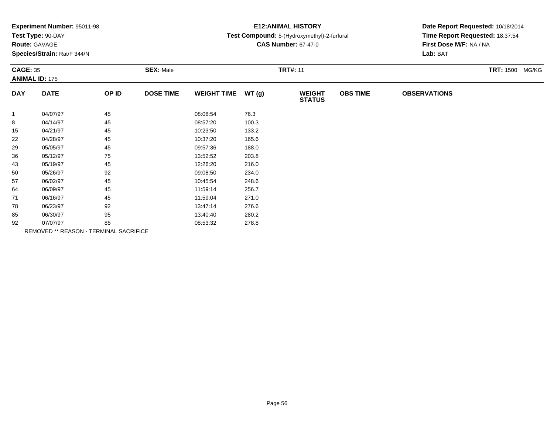|  | Experiment Number: 95011-98 |
|--|-----------------------------|
|--|-----------------------------|

## **Route:** GAVAGE

**Species/Strain:** Rat/F 344/N

# **E12:ANIMAL HISTORY**

#### **Test Compound:** 5-(Hydroxymethyl)-2-furfural

**CAS Number:** 67-47-0

**Date Report Requested:** 10/18/2014**Time Report Requested:** 18:37:54**First Dose M/F:** NA / NA**Lab:** BAT

| <b>CAGE: 35</b> | <b>ANIMAL ID: 175</b> |       | <b>SEX: Male</b> |                    |       | <b>TRT#: 11</b>                |                 |                     | <b>TRT: 1500 MG/KG</b> |
|-----------------|-----------------------|-------|------------------|--------------------|-------|--------------------------------|-----------------|---------------------|------------------------|
| <b>DAY</b>      | <b>DATE</b>           | OP ID | <b>DOSE TIME</b> | <b>WEIGHT TIME</b> | WT(g) | <b>WEIGHT</b><br><b>STATUS</b> | <b>OBS TIME</b> | <b>OBSERVATIONS</b> |                        |
| $\overline{1}$  | 04/07/97              | 45    |                  | 08:08:54           | 76.3  |                                |                 |                     |                        |
| 8               | 04/14/97              | 45    |                  | 08:57:20           | 100.3 |                                |                 |                     |                        |
| 15              | 04/21/97              | 45    |                  | 10:23:50           | 133.2 |                                |                 |                     |                        |
| 22              | 04/28/97              | 45    |                  | 10:37:20           | 165.6 |                                |                 |                     |                        |
| 29              | 05/05/97              | 45    |                  | 09:57:36           | 188.0 |                                |                 |                     |                        |
| 36              | 05/12/97              | 75    |                  | 13:52:52           | 203.8 |                                |                 |                     |                        |
| 43              | 05/19/97              | 45    |                  | 12:26:20           | 216.0 |                                |                 |                     |                        |
| 50              | 05/26/97              | 92    |                  | 09:08:50           | 234.0 |                                |                 |                     |                        |
| 57              | 06/02/97              | 45    |                  | 10:45:54           | 248.6 |                                |                 |                     |                        |
| 64              | 06/09/97              | 45    |                  | 11:59:14           | 256.7 |                                |                 |                     |                        |
| 71              | 06/16/97              | 45    |                  | 11:59:04           | 271.0 |                                |                 |                     |                        |
| 78              | 06/23/97              | 92    |                  | 13:47:14           | 276.6 |                                |                 |                     |                        |
| 85              | 06/30/97              | 95    |                  | 13:40:40           | 280.2 |                                |                 |                     |                        |
| 92              | 07/07/97              | 85    |                  | 08:53:32           | 278.8 |                                |                 |                     |                        |

REMOVED \*\* REASON - TERMINAL SACRIFICE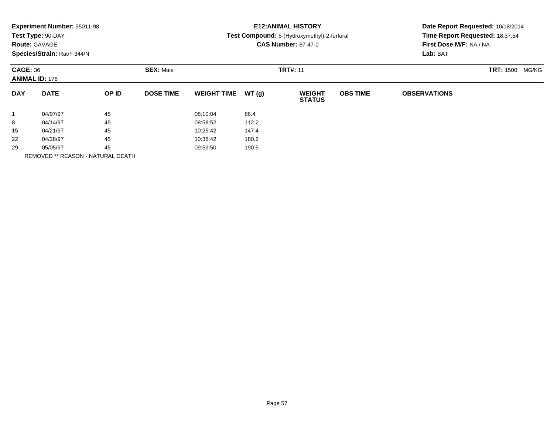| Experiment Number: 95011-98              |                      |                                   |                  |                    | <b>E12: ANIMAL HISTORY</b> |                                             |                 |                                                            | Date Report Requested: 10/18/2014 |  |
|------------------------------------------|----------------------|-----------------------------------|------------------|--------------------|----------------------------|---------------------------------------------|-----------------|------------------------------------------------------------|-----------------------------------|--|
|                                          | Test Type: 90-DAY    |                                   |                  |                    |                            | Test Compound: 5-(Hydroxymethyl)-2-furfural |                 | Time Report Requested: 18:37:54<br>First Dose M/F: NA / NA |                                   |  |
|                                          | <b>Route: GAVAGE</b> |                                   |                  |                    |                            | <b>CAS Number: 67-47-0</b>                  |                 |                                                            |                                   |  |
| Species/Strain: Rat/F 344/N              |                      |                                   |                  |                    |                            |                                             | Lab: BAT        |                                                            |                                   |  |
| <b>CAGE: 36</b><br><b>ANIMAL ID: 176</b> |                      |                                   | <b>SEX: Male</b> | <b>TRT#: 11</b>    |                            |                                             |                 | <b>TRT: 1500</b><br>MG/KG                                  |                                   |  |
| <b>DAY</b>                               | <b>DATE</b>          | OP ID                             | <b>DOSE TIME</b> | <b>WEIGHT TIME</b> | WT(g)                      | <b>WEIGHT</b><br><b>STATUS</b>              | <b>OBS TIME</b> | <b>OBSERVATIONS</b>                                        |                                   |  |
| $\mathbf{1}$                             | 04/07/97             | 45                                |                  | 08:10:04           | 86.4                       |                                             |                 |                                                            |                                   |  |
| 8                                        | 04/14/97             | 45                                |                  | 08:58:52           | 112.2                      |                                             |                 |                                                            |                                   |  |
| 15                                       | 04/21/97             | 45                                |                  | 10:25:42           | 147.4                      |                                             |                 |                                                            |                                   |  |
| 22                                       | 04/28/97             | 45                                |                  | 10:38:42           | 180.2                      |                                             |                 |                                                            |                                   |  |
| 45<br>29<br>05/05/97                     |                      |                                   | 09:59:50         | 190.5              |                            |                                             |                 |                                                            |                                   |  |
|                                          |                      | REMOVED ** REASON - NATURAL DEATH |                  |                    |                            |                                             |                 |                                                            |                                   |  |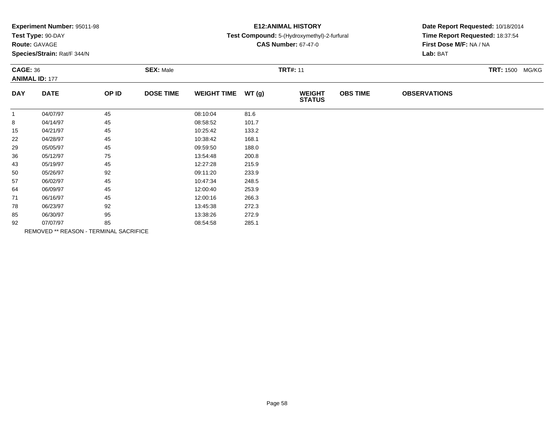| Experiment Number: 95011-98 |  |
|-----------------------------|--|
|-----------------------------|--|

# **Route:** GAVAGE

**Species/Strain:** Rat/F 344/N

# **E12:ANIMAL HISTORY**

#### **Test Compound:** 5-(Hydroxymethyl)-2-furfural

**CAS Number:** 67-47-0

**Date Report Requested:** 10/18/2014**Time Report Requested:** 18:37:54**First Dose M/F:** NA / NA**Lab:** BAT

| <b>CAGE: 36</b><br><b>ANIMAL ID: 177</b> |       | <b>SEX: Male</b> |          |       | <b>TRT#: 11</b>                |                 |                     | <b>TRT: 1500 MG/KG</b> |  |
|------------------------------------------|-------|------------------|----------|-------|--------------------------------|-----------------|---------------------|------------------------|--|
| <b>DATE</b>                              | OP ID | <b>DOSE TIME</b> |          | WT(g) | <b>WEIGHT</b><br><b>STATUS</b> | <b>OBS TIME</b> | <b>OBSERVATIONS</b> |                        |  |
| 04/07/97                                 | 45    |                  | 08:10:04 | 81.6  |                                |                 |                     |                        |  |
| 04/14/97                                 | 45    |                  | 08:58:52 | 101.7 |                                |                 |                     |                        |  |
| 04/21/97                                 | 45    |                  | 10:25:42 | 133.2 |                                |                 |                     |                        |  |
| 04/28/97                                 | 45    |                  | 10:38:42 | 168.1 |                                |                 |                     |                        |  |
| 05/05/97                                 | 45    |                  | 09:59:50 | 188.0 |                                |                 |                     |                        |  |
| 05/12/97                                 | 75    |                  | 13:54:48 | 200.8 |                                |                 |                     |                        |  |
| 05/19/97                                 | 45    |                  | 12:27:28 | 215.9 |                                |                 |                     |                        |  |
| 05/26/97                                 | 92    |                  | 09:11:20 | 233.9 |                                |                 |                     |                        |  |
| 06/02/97                                 | 45    |                  | 10:47:34 | 248.5 |                                |                 |                     |                        |  |
| 06/09/97                                 | 45    |                  | 12:00:40 | 253.9 |                                |                 |                     |                        |  |
| 06/16/97                                 | 45    |                  | 12:00:16 | 266.3 |                                |                 |                     |                        |  |
| 06/23/97                                 | 92    |                  | 13:45:38 | 272.3 |                                |                 |                     |                        |  |
| 06/30/97                                 | 95    |                  | 13:38:26 | 272.9 |                                |                 |                     |                        |  |
| 07/07/97                                 | 85    |                  | 08:54:58 | 285.1 |                                |                 |                     |                        |  |
|                                          |       |                  |          |       | <b>WEIGHT TIME</b>             |                 |                     |                        |  |

REMOVED \*\* REASON - TERMINAL SACRIFICE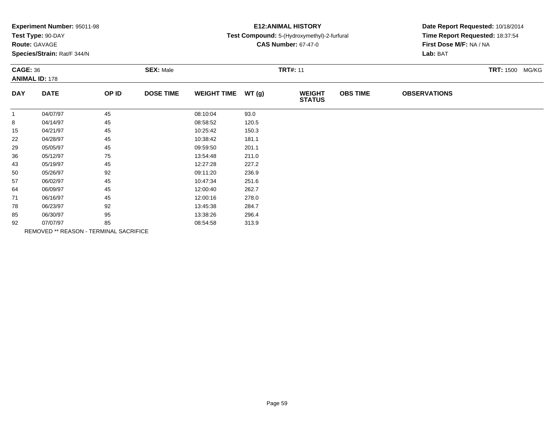|  | Experiment Number: 95011-98 |  |
|--|-----------------------------|--|
|--|-----------------------------|--|

# **Route:** GAVAGE

**Species/Strain:** Rat/F 344/N

# **E12:ANIMAL HISTORY**

### **Test Compound:** 5-(Hydroxymethyl)-2-furfural

**CAS Number:** 67-47-0

| <b>CAGE: 36</b> | <b>ANIMAL ID: 178</b> |                                        | <b>SEX: Male</b> |                    |       | <b>TRT#: 11</b>                |                 |                     | <b>TRT: 1500 MG/KG</b> |
|-----------------|-----------------------|----------------------------------------|------------------|--------------------|-------|--------------------------------|-----------------|---------------------|------------------------|
| <b>DAY</b>      | <b>DATE</b>           | OP ID                                  | <b>DOSE TIME</b> | <b>WEIGHT TIME</b> | WT(g) | <b>WEIGHT</b><br><b>STATUS</b> | <b>OBS TIME</b> | <b>OBSERVATIONS</b> |                        |
| $\mathbf{1}$    | 04/07/97              | 45                                     |                  | 08:10:04           | 93.0  |                                |                 |                     |                        |
| 8               | 04/14/97              | 45                                     |                  | 08:58:52           | 120.5 |                                |                 |                     |                        |
| 15              | 04/21/97              | 45                                     |                  | 10:25:42           | 150.3 |                                |                 |                     |                        |
| 22              | 04/28/97              | 45                                     |                  | 10:38:42           | 181.1 |                                |                 |                     |                        |
| 29              | 05/05/97              | 45                                     |                  | 09:59:50           | 201.1 |                                |                 |                     |                        |
| 36              | 05/12/97              | 75                                     |                  | 13:54:48           | 211.0 |                                |                 |                     |                        |
| 43              | 05/19/97              | 45                                     |                  | 12:27:28           | 227.2 |                                |                 |                     |                        |
| 50              | 05/26/97              | 92                                     |                  | 09:11:20           | 236.9 |                                |                 |                     |                        |
| 57              | 06/02/97              | 45                                     |                  | 10:47:34           | 251.6 |                                |                 |                     |                        |
| 64              | 06/09/97              | 45                                     |                  | 12:00:40           | 262.7 |                                |                 |                     |                        |
| 71              | 06/16/97              | 45                                     |                  | 12:00:16           | 278.0 |                                |                 |                     |                        |
| 78              | 06/23/97              | 92                                     |                  | 13:45:38           | 284.7 |                                |                 |                     |                        |
| 85              | 06/30/97              | 95                                     |                  | 13:38:26           | 296.4 |                                |                 |                     |                        |
| 92              | 07/07/97              | 85                                     |                  | 08:54:58           | 313.9 |                                |                 |                     |                        |
|                 |                       | REMOVED ** REASON - TERMINAL SACRIFICE |                  |                    |       |                                |                 |                     |                        |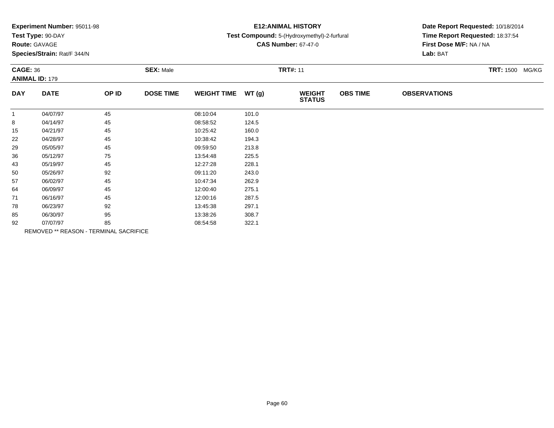| Experiment Number: 95011-98 |  |  |
|-----------------------------|--|--|
|-----------------------------|--|--|

## **Route:** GAVAGE

**Species/Strain:** Rat/F 344/N

# **E12:ANIMAL HISTORY**

#### **Test Compound:** 5-(Hydroxymethyl)-2-furfural

**CAS Number:** 67-47-0

| <b>CAGE: 36</b> | <b>ANIMAL ID: 179</b>                  |       | <b>SEX: Male</b> |                    |       | <b>TRT#: 11</b>                |                 |                     | TRT: 1500 MG/KG |
|-----------------|----------------------------------------|-------|------------------|--------------------|-------|--------------------------------|-----------------|---------------------|-----------------|
| <b>DAY</b>      | <b>DATE</b>                            | OP ID | <b>DOSE TIME</b> | WEIGHT TIME WT (g) |       | <b>WEIGHT</b><br><b>STATUS</b> | <b>OBS TIME</b> | <b>OBSERVATIONS</b> |                 |
|                 | 04/07/97                               | 45    |                  | 08:10:04           | 101.0 |                                |                 |                     |                 |
| 8               | 04/14/97                               | 45    |                  | 08:58:52           | 124.5 |                                |                 |                     |                 |
| 15              | 04/21/97                               | 45    |                  | 10:25:42           | 160.0 |                                |                 |                     |                 |
| 22              | 04/28/97                               | 45    |                  | 10:38:42           | 194.3 |                                |                 |                     |                 |
| 29              | 05/05/97                               | 45    |                  | 09:59:50           | 213.8 |                                |                 |                     |                 |
| 36              | 05/12/97                               | 75    |                  | 13:54:48           | 225.5 |                                |                 |                     |                 |
| 43              | 05/19/97                               | 45    |                  | 12:27:28           | 228.1 |                                |                 |                     |                 |
| 50              | 05/26/97                               | 92    |                  | 09:11:20           | 243.0 |                                |                 |                     |                 |
| 57              | 06/02/97                               | 45    |                  | 10:47:34           | 262.9 |                                |                 |                     |                 |
| 64              | 06/09/97                               | 45    |                  | 12:00:40           | 275.1 |                                |                 |                     |                 |
| 71              | 06/16/97                               | 45    |                  | 12:00:16           | 287.5 |                                |                 |                     |                 |
| 78              | 06/23/97                               | 92    |                  | 13:45:38           | 297.1 |                                |                 |                     |                 |
| 85              | 06/30/97                               | 95    |                  | 13:38:26           | 308.7 |                                |                 |                     |                 |
| 92              | 07/07/97                               | 85    |                  | 08:54:58           | 322.1 |                                |                 |                     |                 |
|                 | REMOVED ** REASON - TERMINAL SACRIFICE |       |                  |                    |       |                                |                 |                     |                 |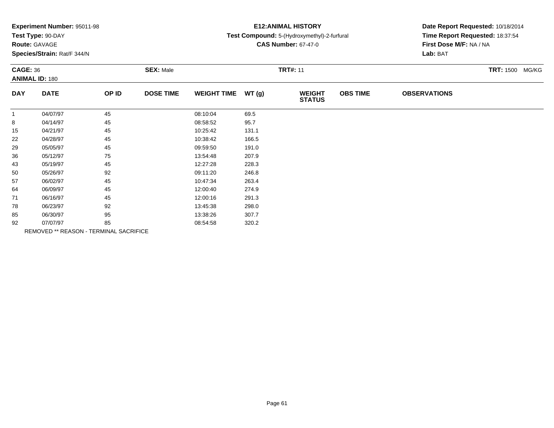| <b>Experiment Number: 95011-98</b> |  |
|------------------------------------|--|
| Test Type: 90-DAY                  |  |

**Route:** GAVAGE

**Species/Strain:** Rat/F 344/N

# **E12:ANIMAL HISTORY**

### **Test Compound:** 5-(Hydroxymethyl)-2-furfural

**CAS Number:** 67-47-0

| <b>CAGE: 36</b> | <b>ANIMAL ID: 180</b>                  |       | <b>SEX: Male</b> |                    |       | <b>TRT#: 11</b>                |                 |                     | <b>TRT:</b> 1500 MG/KG |
|-----------------|----------------------------------------|-------|------------------|--------------------|-------|--------------------------------|-----------------|---------------------|------------------------|
| <b>DAY</b>      | <b>DATE</b>                            | OP ID | <b>DOSE TIME</b> | <b>WEIGHT TIME</b> | WT(g) | <b>WEIGHT</b><br><b>STATUS</b> | <b>OBS TIME</b> | <b>OBSERVATIONS</b> |                        |
| $\mathbf{1}$    | 04/07/97                               | 45    |                  | 08:10:04           | 69.5  |                                |                 |                     |                        |
| 8               | 04/14/97                               | 45    |                  | 08:58:52           | 95.7  |                                |                 |                     |                        |
| 15              | 04/21/97                               | 45    |                  | 10:25:42           | 131.1 |                                |                 |                     |                        |
| 22              | 04/28/97                               | 45    |                  | 10:38:42           | 166.5 |                                |                 |                     |                        |
| 29              | 05/05/97                               | 45    |                  | 09:59:50           | 191.0 |                                |                 |                     |                        |
| 36              | 05/12/97                               | 75    |                  | 13:54:48           | 207.9 |                                |                 |                     |                        |
| 43              | 05/19/97                               | 45    |                  | 12:27:28           | 228.3 |                                |                 |                     |                        |
| 50              | 05/26/97                               | 92    |                  | 09:11:20           | 246.8 |                                |                 |                     |                        |
| 57              | 06/02/97                               | 45    |                  | 10:47:34           | 263.4 |                                |                 |                     |                        |
| 64              | 06/09/97                               | 45    |                  | 12:00:40           | 274.9 |                                |                 |                     |                        |
| 71              | 06/16/97                               | 45    |                  | 12:00:16           | 291.3 |                                |                 |                     |                        |
| 78              | 06/23/97                               | 92    |                  | 13:45:38           | 298.0 |                                |                 |                     |                        |
| 85              | 06/30/97                               | 95    |                  | 13:38:26           | 307.7 |                                |                 |                     |                        |
| 92              | 07/07/97                               | 85    |                  | 08:54:58           | 320.2 |                                |                 |                     |                        |
|                 | REMOVED ** REASON - TERMINAL SACRIFICE |       |                  |                    |       |                                |                 |                     |                        |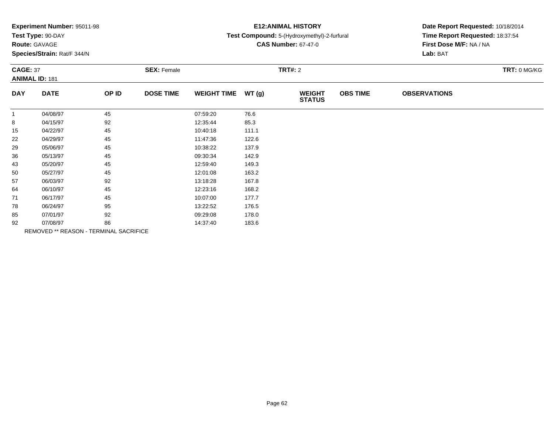| Experiment Number: 95011-98 |  |  |
|-----------------------------|--|--|
|-----------------------------|--|--|

# **Route:** GAVAGE

**Species/Strain:** Rat/F 344/N

## **E12:ANIMAL HISTORY**

### **Test Compound:** 5-(Hydroxymethyl)-2-furfural

**CAS Number:** 67-47-0

| <b>CAGE: 37</b><br><b>ANIMAL ID: 181</b> |             | <b>SEX: Female</b>                     |                  |                    | <b>TRT#: 2</b> | TRT: 0 MG/KG                   |                 |                     |  |
|------------------------------------------|-------------|----------------------------------------|------------------|--------------------|----------------|--------------------------------|-----------------|---------------------|--|
| <b>DAY</b>                               | <b>DATE</b> | OP ID                                  | <b>DOSE TIME</b> | <b>WEIGHT TIME</b> | WT(g)          | <b>WEIGHT</b><br><b>STATUS</b> | <b>OBS TIME</b> | <b>OBSERVATIONS</b> |  |
| $\mathbf{1}$                             | 04/08/97    | 45                                     |                  | 07:59:20           | 76.6           |                                |                 |                     |  |
| 8                                        | 04/15/97    | 92                                     |                  | 12:35:44           | 85.3           |                                |                 |                     |  |
| 15                                       | 04/22/97    | 45                                     |                  | 10:40:18           | 111.1          |                                |                 |                     |  |
| 22                                       | 04/29/97    | 45                                     |                  | 11:47:36           | 122.6          |                                |                 |                     |  |
| 29                                       | 05/06/97    | 45                                     |                  | 10:38:22           | 137.9          |                                |                 |                     |  |
| 36                                       | 05/13/97    | 45                                     |                  | 09:30:34           | 142.9          |                                |                 |                     |  |
| 43                                       | 05/20/97    | 45                                     |                  | 12:59:40           | 149.3          |                                |                 |                     |  |
| 50                                       | 05/27/97    | 45                                     |                  | 12:01:08           | 163.2          |                                |                 |                     |  |
| 57                                       | 06/03/97    | 92                                     |                  | 13:18:28           | 167.8          |                                |                 |                     |  |
| 64                                       | 06/10/97    | 45                                     |                  | 12:23:16           | 168.2          |                                |                 |                     |  |
| 71                                       | 06/17/97    | 45                                     |                  | 10:07:00           | 177.7          |                                |                 |                     |  |
| 78                                       | 06/24/97    | 95                                     |                  | 13:22:52           | 176.5          |                                |                 |                     |  |
| 85                                       | 07/01/97    | 92                                     |                  | 09:29:08           | 178.0          |                                |                 |                     |  |
| 92                                       | 07/08/97    | 86                                     |                  | 14:37:40           | 183.6          |                                |                 |                     |  |
|                                          |             | REMOVED ** REASON - TERMINAL SACRIFICE |                  |                    |                |                                |                 |                     |  |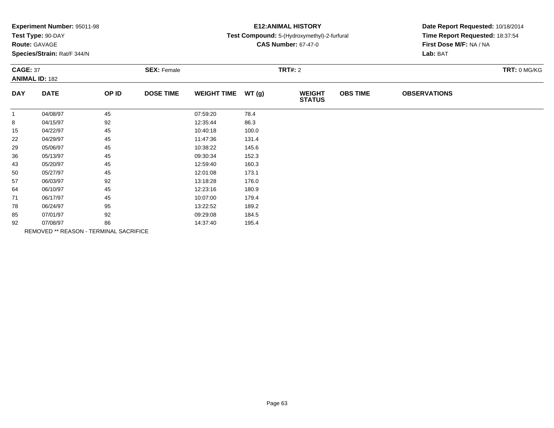|  |  | Experiment Number: 95011-98 |  |
|--|--|-----------------------------|--|
|--|--|-----------------------------|--|

# **Route:** GAVAGE

**Species/Strain:** Rat/F 344/N

## **E12:ANIMAL HISTORY**

### **Test Compound:** 5-(Hydroxymethyl)-2-furfural

**CAS Number:** 67-47-0

| <b>CAGE: 37</b><br><b>ANIMAL ID: 182</b> |             | <b>SEX: Female</b>                     |                  |                    | <b>TRT#: 2</b> | TRT: 0 MG/KG                   |                 |                     |  |
|------------------------------------------|-------------|----------------------------------------|------------------|--------------------|----------------|--------------------------------|-----------------|---------------------|--|
| <b>DAY</b>                               | <b>DATE</b> | OP ID                                  | <b>DOSE TIME</b> | <b>WEIGHT TIME</b> | WT(g)          | <b>WEIGHT</b><br><b>STATUS</b> | <b>OBS TIME</b> | <b>OBSERVATIONS</b> |  |
| $\mathbf{1}$                             | 04/08/97    | 45                                     |                  | 07:59:20           | 78.4           |                                |                 |                     |  |
| 8                                        | 04/15/97    | 92                                     |                  | 12:35:44           | 86.3           |                                |                 |                     |  |
| 15                                       | 04/22/97    | 45                                     |                  | 10:40:18           | 100.0          |                                |                 |                     |  |
| 22                                       | 04/29/97    | 45                                     |                  | 11:47:36           | 131.4          |                                |                 |                     |  |
| 29                                       | 05/06/97    | 45                                     |                  | 10:38:22           | 145.6          |                                |                 |                     |  |
| 36                                       | 05/13/97    | 45                                     |                  | 09:30:34           | 152.3          |                                |                 |                     |  |
| 43                                       | 05/20/97    | 45                                     |                  | 12:59:40           | 160.3          |                                |                 |                     |  |
| 50                                       | 05/27/97    | 45                                     |                  | 12:01:08           | 173.1          |                                |                 |                     |  |
| 57                                       | 06/03/97    | 92                                     |                  | 13:18:28           | 176.0          |                                |                 |                     |  |
| 64                                       | 06/10/97    | 45                                     |                  | 12:23:16           | 180.9          |                                |                 |                     |  |
| 71                                       | 06/17/97    | 45                                     |                  | 10:07:00           | 179.4          |                                |                 |                     |  |
| 78                                       | 06/24/97    | 95                                     |                  | 13:22:52           | 189.2          |                                |                 |                     |  |
| 85                                       | 07/01/97    | 92                                     |                  | 09:29:08           | 184.5          |                                |                 |                     |  |
| 92                                       | 07/08/97    | 86                                     |                  | 14:37:40           | 195.4          |                                |                 |                     |  |
|                                          |             | REMOVED ** REASON - TERMINAL SACRIFICE |                  |                    |                |                                |                 |                     |  |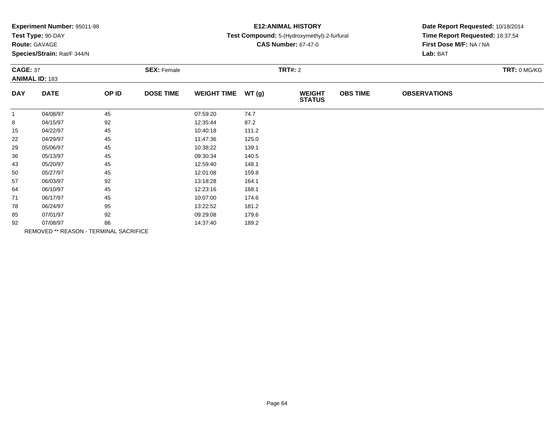| Experiment Number: 95011-98 |  |  |
|-----------------------------|--|--|
|-----------------------------|--|--|

# **Route:** GAVAGE

**Species/Strain:** Rat/F 344/N

## **E12:ANIMAL HISTORY**

### **Test Compound:** 5-(Hydroxymethyl)-2-furfural

**CAS Number:** 67-47-0

| <b>CAGE: 37</b><br><b>ANIMAL ID: 183</b> |                                        | <b>SEX: Female</b> |                  |                    | <b>TRT#: 2</b> |                                |                 | TRT: 0 MG/KG        |  |
|------------------------------------------|----------------------------------------|--------------------|------------------|--------------------|----------------|--------------------------------|-----------------|---------------------|--|
| <b>DAY</b>                               | <b>DATE</b>                            | OP ID              | <b>DOSE TIME</b> | <b>WEIGHT TIME</b> | WT(g)          | <b>WEIGHT</b><br><b>STATUS</b> | <b>OBS TIME</b> | <b>OBSERVATIONS</b> |  |
| $\mathbf{1}$                             | 04/08/97                               | 45                 |                  | 07:59:20           | 74.7           |                                |                 |                     |  |
| 8                                        | 04/15/97                               | 92                 |                  | 12:35:44           | 87.2           |                                |                 |                     |  |
| 15                                       | 04/22/97                               | 45                 |                  | 10:40:18           | 111.2          |                                |                 |                     |  |
| 22                                       | 04/29/97                               | 45                 |                  | 11:47:36           | 125.0          |                                |                 |                     |  |
| 29                                       | 05/06/97                               | 45                 |                  | 10:38:22           | 139.1          |                                |                 |                     |  |
| 36                                       | 05/13/97                               | 45                 |                  | 09:30:34           | 140.5          |                                |                 |                     |  |
| 43                                       | 05/20/97                               | 45                 |                  | 12:59:40           | 148.1          |                                |                 |                     |  |
| 50                                       | 05/27/97                               | 45                 |                  | 12:01:08           | 159.8          |                                |                 |                     |  |
| 57                                       | 06/03/97                               | 92                 |                  | 13:18:28           | 164.1          |                                |                 |                     |  |
| 64                                       | 06/10/97                               | 45                 |                  | 12:23:16           | 168.1          |                                |                 |                     |  |
| 71                                       | 06/17/97                               | 45                 |                  | 10:07:00           | 174.6          |                                |                 |                     |  |
| 78                                       | 06/24/97                               | 95                 |                  | 13:22:52           | 181.2          |                                |                 |                     |  |
| 85                                       | 07/01/97                               | 92                 |                  | 09:29:08           | 179.6          |                                |                 |                     |  |
| 92                                       | 07/08/97                               | 86                 |                  | 14:37:40           | 189.2          |                                |                 |                     |  |
|                                          | REMOVED ** REASON - TERMINAL SACRIFICE |                    |                  |                    |                |                                |                 |                     |  |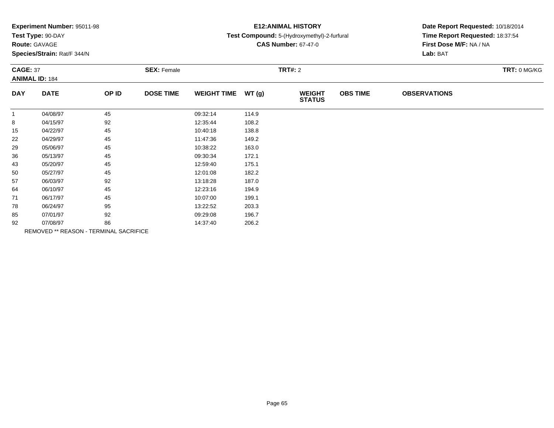| Experiment Number: 95011-98 |  |  |
|-----------------------------|--|--|
|-----------------------------|--|--|

# **Route:** GAVAGE

**Species/Strain:** Rat/F 344/N

## **E12:ANIMAL HISTORY**

### **Test Compound:** 5-(Hydroxymethyl)-2-furfural

**CAS Number:** 67-47-0

| <b>CAGE: 37</b><br><b>ANIMAL ID: 184</b> |                                        | <b>SEX: Female</b> |                  |                    | <b>TRT#: 2</b> |                                |                 | TRT: 0 MG/KG        |  |
|------------------------------------------|----------------------------------------|--------------------|------------------|--------------------|----------------|--------------------------------|-----------------|---------------------|--|
| <b>DAY</b>                               | <b>DATE</b>                            | OP ID              | <b>DOSE TIME</b> | <b>WEIGHT TIME</b> | WT(g)          | <b>WEIGHT</b><br><b>STATUS</b> | <b>OBS TIME</b> | <b>OBSERVATIONS</b> |  |
| $\mathbf{1}$                             | 04/08/97                               | 45                 |                  | 09:32:14           | 114.9          |                                |                 |                     |  |
| 8                                        | 04/15/97                               | 92                 |                  | 12:35:44           | 108.2          |                                |                 |                     |  |
| 15                                       | 04/22/97                               | 45                 |                  | 10:40:18           | 138.8          |                                |                 |                     |  |
| 22                                       | 04/29/97                               | 45                 |                  | 11:47:36           | 149.2          |                                |                 |                     |  |
| 29                                       | 05/06/97                               | 45                 |                  | 10:38:22           | 163.0          |                                |                 |                     |  |
| 36                                       | 05/13/97                               | 45                 |                  | 09:30:34           | 172.1          |                                |                 |                     |  |
| 43                                       | 05/20/97                               | 45                 |                  | 12:59:40           | 175.1          |                                |                 |                     |  |
| 50                                       | 05/27/97                               | 45                 |                  | 12:01:08           | 182.2          |                                |                 |                     |  |
| 57                                       | 06/03/97                               | 92                 |                  | 13:18:28           | 187.0          |                                |                 |                     |  |
| 64                                       | 06/10/97                               | 45                 |                  | 12:23:16           | 194.9          |                                |                 |                     |  |
| 71                                       | 06/17/97                               | 45                 |                  | 10:07:00           | 199.1          |                                |                 |                     |  |
| 78                                       | 06/24/97                               | 95                 |                  | 13:22:52           | 203.3          |                                |                 |                     |  |
| 85                                       | 07/01/97                               | 92                 |                  | 09:29:08           | 196.7          |                                |                 |                     |  |
| 92                                       | 07/08/97                               | 86                 |                  | 14:37:40           | 206.2          |                                |                 |                     |  |
|                                          | REMOVED ** REASON - TERMINAL SACRIFICE |                    |                  |                    |                |                                |                 |                     |  |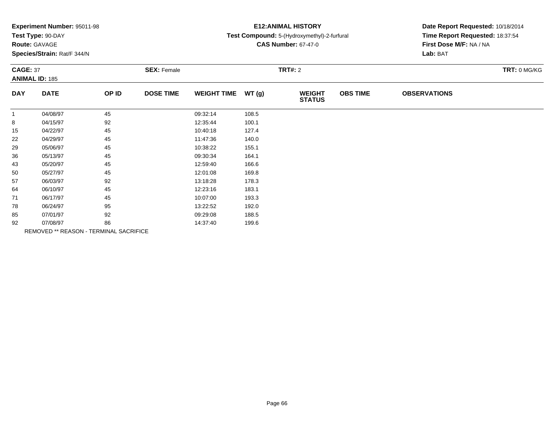| Experiment Number: 95011-98 |  |  |
|-----------------------------|--|--|
|-----------------------------|--|--|

# **Route:** GAVAGE

**Species/Strain:** Rat/F 344/N

## **E12:ANIMAL HISTORY**

### **Test Compound:** 5-(Hydroxymethyl)-2-furfural

**CAS Number:** 67-47-0

| <b>CAGE: 37</b><br><b>ANIMAL ID: 185</b> |             | <b>SEX: Female</b>                     |                  |                    | <b>TRT#: 2</b> |                                |                 | TRT: 0 MG/KG        |  |
|------------------------------------------|-------------|----------------------------------------|------------------|--------------------|----------------|--------------------------------|-----------------|---------------------|--|
| <b>DAY</b>                               | <b>DATE</b> | OP ID                                  | <b>DOSE TIME</b> | <b>WEIGHT TIME</b> | WT(g)          | <b>WEIGHT</b><br><b>STATUS</b> | <b>OBS TIME</b> | <b>OBSERVATIONS</b> |  |
| $\mathbf{1}$                             | 04/08/97    | 45                                     |                  | 09:32:14           | 108.5          |                                |                 |                     |  |
| 8                                        | 04/15/97    | 92                                     |                  | 12:35:44           | 100.1          |                                |                 |                     |  |
| 15                                       | 04/22/97    | 45                                     |                  | 10:40:18           | 127.4          |                                |                 |                     |  |
| 22                                       | 04/29/97    | 45                                     |                  | 11:47:36           | 140.0          |                                |                 |                     |  |
| 29                                       | 05/06/97    | 45                                     |                  | 10:38:22           | 155.1          |                                |                 |                     |  |
| 36                                       | 05/13/97    | 45                                     |                  | 09:30:34           | 164.1          |                                |                 |                     |  |
| 43                                       | 05/20/97    | 45                                     |                  | 12:59:40           | 166.6          |                                |                 |                     |  |
| 50                                       | 05/27/97    | 45                                     |                  | 12:01:08           | 169.8          |                                |                 |                     |  |
| 57                                       | 06/03/97    | 92                                     |                  | 13:18:28           | 178.3          |                                |                 |                     |  |
| 64                                       | 06/10/97    | 45                                     |                  | 12:23:16           | 183.1          |                                |                 |                     |  |
| 71                                       | 06/17/97    | 45                                     |                  | 10:07:00           | 193.3          |                                |                 |                     |  |
| 78                                       | 06/24/97    | 95                                     |                  | 13:22:52           | 192.0          |                                |                 |                     |  |
| 85                                       | 07/01/97    | 92                                     |                  | 09:29:08           | 188.5          |                                |                 |                     |  |
| 92                                       | 07/08/97    | 86                                     |                  | 14:37:40           | 199.6          |                                |                 |                     |  |
|                                          |             | REMOVED ** REASON - TERMINAL SACRIFICE |                  |                    |                |                                |                 |                     |  |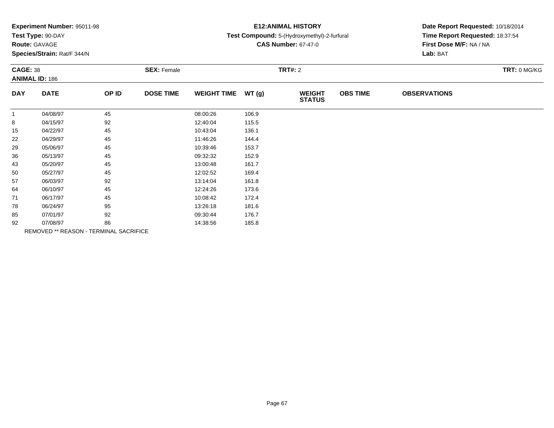| Experiment Number: 95011-98 |  |  |
|-----------------------------|--|--|
|-----------------------------|--|--|

# **Route:** GAVAGE

**Species/Strain:** Rat/F 344/N

## **E12:ANIMAL HISTORY**

### **Test Compound:** 5-(Hydroxymethyl)-2-furfural

**CAS Number:** 67-47-0

| <b>CAGE: 38</b> | <b>ANIMAL ID: 186</b> |                                        | <b>SEX: Female</b> |                    |       | <b>TRT#: 2</b>                 |                 |                     | TRT: 0 MG/KG |
|-----------------|-----------------------|----------------------------------------|--------------------|--------------------|-------|--------------------------------|-----------------|---------------------|--------------|
| <b>DAY</b>      | <b>DATE</b>           | OP ID                                  | <b>DOSE TIME</b>   | <b>WEIGHT TIME</b> | WT(g) | <b>WEIGHT</b><br><b>STATUS</b> | <b>OBS TIME</b> | <b>OBSERVATIONS</b> |              |
| $\mathbf{1}$    | 04/08/97              | 45                                     |                    | 08:00:26           | 106.9 |                                |                 |                     |              |
| 8               | 04/15/97              | 92                                     |                    | 12:40:04           | 115.5 |                                |                 |                     |              |
| 15              | 04/22/97              | 45                                     |                    | 10:43:04           | 136.1 |                                |                 |                     |              |
| 22              | 04/29/97              | 45                                     |                    | 11:46:26           | 144.4 |                                |                 |                     |              |
| 29              | 05/06/97              | 45                                     |                    | 10:39:46           | 153.7 |                                |                 |                     |              |
| 36              | 05/13/97              | 45                                     |                    | 09:32:32           | 152.9 |                                |                 |                     |              |
| 43              | 05/20/97              | 45                                     |                    | 13:00:48           | 161.7 |                                |                 |                     |              |
| 50              | 05/27/97              | 45                                     |                    | 12:02:52           | 169.4 |                                |                 |                     |              |
| 57              | 06/03/97              | 92                                     |                    | 13:14:04           | 161.8 |                                |                 |                     |              |
| 64              | 06/10/97              | 45                                     |                    | 12:24:26           | 173.6 |                                |                 |                     |              |
| 71              | 06/17/97              | 45                                     |                    | 10:08:42           | 172.4 |                                |                 |                     |              |
| 78              | 06/24/97              | 95                                     |                    | 13:26:18           | 181.6 |                                |                 |                     |              |
| 85              | 07/01/97              | 92                                     |                    | 09:30:44           | 176.7 |                                |                 |                     |              |
| 92              | 07/08/97              | 86                                     |                    | 14:38:56           | 185.8 |                                |                 |                     |              |
|                 |                       | REMOVED ** REASON - TERMINAL SACRIFICE |                    |                    |       |                                |                 |                     |              |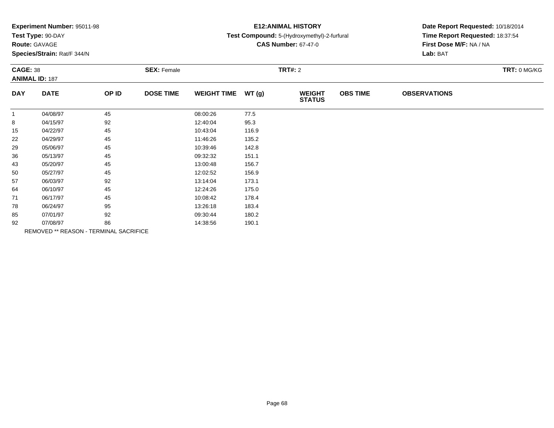| Experiment Number: 95011-98 |  |  |
|-----------------------------|--|--|
|-----------------------------|--|--|

## **Route:** GAVAGE

**Species/Strain:** Rat/F 344/N

## **E12:ANIMAL HISTORY**

### **Test Compound:** 5-(Hydroxymethyl)-2-furfural

**CAS Number:** 67-47-0

|              | <b>CAGE: 38</b><br><b>ANIMAL ID: 187</b> |                                        | <b>SEX: Female</b> |                    | <b>TRT#: 2</b> |                                |                 |                     |  |  |
|--------------|------------------------------------------|----------------------------------------|--------------------|--------------------|----------------|--------------------------------|-----------------|---------------------|--|--|
| <b>DAY</b>   | <b>DATE</b>                              | OP ID                                  | <b>DOSE TIME</b>   | <b>WEIGHT TIME</b> | WT(g)          | <b>WEIGHT</b><br><b>STATUS</b> | <b>OBS TIME</b> | <b>OBSERVATIONS</b> |  |  |
| $\mathbf{1}$ | 04/08/97                                 | 45                                     |                    | 08:00:26           | 77.5           |                                |                 |                     |  |  |
| 8            | 04/15/97                                 | 92                                     |                    | 12:40:04           | 95.3           |                                |                 |                     |  |  |
| 15           | 04/22/97                                 | 45                                     |                    | 10:43:04           | 116.9          |                                |                 |                     |  |  |
| 22           | 04/29/97                                 | 45                                     |                    | 11:46:26           | 135.2          |                                |                 |                     |  |  |
| 29           | 05/06/97                                 | 45                                     |                    | 10:39:46           | 142.8          |                                |                 |                     |  |  |
| 36           | 05/13/97                                 | 45                                     |                    | 09:32:32           | 151.1          |                                |                 |                     |  |  |
| 43           | 05/20/97                                 | 45                                     |                    | 13:00:48           | 156.7          |                                |                 |                     |  |  |
| 50           | 05/27/97                                 | 45                                     |                    | 12:02:52           | 156.9          |                                |                 |                     |  |  |
| 57           | 06/03/97                                 | 92                                     |                    | 13:14:04           | 173.1          |                                |                 |                     |  |  |
| 64           | 06/10/97                                 | 45                                     |                    | 12:24:26           | 175.0          |                                |                 |                     |  |  |
| 71           | 06/17/97                                 | 45                                     |                    | 10:08:42           | 178.4          |                                |                 |                     |  |  |
| 78           | 06/24/97                                 | 95                                     |                    | 13:26:18           | 183.4          |                                |                 |                     |  |  |
| 85           | 07/01/97                                 | 92                                     |                    | 09:30:44           | 180.2          |                                |                 |                     |  |  |
| 92           | 07/08/97                                 | 86                                     |                    | 14:38:56           | 190.1          |                                |                 |                     |  |  |
|              |                                          | REMOVED ** REASON - TERMINAL SACRIFICE |                    |                    |                |                                |                 |                     |  |  |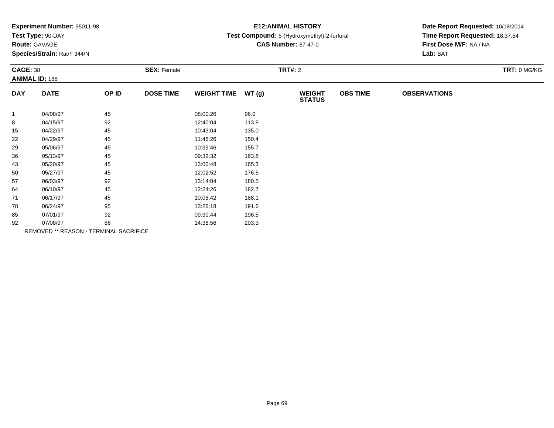| Experiment Number: 95011-98 |  |  |
|-----------------------------|--|--|
|-----------------------------|--|--|

# **Route:** GAVAGE

**Species/Strain:** Rat/F 344/N

## **E12:ANIMAL HISTORY**

### **Test Compound:** 5-(Hydroxymethyl)-2-furfural

**CAS Number:** 67-47-0

|              | <b>CAGE: 38</b><br><b>ANIMAL ID: 188</b> |                                        | <b>SEX: Female</b> |                    |       | <b>TRT#: 2</b>                 | TRT: 0 MG/KG    |                     |  |
|--------------|------------------------------------------|----------------------------------------|--------------------|--------------------|-------|--------------------------------|-----------------|---------------------|--|
| <b>DAY</b>   | <b>DATE</b>                              | OP ID                                  | <b>DOSE TIME</b>   | <b>WEIGHT TIME</b> | WT(g) | <b>WEIGHT</b><br><b>STATUS</b> | <b>OBS TIME</b> | <b>OBSERVATIONS</b> |  |
| $\mathbf{1}$ | 04/08/97                                 | 45                                     |                    | 08:00:26           | 96.0  |                                |                 |                     |  |
| 8            | 04/15/97                                 | 92                                     |                    | 12:40:04           | 113.8 |                                |                 |                     |  |
| 15           | 04/22/97                                 | 45                                     |                    | 10:43:04           | 135.0 |                                |                 |                     |  |
| 22           | 04/29/97                                 | 45                                     |                    | 11:46:26           | 150.4 |                                |                 |                     |  |
| 29           | 05/06/97                                 | 45                                     |                    | 10:39:46           | 155.7 |                                |                 |                     |  |
| 36           | 05/13/97                                 | 45                                     |                    | 09:32:32           | 163.8 |                                |                 |                     |  |
| 43           | 05/20/97                                 | 45                                     |                    | 13:00:48           | 165.3 |                                |                 |                     |  |
| 50           | 05/27/97                                 | 45                                     |                    | 12:02:52           | 176.5 |                                |                 |                     |  |
| 57           | 06/03/97                                 | 92                                     |                    | 13:14:04           | 180.5 |                                |                 |                     |  |
| 64           | 06/10/97                                 | 45                                     |                    | 12:24:26           | 182.7 |                                |                 |                     |  |
| 71           | 06/17/97                                 | 45                                     |                    | 10:08:42           | 188.1 |                                |                 |                     |  |
| 78           | 06/24/97                                 | 95                                     |                    | 13:26:18           | 191.6 |                                |                 |                     |  |
| 85           | 07/01/97                                 | 92                                     |                    | 09:30:44           | 196.5 |                                |                 |                     |  |
| 92           | 07/08/97                                 | 86                                     |                    | 14:38:56           | 203.3 |                                |                 |                     |  |
|              |                                          | REMOVED ** REASON - TERMINAL SACRIFICE |                    |                    |       |                                |                 |                     |  |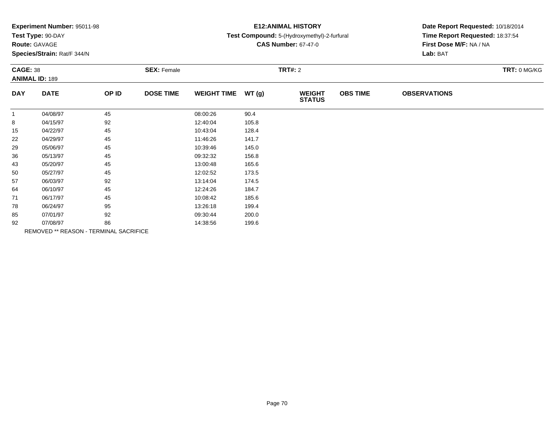| Experiment Number: 95011-98 |  |  |
|-----------------------------|--|--|
|-----------------------------|--|--|

# **Route:** GAVAGE

**Species/Strain:** Rat/F 344/N

## **E12:ANIMAL HISTORY**

### **Test Compound:** 5-(Hydroxymethyl)-2-furfural

**CAS Number:** 67-47-0

| <b>CAGE: 38</b> | <b>ANIMAL ID: 189</b>                  |       | <b>SEX: Female</b> |                    |       | <b>TRT#: 2</b>                 |                 |                     | TRT: 0 MG/KG |
|-----------------|----------------------------------------|-------|--------------------|--------------------|-------|--------------------------------|-----------------|---------------------|--------------|
| <b>DAY</b>      | <b>DATE</b>                            | OP ID | <b>DOSE TIME</b>   | <b>WEIGHT TIME</b> | WT(g) | <b>WEIGHT</b><br><b>STATUS</b> | <b>OBS TIME</b> | <b>OBSERVATIONS</b> |              |
| $\mathbf{1}$    | 04/08/97                               | 45    |                    | 08:00:26           | 90.4  |                                |                 |                     |              |
| 8               | 04/15/97                               | 92    |                    | 12:40:04           | 105.8 |                                |                 |                     |              |
| 15              | 04/22/97                               | 45    |                    | 10:43:04           | 128.4 |                                |                 |                     |              |
| 22              | 04/29/97                               | 45    |                    | 11:46:26           | 141.7 |                                |                 |                     |              |
| 29              | 05/06/97                               | 45    |                    | 10:39:46           | 145.0 |                                |                 |                     |              |
| 36              | 05/13/97                               | 45    |                    | 09:32:32           | 156.8 |                                |                 |                     |              |
| 43              | 05/20/97                               | 45    |                    | 13:00:48           | 165.6 |                                |                 |                     |              |
| 50              | 05/27/97                               | 45    |                    | 12:02:52           | 173.5 |                                |                 |                     |              |
| 57              | 06/03/97                               | 92    |                    | 13:14:04           | 174.5 |                                |                 |                     |              |
| 64              | 06/10/97                               | 45    |                    | 12:24:26           | 184.7 |                                |                 |                     |              |
| 71              | 06/17/97                               | 45    |                    | 10:08:42           | 185.6 |                                |                 |                     |              |
| 78              | 06/24/97                               | 95    |                    | 13:26:18           | 199.4 |                                |                 |                     |              |
| 85              | 07/01/97                               | 92    |                    | 09:30:44           | 200.0 |                                |                 |                     |              |
| 92              | 07/08/97                               | 86    |                    | 14:38:56           | 199.6 |                                |                 |                     |              |
|                 | REMOVED ** REASON - TERMINAL SACRIFICE |       |                    |                    |       |                                |                 |                     |              |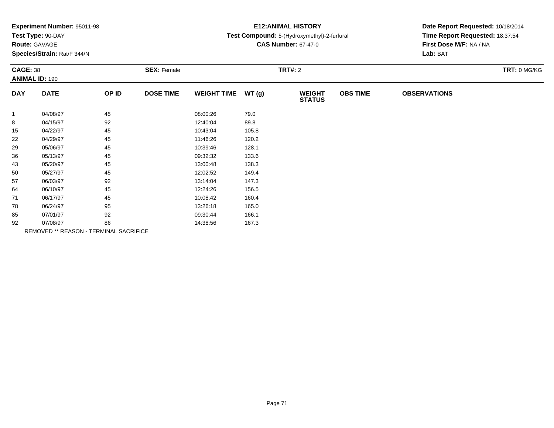|  |  | Experiment Number: 95011-98 |  |
|--|--|-----------------------------|--|
|--|--|-----------------------------|--|

# **Route:** GAVAGE

**Species/Strain:** Rat/F 344/N

## **E12:ANIMAL HISTORY**

### **Test Compound:** 5-(Hydroxymethyl)-2-furfural

**CAS Number:** 67-47-0

|              | <b>CAGE: 38</b><br><b>ANIMAL ID: 190</b> |       | <b>SEX: Female</b> |                    |       | <b>TRT#: 2</b>                 |                 |                     |  |  |
|--------------|------------------------------------------|-------|--------------------|--------------------|-------|--------------------------------|-----------------|---------------------|--|--|
| <b>DAY</b>   | <b>DATE</b>                              | OP ID | <b>DOSE TIME</b>   | <b>WEIGHT TIME</b> | WT(g) | <b>WEIGHT</b><br><b>STATUS</b> | <b>OBS TIME</b> | <b>OBSERVATIONS</b> |  |  |
| $\mathbf{1}$ | 04/08/97                                 | 45    |                    | 08:00:26           | 79.0  |                                |                 |                     |  |  |
| 8            | 04/15/97                                 | 92    |                    | 12:40:04           | 89.8  |                                |                 |                     |  |  |
| 15           | 04/22/97                                 | 45    |                    | 10:43:04           | 105.8 |                                |                 |                     |  |  |
| 22           | 04/29/97                                 | 45    |                    | 11:46:26           | 120.2 |                                |                 |                     |  |  |
| 29           | 05/06/97                                 | 45    |                    | 10:39:46           | 128.1 |                                |                 |                     |  |  |
| 36           | 05/13/97                                 | 45    |                    | 09:32:32           | 133.6 |                                |                 |                     |  |  |
| 43           | 05/20/97                                 | 45    |                    | 13:00:48           | 138.3 |                                |                 |                     |  |  |
| 50           | 05/27/97                                 | 45    |                    | 12:02:52           | 149.4 |                                |                 |                     |  |  |
| 57           | 06/03/97                                 | 92    |                    | 13:14:04           | 147.3 |                                |                 |                     |  |  |
| 64           | 06/10/97                                 | 45    |                    | 12:24:26           | 156.5 |                                |                 |                     |  |  |
| 71           | 06/17/97                                 | 45    |                    | 10:08:42           | 160.4 |                                |                 |                     |  |  |
| 78           | 06/24/97                                 | 95    |                    | 13:26:18           | 165.0 |                                |                 |                     |  |  |
| 85           | 07/01/97                                 | 92    |                    | 09:30:44           | 166.1 |                                |                 |                     |  |  |
| 92           | 07/08/97                                 | 86    |                    | 14:38:56           | 167.3 |                                |                 |                     |  |  |
|              | REMOVED ** REASON - TERMINAL SACRIFICE   |       |                    |                    |       |                                |                 |                     |  |  |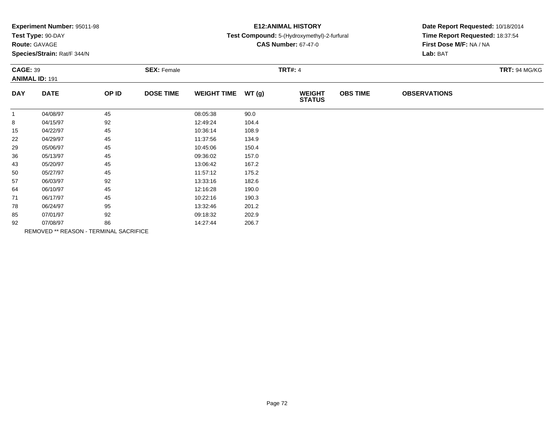| Experiment Number: 95011-98 |  |  |
|-----------------------------|--|--|
|-----------------------------|--|--|

# **Route:** GAVAGE

**Species/Strain:** Rat/F 344/N

## **E12:ANIMAL HISTORY**

#### **Test Compound:** 5-(Hydroxymethyl)-2-furfural

**CAS Number:** 67-47-0

|              | <b>CAGE: 39</b><br><b>ANIMAL ID: 191</b> |       | <b>SEX: Female</b> |                    |       | <b>TRT#: 4</b>                 | <b>TRT: 94 MG/KG</b> |                     |  |
|--------------|------------------------------------------|-------|--------------------|--------------------|-------|--------------------------------|----------------------|---------------------|--|
| <b>DAY</b>   | <b>DATE</b>                              | OP ID | <b>DOSE TIME</b>   | <b>WEIGHT TIME</b> | WT(g) | <b>WEIGHT</b><br><b>STATUS</b> | <b>OBS TIME</b>      | <b>OBSERVATIONS</b> |  |
| $\mathbf{1}$ | 04/08/97                                 | 45    |                    | 08:05:38           | 90.0  |                                |                      |                     |  |
| 8            | 04/15/97                                 | 92    |                    | 12:49:24           | 104.4 |                                |                      |                     |  |
| 15           | 04/22/97                                 | 45    |                    | 10:36:14           | 108.9 |                                |                      |                     |  |
| 22           | 04/29/97                                 | 45    |                    | 11:37:56           | 134.9 |                                |                      |                     |  |
| 29           | 05/06/97                                 | 45    |                    | 10:45:06           | 150.4 |                                |                      |                     |  |
| 36           | 05/13/97                                 | 45    |                    | 09:36:02           | 157.0 |                                |                      |                     |  |
| 43           | 05/20/97                                 | 45    |                    | 13:06:42           | 167.2 |                                |                      |                     |  |
| 50           | 05/27/97                                 | 45    |                    | 11:57:12           | 175.2 |                                |                      |                     |  |
| 57           | 06/03/97                                 | 92    |                    | 13:33:16           | 182.6 |                                |                      |                     |  |
| 64           | 06/10/97                                 | 45    |                    | 12:16:28           | 190.0 |                                |                      |                     |  |
| 71           | 06/17/97                                 | 45    |                    | 10:22:16           | 190.3 |                                |                      |                     |  |
| 78           | 06/24/97                                 | 95    |                    | 13:32:46           | 201.2 |                                |                      |                     |  |
| 85           | 07/01/97                                 | 92    |                    | 09:18:32           | 202.9 |                                |                      |                     |  |
| 92           | 07/08/97                                 | 86    |                    | 14:27:44           | 206.7 |                                |                      |                     |  |
|              | REMOVED ** REASON - TERMINAL SACRIFICE   |       |                    |                    |       |                                |                      |                     |  |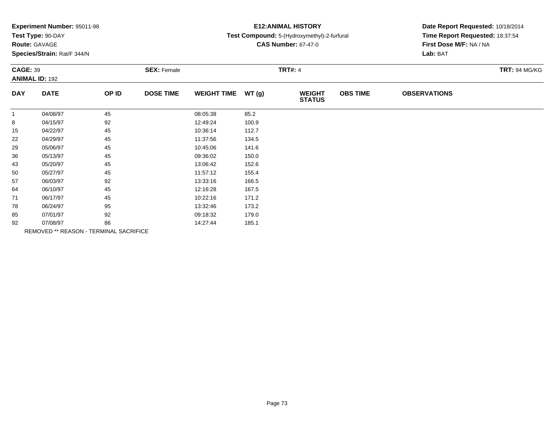| Experiment Number: 95011-98 |  |  |
|-----------------------------|--|--|
|-----------------------------|--|--|

### **Route:** GAVAGE

**Species/Strain:** Rat/F 344/N

### **E12:ANIMAL HISTORY**

#### **Test Compound:** 5-(Hydroxymethyl)-2-furfural

**CAS Number:** 67-47-0

|              | <b>CAGE: 39</b><br><b>ANIMAL ID: 192</b> |                                        | <b>SEX: Female</b> |                    |       | <b>TRT#: 4</b>                 | <b>TRT: 94 MG/KG</b> |                     |  |
|--------------|------------------------------------------|----------------------------------------|--------------------|--------------------|-------|--------------------------------|----------------------|---------------------|--|
| <b>DAY</b>   | <b>DATE</b>                              | OP ID                                  | <b>DOSE TIME</b>   | <b>WEIGHT TIME</b> | WT(g) | <b>WEIGHT</b><br><b>STATUS</b> | <b>OBS TIME</b>      | <b>OBSERVATIONS</b> |  |
| $\mathbf{1}$ | 04/08/97                                 | 45                                     |                    | 08:05:38           | 85.2  |                                |                      |                     |  |
| 8            | 04/15/97                                 | 92                                     |                    | 12:49:24           | 100.9 |                                |                      |                     |  |
| 15           | 04/22/97                                 | 45                                     |                    | 10:36:14           | 112.7 |                                |                      |                     |  |
| 22           | 04/29/97                                 | 45                                     |                    | 11:37:56           | 134.5 |                                |                      |                     |  |
| 29           | 05/06/97                                 | 45                                     |                    | 10:45:06           | 141.6 |                                |                      |                     |  |
| 36           | 05/13/97                                 | 45                                     |                    | 09:36:02           | 150.0 |                                |                      |                     |  |
| 43           | 05/20/97                                 | 45                                     |                    | 13:06:42           | 152.6 |                                |                      |                     |  |
| 50           | 05/27/97                                 | 45                                     |                    | 11:57:12           | 155.4 |                                |                      |                     |  |
| 57           | 06/03/97                                 | 92                                     |                    | 13:33:16           | 166.5 |                                |                      |                     |  |
| 64           | 06/10/97                                 | 45                                     |                    | 12:16:28           | 167.5 |                                |                      |                     |  |
| 71           | 06/17/97                                 | 45                                     |                    | 10:22:16           | 171.2 |                                |                      |                     |  |
| 78           | 06/24/97                                 | 95                                     |                    | 13:32:46           | 173.2 |                                |                      |                     |  |
| 85           | 07/01/97                                 | 92                                     |                    | 09:18:32           | 179.0 |                                |                      |                     |  |
| 92           | 07/08/97                                 | 86                                     |                    | 14:27:44           | 185.1 |                                |                      |                     |  |
|              |                                          | REMOVED ** REASON - TERMINAL SACRIFICE |                    |                    |       |                                |                      |                     |  |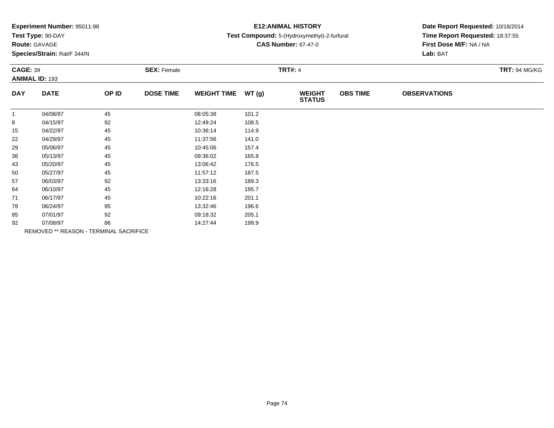| Experiment Number: 95011-98 |  |  |
|-----------------------------|--|--|
|-----------------------------|--|--|

### **Route:** GAVAGE

**Species/Strain:** Rat/F 344/N

### **E12:ANIMAL HISTORY**

#### **Test Compound:** 5-(Hydroxymethyl)-2-furfural

**CAS Number:** 67-47-0

|              | <b>CAGE: 39</b><br><b>ANIMAL ID: 193</b> |                                        | <b>SEX: Female</b> |                    |       | <b>TRT#: 4</b>                 | <b>TRT: 94 MG/KG</b> |                     |  |
|--------------|------------------------------------------|----------------------------------------|--------------------|--------------------|-------|--------------------------------|----------------------|---------------------|--|
| <b>DAY</b>   | <b>DATE</b>                              | OP ID                                  | <b>DOSE TIME</b>   | <b>WEIGHT TIME</b> | WT(g) | <b>WEIGHT</b><br><b>STATUS</b> | <b>OBS TIME</b>      | <b>OBSERVATIONS</b> |  |
| $\mathbf{1}$ | 04/08/97                                 | 45                                     |                    | 08:05:38           | 101.2 |                                |                      |                     |  |
| 8            | 04/15/97                                 | 92                                     |                    | 12:49:24           | 108.5 |                                |                      |                     |  |
| 15           | 04/22/97                                 | 45                                     |                    | 10:36:14           | 114.9 |                                |                      |                     |  |
| 22           | 04/29/97                                 | 45                                     |                    | 11:37:56           | 141.0 |                                |                      |                     |  |
| 29           | 05/06/97                                 | 45                                     |                    | 10:45:06           | 157.4 |                                |                      |                     |  |
| 36           | 05/13/97                                 | 45                                     |                    | 09:36:02           | 165.8 |                                |                      |                     |  |
| 43           | 05/20/97                                 | 45                                     |                    | 13:06:42           | 176.5 |                                |                      |                     |  |
| 50           | 05/27/97                                 | 45                                     |                    | 11:57:12           | 187.5 |                                |                      |                     |  |
| 57           | 06/03/97                                 | 92                                     |                    | 13:33:16           | 189.3 |                                |                      |                     |  |
| 64           | 06/10/97                                 | 45                                     |                    | 12:16:28           | 195.7 |                                |                      |                     |  |
| 71           | 06/17/97                                 | 45                                     |                    | 10:22:16           | 201.1 |                                |                      |                     |  |
| 78           | 06/24/97                                 | 95                                     |                    | 13:32:46           | 196.6 |                                |                      |                     |  |
| 85           | 07/01/97                                 | 92                                     |                    | 09:18:32           | 205.1 |                                |                      |                     |  |
| 92           | 07/08/97                                 | 86                                     |                    | 14:27:44           | 199.9 |                                |                      |                     |  |
|              |                                          | REMOVED ** REASON - TERMINAL SACRIFICE |                    |                    |       |                                |                      |                     |  |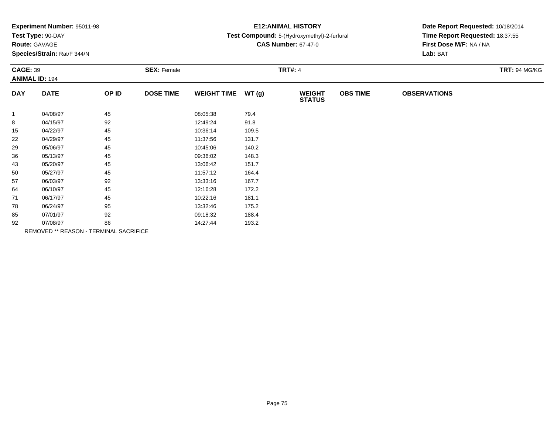| Experiment Number: 95011-98 |  |  |
|-----------------------------|--|--|
|-----------------------------|--|--|

### **Route:** GAVAGE

**Species/Strain:** Rat/F 344/N

### **E12:ANIMAL HISTORY**

#### **Test Compound:** 5-(Hydroxymethyl)-2-furfural

**CAS Number:** 67-47-0

| <b>CAGE: 39</b><br><b>ANIMAL ID: 194</b> |             | <b>SEX: Female</b>                     |                  |                    |       | <b>TRT#: 4</b>                 |                 |                     |  |  |
|------------------------------------------|-------------|----------------------------------------|------------------|--------------------|-------|--------------------------------|-----------------|---------------------|--|--|
| <b>DAY</b>                               | <b>DATE</b> | OP ID                                  | <b>DOSE TIME</b> | <b>WEIGHT TIME</b> | WT(g) | <b>WEIGHT</b><br><b>STATUS</b> | <b>OBS TIME</b> | <b>OBSERVATIONS</b> |  |  |
| $\mathbf{1}$                             | 04/08/97    | 45                                     |                  | 08:05:38           | 79.4  |                                |                 |                     |  |  |
| 8                                        | 04/15/97    | 92                                     |                  | 12:49:24           | 91.8  |                                |                 |                     |  |  |
| 15                                       | 04/22/97    | 45                                     |                  | 10:36:14           | 109.5 |                                |                 |                     |  |  |
| 22                                       | 04/29/97    | 45                                     |                  | 11:37:56           | 131.7 |                                |                 |                     |  |  |
| 29                                       | 05/06/97    | 45                                     |                  | 10:45:06           | 140.2 |                                |                 |                     |  |  |
| 36                                       | 05/13/97    | 45                                     |                  | 09:36:02           | 148.3 |                                |                 |                     |  |  |
| 43                                       | 05/20/97    | 45                                     |                  | 13:06:42           | 151.7 |                                |                 |                     |  |  |
| 50                                       | 05/27/97    | 45                                     |                  | 11:57:12           | 164.4 |                                |                 |                     |  |  |
| 57                                       | 06/03/97    | 92                                     |                  | 13:33:16           | 167.7 |                                |                 |                     |  |  |
| 64                                       | 06/10/97    | 45                                     |                  | 12:16:28           | 172.2 |                                |                 |                     |  |  |
| 71                                       | 06/17/97    | 45                                     |                  | 10:22:16           | 181.1 |                                |                 |                     |  |  |
| 78                                       | 06/24/97    | 95                                     |                  | 13:32:46           | 175.2 |                                |                 |                     |  |  |
| 85                                       | 07/01/97    | 92                                     |                  | 09:18:32           | 188.4 |                                |                 |                     |  |  |
| 92                                       | 07/08/97    | 86                                     |                  | 14:27:44           | 193.2 |                                |                 |                     |  |  |
|                                          |             | REMOVED ** REASON - TERMINAL SACRIFICE |                  |                    |       |                                |                 |                     |  |  |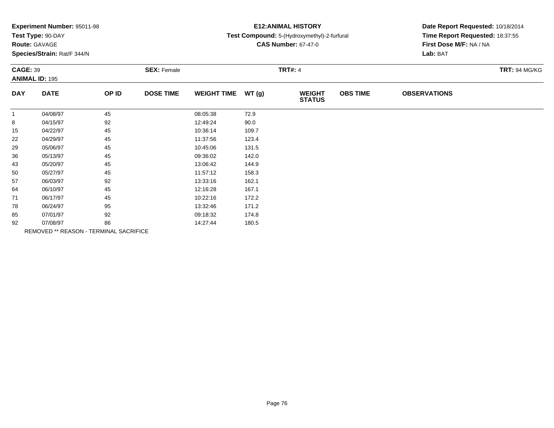| Experiment Number: 95011-98 |  |  |
|-----------------------------|--|--|
|-----------------------------|--|--|

### **Route:** GAVAGE

**Species/Strain:** Rat/F 344/N

### **E12:ANIMAL HISTORY**

### **Test Compound:** 5-(Hydroxymethyl)-2-furfural

**CAS Number:** 67-47-0

|              | <b>CAGE: 39</b><br><b>ANIMAL ID: 195</b> |                                        | <b>SEX: Female</b> |                    |       | <b>TRT#: 4</b>                 | <b>TRT: 94 MG/KG</b> |                     |  |
|--------------|------------------------------------------|----------------------------------------|--------------------|--------------------|-------|--------------------------------|----------------------|---------------------|--|
| <b>DAY</b>   | <b>DATE</b>                              | OP ID                                  | <b>DOSE TIME</b>   | <b>WEIGHT TIME</b> | WT(g) | <b>WEIGHT</b><br><b>STATUS</b> | <b>OBS TIME</b>      | <b>OBSERVATIONS</b> |  |
| $\mathbf{1}$ | 04/08/97                                 | 45                                     |                    | 08:05:38           | 72.9  |                                |                      |                     |  |
| 8            | 04/15/97                                 | 92                                     |                    | 12:49:24           | 90.0  |                                |                      |                     |  |
| 15           | 04/22/97                                 | 45                                     |                    | 10:36:14           | 109.7 |                                |                      |                     |  |
| 22           | 04/29/97                                 | 45                                     |                    | 11:37:56           | 123.4 |                                |                      |                     |  |
| 29           | 05/06/97                                 | 45                                     |                    | 10:45:06           | 131.5 |                                |                      |                     |  |
| 36           | 05/13/97                                 | 45                                     |                    | 09:36:02           | 142.0 |                                |                      |                     |  |
| 43           | 05/20/97                                 | 45                                     |                    | 13:06:42           | 144.9 |                                |                      |                     |  |
| 50           | 05/27/97                                 | 45                                     |                    | 11:57:12           | 158.3 |                                |                      |                     |  |
| 57           | 06/03/97                                 | 92                                     |                    | 13:33:16           | 162.1 |                                |                      |                     |  |
| 64           | 06/10/97                                 | 45                                     |                    | 12:16:28           | 167.1 |                                |                      |                     |  |
| 71           | 06/17/97                                 | 45                                     |                    | 10:22:16           | 172.2 |                                |                      |                     |  |
| 78           | 06/24/97                                 | 95                                     |                    | 13:32:46           | 171.2 |                                |                      |                     |  |
| 85           | 07/01/97                                 | 92                                     |                    | 09:18:32           | 174.8 |                                |                      |                     |  |
| 92           | 07/08/97                                 | 86                                     |                    | 14:27:44           | 180.5 |                                |                      |                     |  |
|              |                                          | REMOVED ** REASON - TERMINAL SACRIFICE |                    |                    |       |                                |                      |                     |  |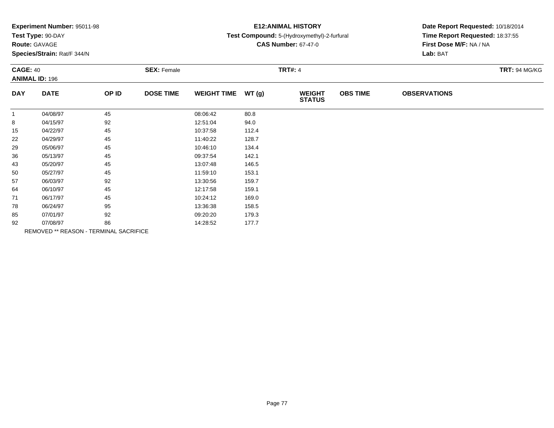| Experiment Number: 95011-98 |  |  |
|-----------------------------|--|--|
|-----------------------------|--|--|

# **Route:** GAVAGE

**Species/Strain:** Rat/F 344/N

### **E12:ANIMAL HISTORY**

### **Test Compound:** 5-(Hydroxymethyl)-2-furfural

**CAS Number:** 67-47-0

| <b>CAGE: 40</b> | <b>ANIMAL ID: 196</b>                  |       | <b>SEX: Female</b> |                    |       | <b>TRT#: 4</b>                 |                 |                     | <b>TRT: 94 MG/KG</b> |
|-----------------|----------------------------------------|-------|--------------------|--------------------|-------|--------------------------------|-----------------|---------------------|----------------------|
| <b>DAY</b>      | <b>DATE</b>                            | OP ID | <b>DOSE TIME</b>   | <b>WEIGHT TIME</b> | WT(g) | <b>WEIGHT</b><br><b>STATUS</b> | <b>OBS TIME</b> | <b>OBSERVATIONS</b> |                      |
| $\mathbf{1}$    | 04/08/97                               | 45    |                    | 08:06:42           | 80.8  |                                |                 |                     |                      |
| 8               | 04/15/97                               | 92    |                    | 12:51:04           | 94.0  |                                |                 |                     |                      |
| 15              | 04/22/97                               | 45    |                    | 10:37:58           | 112.4 |                                |                 |                     |                      |
| 22              | 04/29/97                               | 45    |                    | 11:40:22           | 128.7 |                                |                 |                     |                      |
| 29              | 05/06/97                               | 45    |                    | 10:46:10           | 134.4 |                                |                 |                     |                      |
| 36              | 05/13/97                               | 45    |                    | 09:37:54           | 142.1 |                                |                 |                     |                      |
| 43              | 05/20/97                               | 45    |                    | 13:07:48           | 146.5 |                                |                 |                     |                      |
| 50              | 05/27/97                               | 45    |                    | 11:59:10           | 153.1 |                                |                 |                     |                      |
| 57              | 06/03/97                               | 92    |                    | 13:30:56           | 159.7 |                                |                 |                     |                      |
| 64              | 06/10/97                               | 45    |                    | 12:17:58           | 159.1 |                                |                 |                     |                      |
| 71              | 06/17/97                               | 45    |                    | 10:24:12           | 169.0 |                                |                 |                     |                      |
| 78              | 06/24/97                               | 95    |                    | 13:36:38           | 158.5 |                                |                 |                     |                      |
| 85              | 07/01/97                               | 92    |                    | 09:20:20           | 179.3 |                                |                 |                     |                      |
| 92              | 07/08/97                               | 86    |                    | 14:28:52           | 177.7 |                                |                 |                     |                      |
|                 | REMOVED ** REASON - TERMINAL SACRIFICE |       |                    |                    |       |                                |                 |                     |                      |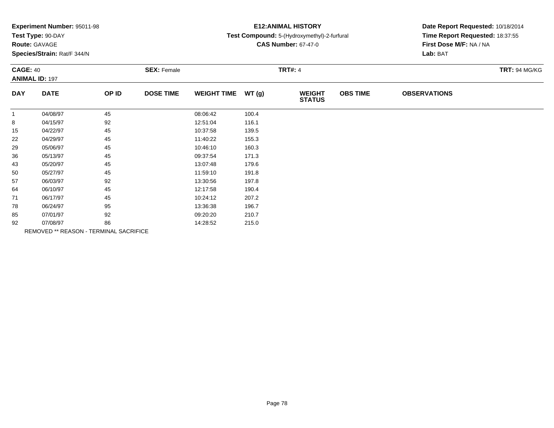| Experiment Number: 95011-98 |  |  |
|-----------------------------|--|--|
|-----------------------------|--|--|

### **Route:** GAVAGE

**Species/Strain:** Rat/F 344/N

### **E12:ANIMAL HISTORY**

### **Test Compound:** 5-(Hydroxymethyl)-2-furfural

**CAS Number:** 67-47-0

|              | <b>CAGE: 40</b><br><b>ANIMAL ID: 197</b> |                                        | <b>SEX: Female</b> |                    |       | <b>TRT#: 4</b>                 |                 | <b>TRT: 94 MG/KG</b> |  |
|--------------|------------------------------------------|----------------------------------------|--------------------|--------------------|-------|--------------------------------|-----------------|----------------------|--|
|              |                                          |                                        |                    |                    |       |                                |                 |                      |  |
| <b>DAY</b>   | <b>DATE</b>                              | OP ID                                  | <b>DOSE TIME</b>   | <b>WEIGHT TIME</b> | WT(g) | <b>WEIGHT</b><br><b>STATUS</b> | <b>OBS TIME</b> | <b>OBSERVATIONS</b>  |  |
| $\mathbf{1}$ | 04/08/97                                 | 45                                     |                    | 08:06:42           | 100.4 |                                |                 |                      |  |
| 8            | 04/15/97                                 | 92                                     |                    | 12:51:04           | 116.1 |                                |                 |                      |  |
| 15           | 04/22/97                                 | 45                                     |                    | 10:37:58           | 139.5 |                                |                 |                      |  |
| 22           | 04/29/97                                 | 45                                     |                    | 11:40:22           | 155.3 |                                |                 |                      |  |
| 29           | 05/06/97                                 | 45                                     |                    | 10:46:10           | 160.3 |                                |                 |                      |  |
| 36           | 05/13/97                                 | 45                                     |                    | 09:37:54           | 171.3 |                                |                 |                      |  |
| 43           | 05/20/97                                 | 45                                     |                    | 13:07:48           | 179.6 |                                |                 |                      |  |
| 50           | 05/27/97                                 | 45                                     |                    | 11:59:10           | 191.8 |                                |                 |                      |  |
| 57           | 06/03/97                                 | 92                                     |                    | 13:30:56           | 197.8 |                                |                 |                      |  |
| 64           | 06/10/97                                 | 45                                     |                    | 12:17:58           | 190.4 |                                |                 |                      |  |
| 71           | 06/17/97                                 | 45                                     |                    | 10:24:12           | 207.2 |                                |                 |                      |  |
| 78           | 06/24/97                                 | 95                                     |                    | 13:36:38           | 196.7 |                                |                 |                      |  |
| 85           | 07/01/97                                 | 92                                     |                    | 09:20:20           | 210.7 |                                |                 |                      |  |
| 92           | 07/08/97                                 | 86                                     |                    | 14:28:52           | 215.0 |                                |                 |                      |  |
|              |                                          | REMOVED ** REASON - TERMINAL SACRIFICE |                    |                    |       |                                |                 |                      |  |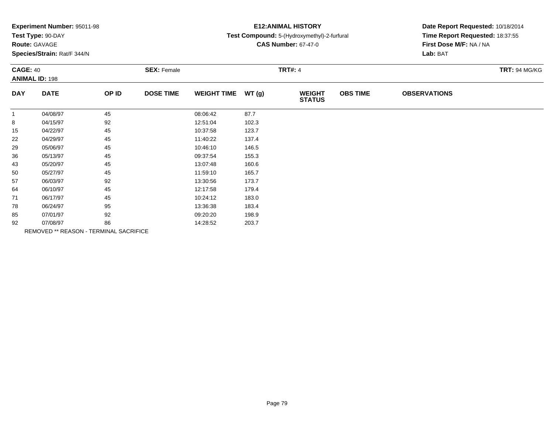| Experiment Number: 95011-98 |  |  |
|-----------------------------|--|--|
|-----------------------------|--|--|

# **Route:** GAVAGE

**Species/Strain:** Rat/F 344/N

### **E12:ANIMAL HISTORY**

### **Test Compound:** 5-(Hydroxymethyl)-2-furfural

**CAS Number:** 67-47-0

| <b>CAGE: 40</b><br><b>ANIMAL ID: 198</b> |                                        | <b>SEX: Female</b> |                  |                    | <b>TRT#: 4</b> |                                |                 |                     |  |
|------------------------------------------|----------------------------------------|--------------------|------------------|--------------------|----------------|--------------------------------|-----------------|---------------------|--|
| <b>DAY</b>                               | <b>DATE</b>                            | OP ID              | <b>DOSE TIME</b> | <b>WEIGHT TIME</b> | WT(g)          | <b>WEIGHT</b><br><b>STATUS</b> | <b>OBS TIME</b> | <b>OBSERVATIONS</b> |  |
| $\mathbf{1}$                             | 04/08/97                               | 45                 |                  | 08:06:42           | 87.7           |                                |                 |                     |  |
| 8                                        | 04/15/97                               | 92                 |                  | 12:51:04           | 102.3          |                                |                 |                     |  |
| 15                                       | 04/22/97                               | 45                 |                  | 10:37:58           | 123.7          |                                |                 |                     |  |
| 22                                       | 04/29/97                               | 45                 |                  | 11:40:22           | 137.4          |                                |                 |                     |  |
| 29                                       | 05/06/97                               | 45                 |                  | 10:46:10           | 146.5          |                                |                 |                     |  |
| 36                                       | 05/13/97                               | 45                 |                  | 09:37:54           | 155.3          |                                |                 |                     |  |
| 43                                       | 05/20/97                               | 45                 |                  | 13:07:48           | 160.6          |                                |                 |                     |  |
| 50                                       | 05/27/97                               | 45                 |                  | 11:59:10           | 165.7          |                                |                 |                     |  |
| 57                                       | 06/03/97                               | 92                 |                  | 13:30:56           | 173.7          |                                |                 |                     |  |
| 64                                       | 06/10/97                               | 45                 |                  | 12:17:58           | 179.4          |                                |                 |                     |  |
| 71                                       | 06/17/97                               | 45                 |                  | 10:24:12           | 183.0          |                                |                 |                     |  |
| 78                                       | 06/24/97                               | 95                 |                  | 13:36:38           | 183.4          |                                |                 |                     |  |
| 85                                       | 07/01/97                               | 92                 |                  | 09:20:20           | 198.9          |                                |                 |                     |  |
| 92                                       | 07/08/97                               | 86                 |                  | 14:28:52           | 203.7          |                                |                 |                     |  |
|                                          | REMOVED ** REASON - TERMINAL SACRIFICE |                    |                  |                    |                |                                |                 |                     |  |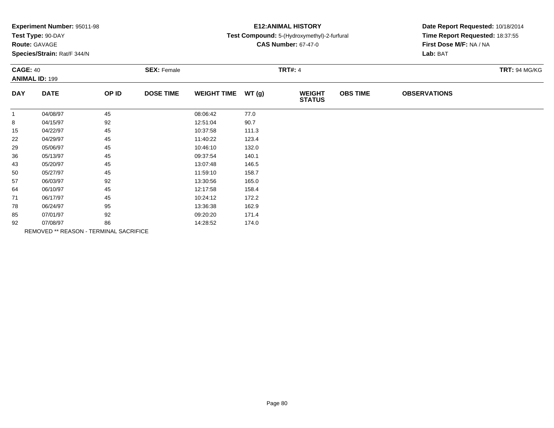| Experiment Number: 95011-98 |  |  |
|-----------------------------|--|--|
|-----------------------------|--|--|

### **Route:** GAVAGE

**Species/Strain:** Rat/F 344/N

### **E12:ANIMAL HISTORY**

### **Test Compound:** 5-(Hydroxymethyl)-2-furfural

**CAS Number:** 67-47-0

| <b>CAGE: 40</b><br><b>ANIMAL ID: 199</b> |                                        | <b>SEX: Female</b> |                  |                    | <b>TRT#: 4</b> |                                |                 |                     |  |
|------------------------------------------|----------------------------------------|--------------------|------------------|--------------------|----------------|--------------------------------|-----------------|---------------------|--|
| <b>DAY</b>                               | <b>DATE</b>                            | OP ID              | <b>DOSE TIME</b> | <b>WEIGHT TIME</b> | WT(g)          | <b>WEIGHT</b><br><b>STATUS</b> | <b>OBS TIME</b> | <b>OBSERVATIONS</b> |  |
| $\mathbf{1}$                             | 04/08/97                               | 45                 |                  | 08:06:42           | 77.0           |                                |                 |                     |  |
| 8                                        | 04/15/97                               | 92                 |                  | 12:51:04           | 90.7           |                                |                 |                     |  |
| 15                                       | 04/22/97                               | 45                 |                  | 10:37:58           | 111.3          |                                |                 |                     |  |
| 22                                       | 04/29/97                               | 45                 |                  | 11:40:22           | 123.4          |                                |                 |                     |  |
| 29                                       | 05/06/97                               | 45                 |                  | 10:46:10           | 132.0          |                                |                 |                     |  |
| 36                                       | 05/13/97                               | 45                 |                  | 09:37:54           | 140.1          |                                |                 |                     |  |
| 43                                       | 05/20/97                               | 45                 |                  | 13:07:48           | 146.5          |                                |                 |                     |  |
| 50                                       | 05/27/97                               | 45                 |                  | 11:59:10           | 158.7          |                                |                 |                     |  |
| 57                                       | 06/03/97                               | 92                 |                  | 13:30:56           | 165.0          |                                |                 |                     |  |
| 64                                       | 06/10/97                               | 45                 |                  | 12:17:58           | 158.4          |                                |                 |                     |  |
| 71                                       | 06/17/97                               | 45                 |                  | 10:24:12           | 172.2          |                                |                 |                     |  |
| 78                                       | 06/24/97                               | 95                 |                  | 13:36:38           | 162.9          |                                |                 |                     |  |
| 85                                       | 07/01/97                               | 92                 |                  | 09:20:20           | 171.4          |                                |                 |                     |  |
| 92                                       | 07/08/97                               | 86                 |                  | 14:28:52           | 174.0          |                                |                 |                     |  |
|                                          | REMOVED ** REASON - TERMINAL SACRIFICE |                    |                  |                    |                |                                |                 |                     |  |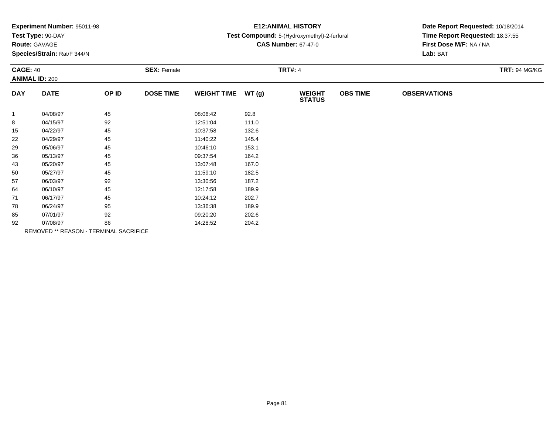| Experiment Number: 95011-98 |  |  |
|-----------------------------|--|--|
|-----------------------------|--|--|

# **Route:** GAVAGE

**Species/Strain:** Rat/F 344/N

### **E12:ANIMAL HISTORY**

#### **Test Compound:** 5-(Hydroxymethyl)-2-furfural

**CAS Number:** 67-47-0

| <b>CAGE: 40</b><br><b>ANIMAL ID: 200</b> |                                        | <b>SEX: Female</b> |                  |                    | <b>TRT#: 4</b> | <b>TRT: 94 MG/KG</b>           |                 |                     |  |
|------------------------------------------|----------------------------------------|--------------------|------------------|--------------------|----------------|--------------------------------|-----------------|---------------------|--|
| <b>DAY</b>                               | <b>DATE</b>                            | OP ID              | <b>DOSE TIME</b> | <b>WEIGHT TIME</b> | WT(g)          | <b>WEIGHT</b><br><b>STATUS</b> | <b>OBS TIME</b> | <b>OBSERVATIONS</b> |  |
| $\mathbf{1}$                             | 04/08/97                               | 45                 |                  | 08:06:42           | 92.8           |                                |                 |                     |  |
| 8                                        | 04/15/97                               | 92                 |                  | 12:51:04           | 111.0          |                                |                 |                     |  |
| 15                                       | 04/22/97                               | 45                 |                  | 10:37:58           | 132.6          |                                |                 |                     |  |
| 22                                       | 04/29/97                               | 45                 |                  | 11:40:22           | 145.4          |                                |                 |                     |  |
| 29                                       | 05/06/97                               | 45                 |                  | 10:46:10           | 153.1          |                                |                 |                     |  |
| 36                                       | 05/13/97                               | 45                 |                  | 09:37:54           | 164.2          |                                |                 |                     |  |
| 43                                       | 05/20/97                               | 45                 |                  | 13:07:48           | 167.0          |                                |                 |                     |  |
| 50                                       | 05/27/97                               | 45                 |                  | 11:59:10           | 182.5          |                                |                 |                     |  |
| 57                                       | 06/03/97                               | 92                 |                  | 13:30:56           | 187.2          |                                |                 |                     |  |
| 64                                       | 06/10/97                               | 45                 |                  | 12:17:58           | 189.9          |                                |                 |                     |  |
| 71                                       | 06/17/97                               | 45                 |                  | 10:24:12           | 202.7          |                                |                 |                     |  |
| 78                                       | 06/24/97                               | 95                 |                  | 13:36:38           | 189.9          |                                |                 |                     |  |
| 85                                       | 07/01/97                               | 92                 |                  | 09:20:20           | 202.6          |                                |                 |                     |  |
| 92                                       | 07/08/97                               | 86                 |                  | 14:28:52           | 204.2          |                                |                 |                     |  |
|                                          | REMOVED ** REASON - TERMINAL SACRIFICE |                    |                  |                    |                |                                |                 |                     |  |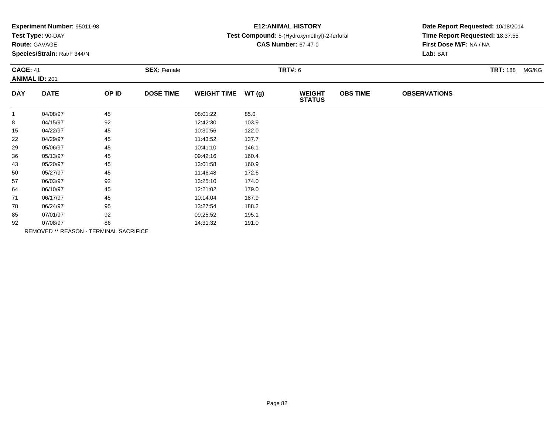| Experiment Number: 95011-98 |  |  |
|-----------------------------|--|--|
|-----------------------------|--|--|

# **Route:** GAVAGE

**Species/Strain:** Rat/F 344/N

# **E12:ANIMAL HISTORY**

#### **Test Compound:** 5-(Hydroxymethyl)-2-furfural

**CAS Number:** 67-47-0

| <b>CAGE: 41</b><br><b>ANIMAL ID: 201</b> |             | <b>SEX: Female</b>                     |                  | <b>TRT#: 6</b>     | <b>TRT: 188</b><br>MG/KG |                                |                 |                     |  |
|------------------------------------------|-------------|----------------------------------------|------------------|--------------------|--------------------------|--------------------------------|-----------------|---------------------|--|
| <b>DAY</b>                               | <b>DATE</b> | OP ID                                  | <b>DOSE TIME</b> | <b>WEIGHT TIME</b> | WT(g)                    | <b>WEIGHT</b><br><b>STATUS</b> | <b>OBS TIME</b> | <b>OBSERVATIONS</b> |  |
| $\mathbf{1}$                             | 04/08/97    | 45                                     |                  | 08:01:22           | 85.0                     |                                |                 |                     |  |
| 8                                        | 04/15/97    | 92                                     |                  | 12:42:30           | 103.9                    |                                |                 |                     |  |
| 15                                       | 04/22/97    | 45                                     |                  | 10:30:56           | 122.0                    |                                |                 |                     |  |
| 22                                       | 04/29/97    | 45                                     |                  | 11:43:52           | 137.7                    |                                |                 |                     |  |
| 29                                       | 05/06/97    | 45                                     |                  | 10:41:10           | 146.1                    |                                |                 |                     |  |
| 36                                       | 05/13/97    | 45                                     |                  | 09:42:16           | 160.4                    |                                |                 |                     |  |
| 43                                       | 05/20/97    | 45                                     |                  | 13:01:58           | 160.9                    |                                |                 |                     |  |
| 50                                       | 05/27/97    | 45                                     |                  | 11:46:48           | 172.6                    |                                |                 |                     |  |
| 57                                       | 06/03/97    | 92                                     |                  | 13:25:10           | 174.0                    |                                |                 |                     |  |
| 64                                       | 06/10/97    | 45                                     |                  | 12:21:02           | 179.0                    |                                |                 |                     |  |
| 71                                       | 06/17/97    | 45                                     |                  | 10:14:04           | 187.9                    |                                |                 |                     |  |
| 78                                       | 06/24/97    | 95                                     |                  | 13:27:54           | 188.2                    |                                |                 |                     |  |
| 85                                       | 07/01/97    | 92                                     |                  | 09:25:52           | 195.1                    |                                |                 |                     |  |
| 92                                       | 07/08/97    | 86                                     |                  | 14:31:32           | 191.0                    |                                |                 |                     |  |
|                                          |             | REMOVED ** REASON - TERMINAL SACRIFICE |                  |                    |                          |                                |                 |                     |  |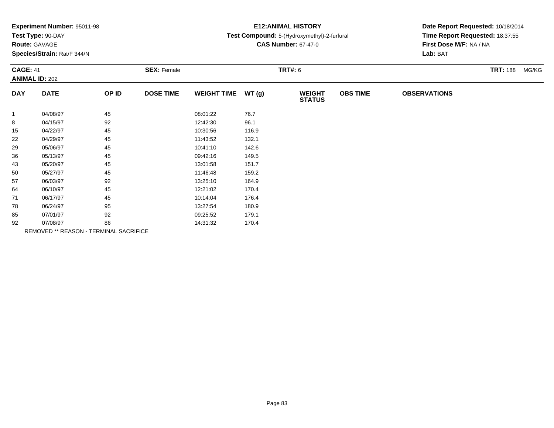| Experiment Number: 95011-98 |  |  |
|-----------------------------|--|--|
|-----------------------------|--|--|

### **Route:** GAVAGE

**Species/Strain:** Rat/F 344/N

### **E12:ANIMAL HISTORY**

#### **Test Compound:** 5-(Hydroxymethyl)-2-furfural

**CAS Number:** 67-47-0

| <b>CAGE: 41</b> | <b>ANIMAL ID: 202</b>                  |       | <b>SEX: Female</b> |                    |       | <b>TRT#: 6</b>                 |                 | <b>TRT: 188</b><br>MG/KG |  |  |
|-----------------|----------------------------------------|-------|--------------------|--------------------|-------|--------------------------------|-----------------|--------------------------|--|--|
| <b>DAY</b>      | <b>DATE</b>                            | OP ID | <b>DOSE TIME</b>   | <b>WEIGHT TIME</b> | WT(g) | <b>WEIGHT</b><br><b>STATUS</b> | <b>OBS TIME</b> | <b>OBSERVATIONS</b>      |  |  |
| $\overline{1}$  | 04/08/97                               | 45    |                    | 08:01:22           | 76.7  |                                |                 |                          |  |  |
| 8               | 04/15/97                               | 92    |                    | 12:42:30           | 96.1  |                                |                 |                          |  |  |
| 15              | 04/22/97                               | 45    |                    | 10:30:56           | 116.9 |                                |                 |                          |  |  |
| 22              | 04/29/97                               | 45    |                    | 11:43:52           | 132.1 |                                |                 |                          |  |  |
| 29              | 05/06/97                               | 45    |                    | 10:41:10           | 142.6 |                                |                 |                          |  |  |
| 36              | 05/13/97                               | 45    |                    | 09:42:16           | 149.5 |                                |                 |                          |  |  |
| 43              | 05/20/97                               | 45    |                    | 13:01:58           | 151.7 |                                |                 |                          |  |  |
| 50              | 05/27/97                               | 45    |                    | 11:46:48           | 159.2 |                                |                 |                          |  |  |
| 57              | 06/03/97                               | 92    |                    | 13:25:10           | 164.9 |                                |                 |                          |  |  |
| 64              | 06/10/97                               | 45    |                    | 12:21:02           | 170.4 |                                |                 |                          |  |  |
| 71              | 06/17/97                               | 45    |                    | 10:14:04           | 176.4 |                                |                 |                          |  |  |
| 78              | 06/24/97                               | 95    |                    | 13:27:54           | 180.9 |                                |                 |                          |  |  |
| 85              | 07/01/97                               | 92    |                    | 09:25:52           | 179.1 |                                |                 |                          |  |  |
| 92              | 07/08/97                               | 86    |                    | 14:31:32           | 170.4 |                                |                 |                          |  |  |
|                 | REMOVED ** REASON - TERMINAL SACRIFICE |       |                    |                    |       |                                |                 |                          |  |  |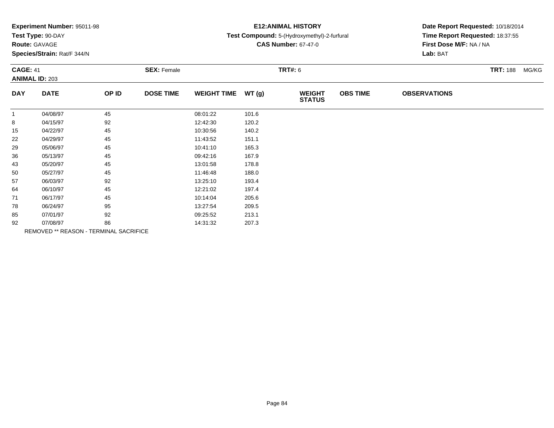| Experiment Number: 95011-98 |  |  |
|-----------------------------|--|--|
|-----------------------------|--|--|

### **Route:** GAVAGE

**Species/Strain:** Rat/F 344/N

# **E12:ANIMAL HISTORY**

#### **Test Compound:** 5-(Hydroxymethyl)-2-furfural

**CAS Number:** 67-47-0

| <b>CAGE: 41</b><br><b>ANIMAL ID: 203</b> |             | <b>SEX: Female</b>                            |                  |                     |       | <b>TRT#: 6</b>                 |                 |                     | <b>TRT: 188</b> | MG/KG |
|------------------------------------------|-------------|-----------------------------------------------|------------------|---------------------|-------|--------------------------------|-----------------|---------------------|-----------------|-------|
| <b>DAY</b>                               | <b>DATE</b> | OP ID                                         | <b>DOSE TIME</b> | WEIGHT TIME $WT(g)$ |       | <b>WEIGHT</b><br><b>STATUS</b> | <b>OBS TIME</b> | <b>OBSERVATIONS</b> |                 |       |
|                                          | 04/08/97    | 45                                            |                  | 08:01:22            | 101.6 |                                |                 |                     |                 |       |
| 8                                        | 04/15/97    | 92                                            |                  | 12:42:30            | 120.2 |                                |                 |                     |                 |       |
| 15                                       | 04/22/97    | 45                                            |                  | 10:30:56            | 140.2 |                                |                 |                     |                 |       |
| 22                                       | 04/29/97    | 45                                            |                  | 11:43:52            | 151.1 |                                |                 |                     |                 |       |
| 29                                       | 05/06/97    | 45                                            |                  | 10:41:10            | 165.3 |                                |                 |                     |                 |       |
| 36                                       | 05/13/97    | 45                                            |                  | 09:42:16            | 167.9 |                                |                 |                     |                 |       |
| 43                                       | 05/20/97    | 45                                            |                  | 13:01:58            | 178.8 |                                |                 |                     |                 |       |
| 50                                       | 05/27/97    | 45                                            |                  | 11:46:48            | 188.0 |                                |                 |                     |                 |       |
| 57                                       | 06/03/97    | 92                                            |                  | 13:25:10            | 193.4 |                                |                 |                     |                 |       |
| 64                                       | 06/10/97    | 45                                            |                  | 12:21:02            | 197.4 |                                |                 |                     |                 |       |
| 71                                       | 06/17/97    | 45                                            |                  | 10:14:04            | 205.6 |                                |                 |                     |                 |       |
| 78                                       | 06/24/97    | 95                                            |                  | 13:27:54            | 209.5 |                                |                 |                     |                 |       |
| 85                                       | 07/01/97    | 92                                            |                  | 09:25:52            | 213.1 |                                |                 |                     |                 |       |
| 92                                       | 07/08/97    | 86                                            |                  | 14:31:32            | 207.3 |                                |                 |                     |                 |       |
|                                          |             | <b>REMOVED ** REASON - TERMINAL SACRIFICE</b> |                  |                     |       |                                |                 |                     |                 |       |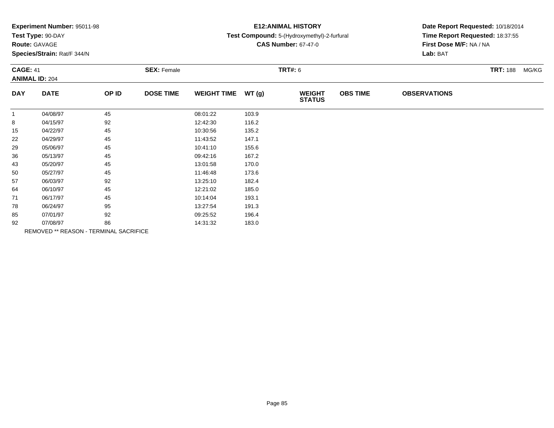| Experiment Number: 95011-98 |  |  |
|-----------------------------|--|--|
|-----------------------------|--|--|

### **Route:** GAVAGE

**Species/Strain:** Rat/F 344/N

# **E12:ANIMAL HISTORY**

#### **Test Compound:** 5-(Hydroxymethyl)-2-furfural

**CAS Number:** 67-47-0

|              | <b>CAGE: 41</b><br><b>ANIMAL ID: 204</b> |       | <b>SEX: Female</b> |                    |       |                                | <b>TRT#: 6</b>  |                     |  |  |  |
|--------------|------------------------------------------|-------|--------------------|--------------------|-------|--------------------------------|-----------------|---------------------|--|--|--|
| <b>DAY</b>   | <b>DATE</b>                              | OP ID | <b>DOSE TIME</b>   | <b>WEIGHT TIME</b> | WT(g) | <b>WEIGHT</b><br><b>STATUS</b> | <b>OBS TIME</b> | <b>OBSERVATIONS</b> |  |  |  |
| $\mathbf{1}$ | 04/08/97                                 | 45    |                    | 08:01:22           | 103.9 |                                |                 |                     |  |  |  |
| 8            | 04/15/97                                 | 92    |                    | 12:42:30           | 116.2 |                                |                 |                     |  |  |  |
| 15           | 04/22/97                                 | 45    |                    | 10:30:56           | 135.2 |                                |                 |                     |  |  |  |
| 22           | 04/29/97                                 | 45    |                    | 11:43:52           | 147.1 |                                |                 |                     |  |  |  |
| 29           | 05/06/97                                 | 45    |                    | 10:41:10           | 155.6 |                                |                 |                     |  |  |  |
| 36           | 05/13/97                                 | 45    |                    | 09:42:16           | 167.2 |                                |                 |                     |  |  |  |
| 43           | 05/20/97                                 | 45    |                    | 13:01:58           | 170.0 |                                |                 |                     |  |  |  |
| 50           | 05/27/97                                 | 45    |                    | 11:46:48           | 173.6 |                                |                 |                     |  |  |  |
| 57           | 06/03/97                                 | 92    |                    | 13:25:10           | 182.4 |                                |                 |                     |  |  |  |
| 64           | 06/10/97                                 | 45    |                    | 12:21:02           | 185.0 |                                |                 |                     |  |  |  |
| 71           | 06/17/97                                 | 45    |                    | 10:14:04           | 193.1 |                                |                 |                     |  |  |  |
| 78           | 06/24/97                                 | 95    |                    | 13:27:54           | 191.3 |                                |                 |                     |  |  |  |
| 85           | 07/01/97                                 | 92    |                    | 09:25:52           | 196.4 |                                |                 |                     |  |  |  |
| 92           | 07/08/97                                 | 86    |                    | 14:31:32           | 183.0 |                                |                 |                     |  |  |  |
|              | REMOVED ** REASON - TERMINAL SACRIFICE   |       |                    |                    |       |                                |                 |                     |  |  |  |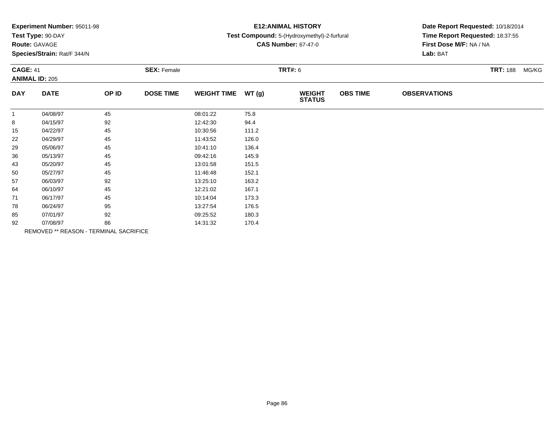| Experiment Number: 95011-98 |  |  |
|-----------------------------|--|--|
|-----------------------------|--|--|

### **Route:** GAVAGE

**Species/Strain:** Rat/F 344/N

### **E12:ANIMAL HISTORY**

#### **Test Compound:** 5-(Hydroxymethyl)-2-furfural

**CAS Number:** 67-47-0

|                | <b>CAGE: 41</b><br><b>ANIMAL ID: 205</b> |       | <b>SEX: Female</b> |                    |       |                                | <b>TRT#: 6</b>  |                     |  |  |
|----------------|------------------------------------------|-------|--------------------|--------------------|-------|--------------------------------|-----------------|---------------------|--|--|
| <b>DAY</b>     | <b>DATE</b>                              | OP ID | <b>DOSE TIME</b>   | <b>WEIGHT TIME</b> | WT(g) | <b>WEIGHT</b><br><b>STATUS</b> | <b>OBS TIME</b> | <b>OBSERVATIONS</b> |  |  |
| $\overline{1}$ | 04/08/97                                 | 45    |                    | 08:01:22           | 75.8  |                                |                 |                     |  |  |
| 8              | 04/15/97                                 | 92    |                    | 12:42:30           | 94.4  |                                |                 |                     |  |  |
| 15             | 04/22/97                                 | 45    |                    | 10:30:56           | 111.2 |                                |                 |                     |  |  |
| 22             | 04/29/97                                 | 45    |                    | 11:43:52           | 126.0 |                                |                 |                     |  |  |
| 29             | 05/06/97                                 | 45    |                    | 10:41:10           | 136.4 |                                |                 |                     |  |  |
| 36             | 05/13/97                                 | 45    |                    | 09:42:16           | 145.9 |                                |                 |                     |  |  |
| 43             | 05/20/97                                 | 45    |                    | 13:01:58           | 151.5 |                                |                 |                     |  |  |
| 50             | 05/27/97                                 | 45    |                    | 11:46:48           | 152.1 |                                |                 |                     |  |  |
| 57             | 06/03/97                                 | 92    |                    | 13:25:10           | 163.2 |                                |                 |                     |  |  |
| 64             | 06/10/97                                 | 45    |                    | 12:21:02           | 167.1 |                                |                 |                     |  |  |
| 71             | 06/17/97                                 | 45    |                    | 10:14:04           | 173.3 |                                |                 |                     |  |  |
| 78             | 06/24/97                                 | 95    |                    | 13:27:54           | 176.5 |                                |                 |                     |  |  |
| 85             | 07/01/97                                 | 92    |                    | 09:25:52           | 180.3 |                                |                 |                     |  |  |
| 92             | 07/08/97                                 | 86    |                    | 14:31:32           | 170.4 |                                |                 |                     |  |  |
|                | REMOVED ** REASON - TERMINAL SACRIFICE   |       |                    |                    |       |                                |                 |                     |  |  |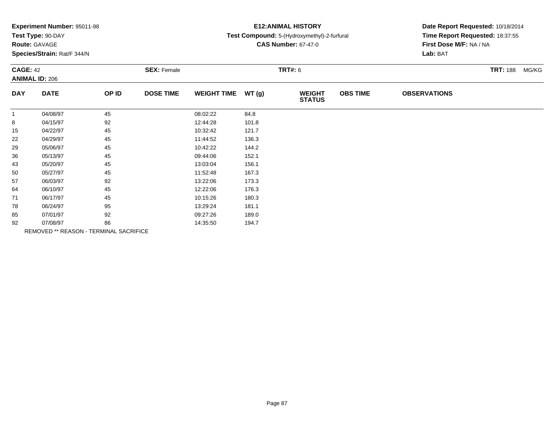| Experiment Number: 95011-98 |  |  |
|-----------------------------|--|--|
|-----------------------------|--|--|

# **Route:** GAVAGE

**Species/Strain:** Rat/F 344/N

# **E12:ANIMAL HISTORY**

#### **Test Compound:** 5-(Hydroxymethyl)-2-furfural

**CAS Number:** 67-47-0

| <b>CAGE: 42</b><br><b>ANIMAL ID: 206</b> |             | <b>SEX: Female</b>                     |                  |                    | <b>TRT#:</b> 6 | <b>TRT: 188</b>                | MG/KG           |                     |  |  |
|------------------------------------------|-------------|----------------------------------------|------------------|--------------------|----------------|--------------------------------|-----------------|---------------------|--|--|
| <b>DAY</b>                               | <b>DATE</b> | OP ID                                  | <b>DOSE TIME</b> | <b>WEIGHT TIME</b> | WT(g)          | <b>WEIGHT</b><br><b>STATUS</b> | <b>OBS TIME</b> | <b>OBSERVATIONS</b> |  |  |
| $\mathbf{1}$                             | 04/08/97    | 45                                     |                  | 08:02:22           | 84.8           |                                |                 |                     |  |  |
| 8                                        | 04/15/97    | 92                                     |                  | 12:44:28           | 101.8          |                                |                 |                     |  |  |
| 15                                       | 04/22/97    | 45                                     |                  | 10:32:42           | 121.7          |                                |                 |                     |  |  |
| 22                                       | 04/29/97    | 45                                     |                  | 11:44:52           | 136.3          |                                |                 |                     |  |  |
| 29                                       | 05/06/97    | 45                                     |                  | 10:42:22           | 144.2          |                                |                 |                     |  |  |
| 36                                       | 05/13/97    | 45                                     |                  | 09:44:06           | 152.1          |                                |                 |                     |  |  |
| 43                                       | 05/20/97    | 45                                     |                  | 13:03:04           | 156.1          |                                |                 |                     |  |  |
| 50                                       | 05/27/97    | 45                                     |                  | 11:52:48           | 167.3          |                                |                 |                     |  |  |
| 57                                       | 06/03/97    | 92                                     |                  | 13:22:06           | 173.3          |                                |                 |                     |  |  |
| 64                                       | 06/10/97    | 45                                     |                  | 12:22:06           | 176.3          |                                |                 |                     |  |  |
| 71                                       | 06/17/97    | 45                                     |                  | 10:15:26           | 180.3          |                                |                 |                     |  |  |
| 78                                       | 06/24/97    | 95                                     |                  | 13:29:24           | 181.1          |                                |                 |                     |  |  |
| 85                                       | 07/01/97    | 92                                     |                  | 09:27:26           | 189.0          |                                |                 |                     |  |  |
| 92                                       | 07/08/97    | 86                                     |                  | 14:35:50           | 194.7          |                                |                 |                     |  |  |
|                                          |             | REMOVED ** REASON - TERMINAL SACRIFICE |                  |                    |                |                                |                 |                     |  |  |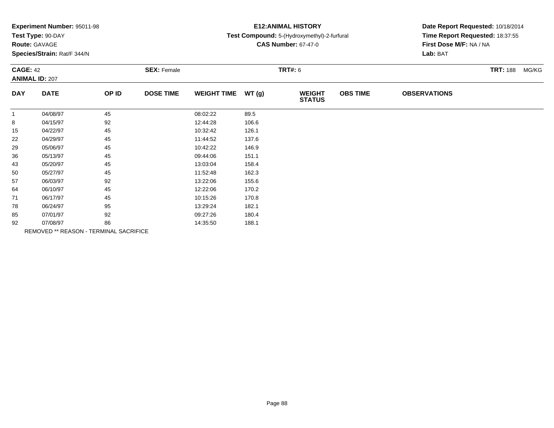| Experiment Number: 95011-98 |  |  |
|-----------------------------|--|--|
|-----------------------------|--|--|

# **Route:** GAVAGE

**Species/Strain:** Rat/F 344/N

### **E12:ANIMAL HISTORY**

#### **Test Compound:** 5-(Hydroxymethyl)-2-furfural

**CAS Number:** 67-47-0

|              | <b>CAGE: 42</b><br><b>ANIMAL ID: 207</b> |                                        | <b>SEX: Female</b> |                    |       |                                | <b>TRT#: 6</b>  |                     |  |  |  |
|--------------|------------------------------------------|----------------------------------------|--------------------|--------------------|-------|--------------------------------|-----------------|---------------------|--|--|--|
| <b>DAY</b>   | <b>DATE</b>                              | OP ID                                  | <b>DOSE TIME</b>   | <b>WEIGHT TIME</b> | WT(g) | <b>WEIGHT</b><br><b>STATUS</b> | <b>OBS TIME</b> | <b>OBSERVATIONS</b> |  |  |  |
| $\mathbf{1}$ | 04/08/97                                 | 45                                     |                    | 08:02:22           | 89.5  |                                |                 |                     |  |  |  |
| 8            | 04/15/97                                 | 92                                     |                    | 12:44:28           | 106.6 |                                |                 |                     |  |  |  |
| 15           | 04/22/97                                 | 45                                     |                    | 10:32:42           | 126.1 |                                |                 |                     |  |  |  |
| 22           | 04/29/97                                 | 45                                     |                    | 11:44:52           | 137.6 |                                |                 |                     |  |  |  |
| 29           | 05/06/97                                 | 45                                     |                    | 10:42:22           | 146.9 |                                |                 |                     |  |  |  |
| 36           | 05/13/97                                 | 45                                     |                    | 09:44:06           | 151.1 |                                |                 |                     |  |  |  |
| 43           | 05/20/97                                 | 45                                     |                    | 13:03:04           | 158.4 |                                |                 |                     |  |  |  |
| 50           | 05/27/97                                 | 45                                     |                    | 11:52:48           | 162.3 |                                |                 |                     |  |  |  |
| 57           | 06/03/97                                 | 92                                     |                    | 13:22:06           | 155.6 |                                |                 |                     |  |  |  |
| 64           | 06/10/97                                 | 45                                     |                    | 12:22:06           | 170.2 |                                |                 |                     |  |  |  |
| 71           | 06/17/97                                 | 45                                     |                    | 10:15:26           | 170.8 |                                |                 |                     |  |  |  |
| 78           | 06/24/97                                 | 95                                     |                    | 13:29:24           | 182.1 |                                |                 |                     |  |  |  |
| 85           | 07/01/97                                 | 92                                     |                    | 09:27:26           | 180.4 |                                |                 |                     |  |  |  |
| 92           | 07/08/97                                 | 86                                     |                    | 14:35:50           | 188.1 |                                |                 |                     |  |  |  |
|              |                                          | REMOVED ** REASON - TERMINAL SACRIFICE |                    |                    |       |                                |                 |                     |  |  |  |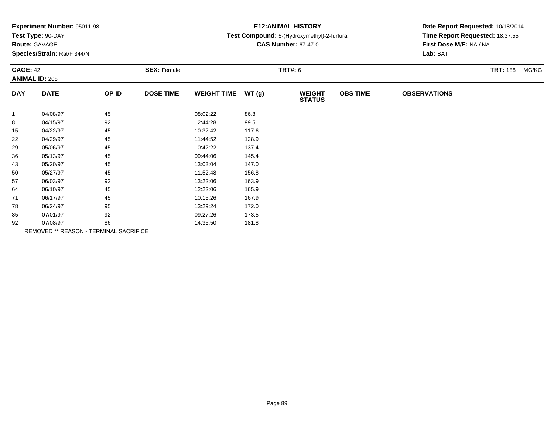| Experiment Number: 95011-98 |  |  |
|-----------------------------|--|--|
|-----------------------------|--|--|

# **Route:** GAVAGE

**Species/Strain:** Rat/F 344/N

# **E12:ANIMAL HISTORY**

#### **Test Compound:** 5-(Hydroxymethyl)-2-furfural

**CAS Number:** 67-47-0

| <b>CAGE: 42</b><br><b>ANIMAL ID: 208</b> |             | <b>SEX: Female</b>                     |                  |                    | <b>TRT#: 6</b> | <b>TRT: 188</b><br>MG/KG       |                 |                     |  |
|------------------------------------------|-------------|----------------------------------------|------------------|--------------------|----------------|--------------------------------|-----------------|---------------------|--|
| <b>DAY</b>                               | <b>DATE</b> | OP ID                                  | <b>DOSE TIME</b> | <b>WEIGHT TIME</b> | WT(g)          | <b>WEIGHT</b><br><b>STATUS</b> | <b>OBS TIME</b> | <b>OBSERVATIONS</b> |  |
| $\mathbf{1}$                             | 04/08/97    | 45                                     |                  | 08:02:22           | 86.8           |                                |                 |                     |  |
| 8                                        | 04/15/97    | 92                                     |                  | 12:44:28           | 99.5           |                                |                 |                     |  |
| 15                                       | 04/22/97    | 45                                     |                  | 10:32:42           | 117.6          |                                |                 |                     |  |
| 22                                       | 04/29/97    | 45                                     |                  | 11:44:52           | 128.9          |                                |                 |                     |  |
| 29                                       | 05/06/97    | 45                                     |                  | 10:42:22           | 137.4          |                                |                 |                     |  |
| 36                                       | 05/13/97    | 45                                     |                  | 09:44:06           | 145.4          |                                |                 |                     |  |
| 43                                       | 05/20/97    | 45                                     |                  | 13:03:04           | 147.0          |                                |                 |                     |  |
| 50                                       | 05/27/97    | 45                                     |                  | 11:52:48           | 156.8          |                                |                 |                     |  |
| 57                                       | 06/03/97    | 92                                     |                  | 13:22:06           | 163.9          |                                |                 |                     |  |
| 64                                       | 06/10/97    | 45                                     |                  | 12:22:06           | 165.9          |                                |                 |                     |  |
| 71                                       | 06/17/97    | 45                                     |                  | 10:15:26           | 167.9          |                                |                 |                     |  |
| 78                                       | 06/24/97    | 95                                     |                  | 13:29:24           | 172.0          |                                |                 |                     |  |
| 85                                       | 07/01/97    | 92                                     |                  | 09:27:26           | 173.5          |                                |                 |                     |  |
| 92                                       | 07/08/97    | 86                                     |                  | 14:35:50           | 181.8          |                                |                 |                     |  |
|                                          |             | REMOVED ** REASON - TERMINAL SACRIFICE |                  |                    |                |                                |                 |                     |  |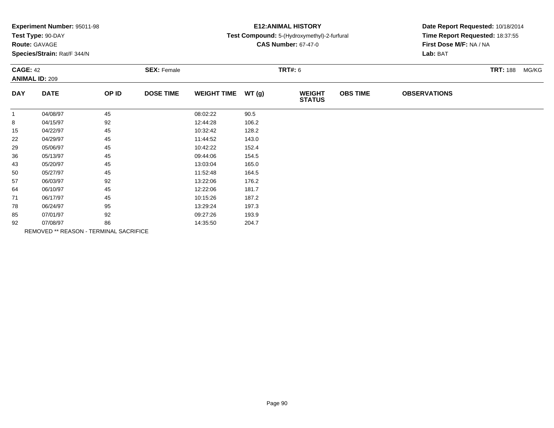| Experiment Number: 95011-98 |  |  |
|-----------------------------|--|--|
|-----------------------------|--|--|

# **Route:** GAVAGE

**Species/Strain:** Rat/F 344/N

# **E12:ANIMAL HISTORY**

#### **Test Compound:** 5-(Hydroxymethyl)-2-furfural

**CAS Number:** 67-47-0

| <b>CAGE: 42</b><br><b>ANIMAL ID: 209</b> |             | <b>SEX: Female</b>                     |                  |                    | <b>TRT#: 6</b> | <b>TRT: 188</b><br>MG/KG       |                 |                     |  |
|------------------------------------------|-------------|----------------------------------------|------------------|--------------------|----------------|--------------------------------|-----------------|---------------------|--|
| <b>DAY</b>                               | <b>DATE</b> | OP ID                                  | <b>DOSE TIME</b> | <b>WEIGHT TIME</b> | WT(g)          | <b>WEIGHT</b><br><b>STATUS</b> | <b>OBS TIME</b> | <b>OBSERVATIONS</b> |  |
| $\mathbf{1}$                             | 04/08/97    | 45                                     |                  | 08:02:22           | 90.5           |                                |                 |                     |  |
| 8                                        | 04/15/97    | 92                                     |                  | 12:44:28           | 106.2          |                                |                 |                     |  |
| 15                                       | 04/22/97    | 45                                     |                  | 10:32:42           | 128.2          |                                |                 |                     |  |
| 22                                       | 04/29/97    | 45                                     |                  | 11:44:52           | 143.0          |                                |                 |                     |  |
| 29                                       | 05/06/97    | 45                                     |                  | 10:42:22           | 152.4          |                                |                 |                     |  |
| 36                                       | 05/13/97    | 45                                     |                  | 09:44:06           | 154.5          |                                |                 |                     |  |
| 43                                       | 05/20/97    | 45                                     |                  | 13:03:04           | 165.0          |                                |                 |                     |  |
| 50                                       | 05/27/97    | 45                                     |                  | 11:52:48           | 164.5          |                                |                 |                     |  |
| 57                                       | 06/03/97    | 92                                     |                  | 13:22:06           | 176.2          |                                |                 |                     |  |
| 64                                       | 06/10/97    | 45                                     |                  | 12:22:06           | 181.7          |                                |                 |                     |  |
| 71                                       | 06/17/97    | 45                                     |                  | 10:15:26           | 187.2          |                                |                 |                     |  |
| 78                                       | 06/24/97    | 95                                     |                  | 13:29:24           | 197.3          |                                |                 |                     |  |
| 85                                       | 07/01/97    | 92                                     |                  | 09:27:26           | 193.9          |                                |                 |                     |  |
| 92                                       | 07/08/97    | 86                                     |                  | 14:35:50           | 204.7          |                                |                 |                     |  |
|                                          |             | REMOVED ** REASON - TERMINAL SACRIFICE |                  |                    |                |                                |                 |                     |  |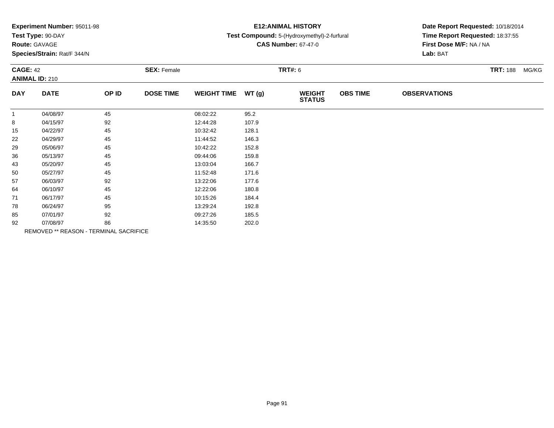| Experiment Number: 95011-98 |  |  |
|-----------------------------|--|--|
|-----------------------------|--|--|

# **Route:** GAVAGE

**Species/Strain:** Rat/F 344/N

### **E12:ANIMAL HISTORY**

#### **Test Compound:** 5-(Hydroxymethyl)-2-furfural

**CAS Number:** 67-47-0

| <b>CAGE: 42</b> | <b>ANIMAL ID: 210</b>                  |       | <b>SEX: Female</b> |                    |       | <b>TRT#: 6</b> |                 |                     | <b>TRT: 188 MG/KG</b> |  |
|-----------------|----------------------------------------|-------|--------------------|--------------------|-------|----------------|-----------------|---------------------|-----------------------|--|
| <b>DAY</b>      | <b>DATE</b>                            | OP ID | <b>DOSE TIME</b>   | <b>WEIGHT TIME</b> | WT(g) | <b>WEIGHT</b>  | <b>OBS TIME</b> | <b>OBSERVATIONS</b> |                       |  |
|                 |                                        |       |                    |                    |       | <b>STATUS</b>  |                 |                     |                       |  |
| $\overline{1}$  | 04/08/97                               | 45    |                    | 08:02:22           | 95.2  |                |                 |                     |                       |  |
| 8               | 04/15/97                               | 92    |                    | 12:44:28           | 107.9 |                |                 |                     |                       |  |
| 15              | 04/22/97                               | 45    |                    | 10:32:42           | 128.1 |                |                 |                     |                       |  |
| 22              | 04/29/97                               | 45    |                    | 11:44:52           | 146.3 |                |                 |                     |                       |  |
| 29              | 05/06/97                               | 45    |                    | 10:42:22           | 152.8 |                |                 |                     |                       |  |
| 36              | 05/13/97                               | 45    |                    | 09:44:06           | 159.8 |                |                 |                     |                       |  |
| 43              | 05/20/97                               | 45    |                    | 13:03:04           | 166.7 |                |                 |                     |                       |  |
| 50              | 05/27/97                               | 45    |                    | 11:52:48           | 171.6 |                |                 |                     |                       |  |
| 57              | 06/03/97                               | 92    |                    | 13:22:06           | 177.6 |                |                 |                     |                       |  |
| 64              | 06/10/97                               | 45    |                    | 12:22:06           | 180.8 |                |                 |                     |                       |  |
| 71              | 06/17/97                               | 45    |                    | 10:15:26           | 184.4 |                |                 |                     |                       |  |
| 78              | 06/24/97                               | 95    |                    | 13:29:24           | 192.8 |                |                 |                     |                       |  |
| 85              | 07/01/97                               | 92    |                    | 09:27:26           | 185.5 |                |                 |                     |                       |  |
| 92              | 07/08/97                               | 86    |                    | 14:35:50           | 202.0 |                |                 |                     |                       |  |
|                 | REMOVED ** REASON - TERMINAL SACRIFICE |       |                    |                    |       |                |                 |                     |                       |  |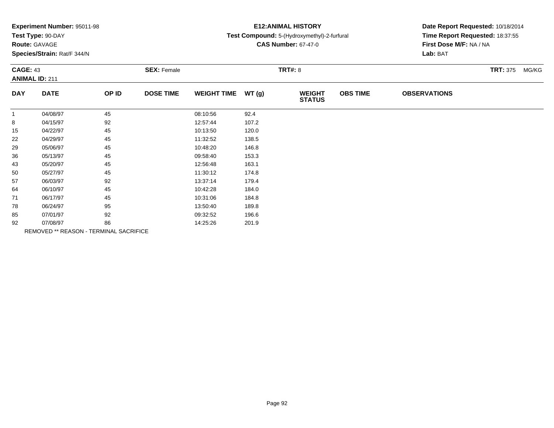| Experiment Number: 95011-98 |  |  |
|-----------------------------|--|--|
|-----------------------------|--|--|

# **Route:** GAVAGE

**Species/Strain:** Rat/F 344/N

# **E12:ANIMAL HISTORY**

#### **Test Compound:** 5-(Hydroxymethyl)-2-furfural

**CAS Number:** 67-47-0

| <b>CAGE: 43</b><br><b>ANIMAL ID: 211</b> |             |                                        | <b>SEX: Female</b> |                    |       | <b>TRT#: 8</b>                 | <b>TRT: 375 MG/KG</b> |                     |  |
|------------------------------------------|-------------|----------------------------------------|--------------------|--------------------|-------|--------------------------------|-----------------------|---------------------|--|
| <b>DAY</b>                               | <b>DATE</b> | OP ID                                  | <b>DOSE TIME</b>   | <b>WEIGHT TIME</b> | WT(g) | <b>WEIGHT</b><br><b>STATUS</b> | <b>OBS TIME</b>       | <b>OBSERVATIONS</b> |  |
| $\mathbf{1}$                             | 04/08/97    | 45                                     |                    | 08:10:56           | 92.4  |                                |                       |                     |  |
| 8                                        | 04/15/97    | 92                                     |                    | 12:57:44           | 107.2 |                                |                       |                     |  |
| 15                                       | 04/22/97    | 45                                     |                    | 10:13:50           | 120.0 |                                |                       |                     |  |
| 22                                       | 04/29/97    | 45                                     |                    | 11:32:52           | 138.5 |                                |                       |                     |  |
| 29                                       | 05/06/97    | 45                                     |                    | 10:48:20           | 146.8 |                                |                       |                     |  |
| 36                                       | 05/13/97    | 45                                     |                    | 09:58:40           | 153.3 |                                |                       |                     |  |
| 43                                       | 05/20/97    | 45                                     |                    | 12:56:48           | 163.1 |                                |                       |                     |  |
| 50                                       | 05/27/97    | 45                                     |                    | 11:30:12           | 174.8 |                                |                       |                     |  |
| 57                                       | 06/03/97    | 92                                     |                    | 13:37:14           | 179.4 |                                |                       |                     |  |
| 64                                       | 06/10/97    | 45                                     |                    | 10:42:28           | 184.0 |                                |                       |                     |  |
| 71                                       | 06/17/97    | 45                                     |                    | 10:31:06           | 184.8 |                                |                       |                     |  |
| 78                                       | 06/24/97    | 95                                     |                    | 13:50:40           | 189.8 |                                |                       |                     |  |
| 85                                       | 07/01/97    | 92                                     |                    | 09:32:52           | 196.6 |                                |                       |                     |  |
| 92                                       | 07/08/97    | 86                                     |                    | 14:25:26           | 201.9 |                                |                       |                     |  |
|                                          |             | REMOVED ** REASON - TERMINAL SACRIFICE |                    |                    |       |                                |                       |                     |  |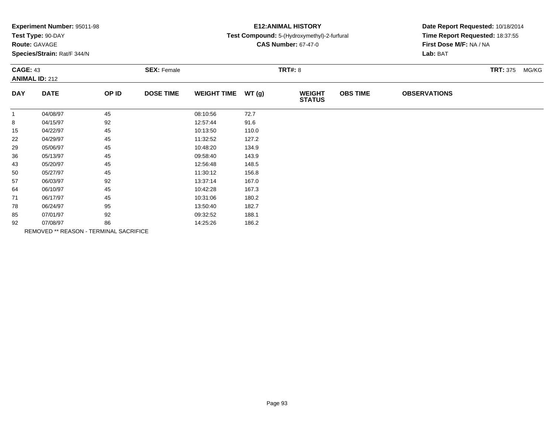|  |  | Experiment Number: 95011-98 |  |
|--|--|-----------------------------|--|
|--|--|-----------------------------|--|

# **Route:** GAVAGE

**Species/Strain:** Rat/F 344/N

### **E12:ANIMAL HISTORY**

#### **Test Compound:** 5-(Hydroxymethyl)-2-furfural

**CAS Number:** 67-47-0

| <b>CAGE: 43</b><br><b>ANIMAL ID: 212</b> |             |                                        | <b>SEX: Female</b> |                    |       | <b>TRT#: 8</b>                 |                 | <b>TRT: 375 MG/KG</b> |  |  |
|------------------------------------------|-------------|----------------------------------------|--------------------|--------------------|-------|--------------------------------|-----------------|-----------------------|--|--|
| <b>DAY</b>                               | <b>DATE</b> | OP ID                                  | <b>DOSE TIME</b>   | <b>WEIGHT TIME</b> | WT(g) | <b>WEIGHT</b><br><b>STATUS</b> | <b>OBS TIME</b> | <b>OBSERVATIONS</b>   |  |  |
| $\mathbf{1}$                             | 04/08/97    | 45                                     |                    | 08:10:56           | 72.7  |                                |                 |                       |  |  |
| 8                                        | 04/15/97    | 92                                     |                    | 12:57:44           | 91.6  |                                |                 |                       |  |  |
| 15                                       | 04/22/97    | 45                                     |                    | 10:13:50           | 110.0 |                                |                 |                       |  |  |
| 22                                       | 04/29/97    | 45                                     |                    | 11:32:52           | 127.2 |                                |                 |                       |  |  |
| 29                                       | 05/06/97    | 45                                     |                    | 10:48:20           | 134.9 |                                |                 |                       |  |  |
| 36                                       | 05/13/97    | 45                                     |                    | 09:58:40           | 143.9 |                                |                 |                       |  |  |
| 43                                       | 05/20/97    | 45                                     |                    | 12:56:48           | 148.5 |                                |                 |                       |  |  |
| 50                                       | 05/27/97    | 45                                     |                    | 11:30:12           | 156.8 |                                |                 |                       |  |  |
| 57                                       | 06/03/97    | 92                                     |                    | 13:37:14           | 167.0 |                                |                 |                       |  |  |
| 64                                       | 06/10/97    | 45                                     |                    | 10:42:28           | 167.3 |                                |                 |                       |  |  |
| 71                                       | 06/17/97    | 45                                     |                    | 10:31:06           | 180.2 |                                |                 |                       |  |  |
| 78                                       | 06/24/97    | 95                                     |                    | 13:50:40           | 182.7 |                                |                 |                       |  |  |
| 85                                       | 07/01/97    | 92                                     |                    | 09:32:52           | 188.1 |                                |                 |                       |  |  |
| 92                                       | 07/08/97    | 86                                     |                    | 14:25:26           | 186.2 |                                |                 |                       |  |  |
|                                          |             | REMOVED ** REASON - TERMINAL SACRIFICE |                    |                    |       |                                |                 |                       |  |  |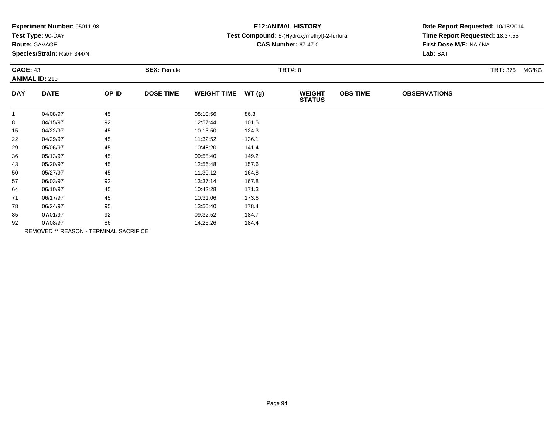| Experiment Number: 95011-98 |  |  |
|-----------------------------|--|--|
|-----------------------------|--|--|

# **Route:** GAVAGE

**Species/Strain:** Rat/F 344/N

# **E12:ANIMAL HISTORY**

#### **Test Compound:** 5-(Hydroxymethyl)-2-furfural

**CAS Number:** 67-47-0

| <b>CAGE: 43</b><br><b>ANIMAL ID: 213</b> |             |                                        | <b>SEX: Female</b> |                    |       | <b>TRT#: 8</b>                 | <b>TRT: 375 MG/KG</b> |                     |  |  |
|------------------------------------------|-------------|----------------------------------------|--------------------|--------------------|-------|--------------------------------|-----------------------|---------------------|--|--|
| <b>DAY</b>                               | <b>DATE</b> | OP ID                                  | <b>DOSE TIME</b>   | <b>WEIGHT TIME</b> | WT(g) | <b>WEIGHT</b><br><b>STATUS</b> | <b>OBS TIME</b>       | <b>OBSERVATIONS</b> |  |  |
| $\mathbf{1}$                             | 04/08/97    | 45                                     |                    | 08:10:56           | 86.3  |                                |                       |                     |  |  |
| 8                                        | 04/15/97    | 92                                     |                    | 12:57:44           | 101.5 |                                |                       |                     |  |  |
| 15                                       | 04/22/97    | 45                                     |                    | 10:13:50           | 124.3 |                                |                       |                     |  |  |
| 22                                       | 04/29/97    | 45                                     |                    | 11:32:52           | 136.1 |                                |                       |                     |  |  |
| 29                                       | 05/06/97    | 45                                     |                    | 10:48:20           | 141.4 |                                |                       |                     |  |  |
| 36                                       | 05/13/97    | 45                                     |                    | 09:58:40           | 149.2 |                                |                       |                     |  |  |
| 43                                       | 05/20/97    | 45                                     |                    | 12:56:48           | 157.6 |                                |                       |                     |  |  |
| 50                                       | 05/27/97    | 45                                     |                    | 11:30:12           | 164.8 |                                |                       |                     |  |  |
| 57                                       | 06/03/97    | 92                                     |                    | 13:37:14           | 167.8 |                                |                       |                     |  |  |
| 64                                       | 06/10/97    | 45                                     |                    | 10:42:28           | 171.3 |                                |                       |                     |  |  |
| 71                                       | 06/17/97    | 45                                     |                    | 10:31:06           | 173.6 |                                |                       |                     |  |  |
| 78                                       | 06/24/97    | 95                                     |                    | 13:50:40           | 178.4 |                                |                       |                     |  |  |
| 85                                       | 07/01/97    | 92                                     |                    | 09:32:52           | 184.7 |                                |                       |                     |  |  |
| 92                                       | 07/08/97    | 86                                     |                    | 14:25:26           | 184.4 |                                |                       |                     |  |  |
|                                          |             | REMOVED ** REASON - TERMINAL SACRIFICE |                    |                    |       |                                |                       |                     |  |  |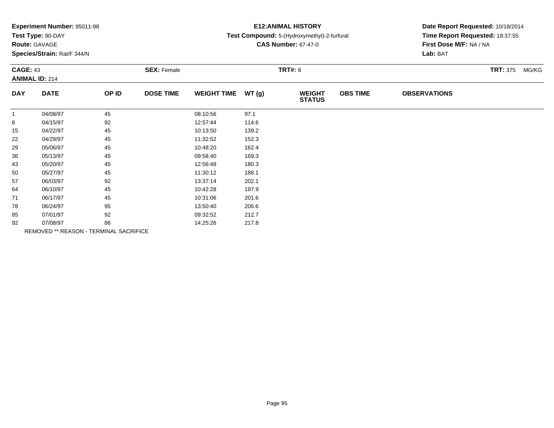| Experiment Number: 95011-98 |  |  |
|-----------------------------|--|--|
|-----------------------------|--|--|

# **Route:** GAVAGE

**Species/Strain:** Rat/F 344/N

# **E12:ANIMAL HISTORY**

#### **Test Compound:** 5-(Hydroxymethyl)-2-furfural

**CAS Number:** 67-47-0

| <b>CAGE: 43</b><br><b>ANIMAL ID: 214</b> |             |                                        | <b>SEX: Female</b> |                    |       | <b>TRT#: 8</b>                 |                 |                     |  | <b>TRT: 375</b><br>MG/KG |
|------------------------------------------|-------------|----------------------------------------|--------------------|--------------------|-------|--------------------------------|-----------------|---------------------|--|--------------------------|
| <b>DAY</b>                               | <b>DATE</b> | OP ID                                  | <b>DOSE TIME</b>   | <b>WEIGHT TIME</b> | WT(g) | <b>WEIGHT</b><br><b>STATUS</b> | <b>OBS TIME</b> | <b>OBSERVATIONS</b> |  |                          |
| $\mathbf{1}$                             | 04/08/97    | 45                                     |                    | 08:10:56           | 97.1  |                                |                 |                     |  |                          |
| 8                                        | 04/15/97    | 92                                     |                    | 12:57:44           | 114.6 |                                |                 |                     |  |                          |
| 15                                       | 04/22/97    | 45                                     |                    | 10:13:50           | 139.2 |                                |                 |                     |  |                          |
| 22                                       | 04/29/97    | 45                                     |                    | 11:32:52           | 152.3 |                                |                 |                     |  |                          |
| 29                                       | 05/06/97    | 45                                     |                    | 10:48:20           | 162.4 |                                |                 |                     |  |                          |
| 36                                       | 05/13/97    | 45                                     |                    | 09:58:40           | 169.3 |                                |                 |                     |  |                          |
| 43                                       | 05/20/97    | 45                                     |                    | 12:56:48           | 180.3 |                                |                 |                     |  |                          |
| 50                                       | 05/27/97    | 45                                     |                    | 11:30:12           | 188.1 |                                |                 |                     |  |                          |
| 57                                       | 06/03/97    | 92                                     |                    | 13:37:14           | 202.1 |                                |                 |                     |  |                          |
| 64                                       | 06/10/97    | 45                                     |                    | 10:42:28           | 197.9 |                                |                 |                     |  |                          |
| 71                                       | 06/17/97    | 45                                     |                    | 10:31:06           | 201.6 |                                |                 |                     |  |                          |
| 78                                       | 06/24/97    | 95                                     |                    | 13:50:40           | 206.6 |                                |                 |                     |  |                          |
| 85                                       | 07/01/97    | 92                                     |                    | 09:32:52           | 212.7 |                                |                 |                     |  |                          |
| 92                                       | 07/08/97    | 86                                     |                    | 14:25:26           | 217.8 |                                |                 |                     |  |                          |
|                                          |             | REMOVED ** REASON - TERMINAL SACRIFICE |                    |                    |       |                                |                 |                     |  |                          |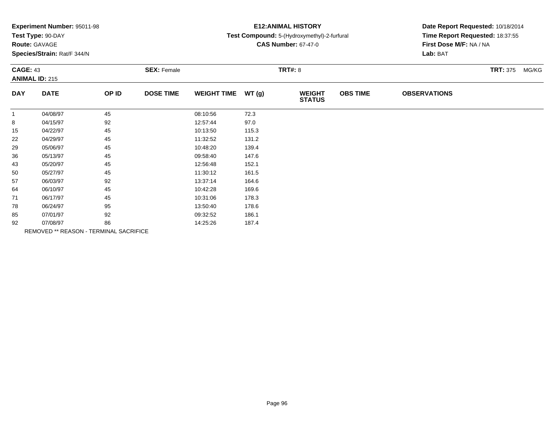| Experiment Number: 95011-98 |  |  |
|-----------------------------|--|--|
|-----------------------------|--|--|

# **Route:** GAVAGE

**Species/Strain:** Rat/F 344/N

### **E12:ANIMAL HISTORY**

#### **Test Compound:** 5-(Hydroxymethyl)-2-furfural

**CAS Number:** 67-47-0

| <b>CAGE: 43</b><br><b>ANIMAL ID: 215</b> |             |                                        | <b>SEX: Female</b> |                    |       | <b>TRT#: 8</b>                 |                 |                     | <b>TRT: 375</b> | MG/KG |
|------------------------------------------|-------------|----------------------------------------|--------------------|--------------------|-------|--------------------------------|-----------------|---------------------|-----------------|-------|
| <b>DAY</b>                               | <b>DATE</b> | OP ID                                  | <b>DOSE TIME</b>   | <b>WEIGHT TIME</b> | WT(g) | <b>WEIGHT</b><br><b>STATUS</b> | <b>OBS TIME</b> | <b>OBSERVATIONS</b> |                 |       |
| $\mathbf{1}$                             | 04/08/97    | 45                                     |                    | 08:10:56           | 72.3  |                                |                 |                     |                 |       |
| 8                                        | 04/15/97    | 92                                     |                    | 12:57:44           | 97.0  |                                |                 |                     |                 |       |
| 15                                       | 04/22/97    | 45                                     |                    | 10:13:50           | 115.3 |                                |                 |                     |                 |       |
| 22                                       | 04/29/97    | 45                                     |                    | 11:32:52           | 131.2 |                                |                 |                     |                 |       |
| 29                                       | 05/06/97    | 45                                     |                    | 10:48:20           | 139.4 |                                |                 |                     |                 |       |
| 36                                       | 05/13/97    | 45                                     |                    | 09:58:40           | 147.6 |                                |                 |                     |                 |       |
| 43                                       | 05/20/97    | 45                                     |                    | 12:56:48           | 152.1 |                                |                 |                     |                 |       |
| 50                                       | 05/27/97    | 45                                     |                    | 11:30:12           | 161.5 |                                |                 |                     |                 |       |
| 57                                       | 06/03/97    | 92                                     |                    | 13:37:14           | 164.6 |                                |                 |                     |                 |       |
| 64                                       | 06/10/97    | 45                                     |                    | 10:42:28           | 169.6 |                                |                 |                     |                 |       |
| 71                                       | 06/17/97    | 45                                     |                    | 10:31:06           | 178.3 |                                |                 |                     |                 |       |
| 78                                       | 06/24/97    | 95                                     |                    | 13:50:40           | 178.6 |                                |                 |                     |                 |       |
| 85                                       | 07/01/97    | 92                                     |                    | 09:32:52           | 186.1 |                                |                 |                     |                 |       |
| 92                                       | 07/08/97    | 86                                     |                    | 14:25:26           | 187.4 |                                |                 |                     |                 |       |
|                                          |             | REMOVED ** REASON - TERMINAL SACRIFICE |                    |                    |       |                                |                 |                     |                 |       |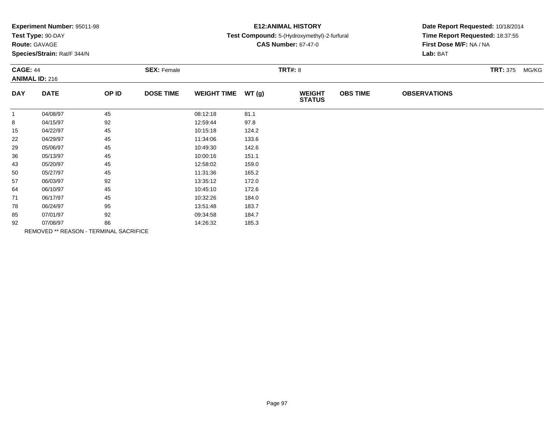|  |  | Experiment Number: 95011-98 |  |
|--|--|-----------------------------|--|
|--|--|-----------------------------|--|

# **Route:** GAVAGE

**Species/Strain:** Rat/F 344/N

# **E12:ANIMAL HISTORY**

#### **Test Compound:** 5-(Hydroxymethyl)-2-furfural

**CAS Number:** 67-47-0

| <b>CAGE: 44</b><br><b>ANIMAL ID: 216</b> |             | <b>SEX: Female</b>                     |                  |                    | <b>TRT#: 8</b> | <b>TRT: 375 MG/KG</b>          |                 |                     |  |
|------------------------------------------|-------------|----------------------------------------|------------------|--------------------|----------------|--------------------------------|-----------------|---------------------|--|
| <b>DAY</b>                               | <b>DATE</b> | OP ID                                  | <b>DOSE TIME</b> | <b>WEIGHT TIME</b> | WT(g)          | <b>WEIGHT</b><br><b>STATUS</b> | <b>OBS TIME</b> | <b>OBSERVATIONS</b> |  |
| $\mathbf{1}$                             | 04/08/97    | 45                                     |                  | 08:12:18           | 81.1           |                                |                 |                     |  |
| 8                                        | 04/15/97    | 92                                     |                  | 12:59:44           | 97.8           |                                |                 |                     |  |
| 15                                       | 04/22/97    | 45                                     |                  | 10:15:18           | 124.2          |                                |                 |                     |  |
| 22                                       | 04/29/97    | 45                                     |                  | 11:34:06           | 133.6          |                                |                 |                     |  |
| 29                                       | 05/06/97    | 45                                     |                  | 10:49:30           | 142.6          |                                |                 |                     |  |
| 36                                       | 05/13/97    | 45                                     |                  | 10:00:16           | 151.1          |                                |                 |                     |  |
| 43                                       | 05/20/97    | 45                                     |                  | 12:58:02           | 159.0          |                                |                 |                     |  |
| 50                                       | 05/27/97    | 45                                     |                  | 11:31:36           | 165.2          |                                |                 |                     |  |
| 57                                       | 06/03/97    | 92                                     |                  | 13:35:12           | 172.0          |                                |                 |                     |  |
| 64                                       | 06/10/97    | 45                                     |                  | 10:45:10           | 172.6          |                                |                 |                     |  |
| 71                                       | 06/17/97    | 45                                     |                  | 10:32:26           | 184.0          |                                |                 |                     |  |
| 78                                       | 06/24/97    | 95                                     |                  | 13:51:48           | 183.7          |                                |                 |                     |  |
| 85                                       | 07/01/97    | 92                                     |                  | 09:34:58           | 184.7          |                                |                 |                     |  |
| 92                                       | 07/08/97    | 86                                     |                  | 14:26:32           | 185.3          |                                |                 |                     |  |
|                                          |             | REMOVED ** REASON - TERMINAL SACRIFICE |                  |                    |                |                                |                 |                     |  |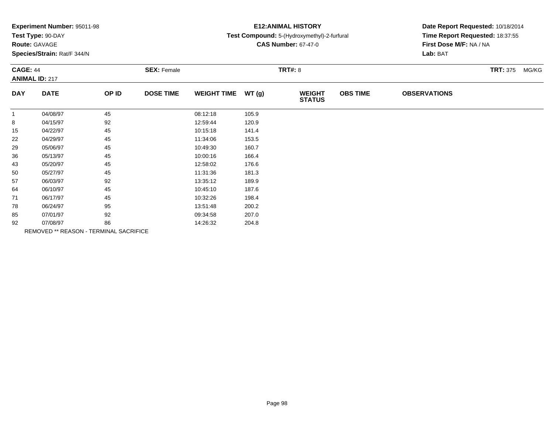| Experiment Number: 95011-98 |  |  |
|-----------------------------|--|--|
|-----------------------------|--|--|

# **Route:** GAVAGE

**Species/Strain:** Rat/F 344/N

# **E12:ANIMAL HISTORY**

#### **Test Compound:** 5-(Hydroxymethyl)-2-furfural

**CAS Number:** 67-47-0

| <b>CAGE: 44</b><br><b>ANIMAL ID: 217</b> |             | <b>SEX: Female</b>                     |                  |                    | <b>TRT#: 8</b> | <b>TRT: 375 MG/KG</b>          |                 |                     |  |  |
|------------------------------------------|-------------|----------------------------------------|------------------|--------------------|----------------|--------------------------------|-----------------|---------------------|--|--|
| <b>DAY</b>                               | <b>DATE</b> | OP ID                                  | <b>DOSE TIME</b> | <b>WEIGHT TIME</b> | WT(g)          | <b>WEIGHT</b><br><b>STATUS</b> | <b>OBS TIME</b> | <b>OBSERVATIONS</b> |  |  |
| $\mathbf{1}$                             | 04/08/97    | 45                                     |                  | 08:12:18           | 105.9          |                                |                 |                     |  |  |
| 8                                        | 04/15/97    | 92                                     |                  | 12:59:44           | 120.9          |                                |                 |                     |  |  |
| 15                                       | 04/22/97    | 45                                     |                  | 10:15:18           | 141.4          |                                |                 |                     |  |  |
| 22                                       | 04/29/97    | 45                                     |                  | 11:34:06           | 153.5          |                                |                 |                     |  |  |
| 29                                       | 05/06/97    | 45                                     |                  | 10:49:30           | 160.7          |                                |                 |                     |  |  |
| 36                                       | 05/13/97    | 45                                     |                  | 10:00:16           | 166.4          |                                |                 |                     |  |  |
| 43                                       | 05/20/97    | 45                                     |                  | 12:58:02           | 176.6          |                                |                 |                     |  |  |
| 50                                       | 05/27/97    | 45                                     |                  | 11:31:36           | 181.3          |                                |                 |                     |  |  |
| 57                                       | 06/03/97    | 92                                     |                  | 13:35:12           | 189.9          |                                |                 |                     |  |  |
| 64                                       | 06/10/97    | 45                                     |                  | 10:45:10           | 187.6          |                                |                 |                     |  |  |
| 71                                       | 06/17/97    | 45                                     |                  | 10:32:26           | 198.4          |                                |                 |                     |  |  |
| 78                                       | 06/24/97    | 95                                     |                  | 13:51:48           | 200.2          |                                |                 |                     |  |  |
| 85                                       | 07/01/97    | 92                                     |                  | 09:34:58           | 207.0          |                                |                 |                     |  |  |
| 92                                       | 07/08/97    | 86                                     |                  | 14:26:32           | 204.8          |                                |                 |                     |  |  |
|                                          |             | REMOVED ** REASON - TERMINAL SACRIFICE |                  |                    |                |                                |                 |                     |  |  |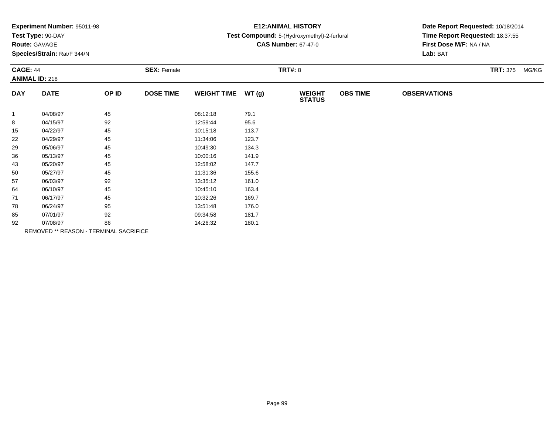|  |  | Experiment Number: 95011-98 |  |
|--|--|-----------------------------|--|
|--|--|-----------------------------|--|

# **Route:** GAVAGE

**Species/Strain:** Rat/F 344/N

### **E12:ANIMAL HISTORY**

#### **Test Compound:** 5-(Hydroxymethyl)-2-furfural

**CAS Number:** 67-47-0

| <b>CAGE: 44</b><br><b>ANIMAL ID: 218</b> |                                        | <b>SEX: Female</b> |                  | <b>TRT#: 8</b>     |       |                                |                 | <b>TRT: 375</b>     | MG/KG |  |
|------------------------------------------|----------------------------------------|--------------------|------------------|--------------------|-------|--------------------------------|-----------------|---------------------|-------|--|
| <b>DAY</b>                               | <b>DATE</b>                            | OP ID              | <b>DOSE TIME</b> | <b>WEIGHT TIME</b> | WT(g) | <b>WEIGHT</b><br><b>STATUS</b> | <b>OBS TIME</b> | <b>OBSERVATIONS</b> |       |  |
| $\mathbf{1}$                             | 04/08/97                               | 45                 |                  | 08:12:18           | 79.1  |                                |                 |                     |       |  |
| 8                                        | 04/15/97                               | 92                 |                  | 12:59:44           | 95.6  |                                |                 |                     |       |  |
| 15                                       | 04/22/97                               | 45                 |                  | 10:15:18           | 113.7 |                                |                 |                     |       |  |
| 22                                       | 04/29/97                               | 45                 |                  | 11:34:06           | 123.7 |                                |                 |                     |       |  |
| 29                                       | 05/06/97                               | 45                 |                  | 10:49:30           | 134.3 |                                |                 |                     |       |  |
| 36                                       | 05/13/97                               | 45                 |                  | 10:00:16           | 141.9 |                                |                 |                     |       |  |
| 43                                       | 05/20/97                               | 45                 |                  | 12:58:02           | 147.7 |                                |                 |                     |       |  |
| 50                                       | 05/27/97                               | 45                 |                  | 11:31:36           | 155.6 |                                |                 |                     |       |  |
| 57                                       | 06/03/97                               | 92                 |                  | 13:35:12           | 161.0 |                                |                 |                     |       |  |
| 64                                       | 06/10/97                               | 45                 |                  | 10:45:10           | 163.4 |                                |                 |                     |       |  |
| 71                                       | 06/17/97                               | 45                 |                  | 10:32:26           | 169.7 |                                |                 |                     |       |  |
| 78                                       | 06/24/97                               | 95                 |                  | 13:51:48           | 176.0 |                                |                 |                     |       |  |
| 85                                       | 07/01/97                               | 92                 |                  | 09:34:58           | 181.7 |                                |                 |                     |       |  |
| 92                                       | 07/08/97                               | 86                 |                  | 14:26:32           | 180.1 |                                |                 |                     |       |  |
|                                          | REMOVED ** REASON - TERMINAL SACRIFICE |                    |                  |                    |       |                                |                 |                     |       |  |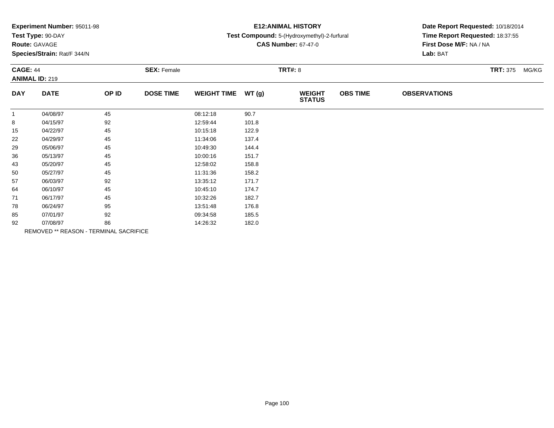|  |  | Experiment Number: 95011-98 |  |
|--|--|-----------------------------|--|
|--|--|-----------------------------|--|

# **Route:** GAVAGE

**Species/Strain:** Rat/F 344/N

# **E12:ANIMAL HISTORY**

#### **Test Compound:** 5-(Hydroxymethyl)-2-furfural

**CAS Number:** 67-47-0

| <b>CAGE: 44</b><br><b>ANIMAL ID: 219</b> |             | <b>SEX: Female</b>                     |                  |                    | <b>TRT#: 8</b> | <b>TRT: 375</b>                | MG/KG           |                     |  |  |
|------------------------------------------|-------------|----------------------------------------|------------------|--------------------|----------------|--------------------------------|-----------------|---------------------|--|--|
| <b>DAY</b>                               | <b>DATE</b> | OP ID                                  | <b>DOSE TIME</b> | <b>WEIGHT TIME</b> | WT(g)          | <b>WEIGHT</b><br><b>STATUS</b> | <b>OBS TIME</b> | <b>OBSERVATIONS</b> |  |  |
|                                          | 04/08/97    | 45                                     |                  | 08:12:18           | 90.7           |                                |                 |                     |  |  |
| 8                                        | 04/15/97    | 92                                     |                  | 12:59:44           | 101.8          |                                |                 |                     |  |  |
| 15                                       | 04/22/97    | 45                                     |                  | 10:15:18           | 122.9          |                                |                 |                     |  |  |
| 22                                       | 04/29/97    | 45                                     |                  | 11:34:06           | 137.4          |                                |                 |                     |  |  |
| 29                                       | 05/06/97    | 45                                     |                  | 10:49:30           | 144.4          |                                |                 |                     |  |  |
| 36                                       | 05/13/97    | 45                                     |                  | 10:00:16           | 151.7          |                                |                 |                     |  |  |
| 43                                       | 05/20/97    | 45                                     |                  | 12:58:02           | 158.8          |                                |                 |                     |  |  |
| 50                                       | 05/27/97    | 45                                     |                  | 11:31:36           | 158.2          |                                |                 |                     |  |  |
| 57                                       | 06/03/97    | 92                                     |                  | 13:35:12           | 171.7          |                                |                 |                     |  |  |
| 64                                       | 06/10/97    | 45                                     |                  | 10:45:10           | 174.7          |                                |                 |                     |  |  |
| 71                                       | 06/17/97    | 45                                     |                  | 10:32:26           | 182.7          |                                |                 |                     |  |  |
| 78                                       | 06/24/97    | 95                                     |                  | 13:51:48           | 176.8          |                                |                 |                     |  |  |
| 85                                       | 07/01/97    | 92                                     |                  | 09:34:58           | 185.5          |                                |                 |                     |  |  |
| 92                                       | 07/08/97    | 86                                     |                  | 14:26:32           | 182.0          |                                |                 |                     |  |  |
|                                          |             | REMOVED ** REASON - TERMINAL SACRIFICE |                  |                    |                |                                |                 |                     |  |  |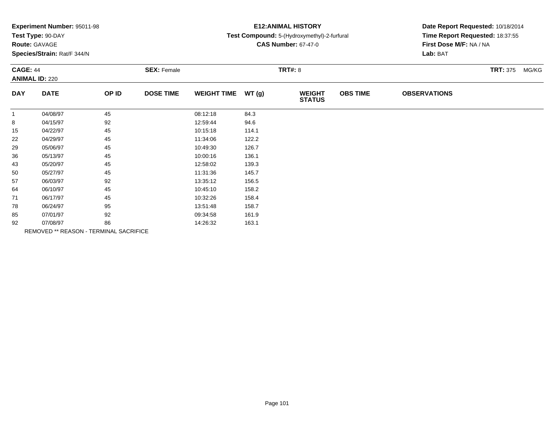| Experiment Number: 95011-98 |  |  |
|-----------------------------|--|--|
|-----------------------------|--|--|

# **Route:** GAVAGE

**Species/Strain:** Rat/F 344/N

# **E12:ANIMAL HISTORY**

#### **Test Compound:** 5-(Hydroxymethyl)-2-furfural

**CAS Number:** 67-47-0

| <b>CAGE: 44</b><br><b>ANIMAL ID: 220</b> |             | <b>SEX: Female</b>                            |                  |                    | <b>TRT#: 8</b> | <b>TRT: 375</b>                | MG/KG           |                     |  |  |
|------------------------------------------|-------------|-----------------------------------------------|------------------|--------------------|----------------|--------------------------------|-----------------|---------------------|--|--|
| <b>DAY</b>                               | <b>DATE</b> | OP ID                                         | <b>DOSE TIME</b> | <b>WEIGHT TIME</b> | WT(g)          | <b>WEIGHT</b><br><b>STATUS</b> | <b>OBS TIME</b> | <b>OBSERVATIONS</b> |  |  |
|                                          | 04/08/97    | 45                                            |                  | 08:12:18           | 84.3           |                                |                 |                     |  |  |
| 8                                        | 04/15/97    | 92                                            |                  | 12:59:44           | 94.6           |                                |                 |                     |  |  |
| 15                                       | 04/22/97    | 45                                            |                  | 10:15:18           | 114.1          |                                |                 |                     |  |  |
| 22                                       | 04/29/97    | 45                                            |                  | 11:34:06           | 122.2          |                                |                 |                     |  |  |
| 29                                       | 05/06/97    | 45                                            |                  | 10:49:30           | 126.7          |                                |                 |                     |  |  |
| 36                                       | 05/13/97    | 45                                            |                  | 10:00:16           | 136.1          |                                |                 |                     |  |  |
| 43                                       | 05/20/97    | 45                                            |                  | 12:58:02           | 139.3          |                                |                 |                     |  |  |
| 50                                       | 05/27/97    | 45                                            |                  | 11:31:36           | 145.7          |                                |                 |                     |  |  |
| 57                                       | 06/03/97    | 92                                            |                  | 13:35:12           | 156.5          |                                |                 |                     |  |  |
| 64                                       | 06/10/97    | 45                                            |                  | 10:45:10           | 158.2          |                                |                 |                     |  |  |
| 71                                       | 06/17/97    | 45                                            |                  | 10:32:26           | 158.4          |                                |                 |                     |  |  |
| 78                                       | 06/24/97    | 95                                            |                  | 13:51:48           | 158.7          |                                |                 |                     |  |  |
| 85                                       | 07/01/97    | 92                                            |                  | 09:34:58           | 161.9          |                                |                 |                     |  |  |
| 92                                       | 07/08/97    | 86                                            |                  | 14:26:32           | 163.1          |                                |                 |                     |  |  |
|                                          |             | <b>REMOVED ** REASON - TERMINAL SACRIFICE</b> |                  |                    |                |                                |                 |                     |  |  |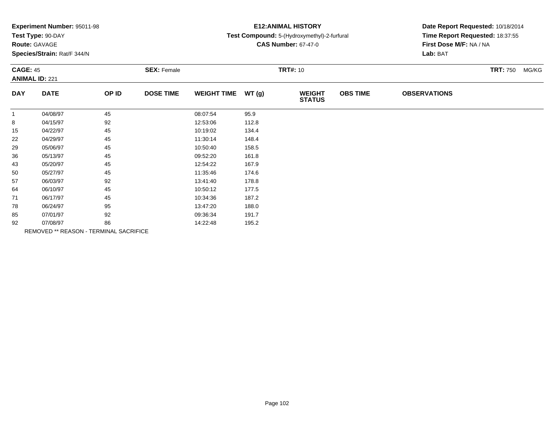| <b>Experiment Number: 95011-98</b> |
|------------------------------------|
|------------------------------------|

### **Route:** GAVAGE

**Species/Strain:** Rat/F 344/N

# **E12:ANIMAL HISTORY**

#### **Test Compound:** 5-(Hydroxymethyl)-2-furfural

**CAS Number:** 67-47-0

| <b>CAGE: 45</b><br><b>ANIMAL ID: 221</b> |             | <b>SEX: Female</b>                     |                  |                    | <b>TRT#: 10</b> | <b>TRT: 750</b>                | MG/KG           |                     |  |  |
|------------------------------------------|-------------|----------------------------------------|------------------|--------------------|-----------------|--------------------------------|-----------------|---------------------|--|--|
| <b>DAY</b>                               | <b>DATE</b> | OP ID                                  | <b>DOSE TIME</b> | <b>WEIGHT TIME</b> | WT(g)           | <b>WEIGHT</b><br><b>STATUS</b> | <b>OBS TIME</b> | <b>OBSERVATIONS</b> |  |  |
| $\mathbf{1}$                             | 04/08/97    | 45                                     |                  | 08:07:54           | 95.9            |                                |                 |                     |  |  |
| 8                                        | 04/15/97    | 92                                     |                  | 12:53:06           | 112.8           |                                |                 |                     |  |  |
| 15                                       | 04/22/97    | 45                                     |                  | 10:19:02           | 134.4           |                                |                 |                     |  |  |
| 22                                       | 04/29/97    | 45                                     |                  | 11:30:14           | 148.4           |                                |                 |                     |  |  |
| 29                                       | 05/06/97    | 45                                     |                  | 10:50:40           | 158.5           |                                |                 |                     |  |  |
| 36                                       | 05/13/97    | 45                                     |                  | 09:52:20           | 161.8           |                                |                 |                     |  |  |
| 43                                       | 05/20/97    | 45                                     |                  | 12:54:22           | 167.9           |                                |                 |                     |  |  |
| 50                                       | 05/27/97    | 45                                     |                  | 11:35:46           | 174.6           |                                |                 |                     |  |  |
| 57                                       | 06/03/97    | 92                                     |                  | 13:41:40           | 178.8           |                                |                 |                     |  |  |
| 64                                       | 06/10/97    | 45                                     |                  | 10:50:12           | 177.5           |                                |                 |                     |  |  |
| 71                                       | 06/17/97    | 45                                     |                  | 10:34:36           | 187.2           |                                |                 |                     |  |  |
| 78                                       | 06/24/97    | 95                                     |                  | 13:47:20           | 188.0           |                                |                 |                     |  |  |
| 85                                       | 07/01/97    | 92                                     |                  | 09:36:34           | 191.7           |                                |                 |                     |  |  |
| 92                                       | 07/08/97    | 86                                     |                  | 14:22:48           | 195.2           |                                |                 |                     |  |  |
|                                          |             | REMOVED ** REASON - TERMINAL SACRIFICE |                  |                    |                 |                                |                 |                     |  |  |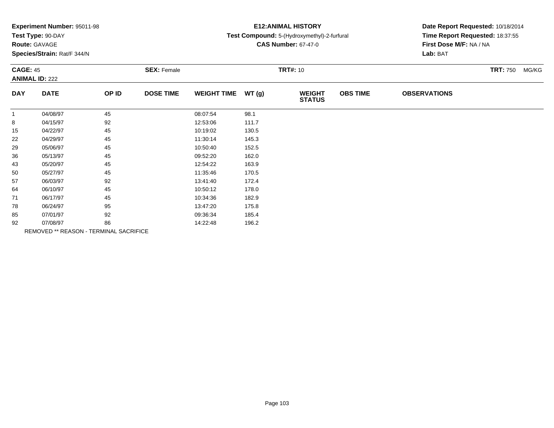| Experiment Number: 95011-98 |  |  |
|-----------------------------|--|--|
|-----------------------------|--|--|

# **Route:** GAVAGE

**Species/Strain:** Rat/F 344/N

### **E12:ANIMAL HISTORY**

#### **Test Compound:** 5-(Hydroxymethyl)-2-furfural

**CAS Number:** 67-47-0

| <b>CAGE: 45</b><br><b>ANIMAL ID: 222</b> |                                        | <b>SEX: Female</b> |                  |                    | <b>TRT#: 10</b> | <b>TRT: 750</b>                | MG/KG           |                     |  |  |
|------------------------------------------|----------------------------------------|--------------------|------------------|--------------------|-----------------|--------------------------------|-----------------|---------------------|--|--|
| <b>DAY</b>                               | <b>DATE</b>                            | OP ID              | <b>DOSE TIME</b> | <b>WEIGHT TIME</b> | WT(g)           | <b>WEIGHT</b><br><b>STATUS</b> | <b>OBS TIME</b> | <b>OBSERVATIONS</b> |  |  |
| $\mathbf{1}$                             | 04/08/97                               | 45                 |                  | 08:07:54           | 98.1            |                                |                 |                     |  |  |
| 8                                        | 04/15/97                               | 92                 |                  | 12:53:06           | 111.7           |                                |                 |                     |  |  |
| 15                                       | 04/22/97                               | 45                 |                  | 10:19:02           | 130.5           |                                |                 |                     |  |  |
| 22                                       | 04/29/97                               | 45                 |                  | 11:30:14           | 145.3           |                                |                 |                     |  |  |
| 29                                       | 05/06/97                               | 45                 |                  | 10:50:40           | 152.5           |                                |                 |                     |  |  |
| 36                                       | 05/13/97                               | 45                 |                  | 09:52:20           | 162.0           |                                |                 |                     |  |  |
| 43                                       | 05/20/97                               | 45                 |                  | 12:54:22           | 163.9           |                                |                 |                     |  |  |
| 50                                       | 05/27/97                               | 45                 |                  | 11:35:46           | 170.5           |                                |                 |                     |  |  |
| 57                                       | 06/03/97                               | 92                 |                  | 13:41:40           | 172.4           |                                |                 |                     |  |  |
| 64                                       | 06/10/97                               | 45                 |                  | 10:50:12           | 178.0           |                                |                 |                     |  |  |
| 71                                       | 06/17/97                               | 45                 |                  | 10:34:36           | 182.9           |                                |                 |                     |  |  |
| 78                                       | 06/24/97                               | 95                 |                  | 13:47:20           | 175.8           |                                |                 |                     |  |  |
| 85                                       | 07/01/97                               | 92                 |                  | 09:36:34           | 185.4           |                                |                 |                     |  |  |
| 92                                       | 07/08/97                               | 86                 |                  | 14:22:48           | 196.2           |                                |                 |                     |  |  |
|                                          | REMOVED ** REASON - TERMINAL SACRIFICE |                    |                  |                    |                 |                                |                 |                     |  |  |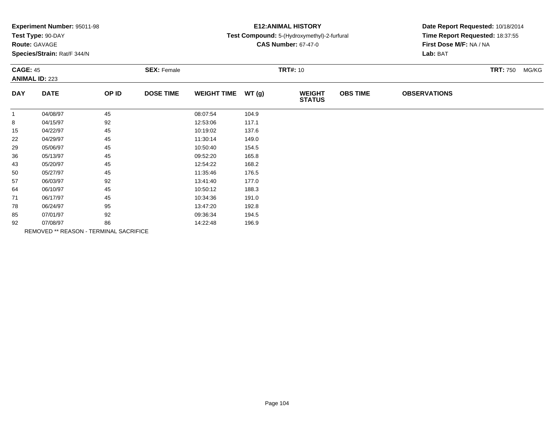| Experiment Number: 95011-98 |  |  |
|-----------------------------|--|--|
|-----------------------------|--|--|

### **Route:** GAVAGE

**Species/Strain:** Rat/F 344/N

# **E12:ANIMAL HISTORY**

#### **Test Compound:** 5-(Hydroxymethyl)-2-furfural

**CAS Number:** 67-47-0

| <b>CAGE: 45</b><br><b>ANIMAL ID: 223</b> |             | <b>SEX: Female</b>                            |                  |                    | <b>TRT#: 10</b> |                                |                 |                     | <b>TRT: 750 MG/KG</b> |  |
|------------------------------------------|-------------|-----------------------------------------------|------------------|--------------------|-----------------|--------------------------------|-----------------|---------------------|-----------------------|--|
| <b>DAY</b>                               | <b>DATE</b> | OP ID                                         | <b>DOSE TIME</b> | <b>WEIGHT TIME</b> | WT(g)           | <b>WEIGHT</b><br><b>STATUS</b> | <b>OBS TIME</b> | <b>OBSERVATIONS</b> |                       |  |
|                                          | 04/08/97    | 45                                            |                  | 08:07:54           | 104.9           |                                |                 |                     |                       |  |
| 8                                        | 04/15/97    | 92                                            |                  | 12:53:06           | 117.1           |                                |                 |                     |                       |  |
| 15                                       | 04/22/97    | 45                                            |                  | 10:19:02           | 137.6           |                                |                 |                     |                       |  |
| 22                                       | 04/29/97    | 45                                            |                  | 11:30:14           | 149.0           |                                |                 |                     |                       |  |
| 29                                       | 05/06/97    | 45                                            |                  | 10:50:40           | 154.5           |                                |                 |                     |                       |  |
| 36                                       | 05/13/97    | 45                                            |                  | 09:52:20           | 165.8           |                                |                 |                     |                       |  |
| 43                                       | 05/20/97    | 45                                            |                  | 12:54:22           | 168.2           |                                |                 |                     |                       |  |
| 50                                       | 05/27/97    | 45                                            |                  | 11:35:46           | 176.5           |                                |                 |                     |                       |  |
| 57                                       | 06/03/97    | 92                                            |                  | 13:41:40           | 177.0           |                                |                 |                     |                       |  |
| 64                                       | 06/10/97    | 45                                            |                  | 10:50:12           | 188.3           |                                |                 |                     |                       |  |
| 71                                       | 06/17/97    | 45                                            |                  | 10:34:36           | 191.0           |                                |                 |                     |                       |  |
| 78                                       | 06/24/97    | 95                                            |                  | 13:47:20           | 192.8           |                                |                 |                     |                       |  |
| 85                                       | 07/01/97    | 92                                            |                  | 09:36:34           | 194.5           |                                |                 |                     |                       |  |
| 92                                       | 07/08/97    | 86                                            |                  | 14:22:48           | 196.9           |                                |                 |                     |                       |  |
|                                          |             | <b>REMOVED ** REASON - TERMINAL SACRIFICE</b> |                  |                    |                 |                                |                 |                     |                       |  |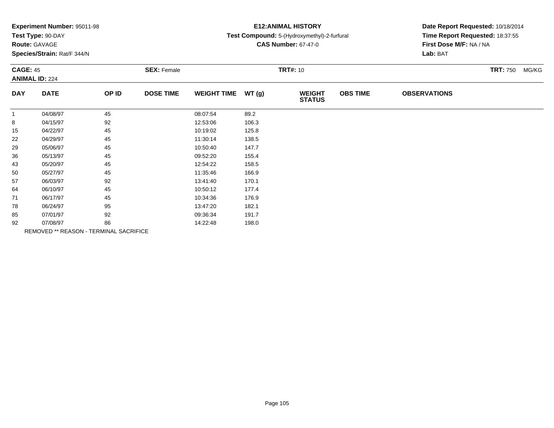| Experiment Number: 95011-98 |  |
|-----------------------------|--|
|-----------------------------|--|

# **Route:** GAVAGE

**Species/Strain:** Rat/F 344/N

### **E12:ANIMAL HISTORY**

#### **Test Compound:** 5-(Hydroxymethyl)-2-furfural

**CAS Number:** 67-47-0

| <b>CAGE: 45</b><br><b>ANIMAL ID: 224</b> |                                        | <b>SEX: Female</b> |                  |                    | <b>TRT#: 10</b> | <b>TRT: 750</b>                | MG/KG           |                     |  |  |
|------------------------------------------|----------------------------------------|--------------------|------------------|--------------------|-----------------|--------------------------------|-----------------|---------------------|--|--|
| <b>DAY</b>                               | <b>DATE</b>                            | OP ID              | <b>DOSE TIME</b> | <b>WEIGHT TIME</b> | WT(g)           | <b>WEIGHT</b><br><b>STATUS</b> | <b>OBS TIME</b> | <b>OBSERVATIONS</b> |  |  |
| $\mathbf{1}$                             | 04/08/97                               | 45                 |                  | 08:07:54           | 89.2            |                                |                 |                     |  |  |
| 8                                        | 04/15/97                               | 92                 |                  | 12:53:06           | 106.3           |                                |                 |                     |  |  |
| 15                                       | 04/22/97                               | 45                 |                  | 10:19:02           | 125.8           |                                |                 |                     |  |  |
| 22                                       | 04/29/97                               | 45                 |                  | 11:30:14           | 138.5           |                                |                 |                     |  |  |
| 29                                       | 05/06/97                               | 45                 |                  | 10:50:40           | 147.7           |                                |                 |                     |  |  |
| 36                                       | 05/13/97                               | 45                 |                  | 09:52:20           | 155.4           |                                |                 |                     |  |  |
| 43                                       | 05/20/97                               | 45                 |                  | 12:54:22           | 158.5           |                                |                 |                     |  |  |
| 50                                       | 05/27/97                               | 45                 |                  | 11:35:46           | 166.9           |                                |                 |                     |  |  |
| 57                                       | 06/03/97                               | 92                 |                  | 13:41:40           | 170.1           |                                |                 |                     |  |  |
| 64                                       | 06/10/97                               | 45                 |                  | 10:50:12           | 177.4           |                                |                 |                     |  |  |
| 71                                       | 06/17/97                               | 45                 |                  | 10:34:36           | 176.9           |                                |                 |                     |  |  |
| 78                                       | 06/24/97                               | 95                 |                  | 13:47:20           | 182.1           |                                |                 |                     |  |  |
| 85                                       | 07/01/97                               | 92                 |                  | 09:36:34           | 191.7           |                                |                 |                     |  |  |
| 92                                       | 07/08/97                               | 86                 |                  | 14:22:48           | 198.0           |                                |                 |                     |  |  |
|                                          | REMOVED ** REASON - TERMINAL SACRIFICE |                    |                  |                    |                 |                                |                 |                     |  |  |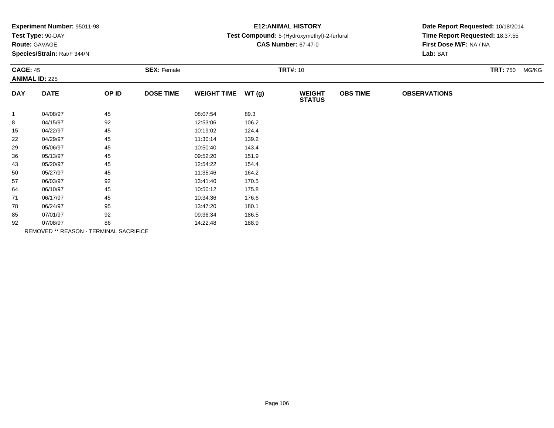| Experiment Number: 95011-98 |
|-----------------------------|
|-----------------------------|

# **Route:** GAVAGE

**Species/Strain:** Rat/F 344/N

# **E12:ANIMAL HISTORY**

### **Test Compound:** 5-(Hydroxymethyl)-2-furfural

**CAS Number:** 67-47-0

| <b>CAGE: 45</b><br><b>ANIMAL ID: 225</b> |                                        | <b>SEX: Female</b> |                  |                    | <b>TRT#:</b> 10 |                                |                 |                     |  |
|------------------------------------------|----------------------------------------|--------------------|------------------|--------------------|-----------------|--------------------------------|-----------------|---------------------|--|
| <b>DAY</b>                               | <b>DATE</b>                            | OP ID              | <b>DOSE TIME</b> | <b>WEIGHT TIME</b> | WT(g)           | <b>WEIGHT</b><br><b>STATUS</b> | <b>OBS TIME</b> | <b>OBSERVATIONS</b> |  |
| $\mathbf{1}$                             | 04/08/97                               | 45                 |                  | 08:07:54           | 89.3            |                                |                 |                     |  |
| 8                                        | 04/15/97                               | 92                 |                  | 12:53:06           | 106.2           |                                |                 |                     |  |
| 15                                       | 04/22/97                               | 45                 |                  | 10:19:02           | 124.4           |                                |                 |                     |  |
| 22                                       | 04/29/97                               | 45                 |                  | 11:30:14           | 139.2           |                                |                 |                     |  |
| 29                                       | 05/06/97                               | 45                 |                  | 10:50:40           | 143.4           |                                |                 |                     |  |
| 36                                       | 05/13/97                               | 45                 |                  | 09:52:20           | 151.9           |                                |                 |                     |  |
| 43                                       | 05/20/97                               | 45                 |                  | 12:54:22           | 154.4           |                                |                 |                     |  |
| 50                                       | 05/27/97                               | 45                 |                  | 11:35:46           | 164.2           |                                |                 |                     |  |
| 57                                       | 06/03/97                               | 92                 |                  | 13:41:40           | 170.5           |                                |                 |                     |  |
| 64                                       | 06/10/97                               | 45                 |                  | 10:50:12           | 175.8           |                                |                 |                     |  |
| 71                                       | 06/17/97                               | 45                 |                  | 10:34:36           | 176.6           |                                |                 |                     |  |
| 78                                       | 06/24/97                               | 95                 |                  | 13:47:20           | 180.1           |                                |                 |                     |  |
| 85                                       | 07/01/97                               | 92                 |                  | 09:36:34           | 186.5           |                                |                 |                     |  |
| 92                                       | 07/08/97                               | 86                 |                  | 14:22:48           | 188.9           |                                |                 |                     |  |
|                                          | REMOVED ** REASON - TERMINAL SACRIFICE |                    |                  |                    |                 |                                |                 |                     |  |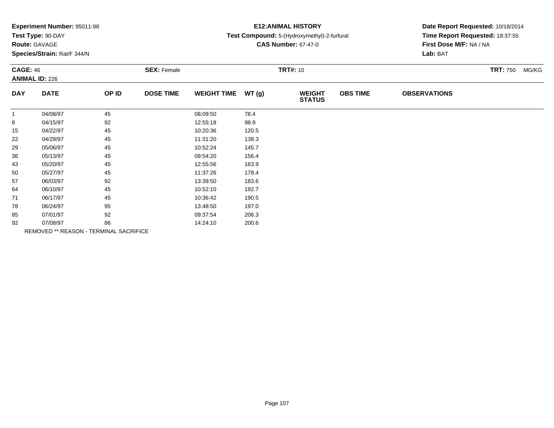|  | <b>Experiment Number: 95011-98</b> |  |  |
|--|------------------------------------|--|--|
|--|------------------------------------|--|--|

### **Route:** GAVAGE

**Species/Strain:** Rat/F 344/N

### **E12:ANIMAL HISTORY**

#### **Test Compound:** 5-(Hydroxymethyl)-2-furfural

**CAS Number:** 67-47-0

| <b>CAGE: 46</b><br><b>ANIMAL ID: 226</b> |                                        |       | <b>SEX: Female</b> |                    | <b>TRT#: 10</b> | <b>TRT: 750</b>                | MG/KG           |                     |  |  |
|------------------------------------------|----------------------------------------|-------|--------------------|--------------------|-----------------|--------------------------------|-----------------|---------------------|--|--|
| <b>DAY</b>                               | <b>DATE</b>                            | OP ID | <b>DOSE TIME</b>   | <b>WEIGHT TIME</b> | WT(g)           | <b>WEIGHT</b><br><b>STATUS</b> | <b>OBS TIME</b> | <b>OBSERVATIONS</b> |  |  |
| $\mathbf{1}$                             | 04/08/97                               | 45    |                    | 08:09:50           | 78.4            |                                |                 |                     |  |  |
| 8                                        | 04/15/97                               | 92    |                    | 12:55:18           | 98.9            |                                |                 |                     |  |  |
| 15                                       | 04/22/97                               | 45    |                    | 10:20:36           | 120.5           |                                |                 |                     |  |  |
| 22                                       | 04/29/97                               | 45    |                    | 11:31:20           | 138.3           |                                |                 |                     |  |  |
| 29                                       | 05/06/97                               | 45    |                    | 10:52:24           | 145.7           |                                |                 |                     |  |  |
| 36                                       | 05/13/97                               | 45    |                    | 09:54:20           | 156.4           |                                |                 |                     |  |  |
| 43                                       | 05/20/97                               | 45    |                    | 12:55:56           | 163.9           |                                |                 |                     |  |  |
| 50                                       | 05/27/97                               | 45    |                    | 11:37:26           | 178.4           |                                |                 |                     |  |  |
| 57                                       | 06/03/97                               | 92    |                    | 13:39:50           | 183.6           |                                |                 |                     |  |  |
| 64                                       | 06/10/97                               | 45    |                    | 10:52:10           | 192.7           |                                |                 |                     |  |  |
| 71                                       | 06/17/97                               | 45    |                    | 10:36:42           | 190.5           |                                |                 |                     |  |  |
| 78                                       | 06/24/97                               | 95    |                    | 13:48:50           | 197.0           |                                |                 |                     |  |  |
| 85                                       | 07/01/97                               | 92    |                    | 09:37:54           | 206.3           |                                |                 |                     |  |  |
| 92                                       | 07/08/97                               | 86    |                    | 14:24:10           | 200.6           |                                |                 |                     |  |  |
|                                          | REMOVED ** REASON - TERMINAL SACRIFICE |       |                    |                    |                 |                                |                 |                     |  |  |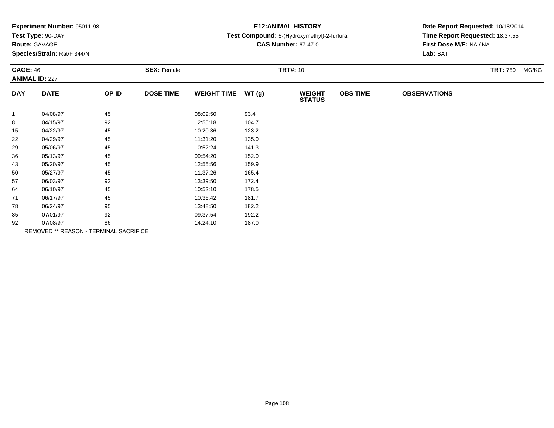| Experiment Number: 95011-98 |  |
|-----------------------------|--|
|-----------------------------|--|

### **Route:** GAVAGE

**Species/Strain:** Rat/F 344/N

# **E12:ANIMAL HISTORY**

### **Test Compound:** 5-(Hydroxymethyl)-2-furfural

**CAS Number:** 67-47-0

| <b>CAGE: 46</b><br><b>ANIMAL ID: 227</b> |             |                                        | <b>SEX: Female</b> |                    | <b>TRT#: 10</b> |                                |                 |                     |  |  |
|------------------------------------------|-------------|----------------------------------------|--------------------|--------------------|-----------------|--------------------------------|-----------------|---------------------|--|--|
| <b>DAY</b>                               | <b>DATE</b> | OP ID                                  | <b>DOSE TIME</b>   | <b>WEIGHT TIME</b> | WT(g)           | <b>WEIGHT</b><br><b>STATUS</b> | <b>OBS TIME</b> | <b>OBSERVATIONS</b> |  |  |
| $\mathbf{1}$                             | 04/08/97    | 45                                     |                    | 08:09:50           | 93.4            |                                |                 |                     |  |  |
| 8                                        | 04/15/97    | 92                                     |                    | 12:55:18           | 104.7           |                                |                 |                     |  |  |
| 15                                       | 04/22/97    | 45                                     |                    | 10:20:36           | 123.2           |                                |                 |                     |  |  |
| 22                                       | 04/29/97    | 45                                     |                    | 11:31:20           | 135.0           |                                |                 |                     |  |  |
| 29                                       | 05/06/97    | 45                                     |                    | 10:52:24           | 141.3           |                                |                 |                     |  |  |
| 36                                       | 05/13/97    | 45                                     |                    | 09:54:20           | 152.0           |                                |                 |                     |  |  |
| 43                                       | 05/20/97    | 45                                     |                    | 12:55:56           | 159.9           |                                |                 |                     |  |  |
| 50                                       | 05/27/97    | 45                                     |                    | 11:37:26           | 165.4           |                                |                 |                     |  |  |
| 57                                       | 06/03/97    | 92                                     |                    | 13:39:50           | 172.4           |                                |                 |                     |  |  |
| 64                                       | 06/10/97    | 45                                     |                    | 10:52:10           | 178.5           |                                |                 |                     |  |  |
| 71                                       | 06/17/97    | 45                                     |                    | 10:36:42           | 181.7           |                                |                 |                     |  |  |
| 78                                       | 06/24/97    | 95                                     |                    | 13:48:50           | 182.2           |                                |                 |                     |  |  |
| 85                                       | 07/01/97    | 92                                     |                    | 09:37:54           | 192.2           |                                |                 |                     |  |  |
| 92                                       | 07/08/97    | 86                                     |                    | 14:24:10           | 187.0           |                                |                 |                     |  |  |
|                                          |             | REMOVED ** REASON - TERMINAL SACRIFICE |                    |                    |                 |                                |                 |                     |  |  |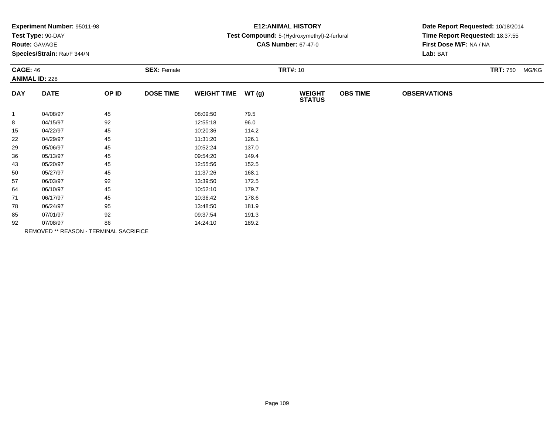| Experiment Number: 95011-98 |  |
|-----------------------------|--|
|-----------------------------|--|

### **Route:** GAVAGE

**Species/Strain:** Rat/F 344/N

### **E12:ANIMAL HISTORY**

#### **Test Compound:** 5-(Hydroxymethyl)-2-furfural

**CAS Number:** 67-47-0

| <b>CAGE: 46</b> | <b>ANIMAL ID: 228</b>                  |       | <b>SEX: Female</b> |                    | <b>TRT#: 10</b> |                                | <b>TRT: 750</b> | MG/KG               |  |  |
|-----------------|----------------------------------------|-------|--------------------|--------------------|-----------------|--------------------------------|-----------------|---------------------|--|--|
| <b>DAY</b>      | <b>DATE</b>                            | OP ID | <b>DOSE TIME</b>   | <b>WEIGHT TIME</b> | WT(g)           | <b>WEIGHT</b><br><b>STATUS</b> | <b>OBS TIME</b> | <b>OBSERVATIONS</b> |  |  |
| $\mathbf{1}$    | 04/08/97                               | 45    |                    | 08:09:50           | 79.5            |                                |                 |                     |  |  |
| 8               | 04/15/97                               | 92    |                    | 12:55:18           | 96.0            |                                |                 |                     |  |  |
| 15              | 04/22/97                               | 45    |                    | 10:20:36           | 114.2           |                                |                 |                     |  |  |
| 22              | 04/29/97                               | 45    |                    | 11:31:20           | 126.1           |                                |                 |                     |  |  |
| 29              | 05/06/97                               | 45    |                    | 10:52:24           | 137.0           |                                |                 |                     |  |  |
| 36              | 05/13/97                               | 45    |                    | 09:54:20           | 149.4           |                                |                 |                     |  |  |
| 43              | 05/20/97                               | 45    |                    | 12:55:56           | 152.5           |                                |                 |                     |  |  |
| 50              | 05/27/97                               | 45    |                    | 11:37:26           | 168.1           |                                |                 |                     |  |  |
| 57              | 06/03/97                               | 92    |                    | 13:39:50           | 172.5           |                                |                 |                     |  |  |
| 64              | 06/10/97                               | 45    |                    | 10:52:10           | 179.7           |                                |                 |                     |  |  |
| 71              | 06/17/97                               | 45    |                    | 10:36:42           | 178.6           |                                |                 |                     |  |  |
| 78              | 06/24/97                               | 95    |                    | 13:48:50           | 181.9           |                                |                 |                     |  |  |
| 85              | 07/01/97                               | 92    |                    | 09:37:54           | 191.3           |                                |                 |                     |  |  |
| 92              | 07/08/97                               | 86    |                    | 14:24:10           | 189.2           |                                |                 |                     |  |  |
|                 | REMOVED ** REASON - TERMINAL SACRIFICE |       |                    |                    |                 |                                |                 |                     |  |  |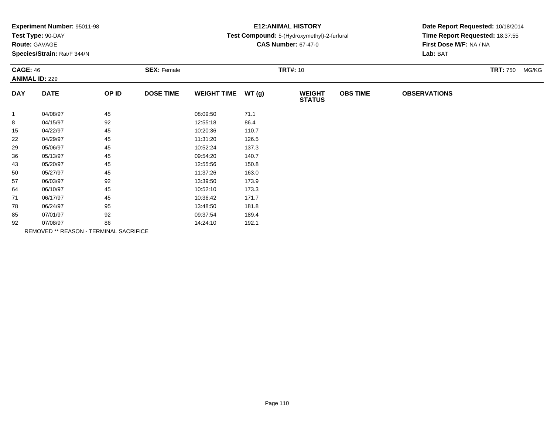| Experiment Number: 95011-98 |  |  |
|-----------------------------|--|--|
|                             |  |  |

# **Route:** GAVAGE

**Species/Strain:** Rat/F 344/N

### **E12:ANIMAL HISTORY**

#### **Test Compound:** 5-(Hydroxymethyl)-2-furfural

**CAS Number:** 67-47-0

| <b>CAGE: 46</b><br><b>ANIMAL ID: 229</b> |             |                                        | <b>SEX: Female</b> |                    | <b>TRT#: 10</b> |                                |                 |                     |  |  |
|------------------------------------------|-------------|----------------------------------------|--------------------|--------------------|-----------------|--------------------------------|-----------------|---------------------|--|--|
| <b>DAY</b>                               | <b>DATE</b> | OP ID                                  | <b>DOSE TIME</b>   | <b>WEIGHT TIME</b> | WT(g)           | <b>WEIGHT</b><br><b>STATUS</b> | <b>OBS TIME</b> | <b>OBSERVATIONS</b> |  |  |
| $\mathbf{1}$                             | 04/08/97    | 45                                     |                    | 08:09:50           | 71.1            |                                |                 |                     |  |  |
| 8                                        | 04/15/97    | 92                                     |                    | 12:55:18           | 86.4            |                                |                 |                     |  |  |
| 15                                       | 04/22/97    | 45                                     |                    | 10:20:36           | 110.7           |                                |                 |                     |  |  |
| 22                                       | 04/29/97    | 45                                     |                    | 11:31:20           | 126.5           |                                |                 |                     |  |  |
| 29                                       | 05/06/97    | 45                                     |                    | 10:52:24           | 137.3           |                                |                 |                     |  |  |
| 36                                       | 05/13/97    | 45                                     |                    | 09:54:20           | 140.7           |                                |                 |                     |  |  |
| 43                                       | 05/20/97    | 45                                     |                    | 12:55:56           | 150.8           |                                |                 |                     |  |  |
| 50                                       | 05/27/97    | 45                                     |                    | 11:37:26           | 163.0           |                                |                 |                     |  |  |
| 57                                       | 06/03/97    | 92                                     |                    | 13:39:50           | 173.9           |                                |                 |                     |  |  |
| 64                                       | 06/10/97    | 45                                     |                    | 10:52:10           | 173.3           |                                |                 |                     |  |  |
| 71                                       | 06/17/97    | 45                                     |                    | 10:36:42           | 171.7           |                                |                 |                     |  |  |
| 78                                       | 06/24/97    | 95                                     |                    | 13:48:50           | 181.8           |                                |                 |                     |  |  |
| 85                                       | 07/01/97    | 92                                     |                    | 09:37:54           | 189.4           |                                |                 |                     |  |  |
| 92                                       | 07/08/97    | 86                                     |                    | 14:24:10           | 192.1           |                                |                 |                     |  |  |
|                                          |             | REMOVED ** REASON - TERMINAL SACRIFICE |                    |                    |                 |                                |                 |                     |  |  |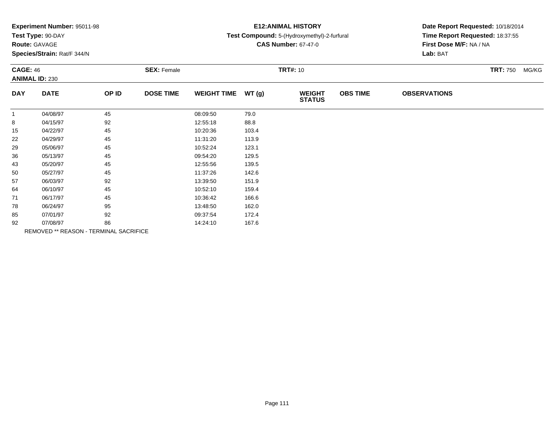| <b>Experiment Number: 95011-98</b> |  |  |  |
|------------------------------------|--|--|--|
|------------------------------------|--|--|--|

### **Route:** GAVAGE

**Species/Strain:** Rat/F 344/N

### **E12:ANIMAL HISTORY**

#### **Test Compound:** 5-(Hydroxymethyl)-2-furfural

**CAS Number:** 67-47-0

| <b>CAGE: 46</b><br><b>ANIMAL ID: 230</b> |                                        |       | <b>SEX: Female</b> |                    | <b>TRT#: 10</b> | <b>TRT: 750</b><br>MG/KG       |                 |                     |  |
|------------------------------------------|----------------------------------------|-------|--------------------|--------------------|-----------------|--------------------------------|-----------------|---------------------|--|
| <b>DAY</b>                               | <b>DATE</b>                            | OP ID | <b>DOSE TIME</b>   | <b>WEIGHT TIME</b> | WT(g)           | <b>WEIGHT</b><br><b>STATUS</b> | <b>OBS TIME</b> | <b>OBSERVATIONS</b> |  |
| $\mathbf{1}$                             | 04/08/97                               | 45    |                    | 08:09:50           | 79.0            |                                |                 |                     |  |
| 8                                        | 04/15/97                               | 92    |                    | 12:55:18           | 88.8            |                                |                 |                     |  |
| 15                                       | 04/22/97                               | 45    |                    | 10:20:36           | 103.4           |                                |                 |                     |  |
| 22                                       | 04/29/97                               | 45    |                    | 11:31:20           | 113.9           |                                |                 |                     |  |
| 29                                       | 05/06/97                               | 45    |                    | 10:52:24           | 123.1           |                                |                 |                     |  |
| 36                                       | 05/13/97                               | 45    |                    | 09:54:20           | 129.5           |                                |                 |                     |  |
| 43                                       | 05/20/97                               | 45    |                    | 12:55:56           | 139.5           |                                |                 |                     |  |
| 50                                       | 05/27/97                               | 45    |                    | 11:37:26           | 142.6           |                                |                 |                     |  |
| 57                                       | 06/03/97                               | 92    |                    | 13:39:50           | 151.9           |                                |                 |                     |  |
| 64                                       | 06/10/97                               | 45    |                    | 10:52:10           | 159.4           |                                |                 |                     |  |
| 71                                       | 06/17/97                               | 45    |                    | 10:36:42           | 166.6           |                                |                 |                     |  |
| 78                                       | 06/24/97                               | 95    |                    | 13:48:50           | 162.0           |                                |                 |                     |  |
| 85                                       | 07/01/97                               | 92    |                    | 09:37:54           | 172.4           |                                |                 |                     |  |
| 92                                       | 07/08/97                               | 86    |                    | 14:24:10           | 167.6           |                                |                 |                     |  |
|                                          | REMOVED ** REASON - TERMINAL SACRIFICE |       |                    |                    |                 |                                |                 |                     |  |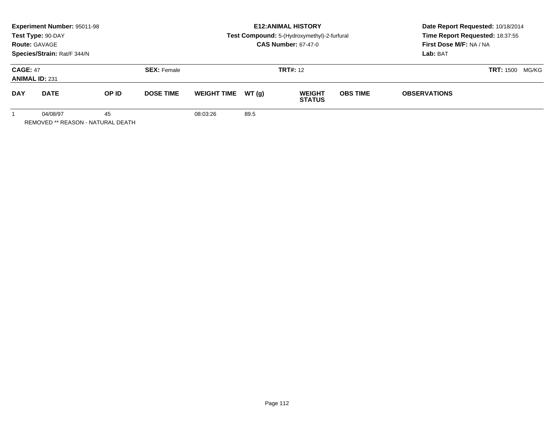|                                          | <b>Experiment Number: 95011-98</b><br>Test Type: 90-DAY<br><b>Route: GAVAGE</b><br>Species/Strain: Rat/F 344/N |       |                    |                    | <b>E12: ANIMAL HISTORY</b><br>Test Compound: 5-(Hydroxymethyl)-2-furfural<br><b>CAS Number: 67-47-0</b> |                                |                 | Date Report Requested: 10/18/2014<br>Time Report Requested: 18:37:55<br>First Dose M/F: NA / NA<br>Lab: BAT |  |
|------------------------------------------|----------------------------------------------------------------------------------------------------------------|-------|--------------------|--------------------|---------------------------------------------------------------------------------------------------------|--------------------------------|-----------------|-------------------------------------------------------------------------------------------------------------|--|
| <b>CAGE: 47</b><br><b>ANIMAL ID: 231</b> |                                                                                                                |       | <b>SEX: Female</b> |                    |                                                                                                         | <b>TRT#: 12</b>                |                 | <b>TRT: 1500</b><br>MG/KG                                                                                   |  |
| <b>DAY</b>                               | <b>DATE</b>                                                                                                    | OP ID | <b>DOSE TIME</b>   | <b>WEIGHT TIME</b> | WT(q)                                                                                                   | <b>WEIGHT</b><br><b>STATUS</b> | <b>OBS TIME</b> | <b>OBSERVATIONS</b>                                                                                         |  |
|                                          | 04/08/97                                                                                                       | 45    |                    | 08:03:26           | 89.5                                                                                                    |                                |                 |                                                                                                             |  |

REMOVED \*\* REASON - NATURAL DEATH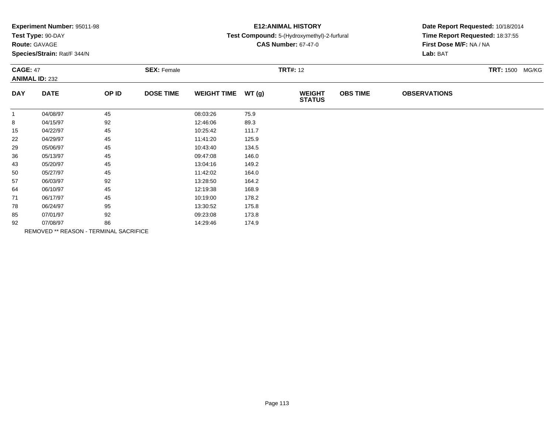| <b>Experiment Number: 95011-98</b> |                    | <b>E12: ANIMAL HISTORY</b>                  | Date Report Requested: 10/18/2014 |
|------------------------------------|--------------------|---------------------------------------------|-----------------------------------|
| Test Type: 90-DAY                  |                    | Test Compound: 5-(Hydroxymethyl)-2-furfural | Time Report Requested: 18:37:55   |
| <b>Route: GAVAGE</b>               |                    | <b>CAS Number: 67-47-0</b>                  | <b>First Dose M/F: NA/NA</b>      |
| Species/Strain: Rat/F 344/N        |                    |                                             | Lab: BAT                          |
| <b>CAGE: 47</b>                    | <b>SEX: Female</b> | <b>TRT#: 12</b>                             | <b>TRT:</b> 1500<br>MG/KG         |
| <b>ANIMAL ID: 232</b>              |                    |                                             |                                   |

| <b>DAY</b>   | <b>DATE</b>                                   | OP ID | <b>DOSE TIME</b> | <b>WEIGHT TIME</b> | WT(g) | <b>WEIGHT</b><br><b>STATUS</b> | <b>OBS TIME</b> | <b>OBSERVATIONS</b> |
|--------------|-----------------------------------------------|-------|------------------|--------------------|-------|--------------------------------|-----------------|---------------------|
| $\mathbf{1}$ | 04/08/97                                      | 45    |                  | 08:03:26           | 75.9  |                                |                 |                     |
| 8            | 04/15/97                                      | 92    |                  | 12:46:06           | 89.3  |                                |                 |                     |
| 15           | 04/22/97                                      | 45    |                  | 10:25:42           | 111.7 |                                |                 |                     |
| 22           | 04/29/97                                      | 45    |                  | 11:41:20           | 125.9 |                                |                 |                     |
| 29           | 05/06/97                                      | 45    |                  | 10:43:40           | 134.5 |                                |                 |                     |
| 36           | 05/13/97                                      | 45    |                  | 09:47:08           | 146.0 |                                |                 |                     |
| 43           | 05/20/97                                      | 45    |                  | 13:04:16           | 149.2 |                                |                 |                     |
| 50           | 05/27/97                                      | 45    |                  | 11:42:02           | 164.0 |                                |                 |                     |
| 57           | 06/03/97                                      | 92    |                  | 13:28:50           | 164.2 |                                |                 |                     |
| 64           | 06/10/97                                      | 45    |                  | 12:19:38           | 168.9 |                                |                 |                     |
| 71           | 06/17/97                                      | 45    |                  | 10:19:00           | 178.2 |                                |                 |                     |
| 78           | 06/24/97                                      | 95    |                  | 13:30:52           | 175.8 |                                |                 |                     |
| 85           | 07/01/97                                      | 92    |                  | 09:23:08           | 173.8 |                                |                 |                     |
| 92           | 07/08/97                                      | 86    |                  | 14:29:46           | 174.9 |                                |                 |                     |
|              | <b>REMOVED ** REASON - TERMINAL SACRIFICE</b> |       |                  |                    |       |                                |                 |                     |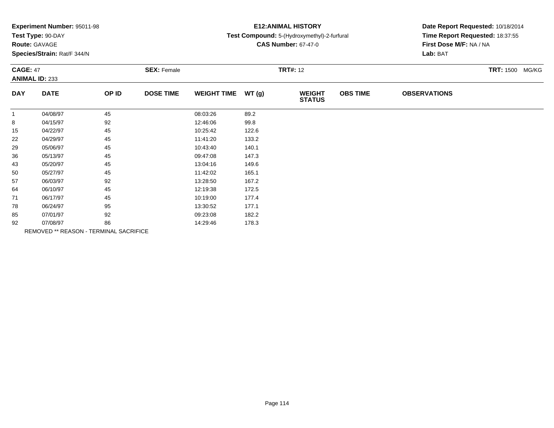| Experiment Number: 95011-98<br>Test Type: 90-DAY<br><b>Route: GAVAGE</b><br>Species/Strain: Rat/F 344/N |             |                    |                  |                    |                 | <b>E12: ANIMAL HISTORY</b><br>Test Compound: 5-(Hydroxymethyl)-2-furfural<br><b>CAS Number: 67-47-0</b> | Date Report Requested: 10/18/2014<br>Time Report Requested: 18:37:55<br>First Dose M/F: NA / NA<br>Lab: BAT |                           |  |
|---------------------------------------------------------------------------------------------------------|-------------|--------------------|------------------|--------------------|-----------------|---------------------------------------------------------------------------------------------------------|-------------------------------------------------------------------------------------------------------------|---------------------------|--|
| <b>CAGE: 47</b><br><b>ANIMAL ID: 233</b>                                                                |             | <b>SEX: Female</b> |                  |                    | <b>TRT#: 12</b> |                                                                                                         |                                                                                                             | <b>TRT: 1500</b><br>MG/KG |  |
| <b>DAY</b>                                                                                              | <b>DATE</b> | OP ID              | <b>DOSE TIME</b> | <b>WEIGHT TIME</b> | WT(g)           | <b>WEIGHT</b><br><b>STATUS</b>                                                                          | <b>OBS TIME</b>                                                                                             | <b>OBSERVATIONS</b>       |  |
|                                                                                                         | 04/08/97    | 45                 |                  | 08:03:26           | 89.2            |                                                                                                         |                                                                                                             |                           |  |
| 8                                                                                                       | 04/15/97    | 92                 |                  | 12:46:06           | 99.8            |                                                                                                         |                                                                                                             |                           |  |
| 15                                                                                                      | 04/22/97    | 45                 |                  | 10:25:42           | 122.6           |                                                                                                         |                                                                                                             |                           |  |
| 22                                                                                                      | 04/29/97    | 45                 |                  | 11:41:20           | 133.2           |                                                                                                         |                                                                                                             |                           |  |
| 29                                                                                                      | 05/06/97    | 45                 |                  | 10:43:40           | 140.1           |                                                                                                         |                                                                                                             |                           |  |
| 36                                                                                                      | 05/13/97    | 45                 |                  | 09:47:08           | 147.3           |                                                                                                         |                                                                                                             |                           |  |
| 43                                                                                                      | 05/20/97    | 45                 |                  | 13:04:16           | 149.6           |                                                                                                         |                                                                                                             |                           |  |
| 50                                                                                                      | 05/27/97    | 45                 |                  | 11:42:02           | 165.1           |                                                                                                         |                                                                                                             |                           |  |
| 57                                                                                                      | 06/03/97    | 92                 |                  | 13:28:50           | 167.2           |                                                                                                         |                                                                                                             |                           |  |
| 64                                                                                                      | 06/10/97    | 45                 |                  | 12:19:38           | 172.5           |                                                                                                         |                                                                                                             |                           |  |
| 71                                                                                                      | 06/17/97    | 45                 |                  | 10:19:00           | 177.4           |                                                                                                         |                                                                                                             |                           |  |
| 78                                                                                                      | 06/24/97    | 95                 |                  | 13:30:52           | 177.1           |                                                                                                         |                                                                                                             |                           |  |
| 85                                                                                                      | 07/01/97    | 92                 |                  | 09:23:08           | 182.2           |                                                                                                         |                                                                                                             |                           |  |

07/08/97 <sup>86</sup> 14:29:46 178.3 REMOVED \*\* REASON - TERMINAL SACRIFICE

92

07/01/97 <sup>92</sup> 09:23:08 182.2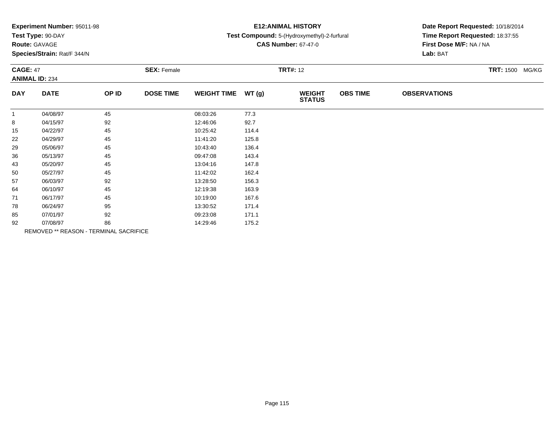|                 | Experiment Number: 95011-98 |       |                    | <b>E12: ANIMAL HISTORY</b> | Date Report Requested: 10/18/2014 |                                             |                 |                                                            |                           |  |
|-----------------|-----------------------------|-------|--------------------|----------------------------|-----------------------------------|---------------------------------------------|-----------------|------------------------------------------------------------|---------------------------|--|
|                 | Test Type: 90-DAY           |       |                    |                            |                                   | Test Compound: 5-(Hydroxymethyl)-2-furfural |                 | Time Report Requested: 18:37:55<br>First Dose M/F: NA / NA |                           |  |
|                 | Route: GAVAGE               |       |                    |                            |                                   | <b>CAS Number: 67-47-0</b>                  |                 |                                                            |                           |  |
|                 | Species/Strain: Rat/F 344/N |       |                    |                            |                                   |                                             |                 | Lab: BAT                                                   |                           |  |
| <b>CAGE: 47</b> |                             |       | <b>SEX: Female</b> |                            | <b>TRT#: 12</b>                   |                                             |                 |                                                            | <b>TRT: 1500</b><br>MG/KG |  |
|                 | <b>ANIMAL ID: 234</b>       |       |                    |                            |                                   |                                             |                 |                                                            |                           |  |
| <b>DAY</b>      | <b>DATE</b>                 | OP ID | <b>DOSE TIME</b>   | <b>WEIGHT TIME</b>         | WT(g)                             | <b>WEIGHT</b><br><b>STATUS</b>              | <b>OBS TIME</b> | <b>OBSERVATIONS</b>                                        |                           |  |
| $\mathbf{1}$    | 04/08/97                    | 45    |                    | 08:03:26                   | 77.3                              |                                             |                 |                                                            |                           |  |
| 8               | 04/15/97                    | 92    |                    | 12:46:06                   | 92.7                              |                                             |                 |                                                            |                           |  |
| 15              | 04/22/97                    | 45    |                    | 10:25:42                   | 114.4                             |                                             |                 |                                                            |                           |  |
| 22              | 04/29/97                    | 45    |                    | 11:41:20                   | 125.8                             |                                             |                 |                                                            |                           |  |
| 29              | 05/06/97                    | 45    |                    | 10:43:40                   | 136.4                             |                                             |                 |                                                            |                           |  |
| 36              | 05/13/97                    | 45    |                    | 09:47:08                   | 143.4                             |                                             |                 |                                                            |                           |  |
| 43              | 05/20/97                    | 45    |                    | 13:04:16                   | 147.8                             |                                             |                 |                                                            |                           |  |
| 50              | 05/27/97                    | 45    |                    | 11:42:02                   | 162.4                             |                                             |                 |                                                            |                           |  |
| 57              | 06/03/97                    | 92    |                    | 13:28:50                   | 156.3                             |                                             |                 |                                                            |                           |  |
| 64              | 06/10/97                    | 45    |                    | 12:19:38                   | 163.9                             |                                             |                 |                                                            |                           |  |
| 71              | 06/17/97                    | 45    |                    | 10:19:00                   | 167.6                             |                                             |                 |                                                            |                           |  |
| 78              | 06/24/97                    | 95    |                    | 13:30:52                   | 171.4                             |                                             |                 |                                                            |                           |  |
| 85              | 07/01/97                    | 92    |                    | 09:23:08                   | 171.1                             |                                             |                 |                                                            |                           |  |

 07/08/97 <sup>86</sup> 14:29:46 175.2 REMOVED \*\* REASON - TERMINAL SACRIFICE

92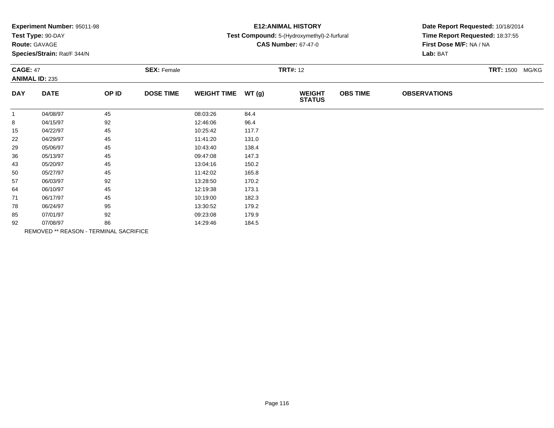| <b>Experiment Number: 95011-98</b> |     |
|------------------------------------|-----|
| Test Type: 90-DAY                  | Tes |

**Route:** GAVAGE

**Species/Strain:** Rat/F 344/N

## **E12:ANIMAL HISTORY**

#### **Test Compound:** 5-(Hydroxymethyl)-2-furfural

**CAS Number:** 67-47-0

| <b>CAGE: 47</b> |                                        | <b>SEX: Female</b> |                  |                    | <b>TRT#: 12</b> |                                |                 |                     |  |
|-----------------|----------------------------------------|--------------------|------------------|--------------------|-----------------|--------------------------------|-----------------|---------------------|--|
|                 | <b>ANIMAL ID: 235</b>                  |                    |                  |                    |                 |                                |                 |                     |  |
| <b>DAY</b>      | <b>DATE</b>                            | OP ID              | <b>DOSE TIME</b> | <b>WEIGHT TIME</b> | WT(g)           | <b>WEIGHT</b><br><b>STATUS</b> | <b>OBS TIME</b> | <b>OBSERVATIONS</b> |  |
| $\mathbf{1}$    | 04/08/97                               | 45                 |                  | 08:03:26           | 84.4            |                                |                 |                     |  |
| 8               | 04/15/97                               | 92                 |                  | 12:46:06           | 96.4            |                                |                 |                     |  |
| 15              | 04/22/97                               | 45                 |                  | 10:25:42           | 117.7           |                                |                 |                     |  |
| 22              | 04/29/97                               | 45                 |                  | 11:41:20           | 131.0           |                                |                 |                     |  |
| 29              | 05/06/97                               | 45                 |                  | 10:43:40           | 138.4           |                                |                 |                     |  |
| 36              | 05/13/97                               | 45                 |                  | 09:47:08           | 147.3           |                                |                 |                     |  |
| 43              | 05/20/97                               | 45                 |                  | 13:04:16           | 150.2           |                                |                 |                     |  |
| 50              | 05/27/97                               | 45                 |                  | 11:42:02           | 165.8           |                                |                 |                     |  |
| 57              | 06/03/97                               | 92                 |                  | 13:28:50           | 170.2           |                                |                 |                     |  |
| 64              | 06/10/97                               | 45                 |                  | 12:19:38           | 173.1           |                                |                 |                     |  |
| 71              | 06/17/97                               | 45                 |                  | 10:19:00           | 182.3           |                                |                 |                     |  |
| 78              | 06/24/97                               | 95                 |                  | 13:30:52           | 179.2           |                                |                 |                     |  |
| 85              | 07/01/97                               | 92                 |                  | 09:23:08           | 179.9           |                                |                 |                     |  |
| 92              | 07/08/97                               | 86                 |                  | 14:29:46           | 184.5           |                                |                 |                     |  |
|                 | REMOVED ** REASON - TERMINAL SACRIFICE |                    |                  |                    |                 |                                |                 |                     |  |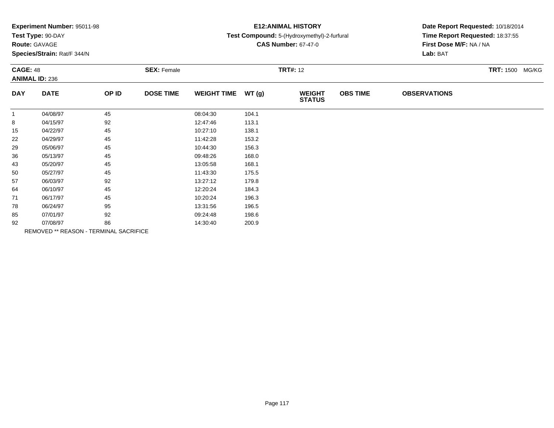| Experiment Number: 95011-98 |  |
|-----------------------------|--|
|-----------------------------|--|

### **Route:** GAVAGE

**Species/Strain:** Rat/F 344/N

### **E12:ANIMAL HISTORY**

#### **Test Compound:** 5-(Hydroxymethyl)-2-furfural

**CAS Number:** 67-47-0

| <b>CAGE: 48</b><br><b>ANIMAL ID: 236</b> |             |                                        | <b>SEX: Female</b> |                    |       | <b>TRT#: 12</b>                |                 | <b>TRT: 1500 MG/KG</b> |  |
|------------------------------------------|-------------|----------------------------------------|--------------------|--------------------|-------|--------------------------------|-----------------|------------------------|--|
| <b>DAY</b>                               | <b>DATE</b> | OP ID                                  | <b>DOSE TIME</b>   | <b>WEIGHT TIME</b> | WT(g) | <b>WEIGHT</b><br><b>STATUS</b> | <b>OBS TIME</b> | <b>OBSERVATIONS</b>    |  |
| $\mathbf{1}$                             | 04/08/97    | 45                                     |                    | 08:04:30           | 104.1 |                                |                 |                        |  |
| 8                                        | 04/15/97    | 92                                     |                    | 12:47:46           | 113.1 |                                |                 |                        |  |
| 15                                       | 04/22/97    | 45                                     |                    | 10:27:10           | 138.1 |                                |                 |                        |  |
| 22                                       | 04/29/97    | 45                                     |                    | 11:42:28           | 153.2 |                                |                 |                        |  |
| 29                                       | 05/06/97    | 45                                     |                    | 10:44:30           | 156.3 |                                |                 |                        |  |
| 36                                       | 05/13/97    | 45                                     |                    | 09:48:26           | 168.0 |                                |                 |                        |  |
| 43                                       | 05/20/97    | 45                                     |                    | 13:05:58           | 168.1 |                                |                 |                        |  |
| 50                                       | 05/27/97    | 45                                     |                    | 11:43:30           | 175.5 |                                |                 |                        |  |
| 57                                       | 06/03/97    | 92                                     |                    | 13:27:12           | 179.8 |                                |                 |                        |  |
| 64                                       | 06/10/97    | 45                                     |                    | 12:20:24           | 184.3 |                                |                 |                        |  |
| 71                                       | 06/17/97    | 45                                     |                    | 10:20:24           | 196.3 |                                |                 |                        |  |
| 78                                       | 06/24/97    | 95                                     |                    | 13:31:56           | 196.5 |                                |                 |                        |  |
| 85                                       | 07/01/97    | 92                                     |                    | 09:24:48           | 198.6 |                                |                 |                        |  |
| 92                                       | 07/08/97    | 86                                     |                    | 14:30:40           | 200.9 |                                |                 |                        |  |
|                                          |             | REMOVED ** REASON - TERMINAL SACRIFICE |                    |                    |       |                                |                 |                        |  |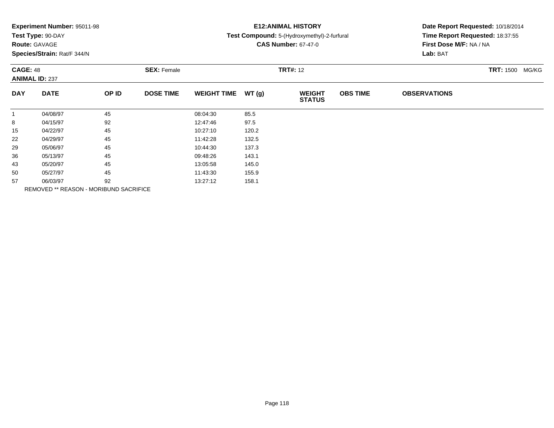| Experiment Number: 95011-98<br>Test Type: 90-DAY<br><b>Route: GAVAGE</b><br>Species/Strain: Rat/F 344/N |             |       |                                       | <b>E12: ANIMAL HISTORY</b><br>Test Compound: 5-(Hydroxymethyl)-2-furfural<br><b>CAS Number: 67-47-0</b> |       |                                |                 | Date Report Requested: 10/18/2014<br>Time Report Requested: 18:37:55<br>First Dose M/F: NA / NA<br>Lab: BAT |  |  |
|---------------------------------------------------------------------------------------------------------|-------------|-------|---------------------------------------|---------------------------------------------------------------------------------------------------------|-------|--------------------------------|-----------------|-------------------------------------------------------------------------------------------------------------|--|--|
| <b>CAGE: 48</b><br><b>ANIMAL ID: 237</b>                                                                |             |       | <b>SEX: Female</b><br><b>TRT#: 12</b> |                                                                                                         |       |                                |                 | <b>TRT: 1500</b><br>MG/KG                                                                                   |  |  |
| <b>DAY</b>                                                                                              | <b>DATE</b> | OP ID | <b>DOSE TIME</b>                      | <b>WEIGHT TIME</b>                                                                                      | WT(g) | <b>WEIGHT</b><br><b>STATUS</b> | <b>OBS TIME</b> | <b>OBSERVATIONS</b>                                                                                         |  |  |
| $\mathbf{1}$                                                                                            | 04/08/97    | 45    |                                       | 08:04:30                                                                                                | 85.5  |                                |                 |                                                                                                             |  |  |
| 8                                                                                                       | 04/15/97    | 92    |                                       | 12:47:46                                                                                                | 97.5  |                                |                 |                                                                                                             |  |  |
| 15                                                                                                      | 04/22/97    | 45    |                                       | 10:27:10                                                                                                | 120.2 |                                |                 |                                                                                                             |  |  |
| 22                                                                                                      | 04/29/97    | 45    |                                       | 11:42:28                                                                                                | 132.5 |                                |                 |                                                                                                             |  |  |
| 29                                                                                                      | 05/06/97    | 45    |                                       | 10:44:30                                                                                                | 137.3 |                                |                 |                                                                                                             |  |  |
| 36                                                                                                      | 05/13/97    | 45    |                                       | 09:48:26                                                                                                | 143.1 |                                |                 |                                                                                                             |  |  |
| 43                                                                                                      | 05/20/97    | 45    |                                       | 13:05:58                                                                                                | 145.0 |                                |                 |                                                                                                             |  |  |
| 50                                                                                                      | 05/27/97    | 45    |                                       | 11:43:30                                                                                                | 155.9 |                                |                 |                                                                                                             |  |  |
| 57                                                                                                      | 06/03/97    | 92    |                                       | 13:27:12                                                                                                | 158.1 |                                |                 |                                                                                                             |  |  |

REMOVED \*\* REASON - MORIBUND SACRIFICE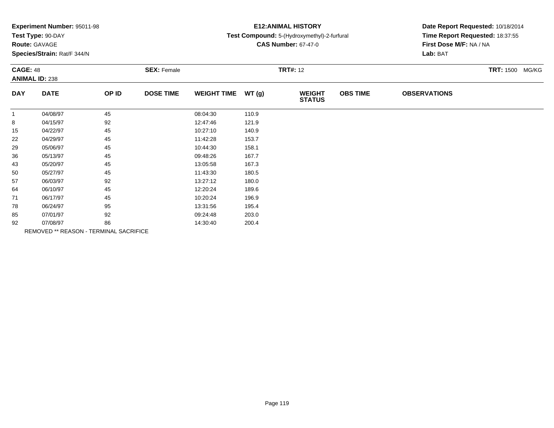|  |  | Experiment Number: 95011-98 |  |
|--|--|-----------------------------|--|
|--|--|-----------------------------|--|

### **Route:** GAVAGE

**Species/Strain:** Rat/F 344/N

### **E12:ANIMAL HISTORY**

#### **Test Compound:** 5-(Hydroxymethyl)-2-furfural

**CAS Number:** 67-47-0

| <b>CAGE: 48</b><br><b>ANIMAL ID: 238</b> |                                        | <b>SEX: Female</b> |                  |                    | <b>TRT#:</b> 12 |                                |                 | <b>TRT: 1500 MG/KG</b> |  |
|------------------------------------------|----------------------------------------|--------------------|------------------|--------------------|-----------------|--------------------------------|-----------------|------------------------|--|
| <b>DAY</b>                               | <b>DATE</b>                            | OP ID              | <b>DOSE TIME</b> | <b>WEIGHT TIME</b> | WT(g)           | <b>WEIGHT</b><br><b>STATUS</b> | <b>OBS TIME</b> | <b>OBSERVATIONS</b>    |  |
| $\mathbf{1}$                             | 04/08/97                               | 45                 |                  | 08:04:30           | 110.9           |                                |                 |                        |  |
| 8                                        | 04/15/97                               | 92                 |                  | 12:47:46           | 121.9           |                                |                 |                        |  |
| 15                                       | 04/22/97                               | 45                 |                  | 10:27:10           | 140.9           |                                |                 |                        |  |
| 22                                       | 04/29/97                               | 45                 |                  | 11:42:28           | 153.7           |                                |                 |                        |  |
| 29                                       | 05/06/97                               | 45                 |                  | 10:44:30           | 158.1           |                                |                 |                        |  |
| 36                                       | 05/13/97                               | 45                 |                  | 09:48:26           | 167.7           |                                |                 |                        |  |
| 43                                       | 05/20/97                               | 45                 |                  | 13:05:58           | 167.3           |                                |                 |                        |  |
| 50                                       | 05/27/97                               | 45                 |                  | 11:43:30           | 180.5           |                                |                 |                        |  |
| 57                                       | 06/03/97                               | 92                 |                  | 13:27:12           | 180.0           |                                |                 |                        |  |
| 64                                       | 06/10/97                               | 45                 |                  | 12:20:24           | 189.6           |                                |                 |                        |  |
| 71                                       | 06/17/97                               | 45                 |                  | 10:20:24           | 196.9           |                                |                 |                        |  |
| 78                                       | 06/24/97                               | 95                 |                  | 13:31:56           | 195.4           |                                |                 |                        |  |
| 85                                       | 07/01/97                               | 92                 |                  | 09:24:48           | 203.0           |                                |                 |                        |  |
| 92                                       | 07/08/97                               | 86                 |                  | 14:30:40           | 200.4           |                                |                 |                        |  |
|                                          | REMOVED ** REASON - TERMINAL SACRIFICE |                    |                  |                    |                 |                                |                 |                        |  |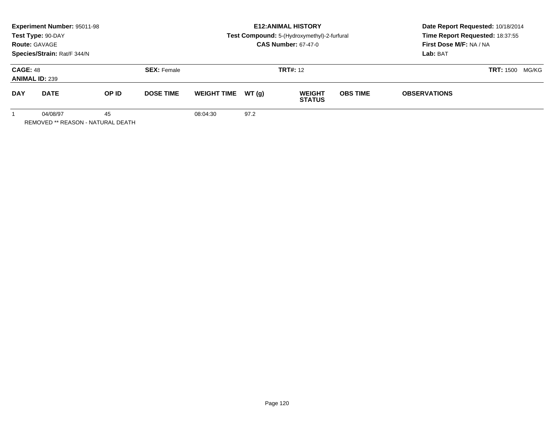| <b>Experiment Number: 95011-98</b><br>Test Type: 90-DAY<br><b>Route: GAVAGE</b><br>Species/Strain: Rat/F 344/N |                                               |       |                    | <b>E12: ANIMAL HISTORY</b><br>Test Compound: 5-(Hydroxymethyl)-2-furfural<br><b>CAS Number: 67-47-0</b> |       |                                |                        | Date Report Requested: 10/18/2014<br>Time Report Requested: 18:37:55<br>First Dose M/F: NA / NA<br>Lab: BAT |  |
|----------------------------------------------------------------------------------------------------------------|-----------------------------------------------|-------|--------------------|---------------------------------------------------------------------------------------------------------|-------|--------------------------------|------------------------|-------------------------------------------------------------------------------------------------------------|--|
| <b>CAGE: 48</b><br><b>ANIMAL ID: 239</b>                                                                       |                                               |       | <b>SEX: Female</b> |                                                                                                         |       | <b>TRT#: 12</b>                | <b>TRT:</b> 1500 MG/KG |                                                                                                             |  |
| <b>DAY</b>                                                                                                     | <b>DATE</b>                                   | OP ID | <b>DOSE TIME</b>   | <b>WEIGHT TIME</b>                                                                                      | WT(q) | <b>WEIGHT</b><br><b>STATUS</b> | <b>OBS TIME</b>        | <b>OBSERVATIONS</b>                                                                                         |  |
|                                                                                                                | 04/08/97<br>REMOVED ** REASON - NATURAL DEATH | 45    |                    | 08:04:30                                                                                                | 97.2  |                                |                        |                                                                                                             |  |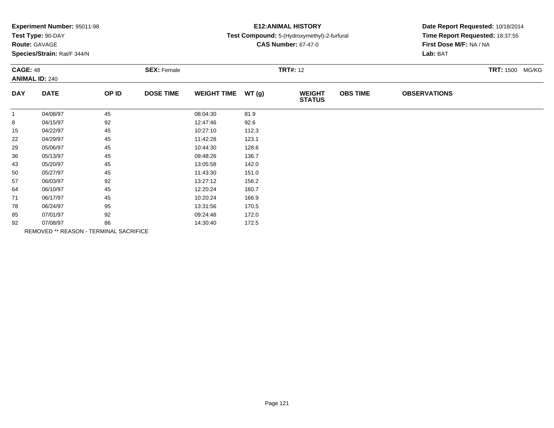| <b>Experiment Number: 95011-98</b> |  |
|------------------------------------|--|
|------------------------------------|--|

### **Route:** GAVAGE

**Species/Strain:** Rat/F 344/N

### **E12:ANIMAL HISTORY**

#### **Test Compound:** 5-(Hydroxymethyl)-2-furfural

**CAS Number:** 67-47-0

| <b>CAGE: 48</b><br><b>ANIMAL ID: 240</b> |             |                                        | <b>SEX: Female</b> |                    |       | <b>TRT: 1500 MG/KG</b>         |                 |                     |  |
|------------------------------------------|-------------|----------------------------------------|--------------------|--------------------|-------|--------------------------------|-----------------|---------------------|--|
| <b>DAY</b>                               | <b>DATE</b> | OP ID                                  | <b>DOSE TIME</b>   | <b>WEIGHT TIME</b> | WT(g) | <b>WEIGHT</b><br><b>STATUS</b> | <b>OBS TIME</b> | <b>OBSERVATIONS</b> |  |
| $\overline{1}$                           | 04/08/97    | 45                                     |                    | 08:04:30           | 81.9  |                                |                 |                     |  |
| 8                                        | 04/15/97    | 92                                     |                    | 12:47:46           | 92.6  |                                |                 |                     |  |
| 15                                       | 04/22/97    | 45                                     |                    | 10:27:10           | 112.3 |                                |                 |                     |  |
| 22                                       | 04/29/97    | 45                                     |                    | 11:42:28           | 123.1 |                                |                 |                     |  |
| 29                                       | 05/06/97    | 45                                     |                    | 10:44:30           | 128.6 |                                |                 |                     |  |
| 36                                       | 05/13/97    | 45                                     |                    | 09:48:26           | 136.7 |                                |                 |                     |  |
| 43                                       | 05/20/97    | 45                                     |                    | 13:05:58           | 142.0 |                                |                 |                     |  |
| 50                                       | 05/27/97    | 45                                     |                    | 11:43:30           | 151.0 |                                |                 |                     |  |
| 57                                       | 06/03/97    | 92                                     |                    | 13:27:12           | 156.2 |                                |                 |                     |  |
| 64                                       | 06/10/97    | 45                                     |                    | 12:20:24           | 160.7 |                                |                 |                     |  |
| 71                                       | 06/17/97    | 45                                     |                    | 10:20:24           | 166.9 |                                |                 |                     |  |
| 78                                       | 06/24/97    | 95                                     |                    | 13:31:56           | 170.5 |                                |                 |                     |  |
| 85                                       | 07/01/97    | 92                                     |                    | 09:24:48           | 172.0 |                                |                 |                     |  |
| 92                                       | 07/08/97    | 86                                     |                    | 14:30:40           | 172.5 |                                |                 |                     |  |
|                                          |             | REMOVED ** REASON - TERMINAL SACRIFICE |                    |                    |       |                                |                 |                     |  |